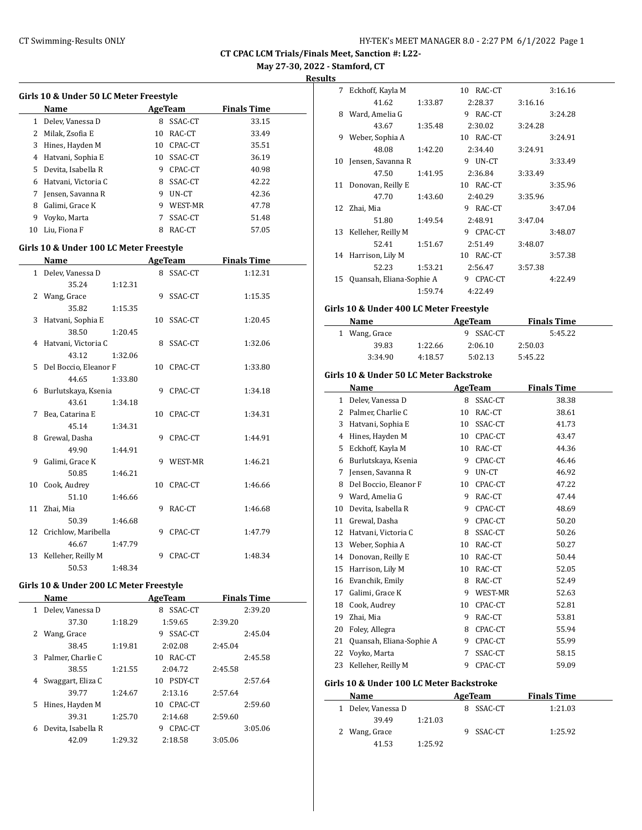**May 27-30, 2022 - Stamford, CT**

**Results**

|    | Name                |    | AgeTeam | <b>Finals Time</b> |
|----|---------------------|----|---------|--------------------|
| 1  | Delev, Vanessa D    | 8  | SSAC-CT | 33.15              |
| 2  | Milak, Zsofia E     | 10 | RAC-CT  | 33.49              |
| 3  | Hines, Hayden M     | 10 | CPAC-CT | 35.51              |
| 4  | Hatvani, Sophia E   | 10 | SSAC-CT | 36.19              |
| 5  | Devita, Isabella R  | 9  | CPAC-CT | 40.98              |
| 6  | Hatvani, Victoria C | 8  | SSAC-CT | 42.22              |
|    | Jensen, Savanna R   | 9  | $UN-CT$ | 42.36              |
| 8  | Galimi, Grace K     | 9  | WEST-MR | 47.78              |
| 9  | Voyko, Marta        |    | SSAC-CT | 51.48              |
| 10 | Liu. Fiona F        | 8  | RAC-CT  | 57.05              |

## **Girls 10 & Under 100 LC Meter Freestyle**

| Name                    |         |    | <b>AgeTeam</b> | <b>Finals Time</b> |
|-------------------------|---------|----|----------------|--------------------|
| 1 Delev, Vanessa D      |         |    | 8 SSAC-CT      | 1:12.31            |
| 35.24                   | 1:12.31 |    |                |                    |
| 2 Wang, Grace           |         |    | 9 SSAC-CT      | 1:15.35            |
| 35.82                   | 1:15.35 |    |                |                    |
| 3 Hatvani, Sophia E     |         |    | 10 SSAC-CT     | 1:20.45            |
| 38.50                   | 1:20.45 |    |                |                    |
| 4 Hatvani, Victoria C   |         |    | 8 SSAC-CT      | 1:32.06            |
| 43.12                   | 1:32.06 |    |                |                    |
| 5 Del Boccio, Eleanor F |         |    | 10 CPAC-CT     | 1:33.80            |
| 44.65                   | 1:33.80 |    |                |                    |
| 6 Burlutskaya, Ksenia   |         |    | 9 CPAC-CT      | 1:34.18            |
| 43.61                   | 1:34.18 |    |                |                    |
| 7 Bea, Catarina E       |         |    | 10 CPAC-CT     | 1:34.31            |
| 45.14                   | 1:34.31 |    |                |                    |
| 8 Grewal, Dasha         |         |    | 9 CPAC-CT      | 1:44.91            |
| 49.90                   | 1:44.91 |    |                |                    |
| 9 Galimi, Grace K       |         |    | 9 WEST-MR      | 1:46.21            |
| 50.85                   | 1:46.21 |    |                |                    |
| 10 Cook, Audrey         |         | 10 | CPAC-CT        | 1:46.66            |
| 51.10                   | 1:46.66 |    |                |                    |
| 11 Zhai, Mia            |         | 9  | RAC-CT         | 1:46.68            |
| 50.39                   | 1:46.68 |    |                |                    |
| 12 Crichlow, Maribella  |         | 9  | CPAC-CT        | 1:47.79            |
| 46.67                   | 1:47.79 |    |                |                    |
| 13 Kelleher, Reilly M   |         | 9  | CPAC-CT        | 1:48.34            |
| 50.53                   | 1:48.34 |    |                |                    |

## **Girls 10 & Under 200 LC Meter Freestyle**

| Name |                    |         | AgeTeam              | <b>Finals Time</b> |
|------|--------------------|---------|----------------------|--------------------|
| 1    | Delev, Vanessa D   |         | SSAC-CT<br>8         | 2:39.20            |
|      | 37.30              | 1:18.29 | 1:59.65              | 2:39.20            |
| 2    | Wang, Grace        |         | SSAC-CT<br>9         | 2:45.04            |
|      | 38.45              | 1:19.81 | 2:02.08              | 2:45.04            |
| 3    | Palmer, Charlie C  |         | 10 RAC-CT            | 2:45.58            |
|      | 38.55              | 1:21.55 | 2:04.72              | 2:45.58            |
| 4    | Swaggart, Eliza C  |         | <b>PSDY-CT</b><br>10 | 2:57.64            |
|      | 39.77              | 1:24.67 | 2:13.16              | 2:57.64            |
| 5.   | Hines, Hayden M    |         | CPAC-CT<br>10        | 2:59.60            |
|      | 39.31              | 1:25.70 | 2:14.68              | 2:59.60            |
| 6    | Devita, Isabella R |         | CPAC-CT<br>9         | 3:05.06            |
|      | 42.09              | 1:29.32 | 2:18.58              | 3:05.06            |

| 7  | Eckhoff, Kayla M         |         | 10<br>RAC-CT |         | 3:16.16 |
|----|--------------------------|---------|--------------|---------|---------|
|    | 41.62                    | 1:33.87 | 2:28.37      | 3:16.16 |         |
| 8  | Ward, Amelia G           |         | RAC-CT<br>9  |         | 3:24.28 |
|    | 43.67                    | 1:35.48 | 2:30.02      | 3:24.28 |         |
| 9  | Weber, Sophia A          |         | 10 RAC-CT    |         | 3:24.91 |
|    | 48.08                    | 1:42.20 | 2:34.40      | 3:24.91 |         |
| 10 | Jensen, Savanna R        |         | UN-CT<br>9   |         | 3:33.49 |
|    | 47.50                    | 1:41.95 | 2:36.84      | 3:33.49 |         |
| 11 | Donovan, Reilly E        |         | RAC-CT<br>10 |         | 3:35.96 |
|    | 47.70                    | 1:43.60 | 2:40.29      | 3:35.96 |         |
| 12 | Zhai, Mia                |         | RAC-CT<br>9. |         | 3:47.04 |
|    | 51.80                    | 1:49.54 | 2:48.91      | 3:47.04 |         |
| 13 | Kelleher, Reilly M       |         | CPAC-CT<br>q |         | 3:48.07 |
|    | 52.41                    | 1:51.67 | 2:51.49      | 3:48.07 |         |
| 14 | Harrison, Lily M         |         | RAC-CT<br>10 |         | 3:57.38 |
|    | 52.23                    | 1:53.21 | 2:56.47      | 3:57.38 |         |
| 15 | Quansah, Eliana-Sophie A |         | CPAC-CT<br>9 |         | 4:22.49 |
|    |                          | 1:59.74 | 4:22.49      |         |         |

## **Girls 10 & Under 400 LC Meter Freestyle**

| Name          |         | AgeTeam   | <b>Finals Time</b> |  |
|---------------|---------|-----------|--------------------|--|
| 1 Wang, Grace |         | 9 SSAC-CT | 5:45.22            |  |
| 39.83         | 1:22.66 | 2:06.10   | 2:50.03            |  |
| 3:34.90       | 4:18.57 | 5:02.13   | 5:45.22            |  |

## **Girls 10 & Under 50 LC Meter Backstroke**

| Name |                          |    | <b>AgeTeam</b> | <b>Finals Time</b> |
|------|--------------------------|----|----------------|--------------------|
| 1    | Delev, Vanessa D         | 8  | SSAC-CT        | 38.38              |
| 2    | Palmer, Charlie C        | 10 | RAC-CT         | 38.61              |
| 3    | Hatvani, Sophia E        | 10 | SSAC-CT        | 41.73              |
| 4    | Hines, Hayden M          | 10 | CPAC-CT        | 43.47              |
| 5    | Eckhoff, Kayla M         | 10 | RAC-CT         | 44.36              |
| 6    | Burlutskaya, Ksenia      | 9  | CPAC-CT        | 46.46              |
| 7    | Jensen, Savanna R        | 9  | UN-CT          | 46.92              |
| 8    | Del Boccio, Eleanor F    | 10 | CPAC-CT        | 47.22              |
| 9    | Ward, Amelia G           | 9  | RAC-CT         | 47.44              |
| 10   | Devita, Isabella R       | 9  | CPAC-CT        | 48.69              |
| 11   | Grewal, Dasha            | 9  | CPAC-CT        | 50.20              |
| 12   | Hatvani, Victoria C      | 8  | SSAC-CT        | 50.26              |
| 13   | Weber, Sophia A          | 10 | RAC-CT         | 50.27              |
| 14   | Donovan, Reilly E        | 10 | RAC-CT         | 50.44              |
| 15   | Harrison, Lily M         | 10 | RAC-CT         | 52.05              |
| 16   | Evanchik, Emily          | 8  | RAC-CT         | 52.49              |
| 17   | Galimi, Grace K          | 9  | WEST-MR        | 52.63              |
| 18   | Cook, Audrey             | 10 | CPAC-CT        | 52.81              |
| 19   | Zhai, Mia                | 9  | RAC-CT         | 53.81              |
| 20   | Foley, Allegra           | 8  | CPAC-CT        | 55.94              |
| 21   | Quansah, Eliana-Sophie A | 9  | CPAC-CT        | 55.99              |
| 22   | Voyko, Marta             | 7  | SSAC-CT        | 58.15              |
| 23   | Kelleher, Reilly M       | 9  | CPAC-CT        | 59.09              |

#### **Girls 10 & Under 100 LC Meter Backstroke**

 $\frac{1}{2}$ 

| Name             |         | AgeTeam   | <b>Finals Time</b> |  |
|------------------|---------|-----------|--------------------|--|
| Delev, Vanessa D |         | 8 SSAC-CT | 1:21.03            |  |
| 39.49            | 1:21.03 |           |                    |  |
| 2 Wang, Grace    |         | 9 SSAC-CT | 1:25.92            |  |
| 41.53            | 1:25.92 |           |                    |  |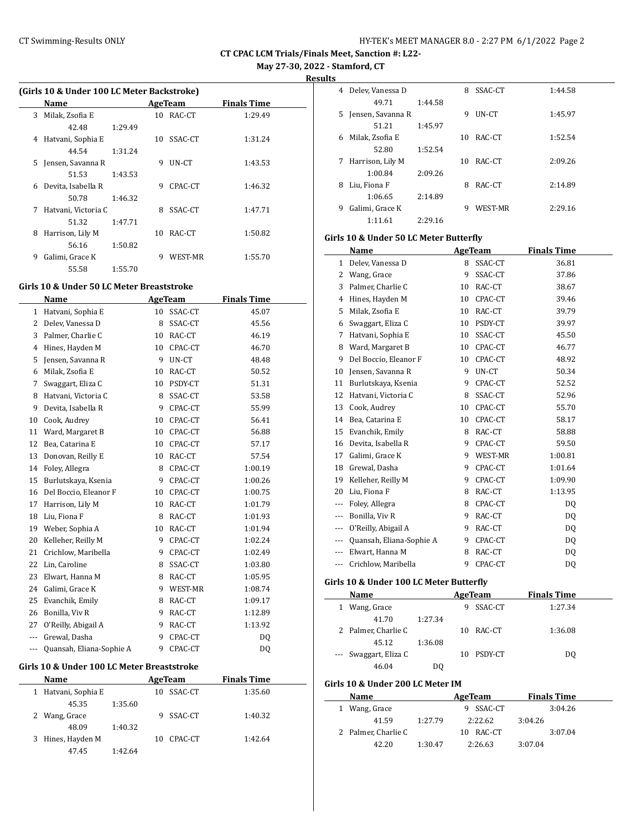**May 27-30, 2022 - Stamford, CT**

**Results**

| (Girls 10 & Under 100 LC Meter Backstroke) |                     |         |    |         |                    |  |
|--------------------------------------------|---------------------|---------|----|---------|--------------------|--|
|                                            | Name                |         |    | AgeTeam | <b>Finals Time</b> |  |
| 3                                          | Milak, Zsofia E     |         | 10 | RAC-CT  | 1:29.49            |  |
|                                            | 42.48               | 1:29.49 |    |         |                    |  |
| 4                                          | Hatvani, Sophia E   |         | 10 | SSAC-CT | 1:31.24            |  |
|                                            | 44.54               | 1:31.24 |    |         |                    |  |
| 5                                          | Jensen, Savanna R   |         | 9  | UN-CT   | 1:43.53            |  |
|                                            | 51.53               | 1:43.53 |    |         |                    |  |
| 6                                          | Devita, Isabella R  |         | 9  | CPAC-CT | 1:46.32            |  |
|                                            | 50.78               | 1:46.32 |    |         |                    |  |
| 7                                          | Hatvani, Victoria C |         | 8  | SSAC-CT | 1:47.71            |  |
|                                            | 51.32               | 1:47.71 |    |         |                    |  |
| 8                                          | Harrison, Lily M    |         | 10 | RAC-CT  | 1:50.82            |  |
|                                            | 56.16               | 1:50.82 |    |         |                    |  |
| 9                                          | Galimi, Grace K     |         | 9  | WEST-MR | 1:55.70            |  |
|                                            | 55.58               | 1:55.70 |    |         |                    |  |

## **Girls 10 & Under 50 LC Meter Breaststroke**

|     | <b>AgeTeam</b><br><b>Name</b> |    |         | <b>Finals Time</b> |  |
|-----|-------------------------------|----|---------|--------------------|--|
| 1   | Hatvani, Sophia E             | 10 | SSAC-CT | 45.07              |  |
| 2   | Delev, Vanessa D              | 8  | SSAC-CT | 45.56              |  |
| 3   | Palmer, Charlie C             | 10 | RAC-CT  | 46.19              |  |
| 4   | Hines, Hayden M               | 10 | CPAC-CT | 46.70              |  |
| 5   | Jensen, Savanna R             | 9  | UN-CT   | 48.48              |  |
| 6   | Milak, Zsofia E               | 10 | RAC-CT  | 50.52              |  |
| 7   | Swaggart, Eliza C             | 10 | PSDY-CT | 51.31              |  |
| 8   | Hatvani. Victoria C           | 8  | SSAC-CT | 53.58              |  |
| 9   | Devita, Isabella R            | 9  | CPAC-CT | 55.99              |  |
| 10  | Cook, Audrey                  | 10 | CPAC-CT | 56.41              |  |
| 11  | Ward, Margaret B              | 10 | CPAC-CT | 56.88              |  |
| 12  | Bea, Catarina E               | 10 | CPAC-CT | 57.17              |  |
| 13  | Donovan, Reilly E             | 10 | RAC-CT  | 57.54              |  |
| 14  | Foley, Allegra                | 8  | CPAC-CT | 1:00.19            |  |
| 15  | Burlutskaya, Ksenia           | 9  | CPAC-CT | 1:00.26            |  |
| 16  | Del Boccio, Eleanor F         | 10 | CPAC-CT | 1:00.75            |  |
| 17  | Harrison, Lily M              | 10 | RAC-CT  | 1:01.79            |  |
| 18  | Liu, Fiona F                  | 8  | RAC-CT  | 1:01.93            |  |
| 19  | Weber, Sophia A               | 10 | RAC-CT  | 1:01.94            |  |
| 20  | Kelleher, Reilly M            | 9  | CPAC-CT | 1:02.24            |  |
| 21  | Crichlow, Maribella           | 9  | CPAC-CT | 1:02.49            |  |
| 22  | Lin, Caroline                 | 8  | SSAC-CT | 1:03.80            |  |
| 23  | Elwart, Hanna M               | 8  | RAC-CT  | 1:05.95            |  |
| 24  | Galimi, Grace K               | 9  | WEST-MR | 1:08.74            |  |
| 25  | Evanchik, Emily               | 8  | RAC-CT  | 1:09.17            |  |
| 26  | Bonilla, Viv R                | 9  | RAC-CT  | 1:12.89            |  |
| 27  | O'Reilly, Abigail A           | 9  | RAC-CT  | 1:13.92            |  |
| --- | Grewal, Dasha                 | 9  | CPAC-CT | DQ                 |  |
| --- | Quansah, Eliana-Sophie A      | 9  | CPAC-CT | DQ                 |  |

#### **Girls 10 & Under 100 LC Meter Breaststroke**

| <b>Name</b>         |         |    | AgeTeam   | <b>Finals Time</b> |
|---------------------|---------|----|-----------|--------------------|
| 1 Hatvani, Sophia E |         | 10 | - SSAC-CT | 1:35.60            |
| 45.35               | 1:35.60 |    |           |                    |
| 2 Wang, Grace       |         |    | SSAC-CT   | 1:40.32            |
| 48.09               | 1:40.32 |    |           |                    |
| 3 Hines, Hayden M   |         | 10 | CPAC-CT   | 1:42.64            |
| 47.45               | 1:42.64 |    |           |                    |

| 4 | Delev, Vanessa D  |         | 8  | SSAC-CT | 1:44.58 |
|---|-------------------|---------|----|---------|---------|
|   | 49.71             | 1:44.58 |    |         |         |
| 5 | Jensen, Savanna R |         | 9  | UN-CT   | 1:45.97 |
|   | 51.21             | 1:45.97 |    |         |         |
| 6 | Milak, Zsofia E   |         | 10 | RAC-CT  | 1:52.54 |
|   | 52.80             | 1:52.54 |    |         |         |
| 7 | Harrison, Lily M  |         | 10 | RAC-CT  | 2:09.26 |
|   | 1:00.84           | 2:09.26 |    |         |         |
| 8 | Liu, Fiona F      |         | 8  | RAC-CT  | 2:14.89 |
|   | 1:06.65           | 2:14.89 |    |         |         |
| 9 | Galimi, Grace K   |         | 9  | WEST-MR | 2:29.16 |
|   | 1:11.61           | 2:29.16 |    |         |         |

#### **Girls 10 & Under 50 LC Meter Butterfly**

| Name                |                          |    | <b>AgeTeam</b> | <b>Finals Time</b> |
|---------------------|--------------------------|----|----------------|--------------------|
| 1                   | Delev, Vanessa D         | 8  | SSAC-CT        | 36.81              |
| 2                   | Wang, Grace              | 9  | SSAC-CT        | 37.86              |
| 3                   | Palmer, Charlie C        | 10 | RAC-CT         | 38.67              |
| 4                   | Hines, Hayden M          | 10 | CPAC-CT        | 39.46              |
| 5                   | Milak, Zsofia E          | 10 | RAC-CT         | 39.79              |
| 6                   | Swaggart, Eliza C        | 10 | PSDY-CT        | 39.97              |
| 7                   | Hatvani, Sophia E        | 10 | SSAC-CT        | 45.50              |
| 8                   | Ward, Margaret B         | 10 | CPAC-CT        | 46.77              |
| 9                   | Del Boccio, Eleanor F    | 10 | CPAC-CT        | 48.92              |
| 10                  | Jensen, Savanna R        | 9  | UN-CT          | 50.34              |
| 11                  | Burlutskaya, Ksenia      | 9  | CPAC-CT        | 52.52              |
| 12                  | Hatvani, Victoria C      | 8  | SSAC-CT        | 52.96              |
| 13                  | Cook, Audrey             | 10 | CPAC-CT        | 55.70              |
| 14                  | Bea, Catarina E          | 10 | CPAC-CT        | 58.17              |
| 15                  | Evanchik, Emily          | 8  | RAC-CT         | 58.88              |
| 16                  | Devita, Isabella R       | 9  | CPAC-CT        | 59.50              |
| 17                  | Galimi. Grace K          | 9  | WEST-MR        | 1:00.81            |
| 18                  | Grewal, Dasha            | 9  | CPAC-CT        | 1:01.64            |
| 19                  | Kelleher, Reilly M       | 9  | CPAC-CT        | 1:09.90            |
| 20                  | Liu, Fiona F             | 8  | RAC-CT         | 1:13.95            |
| ---                 | Foley, Allegra           | 8  | CPAC-CT        | DQ                 |
| ---                 | Bonilla, Viv R           | 9  | RAC-CT         | D <sub>0</sub>     |
| ---                 | O'Reilly, Abigail A      | 9  | RAC-CT         | D <sub>0</sub>     |
| $\qquad \qquad - -$ | Quansah, Eliana-Sophie A | 9  | CPAC-CT        | DQ                 |
| ---                 | Elwart, Hanna M          | 8  | RAC-CT         | DQ                 |
|                     | Crichlow, Maribella      | 9  | CPAC-CT        | DQ                 |

# **Girls 10 & Under 100 LC Meter Butterfly**

|   | <b>Name</b>           |         | AgeTeam |           | <b>Finals Time</b> |  |
|---|-----------------------|---------|---------|-----------|--------------------|--|
| 1 | Wang, Grace           |         | 9       | SSAC-CT   | 1:27.34            |  |
|   | 41.70                 | 1:27.34 |         |           |                    |  |
|   | 2 Palmer, Charlie C   |         |         | 10 RAC-CT | 1:36.08            |  |
|   | 45.12                 | 1:36.08 |         |           |                    |  |
|   | --- Swaggart, Eliza C |         | 10      | PSDY-CT   | DO                 |  |
|   | 46.04                 |         |         |           |                    |  |

#### **Girls 10 & Under 200 LC Meter IM**

| Name                |         | AgeTeam   | <b>Finals Time</b> |  |
|---------------------|---------|-----------|--------------------|--|
| Wang, Grace         |         | 9 SSAC-CT | 3:04.26            |  |
| 41.59               | 1:27.79 | 2:22.62   | 3:04.26            |  |
| 2 Palmer, Charlie C |         | 10 RAC-CT | 3:07.04            |  |
| 42.20               | 1:30.47 | 2:26.63   | 3:07.04            |  |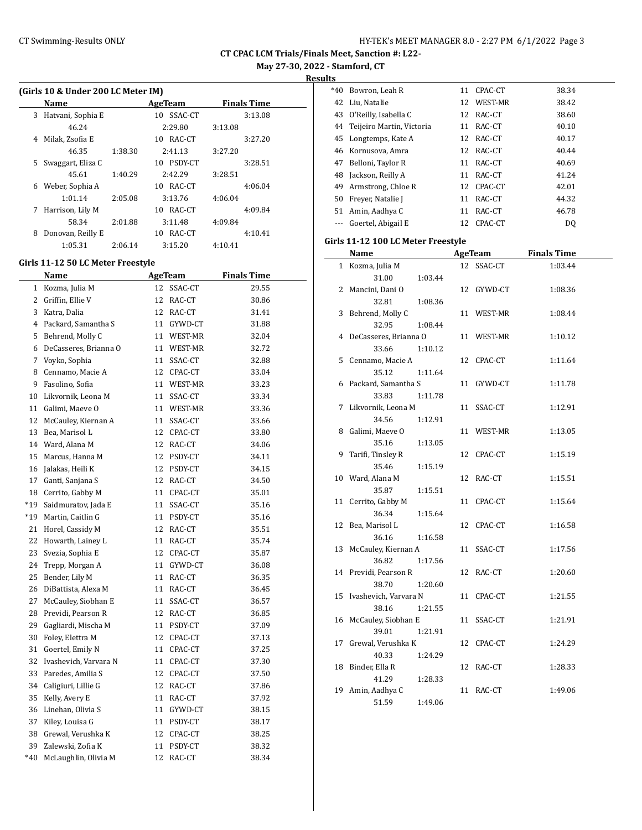**May 27-30, 2022 - Stamford, CT**

**Results**

| (Girls 10 & Under 200 LC Meter IM) |                                    |         |               |                    |  |  |  |  |
|------------------------------------|------------------------------------|---------|---------------|--------------------|--|--|--|--|
|                                    | Name                               |         | AgeTeam       | <b>Finals Time</b> |  |  |  |  |
| 3                                  | Hatvani, Sophia E                  |         | SSAC-CT<br>10 | 3:13.08            |  |  |  |  |
|                                    | 46.24                              |         | 2:29.80       | 3:13.08            |  |  |  |  |
| 4                                  | Milak, Zsofia E                    |         | 10 RAC-CT     | 3:27.20            |  |  |  |  |
|                                    | 46.35                              | 1:38.30 | 2:41.13       | 3:27.20            |  |  |  |  |
| 5.                                 | Swaggart, Eliza C                  |         | 10 PSDY-CT    | 3:28.51            |  |  |  |  |
|                                    | 45.61                              | 1:40.29 | 2:42.29       | 3:28.51            |  |  |  |  |
| 6                                  | Weber, Sophia A                    |         | RAC-CT<br>10  | 4:06.04            |  |  |  |  |
|                                    | 1:01.14                            | 2:05.08 | 3:13.76       | 4:06.04            |  |  |  |  |
| 7                                  | Harrison, Lily M                   |         | RAC-CT<br>10  | 4:09.84            |  |  |  |  |
|                                    | 58.34                              | 2:01.88 | 3:11.48       | 4:09.84            |  |  |  |  |
| 8                                  | Donovan, Reilly E                  |         | 10 RAC-CT     | 4:10.41            |  |  |  |  |
|                                    | 1:05.31                            | 2:06.14 | 3:15.20       | 4:10.41            |  |  |  |  |
|                                    | Cirle 11.12 50 I C Matar Fraactula |         |               |                    |  |  |  |  |

#### **Girls 11-12 50 LC Meter Freestyle**

|       | <b>Name</b>           | <b>AgeTeam</b> |         | <b>Finals Time</b> |
|-------|-----------------------|----------------|---------|--------------------|
| 1     | Kozma, Julia M        | 12             | SSAC-CT | 29.55              |
| 2     | Griffin, Ellie V      | 12             | RAC-CT  | 30.86              |
| 3     | Katra, Dalia          | 12             | RAC-CT  | 31.41              |
| 4     | Packard, Samantha S   | 11             | GYWD-CT | 31.88              |
| 5     | Behrend, Molly C      | 11             | WEST-MR | 32.04              |
| 6     | DeCasseres, Brianna O | 11             | WEST-MR | 32.72              |
| 7     | Voyko, Sophia         | 11             | SSAC-CT | 32.88              |
| 8     | Cennamo, Macie A      | 12             | CPAC-CT | 33.04              |
| 9     | Fasolino, Sofia       | 11             | WEST-MR | 33.23              |
| 10    | Likvornik, Leona M    | 11             | SSAC-CT | 33.34              |
| 11    | Galimi, Maeve O       | 11             | WEST-MR | 33.36              |
| 12    | McCauley, Kiernan A   | 11             | SSAC-CT | 33.66              |
| 13    | Bea, Marisol L        | 12             | CPAC-CT | 33.80              |
| 14    | Ward, Alana M         | 12             | RAC-CT  | 34.06              |
| 15    | Marcus, Hanna M       | 12             | PSDY-CT | 34.11              |
| 16    | Jalakas, Heili K      | 12             | PSDY-CT | 34.15              |
| 17    | Ganti, Sanjana S      | 12             | RAC-CT  | 34.50              |
| 18    | Cerrito, Gabby M      | 11             | CPAC-CT | 35.01              |
| *19   | Saidmuratov, Jada E   | 11             | SSAC-CT | 35.16              |
| *19   | Martin, Caitlin G     | 11             | PSDY-CT | 35.16              |
| 21    | Horel, Cassidy M      | 12             | RAC-CT  | 35.51              |
| 22    | Howarth, Lainey L     | 11             | RAC-CT  | 35.74              |
| 23    | Svezia, Sophia E      | 12             | CPAC-CT | 35.87              |
| 24    | Trepp, Morgan A       | 11             | GYWD-CT | 36.08              |
| 25    | Bender, Lily M        | 11             | RAC-CT  | 36.35              |
| 26    | DiBattista, Alexa M   | 11             | RAC-CT  | 36.45              |
| 27    | McCauley, Siobhan E   | 11             | SSAC-CT | 36.57              |
| 28    | Previdi, Pearson R    | 12             | RAC-CT  | 36.85              |
| 29    | Gagliardi, Mischa M   | 11             | PSDY-CT | 37.09              |
| 30    | Foley, Elettra M      | 12             | CPAC-CT | 37.13              |
| 31    | Goertel, Emily N      | 11             | CPAC-CT | 37.25              |
| 32    | Ivashevich, Varvara N | 11             | CPAC-CT | 37.30              |
| 33    | Paredes, Amilia S     | 12             | CPAC-CT | 37.50              |
| 34    | Caligiuri, Lillie G   | 12             | RAC-CT  | 37.86              |
| 35    | Kelly, Avery E        | 11             | RAC-CT  | 37.92              |
| 36    | Linehan, Olivia S     | 11             | GYWD-CT | 38.15              |
| 37    | Kiley, Louisa G       | 11             | PSDY-CT | 38.17              |
| 38    | Grewal, Verushka K    | 12             | CPAC-CT | 38.25              |
| 39    | Zalewski, Zofia K     | 11             | PSDY-CT | 38.32              |
| $*40$ | McLaughlin, Olivia M  | 12             | RAC-CT  | 38.34              |

| เเร   |                              |    |            |                |
|-------|------------------------------|----|------------|----------------|
| $*40$ | Bowron, Leah R               |    | 11 CPAC-CT | 38.34          |
| 42    | Liu, Natalie                 |    | 12 WEST-MR | 38.42          |
| 43    | O'Reilly, Isabella C         |    | 12 RAC-CT  | 38.60          |
|       | 44 Teijeiro Martin, Victoria | 11 | RAC-CT     | 40.10          |
| 45    | Longtemps, Kate A            |    | 12 RAC-CT  | 40.17          |
| 46    | Kornusova, Amra              |    | 12 RAC-CT  | 40.44          |
| 47    | Belloni, Taylor R            | 11 | RAC-CT     | 40.69          |
| 48    | Jackson, Reilly A            | 11 | RAC-CT     | 41.24          |
| 49    | Armstrong, Chloe R           |    | 12 CPAC-CT | 42.01          |
| 50    | Frever, Natalie J            | 11 | RAC-CT     | 44.32          |
| 51    | Amin, Aadhya C               | 11 | RAC-CT     | 46.78          |
|       | Goertel, Abigail E           | 12 | CPAC-CT    | D <sub>0</sub> |

## **Girls 11-12 100 LC Meter Freestyle**

|    | <b>Name</b>             |    | <b>AgeTeam</b> | <b>Finals Time</b> |  |
|----|-------------------------|----|----------------|--------------------|--|
|    | 1 Kozma, Julia M        |    | 12 SSAC-CT     | 1:03.44            |  |
|    | 31.00<br>1:03.44        |    |                |                    |  |
| 2  | Mancini, Dani O         |    | 12 GYWD-CT     | 1:08.36            |  |
|    | 32.81<br>1:08.36        |    |                |                    |  |
| 3  | Behrend, Molly C        |    | 11 WEST-MR     | 1:08.44            |  |
|    | 32.95<br>1:08.44        |    |                |                    |  |
|    | 4 DeCasseres, Brianna O |    | 11 WEST-MR     | 1:10.12            |  |
|    | 33.66<br>1:10.12        |    |                |                    |  |
|    | 5 Cennamo, Macie A      |    | 12 CPAC-CT     | 1:11.64            |  |
|    | 35.12<br>1:11.64        |    |                |                    |  |
|    | 6 Packard, Samantha S   | 11 | GYWD-CT        | 1:11.78            |  |
|    | 33.83<br>1:11.78        |    |                |                    |  |
| 7  | Likvornik, Leona M      | 11 | SSAC-CT        | 1:12.91            |  |
|    | 34.56<br>1:12.91        |    |                |                    |  |
|    | 8 Galimi, Maeve O       | 11 | WEST-MR        | 1:13.05            |  |
|    | 35.16<br>1:13.05        |    |                |                    |  |
| 9  | Tarifi, Tinsley R       | 12 | CPAC-CT        | 1:15.19            |  |
|    | 35.46<br>1:15.19        |    |                |                    |  |
|    | 10 Ward, Alana M        | 12 | RAC-CT         | 1:15.51            |  |
|    | 35.87<br>1:15.51        |    |                |                    |  |
|    | 11 Cerrito, Gabby M     | 11 | CPAC-CT        | 1:15.64            |  |
|    | 36.34<br>1:15.64        |    |                |                    |  |
|    | 12 Bea, Marisol L       | 12 | CPAC-CT        | 1:16.58            |  |
|    | 36.16<br>1:16.58        |    |                |                    |  |
| 13 | McCauley, Kiernan A     | 11 | SSAC-CT        | 1:17.56            |  |
|    | 36.82<br>1:17.56        |    |                |                    |  |
|    | 14 Previdi, Pearson R   |    | 12 RAC-CT      | 1:20.60            |  |
|    | 38.70<br>1:20.60        |    |                |                    |  |
| 15 | Ivashevich, Varvara N   |    | 11 CPAC-CT     | 1:21.55            |  |
|    | 38.16<br>1:21.55        |    |                |                    |  |
|    | 16 McCauley, Siobhan E  | 11 | SSAC-CT        | 1:21.91            |  |
|    | 39.01<br>1:21.91        |    |                |                    |  |
|    | 17 Grewal, Verushka K   | 12 | CPAC-CT        | 1:24.29            |  |
|    | 40.33<br>1:24.29        |    |                |                    |  |
|    | 18 Binder, Ella R       | 12 | RAC-CT         | 1:28.33            |  |
|    | 41.29<br>1:28.33        |    |                |                    |  |
| 19 | Amin, Aadhya C          | 11 | RAC-CT         | 1:49.06            |  |
|    | 51.59<br>1:49.06        |    |                |                    |  |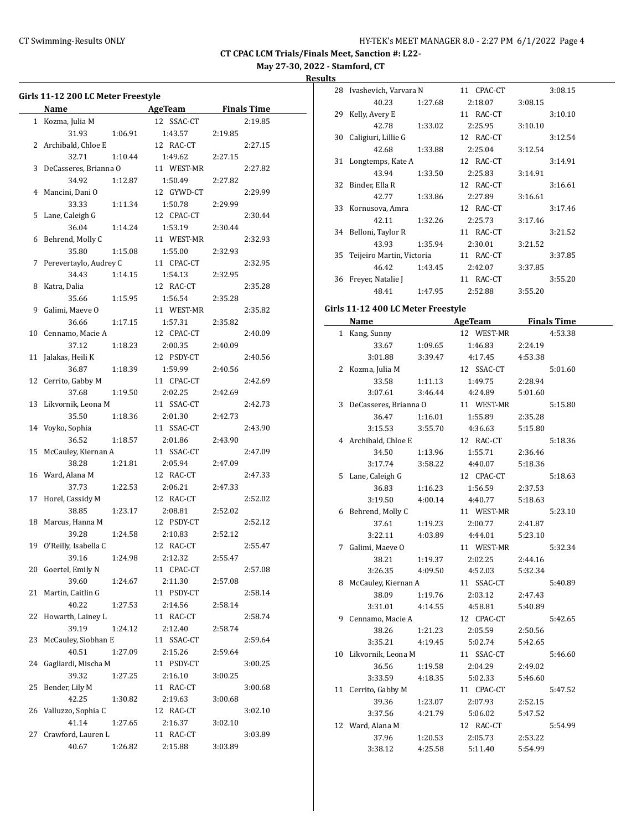$\overline{a}$ 

**CT CPAC LCM Trials/Finals Meet, Sanction #: L22-**

**May 27-30, 2022 - Stamford, CT**

**Results**

|    | Girls 11-12 200 LC Meter Freestyle |         |                     |         |         |  |  |  |
|----|------------------------------------|---------|---------------------|---------|---------|--|--|--|
|    | Name                               |         | AgeTeam Finals Time |         |         |  |  |  |
|    | 1 Kozma, Julia M                   |         | 12 SSAC-CT          |         | 2:19.85 |  |  |  |
|    | 31.93                              | 1:06.91 | 1:43.57             | 2:19.85 |         |  |  |  |
|    | 2 Archibald, Chloe E               |         | 12 RAC-CT           |         | 2:27.15 |  |  |  |
|    | 32.71                              | 1:10.44 | 1:49.62             | 2:27.15 |         |  |  |  |
| 3  | DeCasseres, Brianna O              |         | 11 WEST-MR          |         | 2:27.82 |  |  |  |
|    | 34.92                              | 1:12.87 | 1:50.49             | 2:27.82 |         |  |  |  |
|    | 4 Mancini, Dani O                  |         | 12 GYWD-CT          |         | 2:29.99 |  |  |  |
|    | 33.33                              | 1:11.34 | 1:50.78             | 2:29.99 |         |  |  |  |
| 5  | Lane, Caleigh G                    |         | 12 CPAC-CT          |         | 2:30.44 |  |  |  |
|    | 36.04                              | 1:14.24 | 1:53.19             | 2:30.44 |         |  |  |  |
|    | 6 Behrend, Molly C                 |         | 11 WEST-MR          |         | 2:32.93 |  |  |  |
|    | 35.80                              | 1:15.08 | 1:55.00             | 2:32.93 |         |  |  |  |
| 7  | Perevertaylo, Audrey C             |         | 11 CPAC-CT          |         | 2:32.95 |  |  |  |
|    | 34.43                              | 1:14.15 | 1:54.13             | 2:32.95 |         |  |  |  |
| 8  | Katra, Dalia                       |         | 12 RAC-CT           |         | 2:35.28 |  |  |  |
|    | 35.66                              | 1:15.95 | 1:56.54             | 2:35.28 |         |  |  |  |
| 9  | Galimi, Maeve O                    |         | 11 WEST-MR          |         | 2:35.82 |  |  |  |
|    | 36.66                              | 1:17.15 | 1:57.31             | 2:35.82 |         |  |  |  |
|    | 10 Cennamo, Macie A                |         | 12 CPAC-CT          |         | 2:40.09 |  |  |  |
|    | 37.12                              | 1:18.23 | 2:00.35             | 2:40.09 |         |  |  |  |
| 11 | Jalakas, Heili K                   |         | 12 PSDY-CT          |         | 2:40.56 |  |  |  |
|    | 36.87                              | 1:18.39 | 1:59.99             | 2:40.56 |         |  |  |  |
| 12 | Cerrito, Gabby M                   |         | 11 CPAC-CT          |         | 2:42.69 |  |  |  |
|    | 37.68                              | 1:19.50 | 2:02.25             | 2:42.69 |         |  |  |  |
|    | 13 Likvornik, Leona M              |         | 11 SSAC-CT          |         | 2:42.73 |  |  |  |
|    | 35.50                              | 1:18.36 | 2:01.30             | 2:42.73 |         |  |  |  |
|    | 14 Voyko, Sophia                   |         | 11 SSAC-CT          |         | 2:43.90 |  |  |  |
|    | 36.52                              | 1:18.57 | 2:01.86             | 2:43.90 |         |  |  |  |
| 15 | McCauley, Kiernan A                |         | 11 SSAC-CT          |         | 2:47.09 |  |  |  |
|    | 38.28                              | 1:21.81 | 2:05.94             | 2:47.09 |         |  |  |  |
|    | 16 Ward, Alana M                   |         | 12 RAC-CT           |         | 2:47.33 |  |  |  |
|    | 37.73                              | 1:22.53 | 2:06.21             | 2:47.33 |         |  |  |  |
|    | 17 Horel, Cassidy M                |         | 12 RAC-CT           |         | 2:52.02 |  |  |  |
|    | 38.85                              | 1:23.17 | 2:08.81             | 2:52.02 |         |  |  |  |
|    | 18 Marcus, Hanna M                 |         | 12 PSDY-CT          |         | 2:52.12 |  |  |  |
|    | 39.28                              | 1:24.58 | 2:10.83             | 2:52.12 |         |  |  |  |
|    | 19 O'Reilly, Isabella C            |         | 12 RAC-CT           |         | 2:55.47 |  |  |  |
|    | 39.16                              | 1:24.98 | 2:12.32             | 2:55.47 |         |  |  |  |
|    | 20 Goertel, Emily N                |         | 11 CPAC-CT          |         | 2:57.08 |  |  |  |
|    | 39.60                              | 1:24.67 | 2:11.30             | 2:57.08 |         |  |  |  |
| 21 | Martin, Caitlin G                  |         | 11 PSDY-CT          |         | 2:58.14 |  |  |  |
|    | 40.22                              | 1:27.53 | 2:14.56             | 2:58.14 |         |  |  |  |
| 22 | Howarth, Lainey L                  |         | 11 RAC-CT           |         | 2:58.74 |  |  |  |
|    | 39.19                              | 1:24.12 | 2:12.40             | 2:58.74 |         |  |  |  |
| 23 | McCauley, Siobhan E                |         | 11 SSAC-CT          |         | 2:59.64 |  |  |  |
|    | 40.51                              | 1:27.09 | 2:15.26             | 2:59.64 |         |  |  |  |
| 24 | Gagliardi, Mischa M                |         | 11 PSDY-CT          |         | 3:00.25 |  |  |  |
|    | 39.32                              | 1:27.25 | 2:16.10             | 3:00.25 |         |  |  |  |
| 25 | Bender, Lily M                     |         | 11 RAC-CT           |         | 3:00.68 |  |  |  |
|    | 42.25                              | 1:30.82 | 2:19.63             | 3:00.68 |         |  |  |  |
| 26 | Valluzzo, Sophia C                 |         | 12 RAC-CT           |         | 3:02.10 |  |  |  |
|    | 41.14                              | 1:27.65 | 2:16.37             | 3:02.10 |         |  |  |  |
| 27 | Crawford, Lauren L                 |         | 11 RAC-CT           |         | 3:03.89 |  |  |  |
|    | 40.67                              | 1:26.82 | 2:15.88             | 3:03.89 |         |  |  |  |

| 28 | Ivashevich, Varvara N     |         | 11 CPAC-CT |         | 3:08.15 |
|----|---------------------------|---------|------------|---------|---------|
|    | 40.23                     | 1:27.68 | 2:18.07    | 3:08.15 |         |
| 29 | Kelly, Avery E            |         | 11 RAC-CT  |         | 3:10.10 |
|    | 42.78                     | 1:33.02 | 2:25.95    | 3:10.10 |         |
| 30 | Caligiuri, Lillie G       |         | 12 RAC-CT  |         | 3:12.54 |
|    | 42.68                     | 1:33.88 | 2:25.04    | 3:12.54 |         |
| 31 | Longtemps, Kate A         |         | 12 RAC-CT  |         | 3:14.91 |
|    | 43.94                     | 1:33.50 | 2:25.83    | 3:14.91 |         |
| 32 | Binder, Ella R            |         | 12 RAC-CT  |         | 3:16.61 |
|    | 42.77                     | 1:33.86 | 2:27.89    | 3:16.61 |         |
| 33 | Kornusova, Amra           |         | 12 RAC-CT  |         | 3:17.46 |
|    | 42.11                     | 1:32.26 | 2:25.73    | 3:17.46 |         |
| 34 | Belloni, Taylor R         |         | 11 RAC-CT  |         | 3:21.52 |
|    | 43.93                     | 1:35.94 | 2:30.01    | 3:21.52 |         |
| 35 | Teijeiro Martin, Victoria |         | 11 RAC-CT  |         | 3:37.85 |
|    | 46.42                     | 1:43.45 | 2:42.07    | 3:37.85 |         |
| 36 | Freyer, Natalie J         |         | 11 RAC-CT  |         | 3:55.20 |
|    | 48.41                     | 1:47.95 | 2:52.88    | 3:55.20 |         |
|    |                           |         |            |         |         |

# **Girls 11-12 400 LC Meter Freestyle**

| <b>Name</b>             |         | <b>AgeTeam</b> | <b>Finals Time</b> |  |
|-------------------------|---------|----------------|--------------------|--|
| 1 Kang, Sunny           |         | 12 WEST-MR     | 4:53.38            |  |
| 33.67                   | 1:09.65 | 1:46.83        | 2:24.19            |  |
| 3:01.88                 | 3:39.47 | 4:17.45        | 4:53.38            |  |
| 2 Kozma, Julia M        |         | 12 SSAC-CT     | 5:01.60            |  |
| 33.58                   | 1:11.13 | 1:49.75        | 2:28.94            |  |
| 3:07.61                 | 3:46.44 | 4:24.89        | 5:01.60            |  |
| 3 DeCasseres, Brianna O |         | 11 WEST-MR     | 5:15.80            |  |
| 36.47                   | 1:16.01 | 1:55.89        | 2:35.28            |  |
| 3:15.53                 | 3:55.70 | 4:36.63        | 5:15.80            |  |
| 4 Archibald, Chloe E    |         | 12 RAC-CT      | 5:18.36            |  |
| 34.50                   | 1:13.96 | 1:55.71        | 2:36.46            |  |
| 3:17.74                 | 3:58.22 | 4:40.07        | 5:18.36            |  |
| 5 Lane, Caleigh G       |         | 12 CPAC-CT     | 5:18.63            |  |
| 36.83                   | 1:16.23 | 1:56.59        | 2:37.53            |  |
| 3:19.50                 | 4:00.14 | 4:40.77        | 5:18.63            |  |
| 6 Behrend, Molly C      |         | 11 WEST-MR     | 5:23.10            |  |
| 37.61                   | 1:19.23 | 2:00.77        | 2:41.87            |  |
| 3:22.11                 | 4:03.89 | 4:44.01        | 5:23.10            |  |
| 7 Galimi, Maeve O       |         | 11 WEST-MR     | 5:32.34            |  |
| 38.21                   | 1:19.37 | 2:02.25        | 2:44.16            |  |
| 3:26.35                 | 4:09.50 | 4:52.03        | 5:32.34            |  |
| 8 McCauley, Kiernan A   |         | 11 SSAC-CT     | 5:40.89            |  |
| 38.09                   | 1:19.76 | 2:03.12        | 2:47.43            |  |
| 3:31.01                 | 4:14.55 | 4:58.81        | 5:40.89            |  |
| 9 Cennamo, Macie A      |         | 12 CPAC-CT     | 5:42.65            |  |
| 38.26                   | 1:21.23 | 2:05.59        | 2:50.56            |  |
| 3:35.21                 | 4:19.45 | 5:02.74        | 5:42.65            |  |
| 10 Likvornik, Leona M   |         | 11 SSAC-CT     | 5:46.60            |  |
| 36.56                   | 1:19.58 | 2:04.29        | 2:49.02            |  |
| 3:33.59                 | 4:18.35 | 5:02.33        | 5:46.60            |  |
| 11 Cerrito, Gabby M     |         | 11 CPAC-CT     | 5:47.52            |  |
| 39.36                   | 1:23.07 | 2:07.93        | 2:52.15            |  |
| 3:37.56                 | 4:21.79 | 5:06.02        | 5:47.52            |  |
| 12 Ward, Alana M        |         | 12 RAC-CT      | 5:54.99            |  |
| 37.96                   | 1:20.53 | 2:05.73        | 2:53.22            |  |
| 3:38.12                 | 4:25.58 | 5:11.40        | 5:54.99            |  |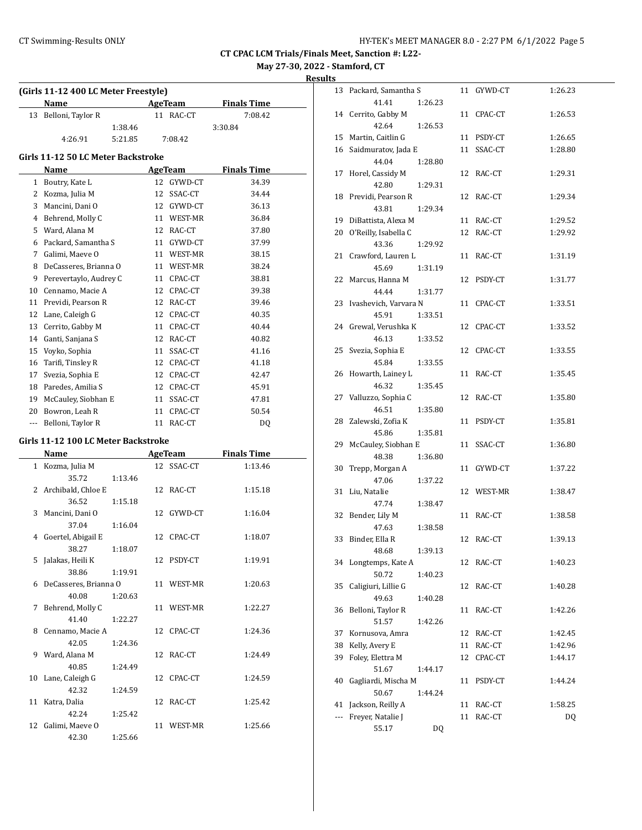**May 27-30, 2022 - Stamford, CT**

| (Girls 11-12 400 LC Meter Freestyle) |                                     |         |                |                    |  |
|--------------------------------------|-------------------------------------|---------|----------------|--------------------|--|
|                                      | Name                                |         | AgeTeam        | <b>Finals Time</b> |  |
| 13                                   | Belloni, Taylor R                   |         | 11 RAC-CT      | 7:08.42            |  |
|                                      | 1:38.46                             |         |                | 3:30.84            |  |
|                                      | 4:26.91                             | 5:21.85 | 7:08.42        |                    |  |
|                                      | Girls 11-12 50 LC Meter Backstroke  |         |                |                    |  |
|                                      | Name                                |         | <b>AgeTeam</b> | <b>Finals Time</b> |  |
|                                      | 1 Boutry, Kate L                    |         | 12 GYWD-CT     | 34.39              |  |
|                                      | 2 Kozma, Julia M                    | 12      | SSAC-CT        | 34.44              |  |
|                                      | 3 Mancini, Dani O                   |         | 12 GYWD-CT     | 36.13              |  |
|                                      | 4 Behrend, Molly C                  |         | 11 WEST-MR     | 36.84              |  |
|                                      | 5 Ward, Alana M                     |         | 12 RAC-CT      | 37.80              |  |
|                                      | 6 Packard, Samantha S               |         | 11 GYWD-CT     | 37.99              |  |
|                                      | 7 Galimi, Maeve O                   |         | 11 WEST-MR     | 38.15              |  |
|                                      | 8 DeCasseres, Brianna O             |         | 11 WEST-MR     | 38.24              |  |
|                                      | 9 Perevertaylo, Audrey C            |         | 11 CPAC-CT     | 38.81              |  |
|                                      | 10 Cennamo, Macie A                 |         | 12 CPAC-CT     | 39.38              |  |
|                                      | 11 Previdi, Pearson R               |         | 12 RAC-CT      | 39.46              |  |
|                                      | 12 Lane, Caleigh G                  |         | 12 CPAC-CT     | 40.35              |  |
|                                      | 13 Cerrito, Gabby M                 |         | 11 CPAC-CT     | 40.44              |  |
|                                      | 14 Ganti, Sanjana S                 |         | 12 RAC-CT      | 40.82              |  |
|                                      | 15 Voyko, Sophia                    |         | 11 SSAC-CT     | 41.16              |  |
|                                      | 16 Tarifi, Tinsley R                |         | 12 CPAC-CT     | 41.18              |  |
|                                      |                                     |         | 12 CPAC-CT     |                    |  |
|                                      | 17 Svezia, Sophia E                 |         |                | 42.47              |  |
|                                      | 18 Paredes, Amilia S                |         | 12 CPAC-CT     | 45.91              |  |
|                                      | 19 McCauley, Siobhan E              |         | 11 SSAC-CT     | 47.81              |  |
|                                      | 20 Bowron, Leah R                   |         | 11 CPAC-CT     | 50.54              |  |
| ---                                  | Belloni, Taylor R                   |         | 11 RAC-CT      | DQ                 |  |
|                                      | Girls 11-12 100 LC Meter Backstroke |         |                |                    |  |
|                                      | Name                                |         | AgeTeam        | <b>Finals Time</b> |  |
|                                      | 1 Kozma, Julia M                    |         | 12 SSAC-CT     | 1:13.46            |  |
|                                      | 35.72                               | 1:13.46 |                |                    |  |
|                                      | 2 Archibald, Chloe E                |         | 12 RAC-CT      | 1:15.18            |  |
|                                      | 36.52                               | 1:15.18 |                |                    |  |
| 3                                    | Mancini, Dani O                     | 12      | GYWD-CT        | 1:16.04            |  |
|                                      | 37.04<br>1:16.04                    |         |                |                    |  |
| 4                                    | Goertel, Abigail E                  | 12      | CPAC-CT        | 1:18.07            |  |
|                                      | 38.27<br>1:18.07                    |         |                |                    |  |
|                                      | 5 Jalakas, Heili K                  |         | 12 PSDY-CT     | 1:19.91            |  |
|                                      | 38.86                               | 1:19.91 |                |                    |  |
|                                      | 6 DeCasseres, Brianna O             |         | 11 WEST-MR     | 1:20.63            |  |
|                                      | 40.08<br>1:20.63                    |         |                |                    |  |
|                                      | 7 Behrend, Molly C                  |         | 11 WEST-MR     | 1:22.27            |  |
|                                      | 41.40                               | 1:22.27 |                |                    |  |
|                                      | 8 Cennamo, Macie A                  |         | 12 CPAC-CT     | 1:24.36            |  |
|                                      | 42.05                               | 1:24.36 |                |                    |  |
|                                      | 9 Ward, Alana M                     |         | 12 RAC-CT      | 1:24.49            |  |
|                                      | 40.85                               | 1:24.49 |                |                    |  |
|                                      | 10 Lane, Caleigh G                  |         | 12 CPAC-CT     | 1:24.59            |  |
|                                      | 42.32<br>1:24.59                    |         |                |                    |  |
| 11                                   | Katra, Dalia                        |         | 12 RAC-CT      | 1:25.42            |  |
|                                      | 42.24<br>1:25.42                    |         |                |                    |  |
| 12                                   | Galimi, Maeve O                     |         | 11 WEST-MR     | 1:25.66            |  |
|                                      | 42.30<br>1:25.66                    |         |                |                    |  |

| 13                       | Packard, Samantha S      |         |    | 11 GYWD-CT | 1:26.23 |
|--------------------------|--------------------------|---------|----|------------|---------|
|                          | 41.41                    | 1:26.23 |    |            |         |
| 14                       | Cerrito, Gabby M         |         | 11 | CPAC-CT    | 1:26.53 |
|                          | 42.64                    | 1:26.53 |    |            |         |
| 15                       | Martin, Caitlin G        |         | 11 | PSDY-CT    | 1:26.65 |
| 16                       | Saidmuratov, Jada E      |         | 11 | SSAC-CT    | 1:28.80 |
|                          | 44.04                    | 1:28.80 |    |            |         |
| 17                       | Horel, Cassidy M         |         |    | 12 RAC-CT  | 1:29.31 |
|                          | 42.80                    | 1:29.31 |    |            |         |
| 18                       | Previdi, Pearson R       |         |    | 12 RAC-CT  | 1:29.34 |
|                          | 43.81                    | 1:29.34 |    |            |         |
| 19                       | DiBattista, Alexa M      |         | 11 | RAC-CT     | 1:29.52 |
| 20                       | O'Reilly, Isabella C     |         | 12 | RAC-CT     | 1:29.92 |
|                          | 43.36                    | 1:29.92 |    |            |         |
| 21                       | Crawford, Lauren L       |         |    | 11 RAC-CT  | 1:31.19 |
|                          | 45.69                    | 1:31.19 |    |            |         |
| 22                       | Marcus, Hanna M          |         |    | 12 PSDY-CT | 1:31.77 |
|                          | 44.44                    | 1:31.77 |    |            |         |
| 23                       | Ivashevich, Varvara N    |         | 11 | CPAC-CT    | 1:33.51 |
|                          | 45.91                    | 1:33.51 |    |            |         |
| 24                       | Grewal, Verushka K       |         | 12 | CPAC-CT    | 1:33.52 |
|                          | 46.13                    | 1:33.52 |    |            |         |
| 25                       | Svezia, Sophia E         |         | 12 | CPAC-CT    | 1:33.55 |
|                          | 45.84                    | 1:33.55 |    |            |         |
| 26                       | Howarth, Lainey L        |         | 11 | RAC-CT     | 1:35.45 |
|                          | 46.32                    | 1:35.45 |    |            |         |
| 27                       | Valluzzo, Sophia C       |         | 12 | RAC-CT     | 1:35.80 |
|                          | 46.51                    | 1:35.80 |    |            |         |
| 28                       | Zalewski, Zofia K        |         | 11 | PSDY-CT    | 1:35.81 |
|                          | 45.86                    | 1:35.81 |    |            |         |
| 29                       | McCauley, Siobhan E      |         | 11 | SSAC-CT    |         |
|                          | 48.38                    | 1:36.80 |    |            | 1:36.80 |
| 30                       |                          |         | 11 | GYWD-CT    |         |
|                          | Trepp, Morgan A<br>47.06 |         |    |            | 1:37.22 |
|                          |                          | 1:37.22 |    |            |         |
| 31                       | Liu, Natalie<br>47.74    | 1:38.47 |    | 12 WEST-MR | 1:38.47 |
|                          |                          |         |    |            |         |
| 32                       | Bender, Lily M           |         | 11 | RAC-CT     | 1:38.58 |
|                          | 47.63                    | 1:38.58 |    |            |         |
| 33                       | Binder, Ella R           |         | 12 | RAC-CT     | 1:39.13 |
|                          | 48.68                    | 1:39.13 |    |            |         |
| 34                       | Longtemps, Kate A        |         | 12 | RAC-CT     | 1:40.23 |
|                          | 50.72                    | 1:40.23 |    |            |         |
| 35                       | Caligiuri, Lillie G      |         | 12 | RAC-CT     | 1:40.28 |
|                          | 49.63                    | 1:40.28 |    |            |         |
| 36                       | Belloni, Taylor R        |         | 11 | RAC-CT     | 1:42.26 |
|                          | 51.57                    | 1:42.26 |    |            |         |
| 37                       | Kornusova, Amra          |         | 12 | RAC-CT     | 1:42.45 |
| 38                       | Kelly, Avery E           |         | 11 | RAC-CT     | 1:42.96 |
| 39                       | Foley, Elettra M         |         | 12 | CPAC-CT    | 1:44.17 |
|                          | 51.67                    | 1:44.17 |    |            |         |
| 40                       | Gagliardi, Mischa M      |         | 11 | PSDY-CT    | 1:44.24 |
|                          | 50.67                    | 1:44.24 |    |            |         |
| 41                       | Jackson, Reilly A        |         | 11 | RAC-CT     | 1:58.25 |
| $\overline{\phantom{a}}$ | Freyer, Natalie J        |         | 11 | RAC-CT     | DQ      |
|                          | 55.17                    | DQ      |    |            |         |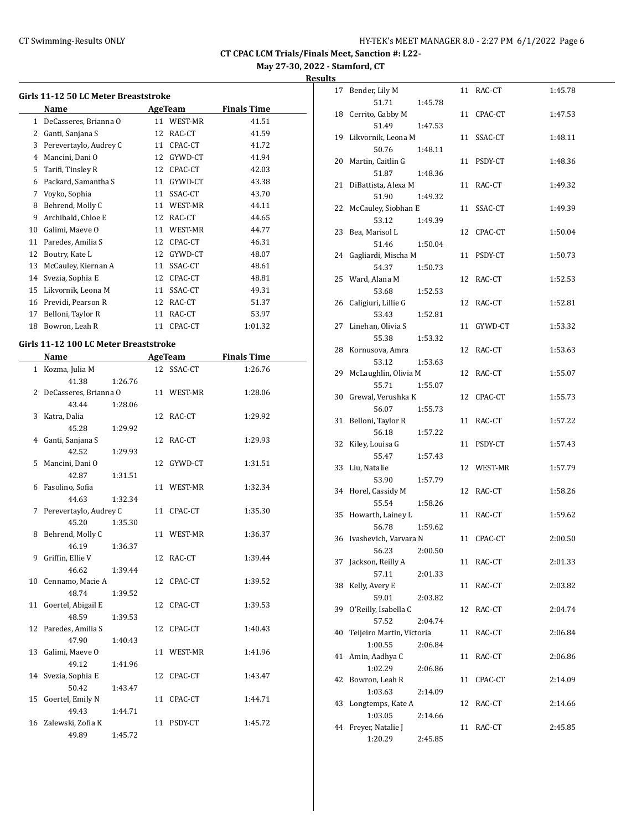**May 27-30, 2022 - Stamford, CT**

| Girls 11-12 50 LC Meter Breaststroke |                                       |         |    |            |                    |  |  |
|--------------------------------------|---------------------------------------|---------|----|------------|--------------------|--|--|
|                                      | Name                                  |         |    | AgeTeam    | <b>Finals Time</b> |  |  |
|                                      | 1 DeCasseres, Brianna O               |         |    | 11 WEST-MR | 41.51              |  |  |
|                                      | 2 Ganti, Sanjana S                    |         |    | 12 RAC-CT  | 41.59              |  |  |
|                                      | 3 Perevertaylo, Audrey C              |         |    | 11 CPAC-CT | 41.72              |  |  |
|                                      | 4 Mancini, Dani O                     |         |    | 12 GYWD-CT | 41.94              |  |  |
|                                      | 5 Tarifi, Tinsley R                   |         |    | 12 CPAC-CT | 42.03              |  |  |
|                                      | 6 Packard, Samantha S                 |         |    | 11 GYWD-CT | 43.38              |  |  |
|                                      | 7 Voyko, Sophia                       |         |    | 11 SSAC-CT | 43.70              |  |  |
|                                      | 8 Behrend, Molly C                    |         |    | 11 WEST-MR | 44.11              |  |  |
|                                      | 9 Archibald, Chloe E                  |         |    | 12 RAC-CT  | 44.65              |  |  |
|                                      | 10 Galimi, Maeve O                    |         |    | 11 WEST-MR | 44.77              |  |  |
|                                      | 11 Paredes, Amilia S                  |         |    | 12 CPAC-CT | 46.31              |  |  |
|                                      | 12 Boutry, Kate L                     |         |    | 12 GYWD-CT | 48.07              |  |  |
|                                      | 13 McCauley, Kiernan A                |         |    | 11 SSAC-CT | 48.61              |  |  |
|                                      | 14 Svezia, Sophia E                   |         |    | 12 CPAC-CT | 48.81              |  |  |
|                                      | 15 Likvornik, Leona M                 |         |    | 11 SSAC-CT | 49.31              |  |  |
|                                      | 16 Previdi, Pearson R                 |         |    | 12 RAC-CT  | 51.37              |  |  |
|                                      | 17 Belloni, Taylor R                  |         |    | 11 RAC-CT  | 53.97              |  |  |
|                                      | 18 Bowron, Leah R                     |         |    | 11 CPAC-CT | 1:01.32            |  |  |
|                                      |                                       |         |    |            |                    |  |  |
|                                      | Girls 11-12 100 LC Meter Breaststroke |         |    |            |                    |  |  |
|                                      | Name                                  |         |    | AgeTeam    | <b>Finals Time</b> |  |  |
|                                      | 1 Kozma, Julia M                      |         |    | 12 SSAC-CT | 1:26.76            |  |  |
|                                      | 41.38                                 | 1:26.76 |    |            |                    |  |  |
| 2                                    | DeCasseres, Brianna O                 |         |    | 11 WEST-MR | 1:28.06            |  |  |
|                                      | 43.44                                 | 1:28.06 |    |            |                    |  |  |
| 3                                    | Katra, Dalia                          |         |    | 12 RAC-CT  | 1:29.92            |  |  |
|                                      | 45.28                                 | 1:29.92 |    |            |                    |  |  |
|                                      | 4 Ganti, Sanjana S                    |         |    | 12 RAC-CT  | 1:29.93            |  |  |
|                                      | 42.52                                 | 1:29.93 |    |            |                    |  |  |
| 5.                                   | Mancini, Dani O                       |         | 12 | GYWD-CT    | 1:31.51            |  |  |
|                                      | 42.87                                 | 1:31.51 |    |            |                    |  |  |
| 6                                    | Fasolino, Sofia                       |         |    | 11 WEST-MR | 1:32.34            |  |  |
|                                      | 44.63                                 | 1:32.34 |    |            |                    |  |  |
|                                      | 7 Perevertaylo, Audrey C              |         |    | 11 CPAC-CT | 1:35.30            |  |  |
|                                      | 45.20                                 | 1:35.30 |    |            |                    |  |  |
| 8                                    | Behrend, Molly C                      |         |    | 11 WEST-MR | 1:36.37            |  |  |
|                                      | 46.19                                 | 1:36.37 |    |            |                    |  |  |
| 9.                                   | Griffin, Ellie V                      |         |    | 12 RAC-CT  | 1:39.44            |  |  |
|                                      | 46.62                                 | 1:39.44 |    |            |                    |  |  |
| 10                                   | Cennamo, Macie A                      |         |    | 12 CPAC-CT | 1:39.52            |  |  |
|                                      | 48.74                                 | 1:39.52 |    |            |                    |  |  |
|                                      | 11 Goertel, Abigail E                 |         |    | 12 CPAC-CT | 1:39.53            |  |  |
|                                      | 48.59                                 | 1:39.53 |    |            |                    |  |  |
| 12                                   | Paredes, Amilia S                     |         | 12 | CPAC-CT    | 1:40.43            |  |  |
|                                      | 47.90                                 | 1:40.43 |    |            |                    |  |  |
| 13                                   | Galimi, Maeve O                       |         |    | 11 WEST-MR | 1:41.96            |  |  |
|                                      | 49.12                                 | 1:41.96 |    |            |                    |  |  |
| 14                                   | Svezia, Sophia E                      |         |    | 12 CPAC-CT | 1:43.47            |  |  |
|                                      | 50.42                                 | 1:43.47 |    |            |                    |  |  |
| 15                                   | Goertel, Emily N                      |         | 11 | CPAC-CT    | 1:44.71            |  |  |
|                                      | 49.43                                 | 1:44.71 |    |            |                    |  |  |
| 16                                   | Zalewski, Zofia K                     |         |    | 11 PSDY-CT | 1:45.72            |  |  |
|                                      | 49.89                                 | 1:45.72 |    |            |                    |  |  |

|    | 17 Bender, Lily M         |         |    | 11 RAC-CT  | 1:45.78 |
|----|---------------------------|---------|----|------------|---------|
|    | 51.71                     | 1:45.78 |    |            |         |
|    | 18 Cerrito, Gabby M       |         |    | 11 CPAC-CT | 1:47.53 |
|    | 51.49                     | 1:47.53 |    |            |         |
|    | 19 Likvornik, Leona M     |         |    | 11 SSAC-CT | 1:48.11 |
|    | 50.76                     | 1:48.11 |    |            |         |
|    | 20 Martin, Caitlin G      |         |    | 11 PSDY-CT | 1:48.36 |
|    | 51.87                     | 1:48.36 |    |            |         |
|    | 21 DiBattista, Alexa M    |         |    | 11 RAC-CT  | 1:49.32 |
|    | 51.90                     | 1:49.32 |    |            |         |
|    | 22 McCauley, Siobhan E    |         |    | 11 SSAC-CT | 1:49.39 |
|    | 53.12                     | 1:49.39 |    |            |         |
|    | 23 Bea, Marisol L         |         |    | 12 CPAC-CT | 1:50.04 |
|    | 51.46                     | 1:50.04 |    |            |         |
| 24 | Gagliardi, Mischa M       |         |    | 11 PSDY-CT | 1:50.73 |
|    | 54.37                     | 1:50.73 |    |            |         |
|    | 25 Ward, Alana M          |         |    | 12 RAC-CT  | 1:52.53 |
|    | 53.68                     | 1:52.53 |    |            |         |
|    | 26 Caligiuri, Lillie G    |         |    | 12 RAC-CT  | 1:52.81 |
|    | 53.43                     | 1:52.81 |    |            |         |
|    | 27 Linehan, Olivia S      |         |    | 11 GYWD-CT | 1:53.32 |
|    | 55.38                     | 1:53.32 |    |            |         |
|    | 28 Kornusova, Amra        |         |    | 12 RAC-CT  | 1:53.63 |
|    | 53.12                     | 1:53.63 |    |            |         |
|    | 29 McLaughlin, Olivia M   |         |    | 12 RAC-CT  | 1:55.07 |
|    | 55.71                     | 1:55.07 |    |            |         |
|    | 30 Grewal, Verushka K     |         | 12 | CPAC-CT    | 1:55.73 |
|    | 56.07                     | 1:55.73 |    |            |         |
| 31 | Belloni, Taylor R         |         |    | 11 RAC-CT  | 1:57.22 |
|    | 56.18                     | 1:57.22 |    |            |         |
| 32 | Kiley, Louisa G           |         |    | 11 PSDY-CT | 1:57.43 |
|    | 55.47                     | 1:57.43 |    |            |         |
| 33 | Liu, Natalie              |         |    | 12 WEST-MR | 1:57.79 |
|    | 53.90                     | 1:57.79 |    |            |         |
|    | 34 Horel, Cassidy M       |         |    | 12 RAC-CT  | 1:58.26 |
|    | 55.54                     | 1:58.26 |    |            |         |
|    | 35 Howarth, Lainey L      |         |    | 11 RAC-CT  | 1:59.62 |
|    | 56.78                     | 1:59.62 |    |            |         |
|    | 36 Ivashevich, Varvara N  |         |    | 11 CPAC-CT | 2:00.50 |
|    | 56.23                     | 2:00.50 |    |            |         |
| 37 | Jackson, Reilly A         |         | 11 | RAC-CT     | 2:01.33 |
|    | 57.11                     | 2:01.33 |    |            |         |
| 38 | Kelly, Avery E            |         | 11 | RAC-CT     | 2:03.82 |
|    | 59.01                     | 2:03.82 |    |            |         |
| 39 | O'Reilly, Isabella C      |         | 12 | RAC-CT     | 2:04.74 |
|    | 57.52                     | 2:04.74 |    |            |         |
| 40 | Teijeiro Martin, Victoria |         | 11 | RAC-CT     | 2:06.84 |
|    | 1:00.55                   | 2:06.84 |    |            |         |
| 41 | Amin, Aadhya C            |         | 11 | RAC-CT     | 2:06.86 |
|    | 1:02.29                   | 2:06.86 |    |            |         |
| 42 | Bowron, Leah R            |         | 11 | CPAC-CT    | 2:14.09 |
|    | 1:03.63                   | 2:14.09 |    |            |         |
| 43 | Longtemps, Kate A         |         | 12 | RAC-CT     | 2:14.66 |
|    | 1:03.05                   | 2:14.66 |    |            |         |
| 44 | Freyer, Natalie J         |         | 11 | RAC-CT     | 2:45.85 |
|    | 1:20.29                   | 2:45.85 |    |            |         |
|    |                           |         |    |            |         |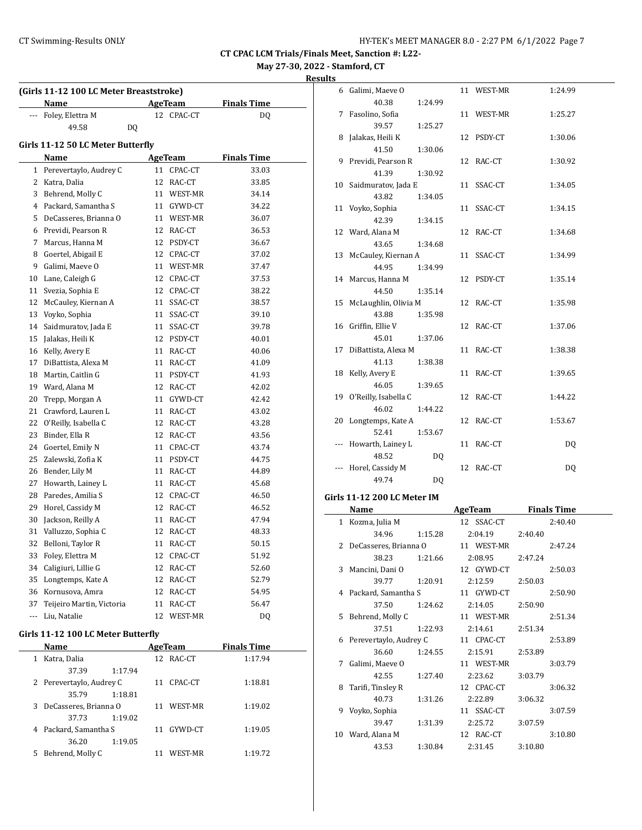# **May 27-30, 2022 - Stamford, CT**

**Results**

|              | (Girls 11-12 100 LC Meter Breaststroke) |    |    |            |                    |  |  |  |
|--------------|-----------------------------------------|----|----|------------|--------------------|--|--|--|
|              | Name                                    |    |    | AgeTeam    | <b>Finals Time</b> |  |  |  |
|              | Foley, Elettra M                        |    |    | 12 CPAC-CT | DQ                 |  |  |  |
|              | 49.58                                   | DQ |    |            |                    |  |  |  |
|              | Girls 11-12 50 LC Meter Butterfly       |    |    |            |                    |  |  |  |
|              | Name                                    |    |    | AgeTeam    | <b>Finals Time</b> |  |  |  |
| $\mathbf{1}$ | Perevertaylo, Audrey C                  |    |    | 11 CPAC-CT | 33.03              |  |  |  |
| 2            | Katra, Dalia                            |    |    | 12 RAC-CT  | 33.85              |  |  |  |
| 3            | Behrend, Molly C                        |    |    | 11 WEST-MR | 34.14              |  |  |  |
| 4            | Packard, Samantha S                     |    |    | 11 GYWD-CT | 34.22              |  |  |  |
| 5            | DeCasseres, Brianna O                   |    |    | 11 WEST-MR | 36.07              |  |  |  |
| 6            | Previdi, Pearson R                      |    |    | 12 RAC-CT  | 36.53              |  |  |  |
| 7            | Marcus, Hanna M                         |    |    | 12 PSDY-CT | 36.67              |  |  |  |
| 8            | Goertel, Abigail E                      |    |    | 12 CPAC-CT | 37.02              |  |  |  |
| 9            | Galimi, Maeve O                         |    |    | 11 WEST-MR | 37.47              |  |  |  |
| 10           | Lane, Caleigh G                         |    |    | 12 CPAC-CT | 37.53              |  |  |  |
| 11           | Svezia, Sophia E                        |    |    | 12 CPAC-CT | 38.22              |  |  |  |
| 12           | McCauley, Kiernan A                     |    |    | 11 SSAC-CT | 38.57              |  |  |  |
| 13           | Voyko, Sophia                           |    |    | 11 SSAC-CT | 39.10              |  |  |  |
| 14           | Saidmuratov, Jada E                     |    |    | 11 SSAC-CT | 39.78              |  |  |  |
| 15           | Jalakas, Heili K                        |    |    | 12 PSDY-CT | 40.01              |  |  |  |
| 16           | Kelly, Avery E                          |    |    | 11 RAC-CT  | 40.06              |  |  |  |
| 17           | DiBattista, Alexa M                     |    |    | 11 RAC-CT  | 41.09              |  |  |  |
| 18           | Martin, Caitlin G                       |    |    | 11 PSDY-CT | 41.93              |  |  |  |
| 19           | Ward, Alana M                           |    |    | 12 RAC-CT  | 42.02              |  |  |  |
| 20           | Trepp, Morgan A                         |    |    | 11 GYWD-CT | 42.42              |  |  |  |
| 21           | Crawford, Lauren L                      |    |    | 11 RAC-CT  | 43.02              |  |  |  |
| 22           | O'Reilly, Isabella C                    |    |    | 12 RAC-CT  | 43.28              |  |  |  |
| 23           | Binder, Ella R                          |    |    | 12 RAC-CT  | 43.56              |  |  |  |
| 24           | Goertel, Emily N                        |    |    | 11 CPAC-CT | 43.74              |  |  |  |
| 25           | Zalewski, Zofia K                       |    |    | 11 PSDY-CT | 44.75              |  |  |  |
| 26           | Bender, Lily M                          |    |    | 11 RAC-CT  | 44.89              |  |  |  |
| 27           | Howarth, Lainey L                       |    |    | 11 RAC-CT  | 45.68              |  |  |  |
| 28           | Paredes, Amilia S                       |    |    | 12 CPAC-CT | 46.50              |  |  |  |
| 29           | Horel, Cassidy M                        |    |    | 12 RAC-CT  | 46.52              |  |  |  |
| 30           | Jackson, Reilly A                       |    |    | 11 RAC-CT  | 47.94              |  |  |  |
| 31           | Valluzzo, Sophia C                      |    |    | 12 RAC-CT  | 48.33              |  |  |  |
| 32           | Belloni, Taylor R                       |    | 11 | RAC-CT     | 50.15              |  |  |  |
| 33           | Foley, Elettra M                        |    |    | 12 CPAC-CT | 51.92              |  |  |  |
| 34           | Caligiuri, Lillie G                     |    |    | 12 RAC-CT  | 52.60              |  |  |  |
| 35           | Longtemps, Kate A                       |    |    | 12 RAC-CT  | 52.79              |  |  |  |
| 36           | Kornusova, Amra                         |    |    | 12 RAC-CT  | 54.95              |  |  |  |
| 37           | Teijeiro Martin, Victoria               |    | 11 | RAC-CT     | 56.47              |  |  |  |
| ---          | Liu, Natalie                            |    | 12 | WEST-MR    | DQ                 |  |  |  |
|              |                                         |    |    |            |                    |  |  |  |

# **Girls 11-12 100 LC Meter Butterfly**

|    | Name                     |         |    | AgeTeam    | <b>Finals Time</b> |  |
|----|--------------------------|---------|----|------------|--------------------|--|
|    | Katra, Dalia             |         |    | 12 RAC-CT  | 1:17.94            |  |
|    | 37.39                    | 1:17.94 |    |            |                    |  |
|    | 2 Perevertaylo, Audrey C |         |    | 11 CPAC-CT | 1:18.81            |  |
|    | 35.79                    | 1:18.81 |    |            |                    |  |
| 3. | DeCasseres, Brianna O    |         | 11 | WEST-MR    | 1:19.02            |  |
|    | 37.73                    | 1:19.02 |    |            |                    |  |
|    | 4 Packard, Samantha S    |         |    | 11 GYWD-CT | 1:19.05            |  |
|    | 36.20                    | 1:19.05 |    |            |                    |  |
| 5  | Behrend, Molly C         |         |    | WEST-MR    | 1:19.72            |  |

|     | 6 Galimi, Maeve O    |         | 11 WEST-MR | 1:24.99 |
|-----|----------------------|---------|------------|---------|
|     | 40.38                | 1:24.99 |            |         |
| 7   | Fasolino, Sofia      |         | 11 WEST-MR | 1:25.27 |
|     | 39.57                | 1:25.27 |            |         |
| 8   | Jalakas, Heili K     |         | 12 PSDY-CT | 1:30.06 |
|     | 41.50                | 1:30.06 |            |         |
| 9.  | Previdi, Pearson R   |         | 12 RAC-CT  | 1:30.92 |
|     | 41.39                | 1:30.92 |            |         |
| 10  | Saidmuratov, Jada E  |         | 11 SSAC-CT | 1:34.05 |
|     | 43.82                | 1:34.05 |            |         |
| 11  | Voyko, Sophia        |         | 11 SSAC-CT | 1:34.15 |
|     | 42.39                | 1:34.15 |            |         |
|     | 12 Ward, Alana M     |         | 12 RAC-CT  | 1:34.68 |
|     | 43.65                | 1:34.68 |            |         |
| 13  | McCauley, Kiernan A  |         | 11 SSAC-CT | 1:34.99 |
|     | 44.95                | 1:34.99 |            |         |
|     | 14 Marcus, Hanna M   |         | 12 PSDY-CT | 1:35.14 |
|     | 44.50                | 1:35.14 |            |         |
| 15  | McLaughlin, Olivia M |         | 12 RAC-CT  | 1:35.98 |
|     | 43.88                | 1:35.98 |            |         |
| 16  | Griffin, Ellie V     |         | 12 RAC-CT  | 1:37.06 |
|     | 45.01                | 1:37.06 |            |         |
| 17  | DiBattista, Alexa M  |         | 11 RAC-CT  | 1:38.38 |
|     | 41.13                | 1:38.38 |            |         |
| 18  | Kelly, Avery E       |         | 11 RAC-CT  | 1:39.65 |
|     | 46.05                | 1:39.65 |            |         |
| 19  | O'Reilly, Isabella C |         | 12 RAC-CT  | 1:44.22 |
|     | 46.02                | 1:44.22 |            |         |
| 20  | Longtemps, Kate A    |         | 12 RAC-CT  | 1:53.67 |
|     | 52.41                | 1:53.67 |            |         |
| --- | Howarth, Lainey L    |         | 11 RAC-CT  | DQ      |
|     | 48.52                | DQ      |            |         |
|     | Horel, Cassidy M     |         | 12 RAC-CT  | DQ      |
|     | 49.74                | DQ      |            |         |

## **Girls 11-12 200 LC Meter IM**

|    | Name                     |         | AgeTeam    |         | <b>Finals Time</b> |
|----|--------------------------|---------|------------|---------|--------------------|
| 1  | Kozma, Julia M           |         | 12 SSAC-CT |         | 2:40.40            |
|    | 34.96                    | 1:15.28 | 2:04.19    | 2:40.40 |                    |
|    | 2 DeCasseres, Brianna O  |         | 11 WEST-MR |         | 2:47.24            |
|    | 38.23                    | 1:21.66 | 2:08.95    | 2:47.24 |                    |
|    | 3 Mancini, Dani O        |         | 12 GYWD-CT |         | 2:50.03            |
|    | 39.77                    | 1:20.91 | 2:12.59    | 2:50.03 |                    |
|    | 4 Packard, Samantha S    |         | 11 GYWD-CT |         | 2:50.90            |
|    | 37.50                    | 1:24.62 | 2:14.05    | 2:50.90 |                    |
|    | 5 Behrend, Molly C       |         | 11 WEST-MR |         | 2:51.34            |
|    | 37.51                    | 1:22.93 | 2:14.61    | 2:51.34 |                    |
|    | 6 Perevertaylo, Audrey C |         | 11 CPAC-CT |         | 2:53.89            |
|    | 36.60                    | 1:24.55 | 2:15.91    | 2:53.89 |                    |
| 7  | Galimi, Maeve O          |         | 11 WEST-MR |         | 3:03.79            |
|    | 42.55                    | 1:27.40 | 2:23.62    | 3:03.79 |                    |
| 8  | Tarifi, Tinsley R        |         | 12 CPAC-CT |         | 3:06.32            |
|    | 40.73                    | 1:31.26 | 2:22.89    | 3:06.32 |                    |
| 9  | Voyko, Sophia            |         | 11 SSAC-CT |         | 3:07.59            |
|    | 39.47                    | 1:31.39 | 2:25.72    | 3:07.59 |                    |
| 10 | Ward, Alana M            |         | 12 RAC-CT  |         | 3:10.80            |
|    | 43.53                    | 1:30.84 | 2:31.45    | 3:10.80 |                    |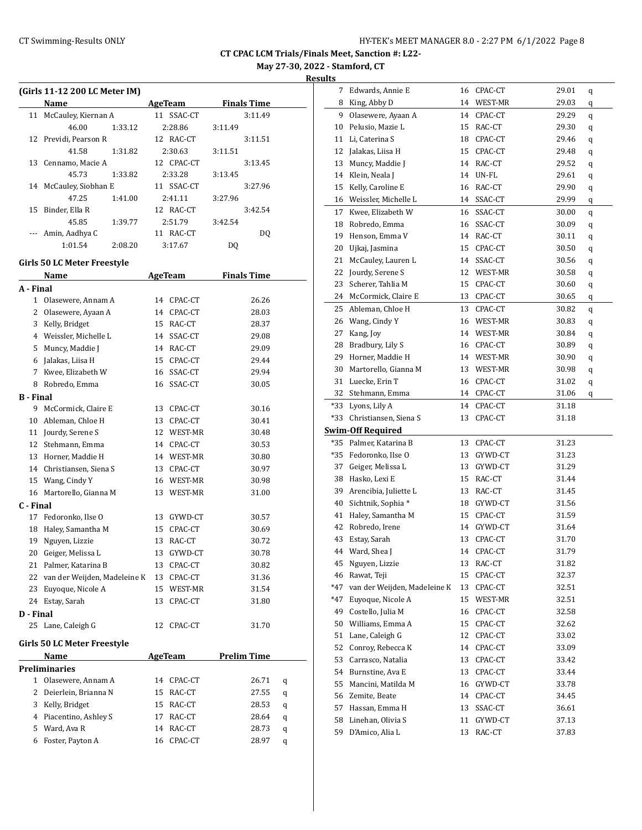**May 27-30, 2022 - Stamford, CT**

|                  | (Girls 11-12 200 LC Meter IM)           |    |                       |         |                               |   |
|------------------|-----------------------------------------|----|-----------------------|---------|-------------------------------|---|
|                  | Name                                    |    | AgeTeam<br>11 SSAC-CT |         | <b>Finals Time</b><br>3:11.49 |   |
|                  | 11 McCauley, Kiernan A                  |    |                       |         |                               |   |
| 12               | 46.00<br>1:33.12<br>Previdi, Pearson R  |    | 2:28.86               | 3:11.49 |                               |   |
|                  | 41.58                                   |    | 12 RAC-CT             |         | 3:11.51                       |   |
|                  | 1:31.82                                 |    | 2:30.63               | 3:11.51 |                               |   |
| 13               | Cennamo, Macie A                        |    | 12 CPAC-CT            |         | 3:13.45                       |   |
| 14               | 45.73<br>1:33.82<br>McCauley, Siobhan E |    | 2:33.28<br>11 SSAC-CT | 3:13.45 |                               |   |
|                  |                                         |    |                       |         | 3:27.96                       |   |
| 15               | 47.25<br>1:41.00<br>Binder, Ella R      |    | 2:41.11<br>12 RAC-CT  | 3:27.96 | 3:42.54                       |   |
|                  | 45.85<br>1:39.77                        |    | 2:51.79               | 3:42.54 |                               |   |
|                  | Amin, Aadhya C                          |    | 11 RAC-CT             |         | DQ                            |   |
|                  | 1:01.54<br>2:08.20                      |    | 3:17.67               | DQ      |                               |   |
|                  |                                         |    |                       |         |                               |   |
|                  | Girls 50 LC Meter Freestyle             |    |                       |         |                               |   |
|                  | Name                                    |    | <b>AgeTeam</b>        |         | <b>Finals Time</b>            |   |
| A - Final        |                                         |    |                       |         |                               |   |
| $\mathbf{1}$     | Olasewere, Annam A                      |    | 14 CPAC-CT            |         | 26.26                         |   |
|                  | 2 Olasewere, Ayaan A                    |    | 14 CPAC-CT            |         | 28.03                         |   |
|                  | 3 Kelly, Bridget                        |    | 15 RAC-CT             |         | 28.37                         |   |
|                  | 4 Weissler, Michelle L                  |    | 14 SSAC-CT            |         | 29.08                         |   |
|                  | 5 Muncy, Maddie J                       |    | 14 RAC-CT             |         | 29.09                         |   |
|                  | 6 Jalakas, Liisa H                      |    | 15 CPAC-CT            |         | 29.44                         |   |
|                  | 7 Kwee, Elizabeth W                     |    | 16 SSAC-CT            |         | 29.94                         |   |
|                  | 8 Robredo, Emma                         |    | 16 SSAC-CT            |         | 30.05                         |   |
| <b>B</b> - Final |                                         |    |                       |         |                               |   |
| 9                | McCormick, Claire E                     |    | 13 CPAC-CT            |         | 30.16                         |   |
|                  | 10 Ableman, Chloe H                     |    | 13 CPAC-CT            |         | 30.41                         |   |
|                  | 11 Jourdy, Serene S                     |    | 12 WEST-MR            |         | 30.48                         |   |
|                  | 12 Stehmann, Emma                       |    | 14 CPAC-CT            |         | 30.53                         |   |
|                  | 13 Horner, Maddie H                     |    | 14 WEST-MR            |         | 30.80                         |   |
|                  | 14 Christiansen, Siena S                |    | 13 CPAC-CT            |         | 30.97                         |   |
|                  | 15 Wang, Cindy Y                        |    | 16 WEST-MR            |         | 30.98                         |   |
|                  | 16 Martorello, Gianna M                 |    | 13 WEST-MR            |         | 31.00                         |   |
| C - Final        |                                         |    |                       |         |                               |   |
|                  | 17 Fedoronko, Ilse O                    |    | 13 GYWD-CT            |         | 30.57                         |   |
| 18               | Haley, Samantha M                       |    | 15 CPAC-CT            |         | 30.69                         |   |
| 19               | Nguyen, Lizzie                          |    | 13 RAC-CT             |         | 30.72                         |   |
| 20               | Geiger, Melissa L                       |    | 13 GYWD-CT            |         | 30.78                         |   |
| 21               | Palmer, Katarina B                      | 13 | CPAC-CT               |         | 30.82                         |   |
| 22               | van der Weijden, Madeleine K            |    | 13 CPAC-CT            |         | 31.36                         |   |
| 23               | Euyoque, Nicole A                       |    | 15 WEST-MR            |         | 31.54                         |   |
| 24               | Estay, Sarah                            | 13 | CPAC-CT               |         | 31.80                         |   |
| D - Final        |                                         |    |                       |         |                               |   |
|                  | 25 Lane, Caleigh G                      |    | 12 CPAC-CT            |         | 31.70                         |   |
|                  |                                         |    |                       |         |                               |   |
|                  | Girls 50 LC Meter Freestyle             |    |                       |         |                               |   |
|                  | Name                                    |    | <b>AgeTeam</b>        |         | <b>Prelim Time</b>            |   |
|                  | <b>Preliminaries</b>                    |    |                       |         |                               |   |
| $\mathbf{1}$     | Olasewere, Annam A                      | 14 | CPAC-CT               |         | 26.71                         | q |
|                  | 2 Deierlein, Brianna N                  | 15 | RAC-CT                |         | 27.55                         | q |
|                  | 3 Kelly, Bridget                        | 15 | RAC-CT                |         | 28.53                         | q |
|                  | 4 Piacentino, Ashley S                  | 17 | RAC-CT                |         | 28.64                         | q |
|                  | 5 Ward, Ava R                           | 14 | RAC-CT                |         | 28.73                         | q |
| 6                | Foster, Payton A                        | 16 | CPAC-CT               |         | 28.97                         | q |
|                  |                                         |    |                       |         |                               |   |

| 7        | Edwards, Annie E                     | 16 | CPAC-CT           | 29.01 | q |
|----------|--------------------------------------|----|-------------------|-------|---|
| 8        | King, Abby D                         | 14 | WEST-MR           | 29.03 | q |
| 9        | Olasewere, Ayaan A                   | 14 | CPAC-CT           | 29.29 | q |
| 10       | Pelusio, Mazie L                     | 15 | RAC-CT            | 29.30 | q |
| 11       | Li, Caterina S                       | 18 | CPAC-CT           | 29.46 | q |
| 12       | Jalakas, Liisa H                     | 15 | CPAC-CT           | 29.48 | q |
| 13       | Muncy, Maddie J                      | 14 | RAC-CT            | 29.52 | q |
| 14       | Klein, Neala J                       | 14 | UN-FL             | 29.61 | q |
| 15       | Kelly, Caroline E                    | 16 | RAC-CT            | 29.90 | q |
| 16       | Weissler, Michelle L                 | 14 | SSAC-CT           | 29.99 | q |
| 17       | Kwee, Elizabeth W                    | 16 | SSAC-CT           | 30.00 | q |
| 18       | Robredo, Emma                        | 16 | SSAC-CT           | 30.09 | q |
| 19       | Henson, Emma V                       | 14 | RAC-CT            | 30.11 | q |
| 20       | Ujkaj, Jasmina                       | 15 | CPAC-CT           | 30.50 | q |
| 21       | McCauley, Lauren L                   | 14 | SSAC-CT           | 30.56 | q |
| 22       | Jourdy, Serene S                     | 12 | WEST-MR           | 30.58 | q |
| 23       | Scherer, Tahlia M                    | 15 | CPAC-CT           | 30.60 | q |
| 24       | McCormick, Claire E                  | 13 | CPAC-CT           | 30.65 | q |
| 25       | Ableman, Chloe H                     | 13 | CPAC-CT           | 30.82 | q |
| 26       | Wang, Cindy Y                        | 16 | WEST-MR           | 30.83 | q |
| 27       | Kang, Joy                            | 14 | WEST-MR           | 30.84 | q |
| 28       | Bradbury, Lily S                     | 16 | CPAC-CT           | 30.89 | q |
| 29       | Horner, Maddie H                     | 14 | WEST-MR           | 30.90 | q |
| 30       | Martorello, Gianna M                 | 13 | WEST-MR           | 30.98 | q |
| 31       | Luecke, Erin T                       | 16 | CPAC-CT           | 31.02 | q |
| 32       | Stehmann, Emma                       | 14 | CPAC-CT           | 31.06 | q |
| *33      | Lyons, Lily A                        | 14 | CPAC-CT           | 31.18 |   |
|          |                                      |    |                   |       |   |
| *33      | Christiansen, Siena S                | 13 | CPAC-CT           | 31.18 |   |
|          | <b>Swim-Off Required</b>             |    |                   |       |   |
| *35      | Palmer, Katarina B                   | 13 | CPAC-CT           | 31.23 |   |
| *35      | Fedoronko, Ilse O                    | 13 | GYWD-CT           | 31.23 |   |
| 37       | Geiger, Melissa L                    | 13 | GYWD-CT           | 31.29 |   |
| 38       | Hasko, Lexi E                        | 15 | RAC-CT            | 31.44 |   |
| 39       | Arencibia, Juliette L                | 13 | RAC-CT            | 31.45 |   |
| 40       | Sichtnik, Sophia*                    | 18 | GYWD-CT           | 31.56 |   |
| 41       | Haley, Samantha M                    | 15 | CPAC-CT           | 31.59 |   |
| 42       | Robredo, Irene                       | 14 | GYWD-CT           | 31.64 |   |
| 43       | Estay, Sarah                         | 13 | CPAC-CT           | 31.70 |   |
| 44       | Ward, Shea J                         | 14 | CPAC-CT           | 31.79 |   |
| 45       | Nguyen, Lizzie                       | 13 | RAC-CT            | 31.82 |   |
| 46       | Rawat, Teji                          | 15 | CPAC-CT           | 32.37 |   |
| $*47$    | van der Weijden, Madeleine K         | 13 | CPAC-CT           | 32.51 |   |
| $*47$    | Euyoque, Nicole A                    | 15 | WEST-MR           | 32.51 |   |
| 49       | Costello, Julia M                    | 16 | CPAC-CT           | 32.58 |   |
| 50       | Williams, Emma A                     | 15 | CPAC-CT           | 32.62 |   |
| 51       | Lane, Caleigh G                      | 12 | CPAC-CT           | 33.02 |   |
| 52       | Conroy, Rebecca K                    | 14 | CPAC-CT           | 33.09 |   |
| 53       | Carrasco, Natalia                    | 13 | CPAC-CT           | 33.42 |   |
| 54       | Burnstine, Ava E                     | 13 | CPAC-CT           | 33.44 |   |
| 55       | Mancini, Matilda M                   | 16 | GYWD-CT           | 33.78 |   |
| 56       | Zemite, Beate                        | 14 | CPAC-CT           | 34.45 |   |
| 57       | Hassan, Emma H                       | 13 | SSAC-CT           | 36.61 |   |
| 58<br>59 | Linehan, Olivia S<br>D'Amico, Alia L | 11 | GYWD-CT<br>RAC-CT | 37.13 |   |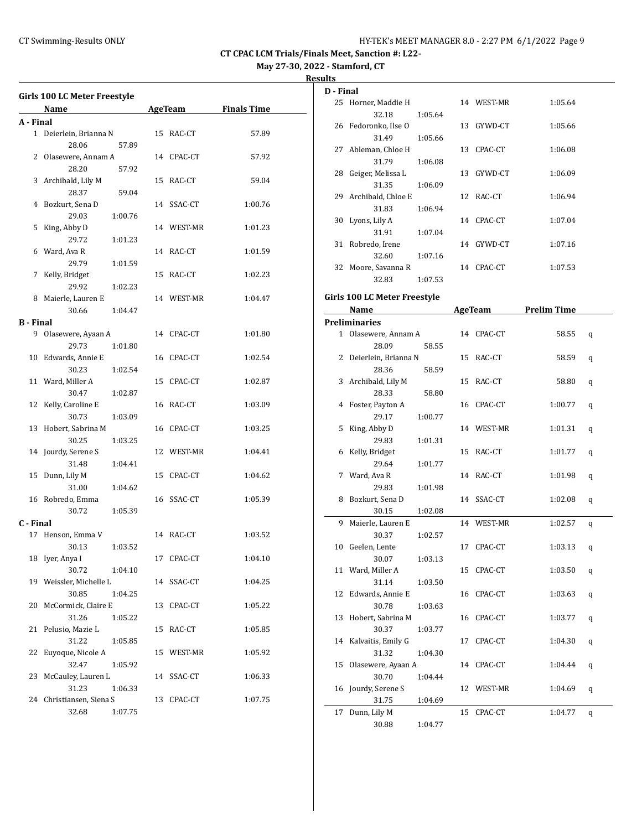25 Horner, Maddie H 14 WEST-MR 1:05.64

**CT CPAC LCM Trials/Finals Meet, Sanction #: L22-**

**May 27-30, 2022 - Stamford, CT**

## **Results**

**D - Final**

|           | Girls 100 LC Meter Freestyle |            |         |
|-----------|------------------------------|------------|---------|
|           | Name AgeTeam Finals Time     |            |         |
| A - Final |                              |            |         |
|           | 1 Deierlein, Brianna N       | 15 RAC-CT  | 57.89   |
|           | 28.06<br>57.89               |            |         |
|           | 2 Olasewere, Annam A         | 14 CPAC-CT | 57.92   |
|           | 28.20<br>57.92               |            |         |
| 3         | Archibald, Lily M            | 15 RAC-CT  | 59.04   |
|           | 28.37<br>59.04               |            |         |
|           | 4 Bozkurt, Sena D            | 14 SSAC-CT | 1:00.76 |
|           | 29.03<br>1:00.76             |            |         |
| 5         | King, Abby D                 | 14 WEST-MR | 1:01.23 |
|           | 29.72<br>1:01.23             |            |         |
|           | 6 Ward, Ava R                | 14 RAC-CT  | 1:01.59 |
|           | 29.79<br>1:01.59             |            |         |
| 7         | Kelly, Bridget               | 15 RAC-CT  | 1:02.23 |
|           | 29.92<br>1:02.23             |            |         |
|           | 8 Maierle, Lauren E          | 14 WEST-MR | 1:04.47 |
|           | 30.66<br>1:04.47             |            |         |
| B - Final |                              |            |         |
| 9         | Olasewere, Ayaan A           | 14 CPAC-CT | 1:01.80 |
|           | 29.73<br>1:01.80             |            |         |
| 10        | Edwards, Annie E             | 16 CPAC-CT | 1:02.54 |
|           | 30.23<br>1:02.54             |            |         |
|           | 11 Ward, Miller A            | 15 CPAC-CT | 1:02.87 |
|           | 30.47<br>1:02.87             |            |         |
|           | 12 Kelly, Caroline E         | 16 RAC-CT  | 1:03.09 |
|           | 30.73<br>1:03.09             |            |         |
|           | 13 Hobert, Sabrina M         | 16 CPAC-CT | 1:03.25 |
|           | 30.25<br>1:03.25             |            |         |
|           | 14 Jourdy, Serene S          | 12 WEST-MR | 1:04.41 |
|           | 31.48<br>1:04.41             |            |         |
| 15        | Dunn, Lily M                 | 15 CPAC-CT | 1:04.62 |
|           | 31.00<br>1:04.62             |            |         |
|           | 16 Robredo, Emma             | 16 SSAC-CT | 1:05.39 |
|           | 30.72<br>1:05.39             |            |         |
| C - Final |                              |            |         |
|           | 17 Henson, Emma V            | 14 RAC-CT  | 1:03.52 |
|           | 30.13<br>1:03.52             |            |         |
|           | 18 Iyer, Anya I              | 17 CPAC-CT | 1:04.10 |
|           | 30.72<br>1:04.10             |            |         |
| 19        | Weissler, Michelle L         | 14 SSAC-CT | 1:04.25 |
|           | 30.85<br>1:04.25             |            |         |
| 20        | McCormick, Claire E          | 13 CPAC-CT | 1:05.22 |
|           | 31.26<br>1:05.22             |            |         |
| 21        | Pelusio, Mazie L             | 15 RAC-CT  | 1:05.85 |
|           | 31.22<br>1:05.85             |            |         |
| 22        | Euyoque, Nicole A            | 15 WEST-MR | 1:05.92 |
|           | 32.47<br>1:05.92             |            |         |
| 23        | McCauley, Lauren L           | 14 SSAC-CT | 1:06.33 |
|           | 31.23<br>1:06.33             |            |         |
| 24        | Christiansen, Siena S        | 13 CPAC-CT | 1:07.75 |
|           | 32.68<br>1:07.75             |            |         |

|    | 32.18                               | 1:05.64 |    |            |                     |   |
|----|-------------------------------------|---------|----|------------|---------------------|---|
|    | 26 Fedoronko, Ilse O                |         |    | 13 GYWD-CT | 1:05.66             |   |
|    | 31.49                               | 1:05.66 |    |            |                     |   |
| 27 | Ableman, Chloe H                    |         |    | 13 CPAC-CT | 1:06.08             |   |
|    | 31.79                               | 1:06.08 |    |            |                     |   |
|    | 28 Geiger, Melissa L                |         |    | 13 GYWD-CT | 1:06.09             |   |
|    | 31.35                               | 1:06.09 |    |            |                     |   |
| 29 | Archibald, Chloe E                  |         |    | 12 RAC-CT  | 1:06.94             |   |
|    | 31.83                               | 1:06.94 |    |            |                     |   |
| 30 | Lyons, Lily A                       |         |    | 14 CPAC-CT | 1:07.04             |   |
|    | 31.91                               | 1:07.04 |    |            |                     |   |
| 31 | Robredo, Irene                      |         |    | 14 GYWD-CT | 1:07.16             |   |
|    | 32.60                               | 1:07.16 |    |            |                     |   |
|    | 32 Moore, Savanna R                 |         |    | 14 CPAC-CT | 1:07.53             |   |
|    | 32.83                               | 1:07.53 |    |            |                     |   |
|    |                                     |         |    |            |                     |   |
|    | <b>Girls 100 LC Meter Freestyle</b> |         |    |            |                     |   |
|    | Name                                |         |    |            | AgeTeam Prelim Time |   |
|    | <b>Preliminaries</b>                |         |    |            |                     |   |
|    | 1 Olasewere, Annam A                |         |    | 14 CPAC-CT | 58.55               | q |
|    | 28.09                               | 58.55   |    |            |                     |   |
|    | 2 Deierlein, Brianna N              |         |    | 15 RAC-CT  | 58.59               | q |
|    | 28.36                               | 58.59   |    |            |                     |   |
|    | 3 Archibald, Lily M                 |         |    | 15 RAC-CT  | 58.80               | q |
|    | 28.33                               | 58.80   |    |            |                     |   |
|    | 4 Foster, Payton A                  |         |    | 16 CPAC-CT | 1:00.77             | q |
|    | 29.17                               | 1:00.77 |    |            |                     |   |
|    | 5 King, Abby D                      |         |    | 14 WEST-MR | 1:01.31             | q |
|    | 29.83                               | 1:01.31 |    |            |                     |   |
| 6  | Kelly, Bridget                      |         |    | 15 RAC-CT  | 1:01.77             | q |
|    | 29.64                               | 1:01.77 |    |            |                     |   |
| 7  | Ward, Ava R                         |         |    | 14 RAC-CT  | 1:01.98             | q |
|    | 29.83                               | 1:01.98 |    |            |                     |   |
|    | 8 Bozkurt, Sena D                   |         |    | 14 SSAC-CT | 1:02.08             | q |
|    | 30.15                               | 1:02.08 |    |            |                     |   |
| 9  | Maierle, Lauren E                   |         |    | 14 WEST-MR | 1:02.57             | q |
|    | 30.37                               | 1:02.57 |    |            |                     |   |
|    | 10 Geelen, Lente                    |         |    | 17 CPAC-CT | 1:03.13             | q |
|    | 30.07                               | 1:03.13 |    |            |                     |   |
|    | 11 Ward, Miller A                   |         |    | 15 CPAC-CT | 1:03.50             | q |
|    | 31.14                               | 1:03.50 |    |            |                     |   |
|    | 12 Edwards, Annie E                 |         |    | 16 CPAC-CT | 1:03.63             | q |
|    | 30.78                               | 1:03.63 |    |            |                     |   |
| 13 | Hobert, Sabrina M                   |         | 16 | CPAC-CT    | 1:03.77             | q |
|    | 30.37                               | 1:03.77 |    |            |                     |   |
| 14 | Kalvaitis, Emily G                  |         | 17 | CPAC-CT    | 1:04.30             | q |
|    | 31.32                               | 1:04.30 |    |            |                     |   |
| 15 | Olasewere, Ayaan A                  |         |    | 14 CPAC-CT | 1:04.44             | q |
|    | 30.70                               | 1:04.44 |    |            |                     |   |
| 16 | Jourdy, Serene S                    |         | 12 | WEST-MR    | 1:04.69             | q |
|    | 31.75                               | 1:04.69 |    |            |                     |   |
| 17 | Dunn, Lily M                        |         | 15 | CPAC-CT    | 1:04.77             | q |
|    | 30.88                               | 1:04.77 |    |            |                     |   |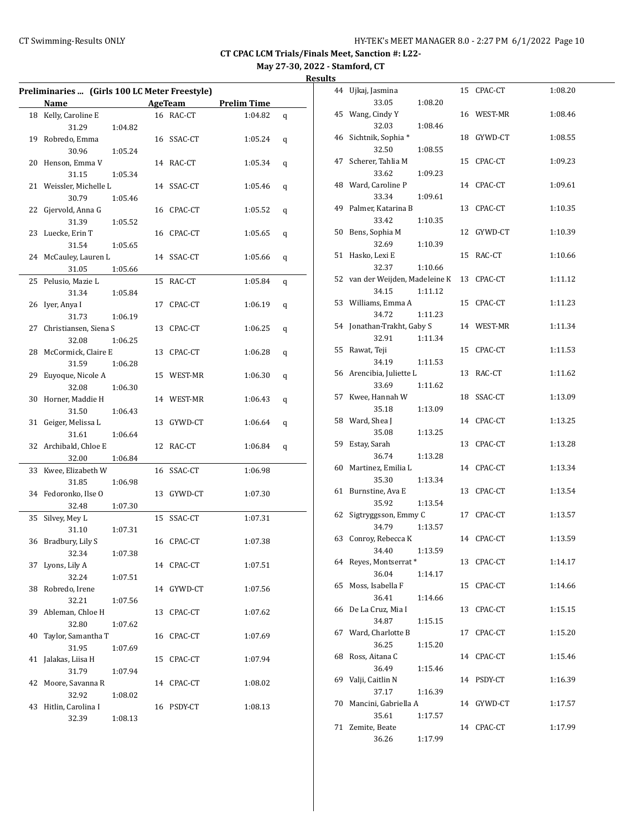**May 27-30, 2022 - Stamford, CT Results**

|    | Preliminaries  (Girls 100 LC Meter Freestyle) |         |            |                    |   |
|----|-----------------------------------------------|---------|------------|--------------------|---|
|    | Name                                          |         | AgeTeam    | <b>Prelim Time</b> |   |
|    | 18 Kelly, Caroline E                          |         | 16 RAC-CT  | 1:04.82            | q |
|    | 31.29                                         | 1:04.82 |            |                    |   |
|    | 19 Robredo, Emma                              |         | 16 SSAC-CT | 1:05.24            | q |
|    | 30.96                                         | 1:05.24 |            |                    |   |
| 20 | Henson, Emma V                                |         | 14 RAC-CT  | 1:05.34            | q |
|    | 31.15                                         | 1:05.34 |            |                    |   |
|    | 21 Weissler, Michelle L                       |         | 14 SSAC-CT | 1:05.46            | q |
|    | 30.79                                         | 1:05.46 |            |                    |   |
| 22 | Gjervold, Anna G                              |         | 16 CPAC-CT | 1:05.52            | q |
|    | 31.39                                         | 1:05.52 |            |                    |   |
|    | 23 Luecke, Erin T                             |         | 16 CPAC-CT | 1:05.65            | q |
|    | 31.54                                         | 1:05.65 |            |                    |   |
|    | 24 McCauley, Lauren L                         |         | 14 SSAC-CT | 1:05.66            | q |
|    | 31.05                                         | 1:05.66 |            |                    |   |
|    | 25 Pelusio, Mazie L                           |         | 15 RAC-CT  | 1:05.84            | q |
|    | 31.34                                         | 1:05.84 |            |                    |   |
|    | 26 Iyer, Anya I                               |         | 17 CPAC-CT | 1:06.19            | q |
|    | 31.73                                         | 1:06.19 |            |                    |   |
|    | 27 Christiansen, Siena S                      |         | 13 CPAC-CT | 1:06.25            | q |
|    | 32.08                                         | 1:06.25 |            |                    |   |
|    | 28 McCormick, Claire E                        |         | 13 CPAC-CT | 1:06.28            | q |
|    | 31.59                                         | 1:06.28 |            |                    |   |
| 29 | Euyoque, Nicole A                             |         | 15 WEST-MR | 1:06.30            | q |
|    | 32.08                                         | 1:06.30 |            |                    |   |
| 30 | Horner, Maddie H                              |         | 14 WEST-MR | 1:06.43            | q |
|    | 31.50                                         | 1:06.43 |            |                    |   |
| 31 | Geiger, Melissa L                             |         | 13 GYWD-CT | 1:06.64            | q |
|    | 31.61                                         | 1:06.64 |            |                    |   |
|    | 32 Archibald, Chloe E                         |         | 12 RAC-CT  | 1:06.84            | q |
|    | 32.00                                         | 1:06.84 |            |                    |   |
| 33 | Kwee, Elizabeth W                             |         | 16 SSAC-CT | 1:06.98            |   |
|    | 31.85                                         | 1:06.98 |            |                    |   |
|    | 34 Fedoronko, Ilse O                          |         | 13 GYWD-CT | 1:07.30            |   |
|    |                                               |         |            |                    |   |
|    | 32.48                                         | 1:07.30 |            |                    |   |
| 35 | Silvey, Mey L                                 |         | 15 SSAC-CT | 1:07.31            |   |
|    | 31.10                                         | 1:07.31 | 16 CPAC-CT |                    |   |
|    | 36 Bradbury, Lily S                           |         |            | 1:07.38            |   |
|    | 32.34                                         | 1:07.38 |            |                    |   |
|    | 37 Lyons, Lily A                              |         | 14 CPAC-CT | 1:07.51            |   |
|    | 32.24                                         | 1:07.51 |            |                    |   |
| 38 | Robredo, Irene                                |         | 14 GYWD-CT | 1:07.56            |   |
|    | 32.21                                         | 1:07.56 |            |                    |   |
| 39 | Ableman, Chloe H                              |         | 13 CPAC-CT | 1:07.62            |   |
|    | 32.80                                         | 1:07.62 |            |                    |   |
| 40 | Taylor, Samantha T                            |         | 16 CPAC-CT | 1:07.69            |   |
|    | 31.95                                         | 1:07.69 |            |                    |   |
| 41 | Jalakas, Liisa H                              |         | 15 CPAC-CT | 1:07.94            |   |
|    | 31.79                                         | 1:07.94 |            |                    |   |
| 42 | Moore, Savanna R                              |         | 14 CPAC-CT | 1:08.02            |   |
|    | 32.92                                         | 1:08.02 |            |                    |   |
|    |                                               |         | 16 PSDY-CT | 1:08.13            |   |
| 43 | Hitlin, Carolina I                            |         |            |                    |   |

| 44 | Ujkaj, Jasmina               |         | 15 | CPAC-CT    | 1:08.20 |
|----|------------------------------|---------|----|------------|---------|
|    | 33.05                        | 1:08.20 |    |            |         |
| 45 | Wang, Cindy Y                |         |    | 16 WEST-MR | 1:08.46 |
|    | 32.03                        | 1:08.46 |    |            |         |
| 46 | Sichtnik, Sophia*            |         |    | 18 GYWD-CT | 1:08.55 |
|    | 32.50                        | 1:08.55 |    |            |         |
| 47 | Scherer, Tahlia M            |         |    | 15 CPAC-CT | 1:09.23 |
|    | 33.62                        | 1:09.23 |    |            |         |
| 48 | Ward, Caroline P             |         |    | 14 CPAC-CT | 1:09.61 |
|    | 33.34                        | 1:09.61 |    |            |         |
| 49 | Palmer, Katarina B           |         | 13 | CPAC-CT    | 1:10.35 |
|    | 33.42                        | 1:10.35 |    |            |         |
| 50 | Bens, Sophia M               |         | 12 | GYWD-CT    | 1:10.39 |
|    | 32.69                        | 1:10.39 |    |            |         |
| 51 | Hasko, Lexi E                |         | 15 | RAC-CT     | 1:10.66 |
|    | 32.37                        | 1:10.66 |    |            |         |
| 52 | van der Weijden, Madeleine K |         | 13 | CPAC-CT    | 1:11.12 |
|    | 34.15                        | 1:11.12 |    |            |         |
| 53 | Williams, Emma A             |         |    | 15 CPAC-CT | 1:11.23 |
|    | 34.72                        | 1:11.23 |    |            |         |
| 54 | Jonathan-Trakht, Gaby S      |         |    | 14 WEST-MR | 1:11.34 |
|    | 32.91                        | 1:11.34 |    |            |         |
| 55 | Rawat, Teji                  |         |    | 15 CPAC-CT | 1:11.53 |
|    | 34.19                        | 1:11.53 |    |            |         |
| 56 | Arencibia, Juliette L        |         | 13 | RAC-CT     | 1:11.62 |
|    | 33.69                        | 1:11.62 |    |            |         |
| 57 | Kwee, Hannah W               |         | 18 | SSAC-CT    | 1:13.09 |
|    | 35.18                        | 1:13.09 |    |            |         |
| 58 | Ward, Shea J                 |         | 14 | CPAC-CT    | 1:13.25 |
|    | 35.08                        | 1:13.25 |    |            |         |
| 59 | Estay, Sarah                 |         | 13 | CPAC-CT    | 1:13.28 |
|    | 36.74                        | 1:13.28 |    |            |         |
| 60 | Martinez, Emilia L           |         | 14 | CPAC-CT    | 1:13.34 |
|    | 35.30                        | 1:13.34 |    |            |         |
| 61 | Burnstine, Ava E             |         |    | 13 CPAC-CT | 1:13.54 |
|    | 35.92                        | 1:13.54 |    |            |         |
| 62 | Sigtryggsson, Emmy C         |         |    | 17 CPAC-CT | 1:13.57 |
|    | 34.79                        | 1:13.57 |    |            |         |
| 63 | Conroy, Rebecca K            |         |    | 14 CPAC-CT | 1:13.59 |
|    | 34.40                        | 1:13.59 |    |            |         |
| 64 | Reyes, Montserrat *          |         |    | 13 CPAC-CT | 1:14.17 |
|    | 36.04                        | 1:14.17 |    |            |         |
| 65 | Moss, Isabella F             |         | 15 | CPAC-CT    | 1:14.66 |
|    | 36.41                        | 1:14.66 |    |            |         |
| 66 | De La Cruz, Mia I            |         | 13 | CPAC-CT    | 1:15.15 |
|    | 34.87                        | 1:15.15 |    |            |         |
| 67 | Ward, Charlotte B            |         | 17 | CPAC-CT    | 1:15.20 |
|    | 36.25                        | 1:15.20 |    |            |         |
| 68 | Ross, Aitana C               |         | 14 | CPAC-CT    | 1:15.46 |
|    | 36.49                        | 1:15.46 |    |            |         |
| 69 | Valji, Caitlin N             |         | 14 | PSDY-CT    | 1:16.39 |
|    | 37.17                        | 1:16.39 |    |            |         |
| 70 | Mancini, Gabriella A         |         |    | 14 GYWD-CT | 1:17.57 |
|    | 35.61                        | 1:17.57 |    |            |         |
| 71 | Zemite, Beate                |         | 14 | CPAC-CT    | 1:17.99 |
|    | 36.26                        | 1:17.99 |    |            |         |
|    |                              |         |    |            |         |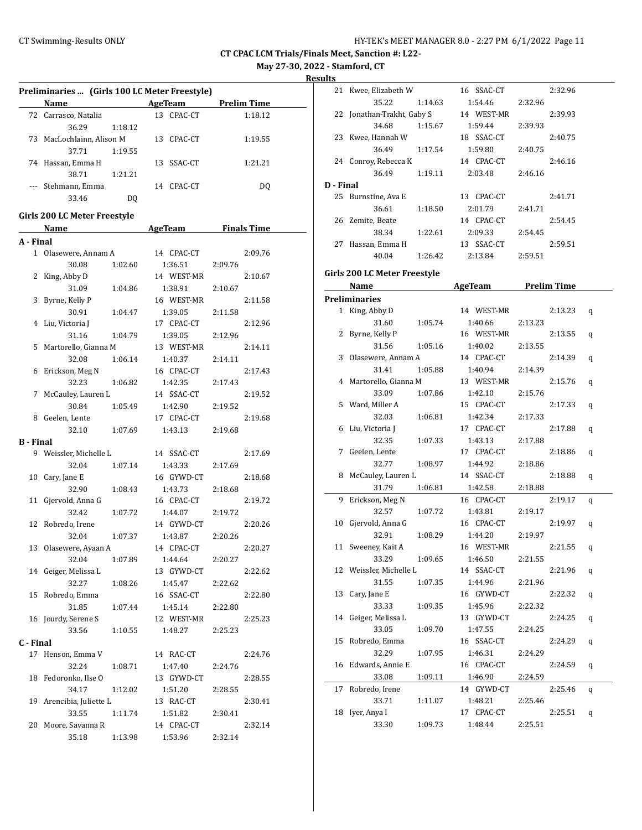21 Kwee, Elizabeth W 16 SSAC-CT 2:32.96

**CT CPAC LCM Trials/Finals Meet, Sanction #: L22-**

**May 27-30, 2022 - Stamford, CT**

**Results**

|                  | Preliminaries  (Girls 100 LC Meter Freestyle)            |         |                 |         |  |
|------------------|----------------------------------------------------------|---------|-----------------|---------|--|
|                  | Name AgeTeam Prelim Time                                 |         |                 |         |  |
|                  | 72 Carrasco, Natalia                                     |         | 13 CPAC-CT      | 1:18.12 |  |
|                  | 36.29                                                    | 1:18.12 |                 |         |  |
|                  | 73 MacLochlainn, Alison M                                |         | 13 CPAC-CT      | 1:19.55 |  |
|                  | 37.71                                                    | 1:19.55 |                 |         |  |
|                  | 74 Hassan, Emma H                                        |         | 13 SSAC-CT      | 1:21.21 |  |
|                  | 38.71                                                    | 1:21.21 |                 |         |  |
|                  | Stehmann, Emma                                           |         | 14 CPAC-CT      | DQ      |  |
|                  | 33.46                                                    | DQ      |                 |         |  |
|                  |                                                          |         |                 |         |  |
|                  | Girls 200 LC Meter Freestyle<br>Name AgeTeam Finals Time |         |                 |         |  |
| A - Final        |                                                          |         |                 |         |  |
|                  |                                                          |         | 14 CPAC-CT      | 2:09.76 |  |
|                  | 1 Olasewere, Annam A<br>30.08                            | 1:02.60 | 1:36.51 2:09.76 |         |  |
|                  | 2 King, Abby D                                           |         | 14 WEST-MR      | 2:10.67 |  |
|                  | 31.09                                                    |         | 1:38.91         | 2:10.67 |  |
|                  | 3 Byrne, Kelly P                                         | 1:04.86 | 16 WEST-MR      | 2:11.58 |  |
|                  | 30.91                                                    | 1:04.47 | 1:39.05         | 2:11.58 |  |
|                  | 4 Liu, Victoria J                                        |         | 17 CPAC-CT      | 2:12.96 |  |
|                  | 31.16                                                    | 1:04.79 | 1:39.05         | 2:12.96 |  |
|                  | 5 Martorello, Gianna M                                   |         | 13 WEST-MR      | 2:14.11 |  |
|                  | 32.08                                                    | 1:06.14 | 1:40.37         | 2:14.11 |  |
|                  | 6 Erickson, Meg N                                        |         | 16 CPAC-CT      | 2:17.43 |  |
|                  | 32.23                                                    | 1:06.82 | 1:42.35         | 2:17.43 |  |
|                  | 7 McCauley, Lauren L                                     |         | 14 SSAC-CT      | 2:19.52 |  |
|                  | 30.84 1:05.49                                            |         | 1:42.90         | 2:19.52 |  |
|                  | 8 Geelen, Lente                                          |         | 17 CPAC-CT      | 2:19.68 |  |
|                  | 32.10 1:07.69                                            |         | 1:43.13         | 2:19.68 |  |
| <b>B</b> - Final |                                                          |         |                 |         |  |
|                  | 9 Weissler, Michelle L                                   |         | 14 SSAC-CT      | 2:17.69 |  |
|                  | 32.04                                                    | 1:07.14 | 1:43.33         | 2:17.69 |  |
|                  | 10 Cary, Jane E                                          |         | 16 GYWD-CT      | 2:18.68 |  |
|                  | 32.90                                                    | 1:08.43 | 1:43.73         | 2:18.68 |  |
|                  | 11 Gjervold, Anna G                                      |         | 16 CPAC-CT      | 2:19.72 |  |
|                  | 32.42                                                    | 1:07.72 | 1:44.07         | 2:19.72 |  |
|                  | 12 Robredo, Irene                                        |         | 14 GYWD-CT      | 2:20.26 |  |
|                  | 32.04                                                    | 1:07.37 | 1:43.87         | 2:20.26 |  |
|                  | 13 Olasewere, Ayaan A                                    |         | 14 CPAC-CT      | 2:20.27 |  |
|                  | 32.04                                                    | 1:07.89 | 1:44.64         | 2:20.27 |  |
|                  | 14 Geiger, Melissa L                                     |         | 13 GYWD-CT      | 2:22.62 |  |
|                  | 32.27                                                    | 1:08.26 | 1:45.47         | 2:22.62 |  |
|                  | 15 Robredo, Emma                                         |         | 16 SSAC-CT      | 2:22.80 |  |
|                  | 31.85                                                    | 1:07.44 | 1:45.14         | 2:22.80 |  |
|                  | 16 Jourdy, Serene S                                      |         | 12 WEST-MR      | 2:25.23 |  |
|                  | 33.56                                                    | 1:10.55 | 1:48.27         | 2:25.23 |  |
| C - Final        |                                                          |         |                 |         |  |
| 17               | Henson, Emma V                                           |         | 14 RAC-CT       | 2:24.76 |  |
|                  | 32.24                                                    | 1:08.71 | 1:47.40         | 2:24.76 |  |
| 18               | Fedoronko, Ilse O                                        |         | 13 GYWD-CT      | 2:28.55 |  |
|                  | 34.17                                                    | 1:12.02 | 1:51.20         | 2:28.55 |  |
|                  | 19 Arencibia, Juliette L                                 |         | 13 RAC-CT       | 2:30.41 |  |
|                  | 33.55                                                    | 1:11.74 | 1:51.82         | 2:30.41 |  |
| 20               | Moore, Savanna R                                         |         | 14 CPAC-CT      | 2:32.14 |  |
|                  | 35.18                                                    | 1:13.98 | 1:53.96         | 2:32.14 |  |

|           | 35.22                            | 1:14.63 | 1:54.46             | 2:32.96 |         |   |
|-----------|----------------------------------|---------|---------------------|---------|---------|---|
|           | 22 Jonathan-Trakht, Gaby S       |         | 14 WEST-MR          |         | 2:39.93 |   |
|           | 34.68                            | 1:15.67 | 1:59.44             | 2:39.93 |         |   |
|           | 23 Kwee, Hannah W                |         | 18 SSAC-CT          |         | 2:40.75 |   |
|           | 36.49                            | 1:17.54 | 1:59.80             | 2:40.75 |         |   |
|           | 24 Conroy, Rebecca K             |         | 14 CPAC-CT          |         | 2:46.16 |   |
|           | 36.49                            | 1:19.11 | 2:03.48             | 2:46.16 |         |   |
| D - Final |                                  |         |                     |         |         |   |
|           | 25 Burnstine, Ava E              |         | 13 CPAC-CT          |         | 2:41.71 |   |
|           | 36.61                            | 1:18.50 | 2:01.79             | 2:41.71 |         |   |
|           | 26 Zemite, Beate                 |         | 14 CPAC-CT          |         | 2:54.45 |   |
|           | 38.34                            | 1:22.61 | 2:09.33             | 2:54.45 |         |   |
| 27        | Hassan, Emma H                   |         | 13 SSAC-CT          |         | 2:59.51 |   |
|           | 40.04                            | 1:26.42 | 2:13.84             | 2:59.51 |         |   |
|           |                                  |         |                     |         |         |   |
|           | Girls 200 LC Meter Freestyle     |         |                     |         |         |   |
|           | Name                             |         | AgeTeam Prelim Time |         |         |   |
|           | <b>Preliminaries</b>             |         |                     |         |         |   |
|           | 1 King, Abby D                   |         | 14 WEST-MR          |         | 2:13.23 | q |
|           | 31.60                            | 1:05.74 | 1:40.66             | 2:13.23 |         |   |
| 2         | Byrne, Kelly P                   |         | 16 WEST-MR          |         | 2:13.55 | q |
|           | 31.56                            | 1:05.16 | 1:40.02             | 2:13.55 |         |   |
| 3         | Olasewere, Annam A               |         | 14 CPAC-CT          |         | 2:14.39 | q |
|           | 31.41                            | 1:05.88 | 1:40.94             | 2:14.39 |         |   |
|           | 4 Martorello, Gianna M           |         | 13 WEST-MR          |         | 2:15.76 | q |
|           | 33.09                            | 1:07.86 | 1:42.10             | 2:15.76 |         |   |
|           | 5 Ward, Miller A                 |         | 15 CPAC-CT          |         | 2:17.33 | q |
|           | 32.03                            | 1:06.81 | 1:42.34             | 2:17.33 |         |   |
|           | 6 Liu, Victoria J                |         | 17 CPAC-CT          |         | 2:17.88 | q |
|           | 32.35                            | 1:07.33 | 1:43.13             | 2:17.88 |         |   |
| 7         | Geelen, Lente                    |         | 17 CPAC-CT          |         | 2:18.86 | q |
|           | 32.77                            | 1:08.97 | 1:44.92             | 2:18.86 |         |   |
| 8         | McCauley, Lauren L               |         | 14 SSAC-CT          |         | 2:18.88 | q |
|           | 31.79                            | 1:06.81 | 1:42.58             | 2:18.88 |         |   |
| 9         | Erickson, Meg N                  |         | 16 CPAC-CT          |         | 2:19.17 | q |
|           | 32.57                            | 1:07.72 | 1:43.81             | 2:19.17 |         |   |
| 10        | Gjervold, Anna G                 |         | 16 CPAC-CT          |         | 2:19.97 |   |
|           | 32.91                            | 1:08.29 | 1:44.20             | 2:19.97 |         | q |
|           | 11 Sweeney, Kait A               |         | 16 WEST-MR          |         | 2:21.55 |   |
|           | 33.29                            | 1:09.65 | 1:46.50             | 2:21.55 |         | q |
|           |                                  |         | 14 SSAC-CT          |         | 2:21.96 |   |
|           | 12 Weissler, Michelle L<br>31.55 | 1:07.35 | 1:44.96             |         |         | q |
| 13        | Carv, Jane E                     |         | 16 GYWD-CT          | 2:21.96 | 2:22.32 |   |
|           |                                  |         |                     |         |         | q |
|           | 33.33                            | 1:09.35 | 1:45.96             | 2:22.32 |         |   |
| 14        | Geiger, Melissa L                |         | 13 GYWD-CT          |         | 2:24.25 | q |
|           | 33.05                            | 1:09.70 | 1:47.55             | 2:24.25 |         |   |
| 15        | Robredo, Emma                    |         | 16 SSAC-CT          |         | 2:24.29 | q |
|           | 32.29                            | 1:07.95 | 1:46.31             | 2:24.29 |         |   |
| 16        | Edwards, Annie E                 |         | 16 CPAC-CT          |         | 2:24.59 | q |
|           | 33.08                            | 1:09.11 | 1:46.90             | 2:24.59 |         |   |
| 17        | Robredo, Irene                   |         | 14 GYWD-CT          |         | 2:25.46 | q |
|           | 33.71                            | 1:11.07 | 1:48.21             | 2:25.46 |         |   |
|           | 18 Iyer, Anya I                  |         | 17 CPAC-CT          |         | 2:25.51 | q |
|           | 33.30                            | 1:09.73 | 1:48.44             | 2:25.51 |         |   |
|           |                                  |         |                     |         |         |   |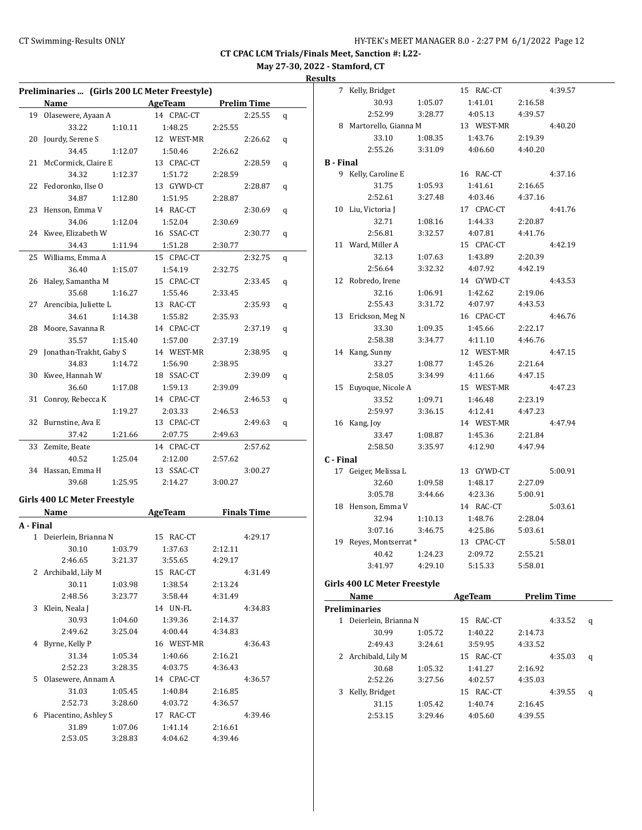**May 27-30, 2022 - Stamford, CT**

**Results**

| Preliminaries  (Girls 200 LC Meter Freestyle) |                              |         |            |         |                    |   |  |
|-----------------------------------------------|------------------------------|---------|------------|---------|--------------------|---|--|
|                                               | Name                         |         | AgeTeam    |         | <b>Prelim Time</b> |   |  |
|                                               | 19 Olasewere, Ayaan A        |         | 14 CPAC-CT |         | 2:25.55            | q |  |
|                                               | 33.22                        | 1:10.11 | 1:48.25    | 2:25.55 |                    |   |  |
|                                               | 20 Jourdy, Serene S          |         | 12 WEST-MR |         | 2:26.62            | q |  |
|                                               | 34.45                        | 1:12.07 | 1:50.46    | 2:26.62 |                    |   |  |
| 21                                            | McCormick, Claire E          |         | 13 CPAC-CT |         | 2:28.59            | q |  |
|                                               | 34.32                        | 1:12.37 | 1:51.72    | 2:28.59 |                    |   |  |
|                                               | 22 Fedoronko, Ilse O         |         | 13 GYWD-CT |         | 2:28.87            | q |  |
|                                               | 34.87                        | 1:12.80 | 1:51.95    | 2:28.87 |                    |   |  |
|                                               | 23 Henson, Emma V            |         | 14 RAC-CT  |         | 2:30.69            | q |  |
|                                               | 34.06                        | 1:12.04 | 1:52.04    | 2:30.69 |                    |   |  |
|                                               | 24 Kwee, Elizabeth W         |         | 16 SSAC-CT |         | 2:30.77            | q |  |
|                                               | 34.43                        | 1:11.94 | 1:51.28    | 2:30.77 |                    |   |  |
| 25                                            | Williams, Emma A             |         | 15 CPAC-CT |         | 2:32.75            | q |  |
|                                               | 36.40                        | 1:15.07 | 1:54.19    | 2:32.75 |                    |   |  |
| 26                                            | Haley, Samantha M            |         | 15 CPAC-CT |         | 2:33.45            | q |  |
|                                               | 35.68                        | 1:16.27 | 1:55.46    | 2:33.45 |                    |   |  |
| 27                                            | Arencibia, Juliette L        |         | 13 RAC-CT  |         | 2:35.93            | q |  |
|                                               | 34.61                        | 1:14.38 | 1:55.82    | 2:35.93 |                    |   |  |
| 28                                            | Moore, Savanna R             |         | 14 CPAC-CT |         | 2:37.19            | q |  |
|                                               | 35.57                        | 1:15.40 | 1:57.00    | 2:37.19 |                    |   |  |
|                                               | 29 Jonathan-Trakht, Gaby S   |         | 14 WEST-MR |         | 2:38.95            | q |  |
|                                               | 34.83                        | 1:14.72 | 1:56.90    | 2:38.95 |                    |   |  |
|                                               | 30 Kwee, Hannah W            |         | 18 SSAC-CT |         | 2:39.09            | q |  |
|                                               | 36.60                        | 1:17.08 | 1:59.13    | 2:39.09 |                    |   |  |
| 31                                            | Conroy, Rebecca K            |         | 14 CPAC-CT |         | 2:46.53            | q |  |
|                                               |                              | 1:19.27 | 2:03.33    | 2:46.53 |                    |   |  |
|                                               | 32 Burnstine, Ava E          |         | 13 CPAC-CT |         | 2:49.63            | q |  |
|                                               | 37.42                        | 1:21.66 | 2:07.75    | 2:49.63 |                    |   |  |
| 33                                            | Zemite, Beate                |         | 14 CPAC-CT |         | 2:57.62            |   |  |
|                                               | 40.52                        | 1:25.04 | 2:12.00    | 2:57.62 |                    |   |  |
|                                               | 34 Hassan, Emma H            |         | 13 SSAC-CT |         | 3:00.27            |   |  |
|                                               | 39.68                        | 1:25.95 | 2:14.27    | 3:00.27 |                    |   |  |
|                                               |                              |         |            |         |                    |   |  |
|                                               | Girls 400 LC Meter Freestyle |         | AgeTeam    |         | <b>Finals Time</b> |   |  |
|                                               | Name                         |         |            |         |                    |   |  |
| A - Final                                     | 1 Deierlein, Brianna N       |         | 15 RAC-CT  |         | 4:29.17            |   |  |
|                                               | 30.10                        | 1:03.79 | 1:37.63    | 2:12.11 |                    |   |  |
|                                               | 2:46.65                      | 3:21.37 | 3:55.65    | 4:29.17 |                    |   |  |
|                                               | 2 Archibald, Lily M          |         | 15 RAC-CT  |         | 4:31.49            |   |  |
|                                               | 30.11                        | 1:03.98 | 1:38.54    | 2:13.24 |                    |   |  |
|                                               | 2:48.56                      | 3:23.77 | 3:58.44    | 4:31.49 |                    |   |  |
| 3                                             | Klein, Neala J               |         | 14 UN-FL   |         | 4:34.83            |   |  |
|                                               | 30.93                        | 1:04.60 | 1:39.36    | 2:14.37 |                    |   |  |
|                                               | 2:49.62                      | 3:25.04 | 4:00.44    | 4:34.83 |                    |   |  |
|                                               | 4 Byrne, Kelly P             |         |            |         |                    |   |  |
|                                               | 31.34                        |         | 16 WEST-MR |         | 4:36.43            |   |  |
|                                               |                              | 1:05.34 | 1:40.66    | 2:16.21 |                    |   |  |
|                                               | 2:52.23                      | 3:28.35 | 4:03.75    | 4:36.43 |                    |   |  |
| 5                                             | Olasewere, Annam A           |         | 14 CPAC-CT |         | 4:36.57            |   |  |
|                                               | 31.03                        | 1:05.45 | 1:40.84    | 2:16.85 |                    |   |  |
|                                               | 2:52.73                      | 3:28.60 | 4:03.72    | 4:36.57 |                    |   |  |
| 6                                             | Piacentino, Ashley S         |         | 17 RAC-CT  |         | 4:39.46            |   |  |
|                                               | 31.89                        | 1:07.06 | 1:41.14    | 2:16.61 |                    |   |  |
|                                               | 2:53.05                      | 3:28.83 | 4:04.62    | 4:39.46 |                    |   |  |

|                  | 7 Kelly, Bridget             |         | 15 RAC-CT    |         | 4:39.57            |   |
|------------------|------------------------------|---------|--------------|---------|--------------------|---|
|                  | 30.93                        | 1:05.07 | 1:41.01      | 2:16.58 |                    |   |
|                  | 2:52.99                      | 3:28.77 | 4:05.13      | 4:39.57 |                    |   |
|                  | 8 Martorello, Gianna M       |         | 13 WEST-MR   |         | 4:40.20            |   |
|                  | 33.10                        | 1:08.35 | 1:43.76      | 2:19.39 |                    |   |
|                  | 2:55.26                      | 3:31.09 | 4:06.60      | 4:40.20 |                    |   |
| <b>B</b> - Final |                              |         |              |         |                    |   |
|                  | 9 Kelly, Caroline E          |         | 16 RAC-CT    |         | 4:37.16            |   |
|                  | 31.75                        | 1:05.93 | 1:41.61      | 2:16.65 |                    |   |
|                  | 2:52.61                      | 3:27.48 | 4:03.46      | 4:37.16 |                    |   |
|                  | 10 Liu, Victoria J           |         | 17 CPAC-CT   |         | 4:41.76            |   |
|                  | 32.71                        | 1:08.16 | 1:44.33      | 2:20.87 |                    |   |
|                  | 2:56.81                      | 3:32.57 | 4:07.81      | 4:41.76 |                    |   |
|                  | 11 Ward, Miller A            |         | 15 CPAC-CT   |         | 4:42.19            |   |
|                  | 32.13                        | 1:07.63 | 1:43.89      | 2:20.39 |                    |   |
|                  | 2:56.64                      | 3:32.32 | 4:07.92      | 4:42.19 |                    |   |
|                  | 12 Robredo, Irene            |         | 14 GYWD-CT   |         | 4:43.53            |   |
|                  | 32.16                        | 1:06.91 | 1:42.62      | 2:19.06 |                    |   |
|                  | 2:55.43                      | 3:31.72 | 4:07.97      | 4:43.53 |                    |   |
|                  | 13 Erickson, Meg N           |         | 16 CPAC-CT   |         | 4:46.76            |   |
|                  | 33.30                        | 1:09.35 | 1:45.66      | 2:22.17 |                    |   |
|                  | 2:58.38                      | 3:34.77 | 4:11.10      | 4:46.76 |                    |   |
|                  | 14 Kang, Sunny               |         | 12 WEST-MR   |         | 4:47.15            |   |
|                  | 33.27                        | 1:08.77 | 1:45.26      | 2:21.64 |                    |   |
|                  | 2:58.05                      | 3:34.99 | 4:11.66      | 4:47.15 |                    |   |
|                  | 15 Euyoque, Nicole A         |         | 15 WEST-MR   |         | 4:47.23            |   |
|                  | 33.52                        | 1:09.71 | 1:46.48      | 2:23.19 |                    |   |
|                  | 2:59.97                      | 3:36.15 | 4:12.41      | 4:47.23 |                    |   |
|                  | 16 Kang, Joy                 |         | 14 WEST-MR   |         | 4:47.94            |   |
|                  | 33.47                        | 1:08.87 | 1:45.36      | 2:21.84 |                    |   |
|                  | 2:58.50                      | 3:35.97 | 4:12.90      | 4:47.94 |                    |   |
| C - Final        |                              |         |              |         |                    |   |
|                  | 17 Geiger, Melissa L         |         | 13 GYWD-CT   |         | 5:00.91            |   |
|                  | 32.60                        | 1:09.58 | 1:48.17      | 2:27.09 |                    |   |
|                  | 3:05.78                      | 3:44.66 | 4:23.36      | 5:00.91 |                    |   |
|                  | 18 Henson, Emma V            |         | 14 RAC-CT    |         | 5:03.61            |   |
|                  | 32.94                        | 1:10.13 | 1:48.76      | 2:28.04 |                    |   |
|                  | 3:07.16                      | 3:46.75 | 4:25.86      | 5:03.61 |                    |   |
|                  | 19 Reyes, Montserrat*        |         | 13 CPAC-CT   |         | 5:58.01            |   |
|                  | 40.42                        | 1:24.23 | 2:09.72      | 2:55.21 |                    |   |
|                  | 3:41.97                      | 4:29.10 | 5:15.33      | 5:58.01 |                    |   |
|                  |                              |         |              |         |                    |   |
|                  | Girls 400 LC Meter Freestyle |         |              |         |                    |   |
|                  | Name                         |         | AgeTeam      |         | <b>Prelim Time</b> |   |
|                  | Preliminaries                |         |              |         |                    |   |
| $\mathbf{1}$     | Deierlein, Brianna N         |         | RAC-CT<br>15 |         | 4:33.52            | q |
|                  | 30.99                        | 1:05.72 | 1:40.22      | 2:14.73 |                    |   |
|                  | 2:49.43                      | 3:24.61 | 3:59.95      | 4:33.52 |                    |   |
|                  | 2 Archibald, Lily M          |         | 15 RAC-CT    |         | 4:35.03            | q |
|                  | 30.68                        | 1:05.32 | 1:41.27      | 2:16.92 |                    |   |

2:52.26 3:27.56 4:02.57 4:35.03 3 Kelly, Bridget 15 RAC-CT 4:39.55 q 31.15 1:05.42 1:40.74 2:16.45 2:53.15 3:29.46 4:05.60 4:39.55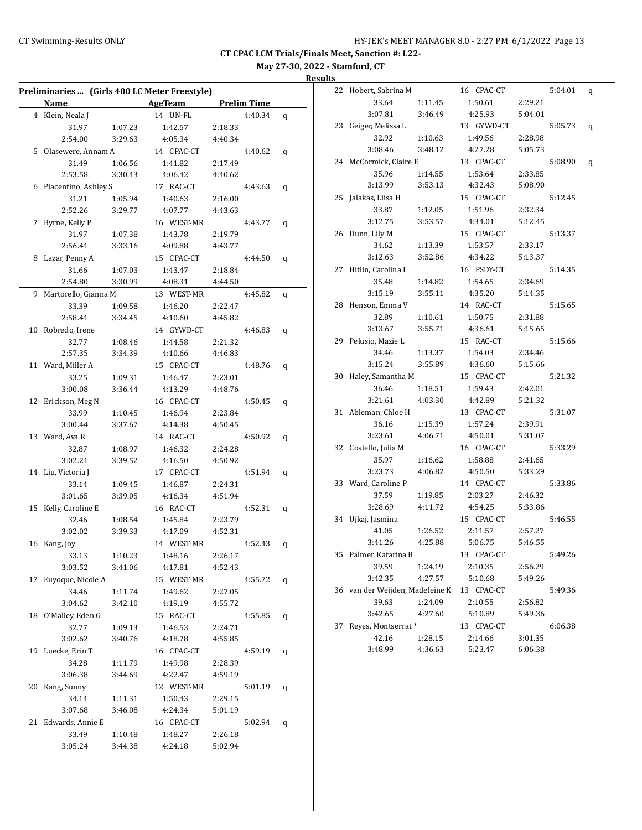**May 27-30, 2022 - Stamford, CT**

**Results**

 $\overline{\phantom{0}}$ 

| Preliminaries  (Girls 400 LC Meter Freestyle) |                            |                    |                             |                    |                    |   |  |
|-----------------------------------------------|----------------------------|--------------------|-----------------------------|--------------------|--------------------|---|--|
|                                               | Name                       |                    | <b>Example 2018</b> AgeTeam |                    | <b>Prelim Time</b> |   |  |
|                                               | 4 Klein, Neala J           |                    | 14 UN-FL                    |                    | 4:40.34            | q |  |
|                                               | 31.97                      | 1:07.23            | 1:42.57                     | 2:18.33            |                    |   |  |
|                                               | 2:54.00                    | 3:29.63            | 4:05.34                     | 4:40.34            |                    |   |  |
|                                               | 5 Olasewere, Annam A       |                    | 14 CPAC-CT                  |                    | 4:40.62            | q |  |
|                                               | 31.49                      | 1:06.56            | 1:41.82                     | 2:17.49            |                    |   |  |
|                                               | 2:53.58                    | 3:30.43            | 4:06.42                     | 4:40.62            |                    |   |  |
|                                               | 6 Piacentino, Ashley S     |                    | 17 RAC-CT                   |                    | 4:43.63            | q |  |
|                                               | 31.21                      | 1:05.94            | 1:40.63                     | 2:16.00            |                    |   |  |
|                                               | 2:52.26                    | 3:29.77            | 4:07.77                     | 4:43.63            |                    |   |  |
| 7                                             | Byrne, Kelly P             |                    | 16 WEST-MR                  |                    | 4:43.77            | q |  |
|                                               | 31.97                      | 1:07.38            | 1:43.78                     | 2:19.79            |                    |   |  |
|                                               | 2:56.41                    | 3:33.16            | 4:09.88                     | 4:43.77            |                    |   |  |
| 8                                             | Lazar, Penny A             |                    | 15 CPAC-CT                  |                    | 4:44.50            | q |  |
|                                               | 31.66                      | 1:07.03            | 1:43.47                     | 2:18.84            |                    |   |  |
|                                               | 2:54.80                    | 3:30.99            | 4:08.31                     | 4:44.50            |                    |   |  |
| 9                                             | Martorello, Gianna M       |                    | 13 WEST-MR                  |                    | 4:45.82            | q |  |
|                                               | 33.39                      | 1:09.58            | 1:46.20                     | 2:22.47            |                    |   |  |
|                                               | 2:58.41                    | 3:34.45            | 4:10.60                     | 4:45.82            |                    |   |  |
|                                               | 10 Robredo, Irene          |                    | 14 GYWD-CT                  |                    | 4:46.83            | q |  |
|                                               | 32.77                      | 1:08.46            | 1:44.58                     | 2:21.32            |                    |   |  |
|                                               | 2:57.35                    | 3:34.39            | 4:10.66                     | 4:46.83            |                    |   |  |
|                                               | 11 Ward, Miller A          |                    | 15 CPAC-CT                  |                    | 4:48.76            | q |  |
|                                               | 33.25                      | 1:09.31            | 1:46.47                     | 2:23.01            |                    |   |  |
|                                               | 3:00.08                    | 3:36.44            | 4:13.29                     | 4:48.76            |                    |   |  |
|                                               | 12 Erickson, Meg N         |                    | 16 CPAC-CT                  |                    | 4:50.45            | q |  |
|                                               | 33.99                      | 1:10.45            | 1:46.94                     | 2:23.84            |                    |   |  |
|                                               | 3:00.44                    | 3:37.67            | 4:14.38                     | 4:50.45            |                    |   |  |
|                                               | 13 Ward, Ava R             |                    | 14 RAC-CT                   |                    | 4:50.92            | q |  |
|                                               | 32.87                      | 1:08.97            | 1:46.32                     | 2:24.28            |                    |   |  |
|                                               | 3:02.21                    | 3:39.52            | 4:16.50                     | 4:50.92            |                    |   |  |
|                                               | 14 Liu, Victoria J         |                    | 17 CPAC-CT                  |                    | 4:51.94            | q |  |
|                                               | 33.14                      | 1:09.45            | 1:46.87                     | 2:24.31            |                    |   |  |
|                                               | 3:01.65                    | 3:39.05            | 4:16.34                     | 4:51.94            |                    |   |  |
| 15                                            | Kelly, Caroline E          |                    | 16 RAC-CT                   |                    | 4:52.31            | q |  |
|                                               | 32.46                      | 1:08.54            | 1:45.84                     | 2:23.79            |                    |   |  |
|                                               | 3:02.02                    | 3:39.33            | 4:17.09                     | 4:52.31            |                    |   |  |
|                                               | 16 Kang, Joy               |                    | 14 WEST-MR                  |                    | 4:52.43            | q |  |
|                                               | 33.13                      | 1:10.23            | 1:48.16                     | 2:26.17            |                    |   |  |
|                                               | 3:03.52                    | 3:41.06            | 4:17.81                     | 4:52.43            |                    |   |  |
| 17                                            | Euyoque, Nicole A<br>34.46 |                    | 15 WEST-MR                  |                    | 4:55.72            | q |  |
|                                               | 3:04.62                    | 1:11.74<br>3:42.10 | 1:49.62<br>4:19.19          | 2:27.05<br>4:55.72 |                    |   |  |
|                                               | 18 O'Malley, Eden G        |                    | 15 RAC-CT                   |                    | 4:55.85            |   |  |
|                                               | 32.77                      | 1:09.13            | 1:46.53                     | 2:24.71            |                    | q |  |
|                                               | 3:02.62                    | 3:40.76            | 4:18.78                     | 4:55.85            |                    |   |  |
| 19                                            | Luecke, Erin T             |                    | 16 CPAC-CT                  |                    | 4:59.19            |   |  |
|                                               | 34.28                      | 1:11.79            | 1:49.98                     | 2:28.39            |                    | q |  |
|                                               | 3:06.38                    | 3:44.69            | 4:22.47                     | 4:59.19            |                    |   |  |
| 20                                            | Kang, Sunny                |                    | 12 WEST-MR                  |                    | 5:01.19            |   |  |
|                                               | 34.14                      | 1:11.31            | 1:50.43                     | 2:29.15            |                    | q |  |
|                                               | 3:07.68                    | 3:46.08            | 4:24.34                     | 5:01.19            |                    |   |  |
| 21                                            | Edwards, Annie E           |                    | 16 CPAC-CT                  |                    | 5:02.94            | q |  |
|                                               | 33.49                      | 1:10.48            | 1:48.27                     | 2:26.18            |                    |   |  |
|                                               | 3:05.24                    | 3:44.38            | 4:24.18                     | 5:02.94            |                    |   |  |

| 22 | Hobert, Sabrina M               |         | 16 CPAC-CT |         | 5:04.01 | q |
|----|---------------------------------|---------|------------|---------|---------|---|
|    | 33.64                           | 1:11.45 | 1:50.61    | 2:29.21 |         |   |
|    | 3:07.81                         | 3:46.49 | 4:25.93    | 5:04.01 |         |   |
| 23 | Geiger, Melissa L               |         | 13 GYWD-CT |         | 5:05.73 | q |
|    | 32.92                           | 1:10.63 | 1:49.56    | 2:28.98 |         |   |
|    | 3:08.46                         | 3:48.12 | 4:27.28    | 5:05.73 |         |   |
|    | 24 McCormick, Claire E          |         | 13 CPAC-CT |         | 5:08.90 | q |
|    | 35.96                           | 1:14.55 | 1:53.64    | 2:33.85 |         |   |
|    | 3:13.99                         | 3:53.13 | 4:32.43    | 5:08.90 |         |   |
| 25 | Jalakas, Liisa H                |         | 15 CPAC-CT |         | 5:12.45 |   |
|    | 33.87                           | 1:12.05 | 1:51.96    | 2:32.34 |         |   |
|    | 3:12.75                         | 3:53.57 | 4:34.01    | 5:12.45 |         |   |
|    | 26 Dunn, Lily M                 |         | 15 CPAC-CT |         | 5:13.37 |   |
|    | 34.62                           | 1:13.39 | 1:53.57    | 2:33.17 |         |   |
|    | 3:12.63                         | 3:52.86 | 4:34.22    | 5:13.37 |         |   |
| 27 | Hitlin, Carolina I              |         | 16 PSDY-CT |         | 5:14.35 |   |
|    | 35.48                           | 1:14.82 | 1:54.65    | 2:34.69 |         |   |
|    | 3:15.19                         | 3:55.11 | 4:35.20    | 5:14.35 |         |   |
| 28 | Henson, Emma V                  |         | 14 RAC-CT  |         | 5:15.65 |   |
|    | 32.89                           | 1:10.61 | 1:50.75    | 2:31.88 |         |   |
|    | 3:13.67                         | 3:55.71 | 4:36.61    | 5:15.65 |         |   |
| 29 | Pelusio, Mazie L                |         | 15 RAC-CT  |         | 5:15.66 |   |
|    | 34.46                           | 1:13.37 | 1:54.03    | 2:34.46 |         |   |
|    | 3:15.24                         | 3:55.89 | 4:36.60    | 5:15.66 |         |   |
| 30 | Haley, Samantha M               |         | 15 CPAC-CT |         | 5:21.32 |   |
|    | 36.46                           | 1:18.51 | 1:59.43    | 2:42.01 |         |   |
|    | 3:21.61                         | 4:03.30 | 4:42.89    | 5:21.32 |         |   |
|    | 31 Ableman, Chloe H             |         | 13 CPAC-CT |         | 5:31.07 |   |
|    | 36.16                           | 1:15.39 | 1:57.24    | 2:39.91 |         |   |
|    | 3:23.61                         | 4:06.71 | 4:50.01    | 5:31.07 |         |   |
|    | 32 Costello, Julia M            |         | 16 CPAC-CT |         | 5:33.29 |   |
|    | 35.97                           | 1:16.62 | 1:58.88    | 2:41.65 |         |   |
|    | 3:23.73                         | 4:06.82 | 4:50.50    | 5:33.29 |         |   |
|    | 33 Ward, Caroline P             |         | 14 CPAC-CT |         | 5:33.86 |   |
|    | 37.59                           | 1:19.85 | 2:03.27    | 2:46.32 |         |   |
|    | 3:28.69                         | 4:11.72 | 4:54.25    | 5:33.86 |         |   |
|    | 34 Ujkaj, Jasmina               |         | 15 CPAC-CT |         | 5:46.55 |   |
|    | 41.05                           | 1:26.52 | 2:11.57    | 2:57.27 |         |   |
|    | 3:41.26                         | 4:25.88 | 5:06.75    | 5:46.55 |         |   |
|    | 35 Palmer, Katarina B           |         | 13 CPAC-CT |         | 5:49.26 |   |
|    | 39.59                           | 1:24.19 | 2:10.35    | 2:56.29 |         |   |
|    | 3:42.35                         | 4:27.57 | 5:10.68    | 5:49.26 |         |   |
|    | 36 van der Weijden, Madeleine K |         | 13 CPAC-CT |         | 5:49.36 |   |
|    | 39.63                           | 1:24.09 | 2:10.55    | 2:56.82 |         |   |
|    | 3:42.65                         | 4:27.60 | 5:10.89    | 5:49.36 |         |   |
| 37 | Reyes, Montserrat*              |         | 13 CPAC-CT |         | 6:06.38 |   |
|    | 42.16                           | 1:28.15 | 2:14.66    | 3:01.35 |         |   |
|    | 3:48.99                         | 4:36.63 | 5:23.47    | 6:06.38 |         |   |
|    |                                 |         |            |         |         |   |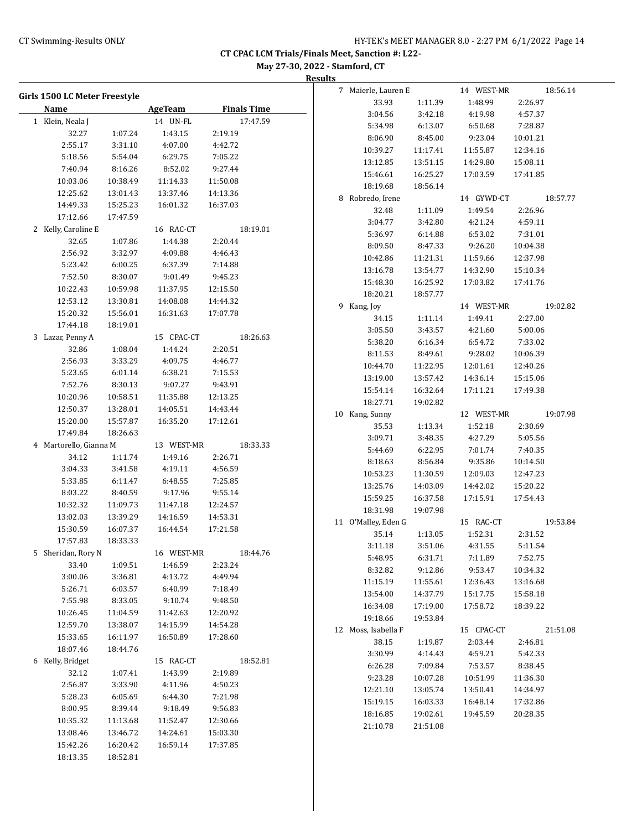**May 27-30, 2022 - Stamford, CT Results**

| Girls 1500 LC Meter Freestyle |          |                |                      | 7 Maierle, Lauren E |          | 14 WEST-MR | 18:56.14 |
|-------------------------------|----------|----------------|----------------------|---------------------|----------|------------|----------|
| Name                          |          | <b>AgeTeam</b> | <b>Finals Time</b>   | 33.93               | 1:11.39  | 1:48.99    | 2:26.97  |
|                               |          |                |                      | 3:04.56             | 3:42.18  | 4:19.98    | 4:57.37  |
| 1 Klein, Neala J              |          | 14 UN-FL       | 17:47.59             | 5:34.98             | 6:13.07  | 6:50.68    | 7:28.87  |
| 32.27                         | 1:07.24  | 1:43.15        | 2:19.19              | 8:06.90             | 8:45.00  | 9:23.04    | 10:01.21 |
| 2:55.17                       | 3:31.10  | 4:07.00        | 4:42.72              | 10:39.27            | 11:17.41 | 11:55.87   | 12:34.16 |
| 5:18.56                       | 5:54.04  | 6:29.75        | 7:05.22              | 13:12.85            | 13:51.15 | 14:29.80   | 15:08.11 |
| 7:40.94                       | 8:16.26  | 8:52.02        | 9:27.44              | 15:46.61            | 16:25.27 | 17:03.59   | 17:41.85 |
| 10:03.06                      | 10:38.49 | 11:14.33       | 11:50.08             | 18:19.68            | 18:56.14 |            |          |
| 12:25.62                      | 13:01.43 | 13:37.46       | 14:13.36             | 8 Robredo, Irene    |          | 14 GYWD-CT | 18:57.77 |
| 14:49.33                      | 15:25.23 | 16:01.32       | 16:37.03             | 32.48               | 1:11.09  | 1:49.54    | 2:26.96  |
| 17:12.66                      | 17:47.59 |                |                      | 3:04.77             | 3:42.80  | 4:21.24    | 4:59.11  |
| 2 Kelly, Caroline E           |          | 16 RAC-CT      | 18:19.01             | 5:36.97             | 6:14.88  | 6:53.02    | 7:31.01  |
| 32.65                         | 1:07.86  | 1:44.38        | 2:20.44              | 8:09.50             | 8:47.33  | 9:26.20    | 10:04.38 |
| 2:56.92                       | 3:32.97  | 4:09.88        | 4:46.43              | 10:42.86            | 11:21.31 | 11:59.66   | 12:37.98 |
| 5:23.42                       | 6:00.25  | 6:37.39        | 7:14.88              | 13:16.78            | 13:54.77 | 14:32.90   | 15:10.34 |
| 7:52.50                       | 8:30.07  | 9:01.49        | 9:45.23              | 15:48.30            | 16:25.92 | 17:03.82   | 17:41.76 |
| 10:22.43                      | 10:59.98 | 11:37.95       | 12:15.50             | 18:20.21            | 18:57.77 |            |          |
| 12:53.12                      | 13:30.81 | 14:08.08       | 14:44.32             | 9 Kang, Joy         |          | 14 WEST-MR | 19:02.82 |
| 15:20.32                      | 15:56.01 | 16:31.63       | 17:07.78             | 34.15               | 1:11.14  | 1:49.41    | 2:27.00  |
| 17:44.18                      | 18:19.01 |                |                      |                     | 3:43.57  |            |          |
| 3 Lazar, Penny A              |          | 15 CPAC-CT     | 18:26.63             | 3:05.50             |          | 4:21.60    | 5:00.06  |
| 32.86                         | 1:08.04  | 1:44.24        | 2:20.51              | 5:38.20             | 6:16.34  | 6:54.72    | 7:33.02  |
| 2:56.93                       | 3:33.29  | 4:09.75        | 4:46.77              | 8:11.53             | 8:49.61  | 9:28.02    | 10:06.39 |
| 5:23.65                       | 6:01.14  | 6:38.21        | 7:15.53              | 10:44.70            | 11:22.95 | 12:01.61   | 12:40.26 |
| 7:52.76                       | 8:30.13  | 9:07.27        | 9:43.91              | 13:19.00            | 13:57.42 | 14:36.14   | 15:15.06 |
| 10:20.96                      | 10:58.51 | 11:35.88       | 12:13.25             | 15:54.14            | 16:32.64 | 17:11.21   | 17:49.38 |
| 12:50.37                      | 13:28.01 | 14:05.51       | 14:43.44             | 18:27.71            | 19:02.82 |            |          |
| 15:20.00                      | 15:57.87 | 16:35.20       | 17:12.61             | 10 Kang, Sunny      |          | 12 WEST-MR | 19:07.98 |
| 17:49.84                      | 18:26.63 |                |                      | 35.53               | 1:13.34  | 1:52.18    | 2:30.69  |
| 4 Martorello, Gianna M        |          | 13 WEST-MR     | 18:33.33             | 3:09.71             | 3:48.35  | 4:27.29    | 5:05.56  |
| 34.12                         | 1:11.74  | 1:49.16        | 2:26.71              | 5:44.69             | 6:22.95  | 7:01.74    | 7:40.35  |
| 3:04.33                       | 3:41.58  | 4:19.11        | 4:56.59              | 8:18.63             | 8:56.84  | 9:35.86    | 10:14.50 |
| 5:33.85                       | 6:11.47  | 6:48.55        | 7:25.85              | 10:53.23            | 11:30.59 | 12:09.03   | 12:47.23 |
| 8:03.22                       | 8:40.59  | 9:17.96        | 9:55.14              | 13:25.76            | 14:03.09 | 14:42.02   | 15:20.22 |
| 10:32.32                      | 11:09.73 | 11:47.18       | 12:24.57             | 15:59.25            | 16:37.58 | 17:15.91   | 17:54.43 |
|                               |          |                |                      | 18:31.98            | 19:07.98 |            |          |
| 13:02.03                      | 13:39.29 | 14:16.59       | 14:53.31<br>17:21.58 | 11 O'Malley, Eden G |          | 15 RAC-CT  | 19:53.84 |
| 15:30.59                      | 16:07.37 | 16:44.54       |                      | 35.14               | 1:13.05  | 1:52.31    | 2:31.52  |
| 17:57.83                      | 18:33.33 |                |                      | 3:11.18             | 3:51.06  | 4:31.55    | 5:11.54  |
| 5 Sheridan, Rory N            |          | 16 WEST-MR     | 18:44.76             | 5:48.95             | 6:31.71  | 7:11.89    | 7:52.75  |
| 33.40                         | 1:09.51  | 1:46.59        | 2:23.24              | 8:32.82             | 9:12.86  | 9:53.47    | 10:34.32 |
| 3:00.06                       | 3:36.81  | 4:13.72        | 4:49.94              | 11:15.19            | 11:55.61 | 12:36.43   | 13:16.68 |
| 5:26.71                       | 6:03.57  | 6:40.99        | 7:18.49              | 13:54.00            | 14:37.79 | 15:17.75   | 15:58.18 |
| 7:55.98                       | 8:33.05  | 9:10.74        | 9:48.50              | 16:34.08            | 17:19.00 | 17:58.72   | 18:39.22 |
| 10:26.45                      | 11:04.59 | 11:42.63       | 12:20.92             | 19:18.66            | 19:53.84 |            |          |
| 12:59.70                      | 13:38.07 | 14:15.99       | 14:54.28             | 12 Moss, Isabella F |          | 15 CPAC-CT | 21:51.08 |
| 15:33.65                      | 16:11.97 | 16:50.89       | 17:28.60             | 38.15               | 1:19.87  | 2:03.44    | 2:46.81  |
| 18:07.46                      | 18:44.76 |                |                      | 3:30.99             | 4:14.43  | 4:59.21    | 5:42.33  |
| 6 Kelly, Bridget              |          | 15 RAC-CT      | 18:52.81             | 6:26.28             | 7:09.84  | 7:53.57    | 8:38.45  |
| 32.12                         | 1:07.41  | 1:43.99        | 2:19.89              | 9:23.28             | 10:07.28 | 10:51.99   | 11:36.30 |
| 2:56.87                       | 3:33.90  | 4:11.96        | 4:50.23              | 12:21.10            | 13:05.74 | 13:50.41   | 14:34.97 |
| 5:28.23                       | 6:05.69  | 6:44.30        | 7:21.98              | 15:19.15            | 16:03.33 | 16:48.14   |          |
| 8:00.95                       | 8:39.44  | 9:18.49        | 9:56.83              |                     |          |            | 17:32.86 |
| 10:35.32                      | 11:13.68 | 11:52.47       | 12:30.66             | 18:16.85            | 19:02.61 | 19:45.59   | 20:28.35 |
| 13:08.46                      | 13:46.72 | 14:24.61       | 15:03.30             | 21:10.78            | 21:51.08 |            |          |
| 15:42.26                      | 16:20.42 | 16:59.14       | 17:37.85             |                     |          |            |          |
| 18:13.35                      | 18:52.81 |                |                      |                     |          |            |          |
|                               |          |                |                      |                     |          |            |          |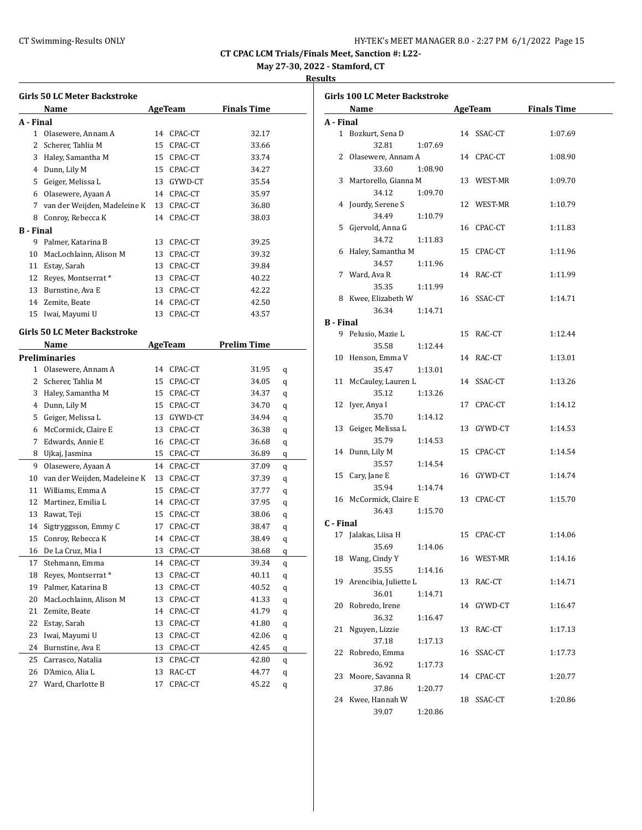**May 27-30, 2022 - Stamford, CT**

| <b>Girls 50 LC Meter Backstroke</b> |                                     |    |                |                    |   |  |  |
|-------------------------------------|-------------------------------------|----|----------------|--------------------|---|--|--|
|                                     | Name                                |    | AgeTeam        | <b>Finals Time</b> |   |  |  |
| A - Final                           |                                     |    |                |                    |   |  |  |
|                                     | 1 Olasewere, Annam A                |    | 14 CPAC-CT     | 32.17              |   |  |  |
|                                     | 2 Scherer, Tahlia M                 |    | 15 CPAC-CT     | 33.66              |   |  |  |
|                                     | 3 Haley, Samantha M                 |    | 15 CPAC-CT     | 33.74              |   |  |  |
|                                     | 4 Dunn, Lily M                      |    | 15 CPAC-CT     | 34.27              |   |  |  |
|                                     | 5 Geiger, Melissa L                 |    | 13 GYWD-CT     | 35.54              |   |  |  |
|                                     | 6 Olasewere, Ayaan A                |    | 14 CPAC-CT     | 35.97              |   |  |  |
|                                     | 7 van der Weijden, Madeleine K      |    | 13 CPAC-CT     | 36.80              |   |  |  |
|                                     | 8 Conroy, Rebecca K                 |    | 14 CPAC-CT     | 38.03              |   |  |  |
| <b>B</b> - Final                    |                                     |    |                |                    |   |  |  |
| 9                                   | Palmer, Katarina B                  |    | 13 CPAC-CT     | 39.25              |   |  |  |
| 10                                  | MacLochlainn, Alison M              |    | 13 CPAC-CT     | 39.32              |   |  |  |
|                                     | 11 Estay, Sarah                     |    | 13 CPAC-CT     | 39.84              |   |  |  |
|                                     | 12 Reyes, Montserrat*               |    | 13 CPAC-CT     | 40.22              |   |  |  |
|                                     | 13 Burnstine, Ava E                 |    | 13 CPAC-CT     | 42.22              |   |  |  |
|                                     | 14 Zemite, Beate                    |    | 14 CPAC-CT     | 42.50              |   |  |  |
|                                     | 15 Iwai, Mayumi U                   |    | 13 CPAC-CT     | 43.57              |   |  |  |
|                                     |                                     |    |                |                    |   |  |  |
|                                     | <b>Girls 50 LC Meter Backstroke</b> |    |                |                    |   |  |  |
|                                     | Name                                |    | <b>AgeTeam</b> | <b>Prelim Time</b> |   |  |  |
|                                     | <b>Preliminaries</b>                |    |                |                    |   |  |  |
|                                     | 1 Olasewere, Annam A                |    | 14 CPAC-CT     | 31.95              | q |  |  |
|                                     | 2 Scherer, Tahlia M                 |    | 15 CPAC-CT     | 34.05              | q |  |  |
|                                     | 3 Haley, Samantha M                 |    | 15 CPAC-CT     | 34.37              | q |  |  |
|                                     | 4 Dunn, Lily M                      |    | 15 CPAC-CT     | 34.70              | q |  |  |
|                                     | 5 Geiger, Melissa L                 |    | 13 GYWD-CT     | 34.94              | q |  |  |
|                                     | 6 McCormick, Claire E               |    | 13 CPAC-CT     | 36.38              | q |  |  |
|                                     | 7 Edwards, Annie E                  |    | 16 CPAC-CT     | 36.68              | q |  |  |
|                                     | 8 Ujkaj, Jasmina                    |    | 15 CPAC-CT     | 36.89              | q |  |  |
| 9                                   | Olasewere, Ayaan A                  |    | 14 CPAC-CT     | 37.09              | q |  |  |
|                                     | 10 van der Weijden, Madeleine K     |    | 13 CPAC-CT     | 37.39              | q |  |  |
| 11                                  | Williams, Emma A                    |    | 15 CPAC-CT     | 37.77              | q |  |  |
|                                     | 12 Martinez, Emilia L               |    | 14 CPAC-CT     | 37.95              | q |  |  |
|                                     | 13 Rawat, Teji                      |    | 15 CPAC-CT     | 38.06              | q |  |  |
| 14                                  | Sigtryggsson, Emmy C                |    | 17 CPAC-CT     | 38.47              | q |  |  |
| 15                                  | Conroy, Rebecca K                   |    | 14 CPAC-CT     | 38.49              | q |  |  |
|                                     | 16 De La Cruz, Mia I                | 13 | CPAC-CT        | 38.68              | q |  |  |
| 17                                  | Stehmann, Emma                      | 14 | CPAC-CT        | 39.34              | q |  |  |
| 18                                  | Reyes, Montserrat*                  | 13 | CPAC-CT        | 40.11              | q |  |  |
| 19                                  | Palmer, Katarina B                  | 13 | CPAC-CT        | 40.52              | q |  |  |
| 20                                  | MacLochlainn, Alison M              | 13 | CPAC-CT        | 41.33              | q |  |  |
| 21                                  | Zemite, Beate                       | 14 | CPAC-CT        | 41.79              | q |  |  |
| 22                                  | Estay, Sarah                        | 13 | CPAC-CT        | 41.80              | q |  |  |
| 23                                  | Iwai, Mayumi U                      | 13 | CPAC-CT        | 42.06              | q |  |  |
| 24                                  | Burnstine, Ava E                    | 13 | CPAC-CT        | 42.45              | q |  |  |
| 25                                  | Carrasco, Natalia                   | 13 | CPAC-CT        | 42.80              | q |  |  |
| 26                                  | D'Amico, Alia L                     | 13 | RAC-CT         | 44.77              | q |  |  |
| 27                                  | Ward, Charlotte B                   | 17 | CPAC-CT        | 45.22              | q |  |  |

| <b>Girls 100 LC Meter Backstroke</b> |                                   |         |    |            |         |  |
|--------------------------------------|-----------------------------------|---------|----|------------|---------|--|
|                                      | Name AgeTeam Finals Time          |         |    |            |         |  |
| A - Final                            |                                   |         |    |            |         |  |
|                                      | 1 Bozkurt, Sena D                 |         |    | 14 SSAC-CT | 1:07.69 |  |
|                                      | 32.81                             | 1:07.69 |    |            |         |  |
|                                      | 2 Olasewere, Annam A              |         |    | 14 CPAC-CT | 1:08.90 |  |
|                                      | 33.60                             | 1:08.90 |    |            |         |  |
|                                      | 3 Martorello, Gianna M            |         |    | 13 WEST-MR | 1:09.70 |  |
|                                      | 34.12                             | 1:09.70 |    |            |         |  |
|                                      | 4 Jourdy, Serene S                |         |    | 12 WEST-MR | 1:10.79 |  |
|                                      | 34.49                             | 1:10.79 |    |            |         |  |
|                                      | 5 Gjervold, Anna G                |         |    | 16 CPAC-CT | 1:11.83 |  |
|                                      | 34.72                             | 1:11.83 |    |            |         |  |
|                                      | 6 Haley, Samantha M               |         |    | 15 CPAC-CT | 1:11.96 |  |
|                                      | 34.57                             | 1:11.96 |    |            |         |  |
|                                      | 7 Ward, Ava R                     |         |    | 14 RAC-CT  | 1:11.99 |  |
|                                      | 35.35                             | 1:11.99 |    |            |         |  |
|                                      | 8 Kwee, Elizabeth W               |         |    | 16 SSAC-CT | 1:14.71 |  |
|                                      | 36.34                             | 1:14.71 |    |            |         |  |
| <b>B</b> - Final                     |                                   |         |    |            |         |  |
|                                      | 9 Pelusio, Mazie L                |         |    | 15 RAC-CT  | 1:12.44 |  |
|                                      | 35.58                             | 1:12.44 |    |            |         |  |
|                                      | 10 Henson, Emma V                 |         |    | 14 RAC-CT  | 1:13.01 |  |
|                                      | 35.47                             | 1:13.01 |    |            |         |  |
|                                      | 11 McCauley, Lauren L             |         |    | 14 SSAC-CT | 1:13.26 |  |
|                                      | 35.12                             | 1:13.26 |    |            |         |  |
|                                      | 12 Iyer, Anya I                   |         |    | 17 CPAC-CT | 1:14.12 |  |
|                                      | 35.70                             | 1:14.12 |    |            |         |  |
|                                      | 13 Geiger, Melissa L              |         |    | 13 GYWD-CT | 1:14.53 |  |
|                                      | 35.79                             | 1:14.53 |    |            |         |  |
|                                      | 14 Dunn, Lily M                   |         | 15 | CPAC-CT    | 1:14.54 |  |
|                                      | 35.57                             | 1:14.54 |    |            |         |  |
|                                      | 15 Cary, Jane E                   |         |    | 16 GYWD-CT | 1:14.74 |  |
|                                      | 35.94                             | 1:14.74 |    |            |         |  |
|                                      | 16 McCormick, Claire E            |         |    | 13 CPAC-CT | 1:15.70 |  |
|                                      | 36.43                             | 1:15.70 |    |            |         |  |
| C - Final                            |                                   |         |    |            |         |  |
|                                      | 17 Jalakas, Liisa H               |         |    | 15 CPAC-CT | 1:14.06 |  |
|                                      | 35.69                             | 1:14.06 |    |            |         |  |
|                                      | 18 Wang, Cindy Y                  |         |    | 16 WEST-MR | 1:14.16 |  |
|                                      | 35.55                             | 1:14.16 |    | 13 RAC-CT  |         |  |
|                                      | 19 Arencibia, Juliette L<br>36.01 |         |    |            | 1:14.71 |  |
|                                      | 20 Robredo, Irene                 | 1:14.71 |    | 14 GYWD-CT | 1:16.47 |  |
|                                      |                                   |         |    |            |         |  |
| 21                                   | 36.32<br>Nguyen, Lizzie           | 1:16.47 |    | 13 RAC-CT  | 1:17.13 |  |
|                                      | 37.18                             | 1:17.13 |    |            |         |  |
| 22                                   | Robredo, Emma                     |         |    | 16 SSAC-CT | 1:17.73 |  |
|                                      | 36.92                             | 1:17.73 |    |            |         |  |
| 23                                   | Moore, Savanna R                  |         |    | 14 CPAC-CT | 1:20.77 |  |
|                                      | 37.86                             | 1:20.77 |    |            |         |  |
|                                      | 24 Kwee, Hannah W                 |         |    | 18 SSAC-CT | 1:20.86 |  |
|                                      | 39.07                             | 1:20.86 |    |            |         |  |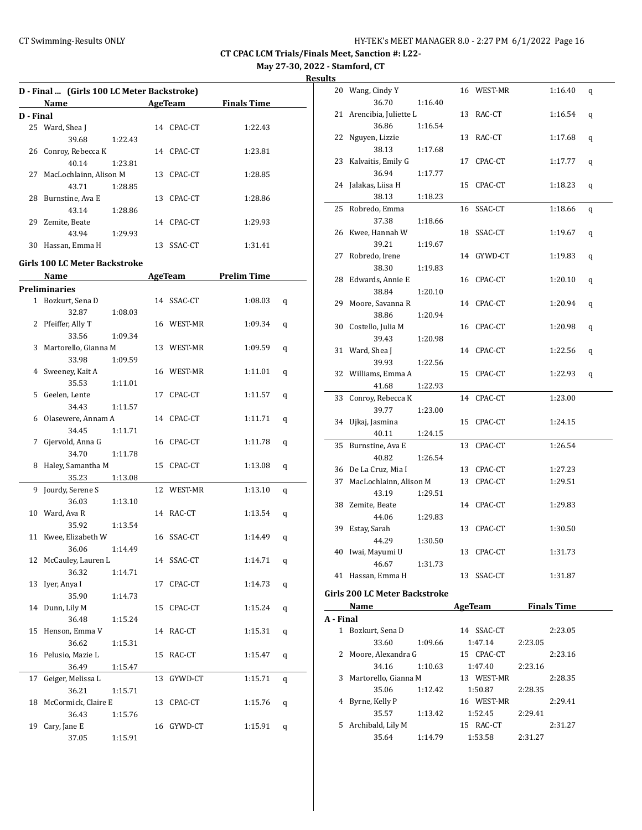**May 27-30, 2022 - Stamford, CT**

**Results**

| D - Final  (Girls 100 LC Meter Backstroke) |                                                                                                                                                                                                                                |         |    |            |                    |   |
|--------------------------------------------|--------------------------------------------------------------------------------------------------------------------------------------------------------------------------------------------------------------------------------|---------|----|------------|--------------------|---|
|                                            | Name and the state of the state of the state of the state of the state of the state of the state of the state of the state of the state of the state of the state of the state of the state of the state of the state of the s |         |    | AgeTeam    | <b>Finals Time</b> |   |
| D - Final                                  |                                                                                                                                                                                                                                |         |    |            |                    |   |
|                                            | 25 Ward, Shea J                                                                                                                                                                                                                |         |    | 14 CPAC-CT | 1:22.43            |   |
|                                            | 39.68                                                                                                                                                                                                                          | 1:22.43 |    |            |                    |   |
|                                            | 26 Conroy, Rebecca K                                                                                                                                                                                                           |         |    | 14 CPAC-CT | 1:23.81            |   |
|                                            | 40.14                                                                                                                                                                                                                          | 1:23.81 |    |            |                    |   |
|                                            | 27 MacLochlainn, Alison M                                                                                                                                                                                                      |         |    | 13 CPAC-CT | 1:28.85            |   |
|                                            | 43.71                                                                                                                                                                                                                          | 1:28.85 |    |            |                    |   |
|                                            | 28 Burnstine, Ava E                                                                                                                                                                                                            |         |    | 13 CPAC-CT | 1:28.86            |   |
|                                            | 43.14                                                                                                                                                                                                                          | 1:28.86 |    |            |                    |   |
|                                            | 29 Zemite, Beate                                                                                                                                                                                                               |         |    | 14 CPAC-CT | 1:29.93            |   |
|                                            | 43.94                                                                                                                                                                                                                          | 1:29.93 |    |            |                    |   |
|                                            | 30 Hassan, Emma H                                                                                                                                                                                                              |         |    | 13 SSAC-CT | 1:31.41            |   |
|                                            | <b>Girls 100 LC Meter Backstroke</b>                                                                                                                                                                                           |         |    |            |                    |   |
|                                            |                                                                                                                                                                                                                                |         |    |            | <b>Prelim Time</b> |   |
|                                            | Name                                                                                                                                                                                                                           |         |    | AgeTeam    |                    |   |
|                                            | <b>Preliminaries</b><br>1 Bozkurt, Sena D                                                                                                                                                                                      |         |    |            |                    |   |
|                                            |                                                                                                                                                                                                                                |         |    | 14 SSAC-CT | 1:08.03            | q |
|                                            | 32.87                                                                                                                                                                                                                          | 1:08.03 |    | 16 WEST-MR |                    |   |
|                                            | 2 Pfeiffer, Ally T<br>33.56                                                                                                                                                                                                    |         |    |            | 1:09.34            | q |
|                                            | 3 Martorello, Gianna M                                                                                                                                                                                                         | 1:09.34 |    | 13 WEST-MR |                    |   |
|                                            | 33.98                                                                                                                                                                                                                          | 1:09.59 |    |            | 1:09.59            | q |
|                                            | 4 Sweeney, Kait A                                                                                                                                                                                                              |         |    | 16 WEST-MR | 1:11.01            |   |
|                                            | 35.53                                                                                                                                                                                                                          | 1:11.01 |    |            |                    | q |
|                                            | 5 Geelen, Lente                                                                                                                                                                                                                |         |    | 17 CPAC-CT | 1:11.57            |   |
|                                            | 34.43                                                                                                                                                                                                                          | 1:11.57 |    |            |                    | q |
|                                            | 6 Olasewere, Annam A                                                                                                                                                                                                           |         |    | 14 CPAC-CT | 1:11.71            | q |
|                                            | 34.45                                                                                                                                                                                                                          | 1:11.71 |    |            |                    |   |
| 7                                          | Gjervold, Anna G                                                                                                                                                                                                               |         |    | 16 CPAC-CT | 1:11.78            | q |
|                                            | 34.70                                                                                                                                                                                                                          | 1:11.78 |    |            |                    |   |
| 8                                          | Haley, Samantha M                                                                                                                                                                                                              |         |    | 15 CPAC-CT | 1:13.08            | q |
|                                            | 35.23                                                                                                                                                                                                                          | 1:13.08 |    |            |                    |   |
| 9                                          | Jourdy, Serene S                                                                                                                                                                                                               |         |    | 12 WEST-MR | 1:13.10            | q |
|                                            | 36.03                                                                                                                                                                                                                          | 1:13.10 |    |            |                    |   |
|                                            | 10 Ward, Ava R                                                                                                                                                                                                                 |         |    | 14 RAC-CT  | 1:13.54            | q |
|                                            | 35.92                                                                                                                                                                                                                          | 1:13.54 |    |            |                    |   |
|                                            | 11 Kwee, Elizabeth W                                                                                                                                                                                                           |         |    | 16 SSAC-CT | 1:14.49            | q |
|                                            | 36.06                                                                                                                                                                                                                          | 1:14.49 |    |            |                    |   |
|                                            | 12 McCauley, Lauren L                                                                                                                                                                                                          |         |    | 14 SSAC-CT | 1:14.71            | q |
|                                            | 36.32                                                                                                                                                                                                                          | 1:14.71 |    |            |                    |   |
| 13                                         | Iyer, Anya I                                                                                                                                                                                                                   |         | 17 | CPAC-CT    | 1:14.73            | q |
|                                            | 35.90                                                                                                                                                                                                                          | 1:14.73 |    |            |                    |   |
|                                            | 14 Dunn, Lily M                                                                                                                                                                                                                |         |    | 15 CPAC-CT | 1:15.24            | q |
|                                            | 36.48                                                                                                                                                                                                                          | 1:15.24 |    |            |                    |   |
| 15                                         | Henson, Emma V                                                                                                                                                                                                                 |         |    | 14 RAC-CT  | 1:15.31            | q |
|                                            | 36.62                                                                                                                                                                                                                          | 1:15.31 |    |            |                    |   |
|                                            | 16 Pelusio, Mazie L                                                                                                                                                                                                            |         |    | 15 RAC-CT  | 1:15.47            | q |
|                                            | 36.49                                                                                                                                                                                                                          | 1:15.47 |    |            |                    |   |
| 17                                         | Geiger, Melissa L                                                                                                                                                                                                              |         | 13 | GYWD-CT    | 1:15.71            | q |
|                                            | 36.21                                                                                                                                                                                                                          | 1:15.71 |    |            |                    |   |
| 18                                         | McCormick, Claire E                                                                                                                                                                                                            |         |    | 13 CPAC-CT | 1:15.76            | q |
|                                            | 36.43                                                                                                                                                                                                                          | 1:15.76 |    |            |                    |   |
| 19                                         | Cary, Jane E                                                                                                                                                                                                                   |         |    | 16 GYWD-CT | 1:15.91            | q |
|                                            | 37.05                                                                                                                                                                                                                          | 1:15.91 |    |            |                    |   |

| <u>uns</u>                                           |                                                                                                                                                                                                                               |         |  |                                                              |         |   |  |
|------------------------------------------------------|-------------------------------------------------------------------------------------------------------------------------------------------------------------------------------------------------------------------------------|---------|--|--------------------------------------------------------------|---------|---|--|
| 20                                                   | Wang, Cindy Y                                                                                                                                                                                                                 |         |  | 16 WEST-MR                                                   | 1:16.40 | q |  |
|                                                      | 36.70                                                                                                                                                                                                                         | 1:16.40 |  |                                                              |         |   |  |
|                                                      | 21 Arencibia, Juliette L                                                                                                                                                                                                      |         |  | 13 RAC-CT                                                    | 1:16.54 | q |  |
|                                                      | 36.86                                                                                                                                                                                                                         | 1:16.54 |  |                                                              |         |   |  |
| 22                                                   | Nguyen, Lizzie                                                                                                                                                                                                                |         |  | 13 RAC-CT                                                    | 1:17.68 | q |  |
|                                                      | 38.13                                                                                                                                                                                                                         | 1:17.68 |  |                                                              |         |   |  |
|                                                      | 23 Kalvaitis, Emily G                                                                                                                                                                                                         |         |  | 17 CPAC-CT                                                   | 1:17.77 | q |  |
|                                                      | 36.94                                                                                                                                                                                                                         | 1:17.77 |  |                                                              |         |   |  |
|                                                      | 24 Jalakas, Liisa H                                                                                                                                                                                                           |         |  | 15 CPAC-CT                                                   | 1:18.23 | q |  |
|                                                      | 38.13                                                                                                                                                                                                                         | 1:18.23 |  |                                                              |         |   |  |
|                                                      | 25 Robredo, Emma                                                                                                                                                                                                              |         |  | 16 SSAC-CT                                                   | 1:18.66 | q |  |
|                                                      | 37.38                                                                                                                                                                                                                         | 1:18.66 |  |                                                              |         |   |  |
|                                                      | 26 Kwee, Hannah W                                                                                                                                                                                                             |         |  | 18 SSAC-CT                                                   | 1:19.67 | q |  |
|                                                      | 39.21                                                                                                                                                                                                                         | 1:19.67 |  |                                                              |         |   |  |
|                                                      | 27 Robredo, Irene                                                                                                                                                                                                             |         |  | 14 GYWD-CT                                                   | 1:19.83 | q |  |
|                                                      | 38.30                                                                                                                                                                                                                         | 1:19.83 |  |                                                              |         |   |  |
|                                                      | 28 Edwards, Annie E                                                                                                                                                                                                           |         |  | 16 CPAC-CT                                                   | 1:20.10 | q |  |
|                                                      | 38.84                                                                                                                                                                                                                         | 1:20.10 |  |                                                              |         |   |  |
|                                                      | 29 Moore, Savanna R                                                                                                                                                                                                           |         |  | 14 CPAC-CT                                                   | 1:20.94 | q |  |
|                                                      | 38.86                                                                                                                                                                                                                         | 1:20.94 |  |                                                              |         |   |  |
|                                                      | 30 Costello, Julia M<br>39.43                                                                                                                                                                                                 |         |  | 16 CPAC-CT                                                   | 1:20.98 | q |  |
|                                                      | 31 Ward, Shea J                                                                                                                                                                                                               | 1:20.98 |  | 14 CPAC-CT                                                   | 1:22.56 |   |  |
|                                                      | 39.93                                                                                                                                                                                                                         | 1:22.56 |  |                                                              |         | q |  |
|                                                      | 32 Williams, Emma A                                                                                                                                                                                                           |         |  | 15 CPAC-CT                                                   | 1:22.93 |   |  |
|                                                      | 41.68                                                                                                                                                                                                                         | 1:22.93 |  |                                                              |         | q |  |
| 33                                                   | Conroy, Rebecca K                                                                                                                                                                                                             |         |  | 14 CPAC-CT                                                   | 1:23.00 |   |  |
|                                                      | 39.77                                                                                                                                                                                                                         | 1:23.00 |  |                                                              |         |   |  |
|                                                      | 34 Ujkaj, Jasmina                                                                                                                                                                                                             |         |  | 15 CPAC-CT                                                   | 1:24.15 |   |  |
|                                                      | 40.11                                                                                                                                                                                                                         | 1:24.15 |  |                                                              |         |   |  |
| 35                                                   | Burnstine, Ava E                                                                                                                                                                                                              |         |  | 13 CPAC-CT                                                   | 1:26.54 |   |  |
|                                                      | 40.82                                                                                                                                                                                                                         | 1:26.54 |  |                                                              |         |   |  |
|                                                      | 36 De La Cruz, Mia I                                                                                                                                                                                                          |         |  | 13 CPAC-CT                                                   | 1:27.23 |   |  |
|                                                      | 37 MacLochlainn, Alison M                                                                                                                                                                                                     |         |  | 13 CPAC-CT                                                   | 1:29.51 |   |  |
|                                                      | 43.19                                                                                                                                                                                                                         | 1:29.51 |  |                                                              |         |   |  |
|                                                      | 38 Zemite, Beate                                                                                                                                                                                                              |         |  | 14 CPAC-CT                                                   | 1:29.83 |   |  |
|                                                      | 44.06                                                                                                                                                                                                                         | 1:29.83 |  |                                                              |         |   |  |
| 39                                                   | Estay, Sarah                                                                                                                                                                                                                  |         |  | 13 CPAC-CT                                                   | 1:30.50 |   |  |
|                                                      | 44.29                                                                                                                                                                                                                         | 1:30.50 |  |                                                              |         |   |  |
|                                                      | 40 Iwai, Mayumi U                                                                                                                                                                                                             |         |  | 13 CPAC-CT                                                   | 1:31.73 |   |  |
|                                                      | 46.67                                                                                                                                                                                                                         | 1:31.73 |  |                                                              |         |   |  |
|                                                      | 41 Hassan, Emma H                                                                                                                                                                                                             |         |  | 13 SSAC-CT                                                   | 1:31.87 |   |  |
|                                                      |                                                                                                                                                                                                                               |         |  |                                                              |         |   |  |
| Girls 200 LC Meter Backstroke<br>AgeTeam Finals Time |                                                                                                                                                                                                                               |         |  |                                                              |         |   |  |
|                                                      | Name Manual Manual Manual Manual Manual Manual Manual Manual Manual Manual Manual Manual Manual Manual Manual Manual Manual Manual Manual Manual Manual Manual Manual Manual Manual Manual Manual Manual Manual Manual Manual |         |  |                                                              |         |   |  |
| A - Final                                            | 1. Rozlaut Sona D                                                                                                                                                                                                             |         |  | $14 \, \text{C}$ $\text{C}$ $\text{A}$ $\text{C}$ $\text{T}$ | 2.2205  |   |  |

| - Final |                      |         |               |         |         |
|---------|----------------------|---------|---------------|---------|---------|
| 1       | Bozkurt, Sena D      |         | 14 SSAC-CT    |         | 2:23.05 |
|         | 33.60                | 1:09.66 | 1:47.14       | 2:23.05 |         |
| 2       | Moore, Alexandra G   |         | 15 CPAC-CT    |         | 2:23.16 |
|         | 34.16                | 1:10.63 | 1:47.40       | 2:23.16 |         |
| 3       | Martorello, Gianna M |         | WEST-MR<br>13 |         | 2:28.35 |
|         | 35.06                | 1:12.42 | 1:50.87       | 2:28.35 |         |
|         | Byrne, Kelly P       |         | 16 WEST-MR    |         | 2:29.41 |
|         | 35.57                | 1:13.42 | 1:52.45       | 2:29.41 |         |
| 5.      | Archibald, Lily M    |         | RAC-CT<br>15. |         | 2:31.27 |
|         | 35.64                | 1:14.79 | 1:53.58       | 2:31.27 |         |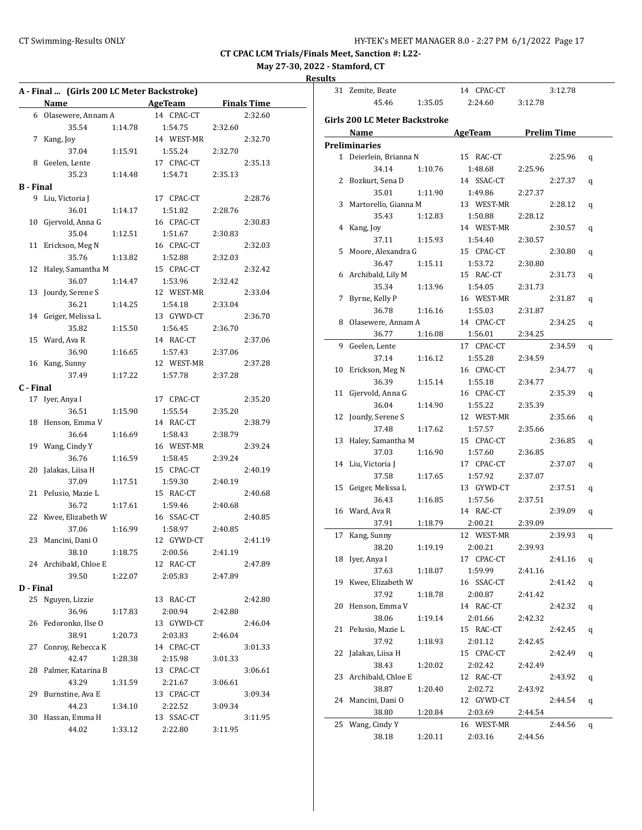**May 27-30, 2022 - Stamford, CT**

|                  | A - Final  (Girls 200 LC Meter Backstroke) |         |            |         |                    |  |  |
|------------------|--------------------------------------------|---------|------------|---------|--------------------|--|--|
|                  | Name                                       |         | AgeTeam    |         | <b>Finals Time</b> |  |  |
| 6                | Olasewere, Annam A                         |         | 14 CPAC-CT |         | 2:32.60            |  |  |
|                  | 35.54                                      | 1:14.78 | 1:54.75    | 2:32.60 |                    |  |  |
| 7                | Kang, Joy                                  |         | 14 WEST-MR |         | 2:32.70            |  |  |
|                  | 37.04                                      | 1:15.91 | 1:55.24    | 2:32.70 |                    |  |  |
| 8                | Geelen, Lente                              |         | 17 CPAC-CT |         | 2:35.13            |  |  |
|                  | 35.23                                      | 1:14.48 | 1:54.71    | 2:35.13 |                    |  |  |
| <b>B</b> - Final |                                            |         |            |         |                    |  |  |
| 9                | Liu, Victoria J                            |         | 17 CPAC-CT |         | 2:28.76            |  |  |
|                  | 36.01                                      | 1:14.17 | 1:51.82    | 2:28.76 |                    |  |  |
| 10               | Gjervold, Anna G                           |         | 16 CPAC-CT |         | 2:30.83            |  |  |
|                  | 35.04                                      | 1:12.51 | 1:51.67    | 2:30.83 |                    |  |  |
| 11               | Erickson, Meg N                            |         | 16 CPAC-CT |         | 2:32.03            |  |  |
|                  | 35.76                                      | 1:13.82 | 1:52.88    | 2:32.03 |                    |  |  |
| 12               | Haley, Samantha M                          |         | 15 CPAC-CT |         | 2:32.42            |  |  |
|                  | 36.07                                      | 1:14.47 | 1:53.96    | 2:32.42 |                    |  |  |
| 13               | Jourdy, Serene S                           |         | 12 WEST-MR |         | 2:33.04            |  |  |
|                  | 36.21                                      | 1:14.25 | 1:54.18    | 2:33.04 |                    |  |  |
| 14               | Geiger, Melissa L                          |         | 13 GYWD-CT |         | 2:36.70            |  |  |
|                  | 35.82                                      | 1:15.50 | 1:56.45    | 2:36.70 |                    |  |  |
| 15               | Ward, Ava R                                |         | 14 RAC-CT  |         | 2:37.06            |  |  |
|                  | 36.90                                      | 1:16.65 | 1:57.43    | 2:37.06 |                    |  |  |
| 16               | Kang, Sunny                                |         | 12 WEST-MR |         | 2:37.28            |  |  |
|                  | 37.49                                      | 1:17.22 | 1:57.78    | 2:37.28 |                    |  |  |
| C - Final        |                                            |         |            |         |                    |  |  |
|                  | 17 Iyer, Anya I                            |         | 17 CPAC-CT |         | 2:35.20            |  |  |
|                  | 36.51                                      | 1:15.90 | 1:55.54    | 2:35.20 |                    |  |  |
| 18               | Henson, Emma V                             |         | 14 RAC-CT  |         | 2:38.79            |  |  |
|                  | 36.64                                      | 1:16.69 | 1:58.43    | 2:38.79 |                    |  |  |
| 19               | Wang, Cindy Y                              |         | 16 WEST-MR |         | 2:39.24            |  |  |
|                  | 36.76                                      | 1:16.59 | 1:58.45    | 2:39.24 |                    |  |  |
| 20               | Jalakas, Liisa H                           |         | 15 CPAC-CT |         | 2:40.19            |  |  |
|                  | 37.09                                      | 1:17.51 | 1:59.30    | 2:40.19 |                    |  |  |
| 21               | Pelusio, Mazie L                           |         | 15 RAC-CT  |         | 2:40.68            |  |  |
|                  | 36.72                                      | 1:17.61 | 1:59.46    | 2:40.68 |                    |  |  |
| 22               | Kwee, Elizabeth W                          |         | 16 SSAC-CT |         | 2:40.85            |  |  |
|                  | 37.06                                      | 1:16.99 | 1:58.97    | 2:40.85 |                    |  |  |
| 23               | Mancini, Dani O                            |         | 12 GYWD-CT |         | 2:41.19            |  |  |
|                  | 38.10                                      | 1:18.75 | 2:00.56    | 2:41.19 |                    |  |  |
|                  | 24 Archibald, Chloe E                      |         | 12 RAC-CT  |         | 2:47.89            |  |  |
|                  | 39.50                                      | 1:22.07 | 2:05.83    | 2:47.89 |                    |  |  |
| D - Final        |                                            |         |            |         |                    |  |  |
| 25               | Nguyen, Lizzie                             |         | 13 RAC-CT  |         |                    |  |  |
|                  | 36.96                                      |         |            |         | 2:42.80            |  |  |
| 26               |                                            | 1:17.83 | 2:00.94    | 2:42.80 |                    |  |  |
|                  | Fedoronko, Ilse O                          |         | 13 GYWD-CT |         | 2:46.04            |  |  |
|                  | 38.91                                      | 1:20.73 | 2:03.83    | 2:46.04 |                    |  |  |
| 27               | Conroy, Rebecca K                          |         | 14 CPAC-CT |         | 3:01.33            |  |  |
|                  | 42.47                                      | 1:28.38 | 2:15.98    | 3:01.33 |                    |  |  |
| 28               | Palmer, Katarina B                         |         | 13 CPAC-CT |         | 3:06.61            |  |  |
|                  | 43.29                                      | 1:31.59 | 2:21.67    | 3:06.61 |                    |  |  |
| 29               | Burnstine, Ava E                           |         | 13 CPAC-CT |         | 3:09.34            |  |  |
|                  | 44.23                                      | 1:34.10 | 2:22.52    | 3:09.34 |                    |  |  |
| 30               | Hassan, Emma H                             |         | 13 SSAC-CT |         | 3:11.95            |  |  |
|                  | 44.02                                      | 1:33.12 | 2:22.80    | 3:11.95 |                    |  |  |

|    | 31 Zemite, Beate                     |         | 14 CPAC-CT<br>3:12.78 |         |             |   |  |
|----|--------------------------------------|---------|-----------------------|---------|-------------|---|--|
|    | 45.46                                | 1:35.05 | 2:24.60               | 3:12.78 |             |   |  |
|    |                                      |         |                       |         |             |   |  |
|    | <b>Girls 200 LC Meter Backstroke</b> |         |                       |         |             |   |  |
|    | Name                                 |         | AgeTeam               |         | Prelim Time |   |  |
|    | <b>Preliminaries</b>                 |         |                       |         |             |   |  |
|    | 1 Deierlein, Brianna N               |         | 15 RAC-CT             |         | 2:25.96     | q |  |
|    | 34.14                                | 1:10.76 | 1:48.68               | 2:25.96 |             |   |  |
|    | 2 Bozkurt, Sena D                    |         | 14 SSAC-CT            |         | 2:27.37     | q |  |
|    | 35.01                                | 1:11.90 | 1:49.86               | 2:27.37 |             |   |  |
|    | 3 Martorello, Gianna M               |         | 13 WEST-MR            |         | 2:28.12     | q |  |
|    | 35.43                                | 1:12.83 | 1:50.88               | 2:28.12 |             |   |  |
|    | 4 Kang, Joy                          |         | 14 WEST-MR            |         | 2:30.57     | q |  |
|    | 37.11                                | 1:15.93 | 1:54.40               | 2:30.57 |             |   |  |
|    | 5 Moore, Alexandra G                 |         | 15 CPAC-CT            |         | 2:30.80     | q |  |
|    | 36.47                                | 1:15.11 | 1:53.72               | 2:30.80 |             |   |  |
|    | 6 Archibald, Lily M                  |         | 15 RAC-CT             |         | 2:31.73     | q |  |
|    | 35.34                                | 1:13.96 | 1:54.05               | 2:31.73 |             |   |  |
|    | 7 Byrne, Kelly P                     |         | 16 WEST-MR            |         | 2:31.87     | q |  |
|    | 36.78                                | 1:16.16 | 1:55.03               | 2:31.87 |             |   |  |
|    | 8 Olasewere, Annam A                 |         | 14 CPAC-CT            |         | 2:34.25     | q |  |
|    | 36.77                                | 1:16.08 | 1:56.01               | 2:34.25 |             |   |  |
|    | 9 Geelen, Lente                      |         | 17 CPAC-CT            |         | 2:34.59     | q |  |
|    | 37.14                                | 1:16.12 | 1:55.28               | 2:34.59 |             |   |  |
|    | 10 Erickson, Meg N                   |         | 16 CPAC-CT            |         | 2:34.77     |   |  |
|    | 36.39                                | 1:15.14 | 1:55.18               |         |             | q |  |
|    |                                      |         |                       | 2:34.77 |             |   |  |
| 11 | Gjervold, Anna G                     |         | 16 CPAC-CT            |         | 2:35.39     | q |  |
|    | 36.04                                | 1:14.90 | 1:55.22               | 2:35.39 |             |   |  |
|    | 12 Jourdy, Serene S                  |         | 12 WEST-MR            |         | 2:35.66     | q |  |
|    | 37.48                                | 1:17.62 | 1:57.57               | 2:35.66 |             |   |  |
|    | 13 Haley, Samantha M                 |         | 15 CPAC-CT            |         | 2:36.85     | q |  |
|    | 37.03                                | 1:16.90 | 1:57.60               | 2:36.85 |             |   |  |
|    | 14 Liu, Victoria J                   |         | 17 CPAC-CT            |         | 2:37.07     | q |  |
|    | 37.58                                | 1:17.65 | 1:57.92               | 2:37.07 |             |   |  |
|    | 15 Geiger, Melissa L                 |         | 13 GYWD-CT            |         | 2:37.51     | q |  |
|    | 36.43                                | 1:16.85 | 1:57.56               | 2:37.51 |             |   |  |
|    | 16 Ward, Ava R                       |         | 14 RAC-CT             |         | 2:39.09     | q |  |
|    | 37.91                                | 1:18.79 | 2:00.21               | 2:39.09 |             |   |  |
| 17 | Kang, Sunny                          |         | 12 WEST-MR            |         | 2:39.93     | q |  |
|    | 38.20                                | 1:19.19 | 2:00.21               | 2:39.93 |             |   |  |
|    | 18 Iyer, Anya I                      |         | 17 CPAC-CT            |         | 2:41.16     | q |  |
|    | 37.63                                | 1:18.07 | 1:59.99               | 2:41.16 |             |   |  |
| 19 | Kwee, Elizabeth W                    |         | 16 SSAC-CT            |         | 2:41.42     | q |  |
|    | 37.92                                | 1:18.78 | 2:00.87               | 2:41.42 |             |   |  |
| 20 | Henson, Emma V                       |         | 14 RAC-CT             |         | 2:42.32     | q |  |
|    | 38.06                                | 1:19.14 | 2:01.66               | 2:42.32 |             |   |  |
| 21 | Pelusio, Mazie L                     |         | 15 RAC-CT             |         | 2:42.45     | q |  |
|    | 37.92                                | 1:18.93 | 2:01.12               | 2:42.45 |             |   |  |
| 22 | Jalakas, Liisa H                     |         | 15 CPAC-CT            |         | 2:42.49     | q |  |
|    | 38.43                                | 1:20.02 | 2:02.42               | 2:42.49 |             |   |  |
| 23 | Archibald, Chloe E                   |         | 12 RAC-CT             |         | 2:43.92     | q |  |
|    | 38.87                                | 1:20.40 | 2:02.72               | 2:43.92 |             |   |  |
| 24 | Mancini, Dani O                      |         | 12 GYWD-CT            |         | 2:44.54     | q |  |
|    | 38.80                                | 1:20.84 | 2:03.69               | 2:44.54 |             |   |  |
| 25 | Wang, Cindy Y                        |         | 16 WEST-MR            |         | 2:44.56     |   |  |
|    | 38.18                                | 1:20.11 | 2:03.16               | 2:44.56 |             | q |  |
|    |                                      |         |                       |         |             |   |  |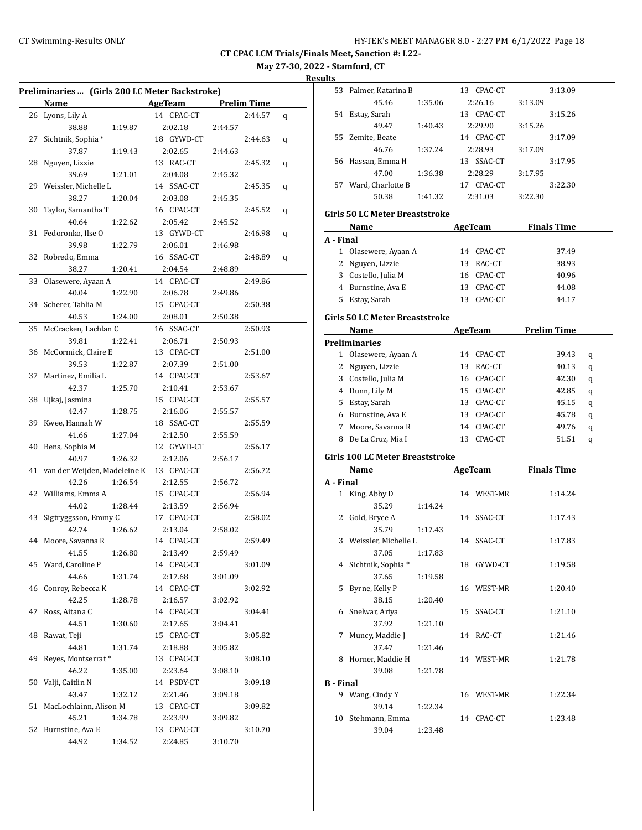**May 27-30, 2022 - Stamford, CT**

| Preliminaries  (Girls 200 LC Meter Backstroke) |                                 |         |                           |         |                    |   |
|------------------------------------------------|---------------------------------|---------|---------------------------|---------|--------------------|---|
|                                                | <b>Name</b>                     |         | <b>Example 21 AgeTeam</b> |         | <b>Prelim Time</b> |   |
|                                                | 26 Lyons, Lily A                |         | 14 CPAC-CT                |         | 2:44.57            | q |
|                                                | 38.88                           | 1:19.87 | 2:02.18                   | 2:44.57 |                    |   |
| 27                                             | Sichtnik, Sophia*               |         | 18 GYWD-CT                |         | 2:44.63            | q |
|                                                | 37.87                           | 1:19.43 | 2:02.65                   | 2:44.63 |                    |   |
| 28                                             | Nguyen, Lizzie                  |         | 13 RAC-CT                 |         | 2:45.32            | q |
|                                                | 39.69                           | 1:21.01 | 2:04.08                   | 2:45.32 |                    |   |
|                                                | 29 Weissler, Michelle L         |         | 14 SSAC-CT                |         | 2:45.35            | q |
|                                                | 38.27                           | 1:20.04 | 2:03.08                   | 2:45.35 |                    |   |
| 30                                             | Taylor, Samantha T              |         | 16 CPAC-CT                |         | 2:45.52            | q |
|                                                | 40.64                           | 1:22.62 | 2:05.42                   | 2:45.52 |                    |   |
|                                                | 31 Fedoronko, Ilse O            |         | 13 GYWD-CT                |         | 2:46.98            | q |
|                                                | 39.98                           | 1:22.79 | 2:06.01                   | 2:46.98 |                    |   |
| 32                                             | Robredo, Emma                   |         | 16 SSAC-CT                |         | 2:48.89            | q |
|                                                | 38.27                           | 1:20.41 | 2:04.54                   | 2:48.89 |                    |   |
| 33                                             | Olasewere, Ayaan A              |         | 14 CPAC-CT                |         | 2:49.86            |   |
|                                                | 40.04                           | 1:22.90 | 2:06.78                   |         |                    |   |
|                                                | Scherer, Tahlia M               |         | 15 CPAC-CT                | 2:49.86 |                    |   |
| 34                                             |                                 |         |                           |         | 2:50.38            |   |
|                                                | 40.53                           | 1:24.00 | 2:08.01                   | 2:50.38 |                    |   |
| 35                                             | McCracken, Lachlan C            |         | 16 SSAC-CT                |         | 2:50.93            |   |
|                                                | 39.81                           | 1:22.41 | 2:06.71                   | 2:50.93 |                    |   |
|                                                | 36 McCormick, Claire E          |         | 13 CPAC-CT                |         | 2:51.00            |   |
|                                                | 39.53                           | 1:22.87 | 2:07.39                   | 2:51.00 |                    |   |
| 37                                             | Martinez, Emilia L              |         | 14 CPAC-CT                |         | 2:53.67            |   |
|                                                | 42.37                           | 1:25.70 | 2:10.41                   | 2:53.67 |                    |   |
| 38                                             | Ujkaj, Jasmina                  |         | 15 CPAC-CT                |         | 2:55.57            |   |
|                                                | 42.47                           | 1:28.75 | 2:16.06                   | 2:55.57 |                    |   |
|                                                | 39 Kwee, Hannah W               |         | 18 SSAC-CT                |         | 2:55.59            |   |
|                                                | 41.66                           | 1:27.04 | 2:12.50                   | 2:55.59 |                    |   |
| 40                                             | Bens, Sophia M                  |         | 12 GYWD-CT                |         | 2:56.17            |   |
|                                                | 40.97                           | 1:26.32 | 2:12.06                   | 2:56.17 |                    |   |
|                                                | 41 van der Weijden, Madeleine K |         | 13 CPAC-CT                |         | 2:56.72            |   |
|                                                | 42.26                           | 1:26.54 | 2:12.55                   | 2:56.72 |                    |   |
|                                                | 42 Williams, Emma A             |         | 15 CPAC-CT                |         | 2:56.94            |   |
|                                                | 44.02                           | 1:28.44 | 2:13.59                   | 2:56.94 |                    |   |
| 43                                             | Sigtryggsson, Emmy C            |         | 17 CPAC-CT                |         | 2:58.02            |   |
|                                                | 42.74                           | 1:26.62 | 2:13.04                   | 2:58.02 |                    |   |
| 44                                             | Moore, Savanna R                |         | 14 CPAC-CT                |         | 2:59.49            |   |
|                                                | 41.55 1:26.80                   |         | 2:13.49                   | 2:59.49 |                    |   |
|                                                | 45 Ward, Caroline P             |         | 14 CPAC-CT                |         | 3:01.09            |   |
|                                                | 44.66                           | 1:31.74 | 2:17.68                   | 3:01.09 |                    |   |
| 46                                             | Conroy, Rebecca K               |         | 14 CPAC-CT                |         | 3:02.92            |   |
|                                                | 42.25                           | 1:28.78 | 2:16.57                   | 3:02.92 |                    |   |
| 47                                             | Ross, Aitana C                  |         | 14 CPAC-CT                |         | 3:04.41            |   |
|                                                | 44.51                           | 1:30.60 | 2:17.65                   | 3:04.41 |                    |   |
| 48                                             | Rawat, Teji                     |         | 15 CPAC-CT                |         | 3:05.82            |   |
|                                                | 44.81                           | 1:31.74 | 2:18.88                   | 3:05.82 |                    |   |
| 49                                             | Reyes, Montserrat*              |         | 13 CPAC-CT                |         | 3:08.10            |   |
|                                                | 46.22                           | 1:35.00 | 2:23.64                   | 3:08.10 |                    |   |
| 50                                             | Valji, Caitlin N                |         | 14 PSDY-CT                |         | 3:09.18            |   |
|                                                | 43.47                           | 1:32.12 | 2:21.46                   | 3:09.18 |                    |   |
| 51                                             | MacLochlainn, Alison M          |         | 13 CPAC-CT                |         | 3:09.82            |   |
|                                                | 45.21                           | 1:34.78 | 2:23.99                   | 3:09.82 |                    |   |
| 52                                             | Burnstine, Ava E                |         | 13 CPAC-CT                |         | 3:10.70            |   |
|                                                | 44.92                           | 1:34.52 | 2:24.85                   | 3:10.70 |                    |   |
|                                                |                                 |         |                           |         |                    |   |

|                  | 53 Palmer, Katarina B                                                                                                                                                                                                         |         | 13 CPAC-CT          |         | 3:13.09            |   |
|------------------|-------------------------------------------------------------------------------------------------------------------------------------------------------------------------------------------------------------------------------|---------|---------------------|---------|--------------------|---|
|                  | 45.46                                                                                                                                                                                                                         | 1:35.06 | 2:26.16             | 3:13.09 |                    |   |
|                  | 54 Estay, Sarah                                                                                                                                                                                                               |         | 13 CPAC-CT          |         | 3:15.26            |   |
|                  | 49.47                                                                                                                                                                                                                         | 1:40.43 | 2:29.90             | 3:15.26 |                    |   |
|                  | 55 Zemite, Beate                                                                                                                                                                                                              |         | 14 CPAC-CT          |         | 3:17.09            |   |
|                  | 46.76                                                                                                                                                                                                                         | 1:37.24 | 2:28.93             | 3:17.09 |                    |   |
|                  | 56 Hassan, Emma H                                                                                                                                                                                                             |         | 13 SSAC-CT          |         | 3:17.95            |   |
|                  | 47.00                                                                                                                                                                                                                         | 1:36.38 | 2:28.29             | 3:17.95 |                    |   |
|                  | 57 Ward, Charlotte B                                                                                                                                                                                                          |         | 17 CPAC-CT          |         | 3:22.30            |   |
|                  | 50.38                                                                                                                                                                                                                         | 1:41.32 | 2:31.03             | 3:22.30 |                    |   |
|                  |                                                                                                                                                                                                                               |         |                     |         |                    |   |
|                  | Girls 50 LC Meter Breaststroke<br>Name                                                                                                                                                                                        |         | AgeTeam             |         | <b>Finals Time</b> |   |
|                  |                                                                                                                                                                                                                               |         |                     |         |                    |   |
| A - Final        |                                                                                                                                                                                                                               |         |                     |         |                    |   |
|                  | 1 Olasewere, Ayaan A                                                                                                                                                                                                          |         | 14 CPAC-CT          |         | 37.49              |   |
|                  | 2 Nguyen, Lizzie                                                                                                                                                                                                              |         | 13 RAC-CT           |         | 38.93              |   |
|                  | 3 Costello, Julia M                                                                                                                                                                                                           |         | 16 CPAC-CT          |         | 40.96              |   |
|                  | 4 Burnstine, Ava E                                                                                                                                                                                                            |         | 13 CPAC-CT          |         | 44.08              |   |
|                  | 5 Estay, Sarah                                                                                                                                                                                                                |         | 13 CPAC-CT          |         | 44.17              |   |
|                  | <b>Girls 50 LC Meter Breaststroke</b>                                                                                                                                                                                         |         |                     |         |                    |   |
|                  | <b>Name</b>                                                                                                                                                                                                                   |         | AgeTeam Prelim Time |         |                    |   |
|                  | <b>Preliminaries</b>                                                                                                                                                                                                          |         |                     |         |                    |   |
|                  | 1 Olasewere, Ayaan A                                                                                                                                                                                                          |         | 14 CPAC-CT          |         | 39.43              | q |
|                  | 2 Nguyen, Lizzie                                                                                                                                                                                                              |         | 13 RAC-CT           |         | 40.13              | q |
|                  | 3 Costello, Julia M                                                                                                                                                                                                           |         | 16 CPAC-CT          |         | 42.30              | q |
|                  | 4 Dunn, Lily M                                                                                                                                                                                                                |         | 15 CPAC-CT          |         | 42.85              | q |
|                  | 5 Estay, Sarah                                                                                                                                                                                                                |         | 13 CPAC-CT          |         | 45.15              | q |
|                  | 6 Burnstine, Ava E                                                                                                                                                                                                            |         | 13 CPAC-CT          |         | 45.78              | q |
|                  | 7 Moore, Savanna R                                                                                                                                                                                                            |         | 14 CPAC-CT          |         | 49.76              |   |
|                  | 8 De La Cruz, Mia I                                                                                                                                                                                                           |         | 13 CPAC-CT          |         | 51.51              | q |
|                  |                                                                                                                                                                                                                               |         |                     |         |                    | q |
|                  | <b>Girls 100 LC Meter Breaststroke</b>                                                                                                                                                                                        |         |                     |         |                    |   |
|                  | Name and the same state of the state of the state of the state of the state of the state of the state of the state of the state of the state of the state of the state of the state of the state of the state of the state of |         | <b>AgeTeam</b>      |         | <b>Finals Time</b> |   |
| A - Final        |                                                                                                                                                                                                                               |         |                     |         |                    |   |
|                  | 1 King, Abby D                                                                                                                                                                                                                |         | 14 WEST-MR          |         | 1:14.24            |   |
|                  | 35.29                                                                                                                                                                                                                         | 1:14.24 |                     |         |                    |   |
|                  | 2 Gold, Bryce A                                                                                                                                                                                                               |         | 14 SSAC-CT          |         | 1:17.43            |   |
|                  | 35.79                                                                                                                                                                                                                         | 1:17.43 |                     |         |                    |   |
|                  | 3 Weissler, Michelle L                                                                                                                                                                                                        |         | 14 SSAC-CT          |         | 1:17.83            |   |
|                  | 37.05                                                                                                                                                                                                                         | 1:17.83 |                     |         |                    |   |
|                  | 4 Sichtnik, Sophia *                                                                                                                                                                                                          |         | 18 GYWD-CT          |         | 1:19.58            |   |
|                  | 37.65                                                                                                                                                                                                                         | 1:19.58 |                     |         |                    |   |
|                  | 5 Byrne, Kelly P                                                                                                                                                                                                              |         | 16 WEST-MR          |         | 1:20.40            |   |
|                  | 38.15                                                                                                                                                                                                                         | 1:20.40 |                     |         |                    |   |
|                  | 6 Snelwar, Ariya                                                                                                                                                                                                              |         | 15 SSAC-CT          |         | 1:21.10            |   |
|                  | 37.92                                                                                                                                                                                                                         | 1:21.10 |                     |         |                    |   |
| 7                | Muncy, Maddie J                                                                                                                                                                                                               |         | 14 RAC-CT           |         | 1:21.46            |   |
|                  | 37.47                                                                                                                                                                                                                         | 1:21.46 |                     |         |                    |   |
|                  | 8 Horner, Maddie H                                                                                                                                                                                                            |         | 14 WEST-MR          |         | 1:21.78            |   |
|                  | 39.08                                                                                                                                                                                                                         | 1:21.78 |                     |         |                    |   |
| <b>B</b> - Final |                                                                                                                                                                                                                               |         |                     |         |                    |   |
|                  | 9 Wang, Cindy Y                                                                                                                                                                                                               |         | 16 WEST-MR          |         | 1:22.34            |   |
|                  | 39.14                                                                                                                                                                                                                         | 1:22.34 |                     |         |                    |   |
|                  | 10 Stehmann, Emma                                                                                                                                                                                                             |         | 14 CPAC-CT          |         | 1:23.48            |   |
|                  | 39.04                                                                                                                                                                                                                         | 1:23.48 |                     |         |                    |   |
|                  |                                                                                                                                                                                                                               |         |                     |         |                    |   |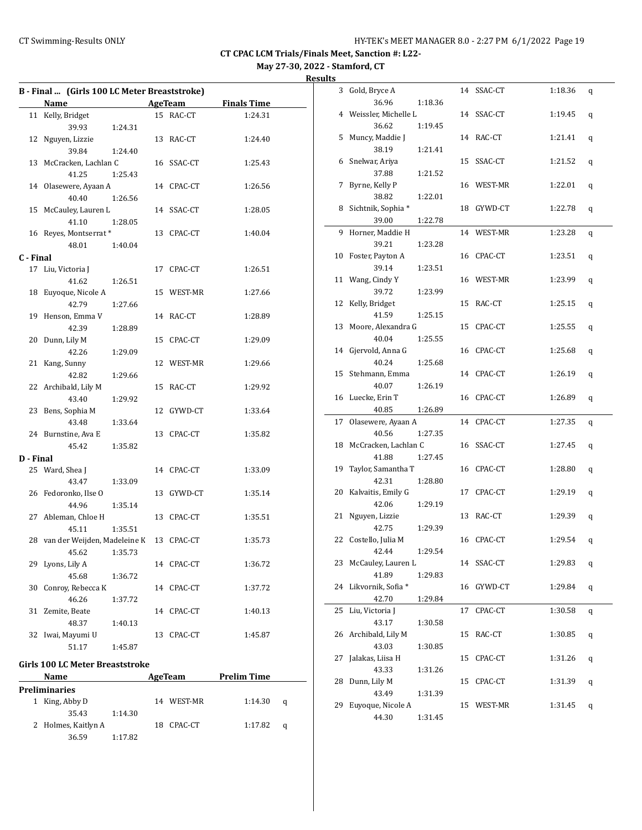3 Gold, Bryce A 14 SSAC-CT 1:18.36 q

36.96 1:18.36

**CT CPAC LCM Trials/Finals Meet, Sanction #: L22-**

**May 27-30, 2022 - Stamford, CT Results**

|           | B - Final  (Girls 100 LC Meter Breaststroke) |         |  |                |                     |  |
|-----------|----------------------------------------------|---------|--|----------------|---------------------|--|
|           | Name                                         |         |  | <b>AgeTeam</b> | <b>Finals Time</b>  |  |
|           | 11 Kelly, Bridget                            |         |  | 15 RAC-CT      | 1:24.31             |  |
|           | 39.93                                        | 1:24.31 |  |                |                     |  |
| 12        | Nguyen, Lizzie                               |         |  | 13 RAC-CT      | 1:24.40             |  |
|           | 39.84                                        | 1:24.40 |  |                |                     |  |
|           | 13 McCracken, Lachlan C                      |         |  | 16 SSAC-CT     | 1:25.43             |  |
|           | 41.25                                        | 1:25.43 |  |                |                     |  |
|           | 14 Olasewere, Ayaan A                        |         |  | 14 CPAC-CT     | 1:26.56             |  |
|           | 40.40                                        | 1:26.56 |  |                |                     |  |
|           | 15 McCauley, Lauren L                        |         |  | 14 SSAC-CT     | 1:28.05             |  |
|           | 41.10                                        | 1:28.05 |  |                |                     |  |
|           | 16 Reyes, Montserrat*                        |         |  | 13 CPAC-CT     | 1:40.04             |  |
|           | 48.01                                        | 1:40.04 |  |                |                     |  |
| C - Final |                                              |         |  |                |                     |  |
|           | 17 Liu, Victoria J                           |         |  | 17 CPAC-CT     | 1:26.51             |  |
|           | 41.62                                        | 1:26.51 |  |                |                     |  |
|           | 18 Euyoque, Nicole A                         |         |  | 15 WEST-MR     | 1:27.66             |  |
|           | 42.79                                        | 1:27.66 |  |                |                     |  |
| 19        | Henson, Emma V                               |         |  | 14 RAC-CT      | 1:28.89             |  |
|           | 42.39                                        | 1:28.89 |  |                |                     |  |
| 20        | Dunn, Lily M                                 |         |  | 15 CPAC-CT     | 1:29.09             |  |
|           | 42.26                                        | 1:29.09 |  |                |                     |  |
| 21        | Kang, Sunny                                  |         |  | 12 WEST-MR     | 1:29.66             |  |
|           | 42.82                                        | 1:29.66 |  |                |                     |  |
|           | 22 Archibald, Lily M                         |         |  | 15 RAC-CT      | 1:29.92             |  |
|           | 43.40                                        | 1:29.92 |  |                |                     |  |
|           | 23 Bens, Sophia M                            |         |  | 12 GYWD-CT     | 1:33.64             |  |
|           | 43.48                                        | 1:33.64 |  |                |                     |  |
|           | 24 Burnstine, Ava E                          |         |  | 13 CPAC-CT     | 1:35.82             |  |
|           | 45.42                                        | 1:35.82 |  |                |                     |  |
| D - Final |                                              |         |  |                |                     |  |
|           | 25 Ward, Shea J                              |         |  | 14 CPAC-CT     | 1:33.09             |  |
|           | 43.47                                        | 1:33.09 |  |                |                     |  |
|           | 26 Fedoronko, Ilse O                         |         |  | 13 GYWD-CT     | 1:35.14             |  |
|           | 44.96                                        | 1:35.14 |  |                |                     |  |
|           | 27 Ableman, Chloe H                          |         |  | 13 CPAC-CT     | 1:35.51             |  |
|           | 45.11                                        | 1:35.51 |  |                |                     |  |
|           | 28 van der Weijden, Madeleine K              |         |  | 13 CPAC-CT     | 1:35.73             |  |
|           | 45.62                                        | 1:35.73 |  |                |                     |  |
|           | 29 Lyons, Lily A                             |         |  | 14 CPAC-CT     | 1:36.72             |  |
|           | 45.68                                        | 1:36.72 |  |                |                     |  |
|           | 30 Conroy, Rebecca K                         |         |  | 14 CPAC-CT     | 1:37.72             |  |
|           | 46.26                                        | 1:37.72 |  |                |                     |  |
|           | 31 Zemite, Beate                             |         |  | 14 CPAC-CT     | 1:40.13             |  |
|           | 48.37                                        | 1:40.13 |  |                |                     |  |
|           | 32 Iwai, Mayumi U                            |         |  | 13 CPAC-CT     | 1:45.87             |  |
|           | 51.17                                        | 1:45.87 |  |                |                     |  |
|           |                                              |         |  |                |                     |  |
|           | <b>Girls 100 LC Meter Breaststroke</b>       |         |  |                |                     |  |
|           | Name                                         |         |  |                | AgeTeam Prelim Time |  |
|           | <b>Preliminaries</b>                         |         |  |                |                     |  |

1 King, Abby D 14 WEST-MR 1:14.30 q

2 Holmes, Kaitlyn A 18 CPAC-CT 1:17.82 q

35.43 1:14.30

36.59 1:17.82

|    | 4 Weissler, Michelle L     |         |    | 14 SSAC-CT | 1:19.45 | q |
|----|----------------------------|---------|----|------------|---------|---|
|    | 36.62                      | 1:19.45 |    |            |         |   |
|    | 5 Muncy, Maddie J          |         |    | 14 RAC-CT  | 1:21.41 | q |
|    | 38.19                      | 1:21.41 |    |            |         |   |
|    | 6 Snelwar, Ariya           |         |    | 15 SSAC-CT | 1:21.52 | q |
|    | 37.88                      | 1:21.52 |    |            |         |   |
| 7  | Byrne, Kelly P             |         |    | 16 WEST-MR | 1:22.01 | q |
|    | 38.82                      | 1:22.01 |    |            |         |   |
|    | 8 Sichtnik, Sophia *       |         |    | 18 GYWD-CT | 1:22.78 | q |
|    | 39.00                      | 1:22.78 |    |            |         |   |
|    | 9 Horner, Maddie H         |         |    | 14 WEST-MR | 1:23.28 | q |
|    | 39.21                      | 1:23.28 |    |            |         |   |
|    | 10 Foster, Payton A        |         |    | 16 CPAC-CT | 1:23.51 | q |
|    | 39.14                      | 1:23.51 |    |            |         |   |
|    | 11 Wang, Cindy Y           |         |    | 16 WEST-MR | 1:23.99 | q |
|    | 39.72                      | 1:23.99 |    |            |         |   |
|    | 12 Kelly, Bridget          |         |    | 15 RAC-CT  | 1:25.15 | q |
|    | 41.59                      | 1:25.15 |    |            |         |   |
|    | 13 Moore, Alexandra G      |         |    | 15 CPAC-CT | 1:25.55 | q |
|    | 40.04                      | 1:25.55 |    |            |         |   |
|    | 14 Gjervold, Anna G        |         |    | 16 CPAC-CT | 1:25.68 | q |
|    | 40.24                      | 1:25.68 |    |            |         |   |
|    | 15 Stehmann, Emma          |         |    | 14 CPAC-CT | 1:26.19 | q |
|    | 40.07                      | 1:26.19 |    |            |         |   |
|    | 16 Luecke, Erin T          |         |    | 16 CPAC-CT | 1:26.89 | q |
|    | 40.85                      | 1:26.89 |    |            |         |   |
|    |                            |         |    |            |         |   |
|    |                            |         |    |            |         |   |
| 17 | Olasewere, Ayaan A         |         |    | 14 CPAC-CT | 1:27.35 | q |
|    | 40.56                      | 1:27.35 |    |            |         |   |
| 18 | McCracken, Lachlan C       |         |    | 16 SSAC-CT | 1:27.45 | q |
|    | 41.88                      | 1:27.45 |    |            |         |   |
| 19 | Taylor, Samantha T         |         |    | 16 CPAC-CT | 1:28.80 | q |
|    | 42.31                      | 1:28.80 |    |            |         |   |
| 20 | Kalvaitis, Emily G         |         | 17 | CPAC-CT    | 1:29.19 | q |
|    | 42.06                      | 1:29.19 |    |            |         |   |
| 21 | Nguyen, Lizzie             |         |    | 13 RAC-CT  | 1:29.39 | q |
|    | 42.75                      | 1:29.39 |    |            |         |   |
|    | 22 Costello, Julia M       |         |    | 16 CPAC-CT | 1:29.54 | q |
|    | 42.44                      | 1:29.54 |    |            |         |   |
| 23 | McCauley, Lauren L         |         |    | 14 SSAC-CT | 1:29.83 | q |
|    | 41.89                      | 1:29.83 |    |            |         |   |
|    | 24 Likvornik, Sofia*       |         |    | 16 GYWD-CT | 1:29.84 | q |
|    | 42.70                      | 1:29.84 |    |            |         |   |
| 25 | Liu, Victoria J            |         | 17 | CPAC-CT    | 1:30.58 | q |
|    | 43.17                      | 1:30.58 |    |            |         |   |
| 26 | Archibald, Lily M          |         |    | 15 RAC-CT  | 1:30.85 | q |
|    | 43.03                      | 1:30.85 |    |            |         |   |
| 27 | Jalakas, Liisa H           |         | 15 | CPAC-CT    | 1:31.26 | q |
|    | 43.33                      | 1:31.26 |    |            |         |   |
| 28 | Dunn, Lily M               |         | 15 | CPAC-CT    | 1:31.39 | q |
|    | 43.49                      | 1:31.39 |    |            |         |   |
| 29 | Euyoque, Nicole A<br>44.30 | 1:31.45 |    | 15 WEST-MR | 1:31.45 | q |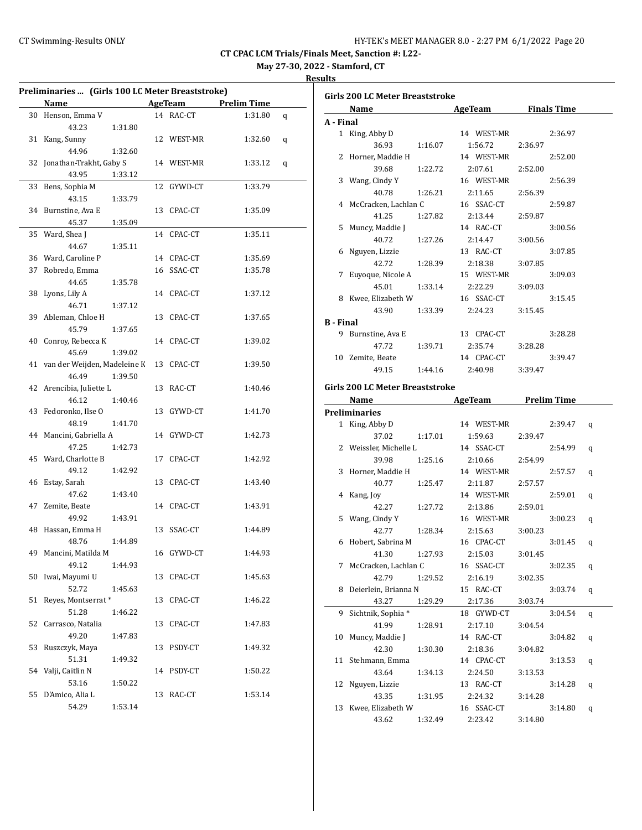**May 27-30, 2022 - Stamford, CT**

| Preliminaries  (Girls 100 LC Meter Breaststroke) |                                 |         |    |            |                    |   |
|--------------------------------------------------|---------------------------------|---------|----|------------|--------------------|---|
|                                                  | Name                            |         |    | AgeTeam    | <b>Prelim Time</b> |   |
|                                                  | 30 Henson, Emma V               |         |    | 14 RAC-CT  | 1:31.80            | q |
|                                                  | 43.23                           | 1:31.80 |    |            |                    |   |
| 31                                               | Kang, Sunny                     |         |    | 12 WEST-MR | 1:32.60            | q |
|                                                  | 44.96                           | 1:32.60 |    |            |                    |   |
|                                                  | 32 Jonathan-Trakht, Gaby S      |         |    | 14 WEST-MR | 1:33.12            | q |
|                                                  | 43.95                           | 1:33.12 |    |            |                    |   |
| 33                                               | Bens, Sophia M                  |         |    | 12 GYWD-CT | 1:33.79            |   |
|                                                  | 43.15                           | 1:33.79 |    |            |                    |   |
|                                                  | 34 Burnstine, Ava E             |         |    | 13 CPAC-CT | 1:35.09            |   |
|                                                  | 45.37                           | 1:35.09 |    |            |                    |   |
|                                                  | 35 Ward, Shea J                 |         |    | 14 CPAC-CT | 1:35.11            |   |
|                                                  | 44.67                           | 1:35.11 |    |            |                    |   |
|                                                  | 36 Ward, Caroline P             |         |    | 14 CPAC-CT | 1:35.69            |   |
| 37                                               | Robredo, Emma                   |         |    | 16 SSAC-CT | 1:35.78            |   |
|                                                  | 44.65                           |         |    |            |                    |   |
|                                                  |                                 | 1:35.78 |    |            |                    |   |
| 38                                               | Lyons, Lily A                   |         |    | 14 CPAC-CT | 1:37.12            |   |
|                                                  | 46.71                           | 1:37.12 |    |            |                    |   |
| 39                                               | Ableman, Chloe H                |         |    | 13 CPAC-CT | 1:37.65            |   |
|                                                  | 45.79                           | 1:37.65 |    |            |                    |   |
|                                                  | 40 Conroy, Rebecca K            |         |    | 14 CPAC-CT | 1:39.02            |   |
|                                                  | 45.69                           | 1:39.02 |    |            |                    |   |
|                                                  | 41 van der Weijden, Madeleine K |         |    | 13 CPAC-CT | 1:39.50            |   |
|                                                  | 46.49                           | 1:39.50 |    |            |                    |   |
| 42                                               | Arencibia, Juliette L           |         |    | 13 RAC-CT  | 1:40.46            |   |
|                                                  | 46.12                           | 1:40.46 |    |            |                    |   |
| 43                                               | Fedoronko, Ilse O               |         |    | 13 GYWD-CT | 1:41.70            |   |
|                                                  | 48.19                           | 1:41.70 |    |            |                    |   |
|                                                  | 44 Mancini, Gabriella A         |         |    | 14 GYWD-CT | 1:42.73            |   |
|                                                  | 47.25                           | 1:42.73 |    |            |                    |   |
|                                                  | 45 Ward, Charlotte B            |         |    | 17 CPAC-CT | 1:42.92            |   |
|                                                  | 49.12                           | 1:42.92 |    |            |                    |   |
| 46                                               | Estay, Sarah                    |         |    | 13 CPAC-CT | 1:43.40            |   |
|                                                  | 47.62                           | 1:43.40 |    |            |                    |   |
| 47                                               | Zemite, Beate                   |         |    | 14 CPAC-CT | 1:43.91            |   |
|                                                  | 49.92                           | 1:43.91 |    |            |                    |   |
| 48                                               | Hassan, Emma H                  |         |    | 13 SSAC-CT | 1:44.89            |   |
|                                                  | 48.76                           | 1:44.89 |    |            |                    |   |
| 49                                               | Mancini, Matilda M              |         |    | 16 GYWD-CT | 1:44.93            |   |
|                                                  | 49.12                           | 1:44.93 |    |            |                    |   |
| 50                                               | Iwai, Mayumi U                  |         |    | 13 CPAC-CT | 1:45.63            |   |
|                                                  | 52.72                           | 1:45.63 |    |            |                    |   |
| 51                                               | Reyes, Montserrat*              |         |    | 13 CPAC-CT | 1:46.22            |   |
|                                                  | 51.28                           | 1:46.22 |    |            |                    |   |
| 52                                               | Carrasco, Natalia               |         | 13 | CPAC-CT    | 1:47.83            |   |
|                                                  | 49.20                           | 1:47.83 |    |            |                    |   |
| 53                                               | Ruszczyk, Maya                  |         | 13 | PSDY-CT    | 1:49.32            |   |
|                                                  | 51.31                           | 1:49.32 |    |            |                    |   |
|                                                  | 54 Valji, Caitlin N             |         |    | 14 PSDY-CT | 1:50.22            |   |
|                                                  | 53.16                           | 1:50.22 |    |            |                    |   |
| 55                                               | D'Amico, Alia L                 |         |    | 13 RAC-CT  | 1:53.14            |   |
|                                                  | 54.29                           | 1:53.14 |    |            |                    |   |
|                                                  |                                 |         |    |            |                    |   |

|                  | <b>Girls 200 LC Meter Breaststroke</b> |                                      |              |  |  |
|------------------|----------------------------------------|--------------------------------------|--------------|--|--|
|                  | Name                                   | <b>Example 2 AgeTeam</b> Finals Time |              |  |  |
| A - Final        |                                        |                                      |              |  |  |
|                  | 1 King, Abby D                         | 14 WEST-MR                           | 2:36.97      |  |  |
|                  | 36.93<br>1:16.07                       | 1:56.72                              | 2:36.97      |  |  |
|                  | 2 Horner, Maddie H                     | 14 WEST-MR                           | 2:52.00      |  |  |
|                  | 1:22.72<br>39.68                       | 2:07.61                              | 2:52.00      |  |  |
|                  | 3 Wang, Cindy Y                        | 16 WEST-MR                           | 2:56.39      |  |  |
|                  | 40.78<br>1:26.21                       | 2:11.65                              | 2:56.39      |  |  |
|                  | 4 McCracken, Lachlan C                 | 16 SSAC-CT                           | 2:59.87      |  |  |
|                  | 41.25<br>1:27.82                       | 2:13.44                              | 2:59.87      |  |  |
|                  | 5 Muncy, Maddie J                      | 14 RAC-CT                            | 3:00.56      |  |  |
|                  | $40.72$ 1:27.26                        | 2:14.47                              | 3:00.56      |  |  |
|                  | 6 Nguyen, Lizzie                       | 13 RAC-CT                            | 3:07.85      |  |  |
|                  | 1:28.39<br>42.72                       | 2:18.38                              | 3:07.85      |  |  |
| 7                | Euyoque, Nicole A                      | 15 WEST-MR                           | 3:09.03      |  |  |
|                  | 45.01<br>1:33.14                       | 2:22.29                              | 3:09.03      |  |  |
|                  | 8 Kwee, Elizabeth W                    | 16 SSAC-CT                           | 3:15.45      |  |  |
|                  | 43.90 1:33.39                          | 2:24.23                              | 3:15.45      |  |  |
| <b>B</b> - Final |                                        |                                      |              |  |  |
|                  | 9 Burnstine, Ava E                     | 13 CPAC-CT                           | 3:28.28      |  |  |
|                  | 47.72 1:39.71                          | 2:35.74                              | 3:28.28      |  |  |
|                  | 10 Zemite, Beate                       | 14 CPAC-CT                           | 3:39.47      |  |  |
|                  | 49.15 1:44.16                          | 2:40.98                              | 3:39.47      |  |  |
|                  |                                        |                                      |              |  |  |
|                  | Girls 200 LC Meter Breaststroke        |                                      |              |  |  |
|                  | Name AgeTeam Prelim Time               |                                      |              |  |  |
|                  | <b>Preliminaries</b>                   |                                      |              |  |  |
|                  | 1 King, Abby D                         | 14 WEST-MR                           | 2:39.47<br>q |  |  |
|                  | 37.02<br>1:17.01                       | 1:59.63 2:39.47                      |              |  |  |
|                  | 2 Weissler, Michelle L                 | 14 SSAC-CT                           | 2:54.99<br>q |  |  |
|                  | 39.98<br>1:25.16                       | 2:10.66 2:54.99                      |              |  |  |
|                  | 3 Horner, Maddie H                     | 14 WEST-MR                           | 2:57.57<br>q |  |  |
|                  | 1:25.47<br>40.77                       | 2:11.87                              | 2:57.57      |  |  |
|                  | 4 Kang, Joy                            | 14 WEST-MR                           | 2:59.01<br>q |  |  |
|                  | 42.27 1:27.72                          | 2:13.86                              | 2:59.01      |  |  |
|                  | 5 Wang, Cindy Y                        | 16 WEST-MR                           | 3:00.23<br>q |  |  |
|                  | 42.77 1:28.34                          | 2:15.63                              | 3:00.23      |  |  |
| 6                | Hobert, Sabrina M                      | 16 CPAC-CT                           | 3:01.45<br>q |  |  |
|                  | 41.30<br>1:27.93                       | 2:15.03                              | 3:01.45      |  |  |
| 7                | McCracken, Lachlan C                   | 16 SSAC-CT                           | 3:02.35<br>q |  |  |
|                  | 42.79<br>1:29.52                       | 2:16.19                              | 3:02.35      |  |  |
| 8                | Deierlein, Brianna N                   | 15 RAC-CT                            | 3:03.74<br>q |  |  |
|                  | 43.27<br>1:29.29                       | 2:17.36                              | 3:03.74      |  |  |
| 9                | Sichtnik, Sophia*                      | 18 GYWD-CT                           | 3:04.54<br>q |  |  |
|                  | 41.99<br>1:28.91                       | 2:17.10                              | 3:04.54      |  |  |
| 10               | Muncy, Maddie J                        | 14 RAC-CT                            | 3:04.82<br>q |  |  |
|                  | 42.30<br>1:30.30                       | 2:18.36                              | 3:04.82      |  |  |
| 11               | Stehmann, Emma                         | 14 CPAC-CT                           | 3:13.53<br>q |  |  |
|                  | 43.64<br>1:34.13                       | 2:24.50                              | 3:13.53      |  |  |
| 12               | Nguyen, Lizzie                         | 13 RAC-CT                            | 3:14.28<br>q |  |  |
|                  | 43.35<br>1:31.95                       | 2:24.32                              | 3:14.28      |  |  |
| 13               | Kwee, Elizabeth W                      | 16 SSAC-CT                           | 3:14.80<br>q |  |  |
|                  | 43.62<br>1:32.49                       | 2:23.42                              | 3:14.80      |  |  |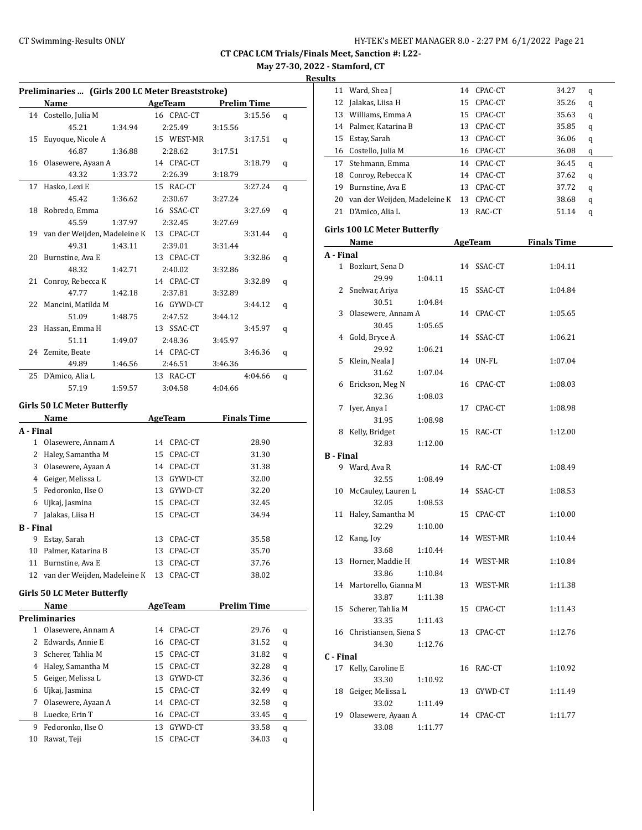**May 27-30, 2022 - Stamford, CT**

**Results**

|                  | Preliminaries  (Girls 200 LC Meter Breaststroke) |         |                |                     |         |                    |   |
|------------------|--------------------------------------------------|---------|----------------|---------------------|---------|--------------------|---|
|                  | Name                                             |         |                | AgeTeam Prelim Time |         |                    |   |
|                  | 14 Costello, Julia M                             |         |                | 16 CPAC-CT          |         | 3:15.56            | q |
|                  | 45.21                                            | 1:34.94 |                | 2:25.49             | 3:15.56 |                    |   |
| 15               | Euyoque, Nicole A                                |         |                | 15 WEST-MR          |         | 3:17.51            | q |
|                  | 46.87                                            | 1:36.88 |                | 2:28.62             | 3:17.51 |                    |   |
| 16               | Olasewere, Ayaan A                               |         |                | 14 CPAC-CT          |         | 3:18.79            | q |
|                  | 43.32                                            | 1:33.72 |                | 2:26.39             | 3:18.79 |                    |   |
| 17               | Hasko, Lexi E                                    |         |                | 15 RAC-CT           |         | 3:27.24            | q |
|                  | 45.42                                            | 1:36.62 |                | 2:30.67             | 3:27.24 |                    |   |
|                  | 18 Robredo, Emma                                 |         |                | 16 SSAC-CT          |         | 3:27.69            | q |
|                  | 45.59                                            | 1:37.97 |                | 2:32.45             | 3:27.69 |                    |   |
|                  | 19 van der Weijden, Madeleine K                  |         |                | 13 CPAC-CT          |         | 3:31.44            | q |
|                  | 49.31                                            | 1:43.11 |                | 2:39.01             | 3:31.44 |                    |   |
| 20               | Burnstine, Ava E                                 |         |                | 13 CPAC-CT          |         | 3:32.86            | q |
|                  | 48.32                                            | 1:42.71 |                | 2:40.02             | 3:32.86 |                    |   |
| 21               | Conroy, Rebecca K                                |         |                | 14 CPAC-CT          |         | 3:32.89            | q |
|                  | 47.77                                            | 1:42.18 |                | 2:37.81             | 3:32.89 |                    |   |
| 22               | Mancini, Matilda M                               |         |                | 16 GYWD-CT          |         | 3:44.12            | q |
|                  | 51.09                                            | 1:48.75 |                | 2:47.52             | 3:44.12 |                    |   |
| 23               | Hassan, Emma H                                   |         |                | 13 SSAC-CT          |         | 3:45.97            | q |
|                  | 51.11                                            | 1:49.07 |                | 2:48.36             | 3:45.97 |                    |   |
| 24               | Zemite, Beate                                    |         |                | 14 CPAC-CT          |         | 3:46.36            | q |
|                  | 49.89                                            | 1:46.56 |                | 2:46.51             | 3:46.36 |                    |   |
| 25               | D'Amico, Alia L                                  |         |                | 13 RAC-CT           |         | 4:04.66            | q |
|                  | 57.19                                            | 1:59.57 |                | 3:04.58             | 4:04.66 |                    |   |
|                  | <b>Girls 50 LC Meter Butterfly</b>               |         |                |                     |         |                    |   |
|                  | Name                                             |         |                | AgeTeam             |         | <b>Finals Time</b> |   |
| A - Final        |                                                  |         |                |                     |         |                    |   |
|                  | 1 Olasewere, Annam A                             |         |                | 14 CPAC-CT          |         | 28.90              |   |
|                  | 2 Haley, Samantha M                              |         |                | 15 CPAC-CT          |         | 31.30              |   |
|                  | 3 Olasewere, Ayaan A                             |         |                | 14 CPAC-CT          |         | 31.38              |   |
|                  | 4 Geiger, Melissa L                              |         |                | 13 GYWD-CT          |         | 32.00              |   |
|                  | 5 Fedoronko, Ilse O                              |         |                | 13 GYWD-CT          |         | 32.20              |   |
| 6                | Ujkaj, Jasmina                                   |         |                | 15 CPAC-CT          |         | 32.45              |   |
|                  | 7 Jalakas, Liisa H                               |         |                | 15 CPAC-CT          |         | 34.94              |   |
| <b>B</b> - Final |                                                  |         |                |                     |         |                    |   |
|                  | 9 Estay, Sarah                                   |         |                | 13 CPAC-CT          |         | 35.58              |   |
|                  | 10 Palmer, Katarina B                            |         |                | 13 CPAC-CT          |         | 35.70              |   |
|                  | 11 Burnstine, Ava E                              |         | 13             | CPAC-CT             |         | 37.76              |   |
| 12               | van der Weijden, Madeleine K                     |         | 13             | CPAC-CT             |         | 38.02              |   |
|                  |                                                  |         |                |                     |         |                    |   |
|                  | <b>Girls 50 LC Meter Butterfly</b>               |         |                |                     |         |                    |   |
|                  | Name                                             |         | <b>AgeTeam</b> |                     |         | <b>Prelim Time</b> |   |
|                  | <b>Preliminaries</b>                             |         |                |                     |         |                    |   |
| 1                | Olasewere, Annam A                               |         | 14             | CPAC-CT             |         | 29.76              | q |
| 2                | Edwards, Annie E                                 |         | 16             | CPAC-CT             |         | 31.52              | q |
| 3                | Scherer, Tahlia M                                |         | 15             | CPAC-CT             |         | 31.82              | q |
|                  | 4 Haley, Samantha M                              |         |                | 15 CPAC-CT          |         | 32.28              | q |
| 5                | Geiger, Melissa L                                |         |                | 13 GYWD-CT          |         | 32.36              | q |
| 6                | Ujkaj, Jasmina                                   |         |                | 15 CPAC-CT          |         | 32.49              | q |
| 7                | Olasewere, Ayaan A                               |         | 14             | CPAC-CT             |         | 32.58              | q |
| 8                | Luecke, Erin T                                   |         |                | 16 CPAC-CT          |         | 33.45              | q |
| 9                | Fedoronko, Ilse O                                |         | 13             | GYWD-CT             |         | 33.58              | q |
| 10               | Rawat, Teji                                      |         | 15             | CPAC-CT             |         | 34.03              | q |
|                  |                                                  |         |                |                     |         |                    |   |

|                  | 11 Ward, Shea J                     | 14 | CPAC-CT    | 34.27              | q |
|------------------|-------------------------------------|----|------------|--------------------|---|
|                  | 12 Jalakas, Liisa H                 |    | 15 CPAC-CT | 35.26              | q |
|                  | 13 Williams, Emma A                 |    | 15 CPAC-CT | 35.63              | q |
|                  | 14 Palmer, Katarina B               |    | 13 CPAC-CT | 35.85              | q |
|                  | 15 Estay, Sarah                     |    | 13 CPAC-CT | 36.06              | q |
|                  | 16 Costello, Julia M                |    | 16 CPAC-CT | 36.08              | q |
|                  | 17 Stehmann, Emma                   |    | 14 CPAC-CT | 36.45              | q |
|                  | 18 Conroy, Rebecca K                |    | 14 CPAC-CT | 37.62              | q |
|                  | 19 Burnstine, Ava E                 |    | 13 CPAC-CT | 37.72              | q |
|                  | 20 van der Weijden, Madeleine K     |    | 13 CPAC-CT | 38.68              | q |
|                  | 21 D'Amico, Alia L                  |    | 13 RAC-CT  | 51.14              | q |
|                  |                                     |    |            |                    |   |
|                  | <b>Girls 100 LC Meter Butterfly</b> |    |            |                    |   |
|                  | Name                                |    | AgeTeam    | <b>Finals Time</b> |   |
| A - Final        |                                     |    |            |                    |   |
|                  | 1 Bozkurt, Sena D                   | 14 | SSAC-CT    | 1:04.11            |   |
|                  | 29.99<br>1:04.11                    |    |            |                    |   |
|                  | 2 Snelwar, Ariya                    | 15 | SSAC-CT    | 1:04.84            |   |
|                  | 30.51<br>1:04.84                    |    |            |                    |   |
|                  | 3 Olasewere, Annam A                | 14 | CPAC-CT    | 1:05.65            |   |
|                  | 30.45<br>1:05.65                    |    |            |                    |   |
|                  | 4 Gold, Bryce A                     |    | 14 SSAC-CT | 1:06.21            |   |
|                  | 29.92<br>1:06.21                    |    |            |                    |   |
| 5                | Klein, Neala J                      |    | 14 UN-FL   | 1:07.04            |   |
|                  | 31.62<br>1:07.04                    |    |            |                    |   |
|                  | 6 Erickson, Meg N                   | 16 | CPAC-CT    | 1:08.03            |   |
|                  | 32.36<br>1:08.03                    |    |            |                    |   |
| 7                | Iyer, Anya I                        | 17 | CPAC-CT    | 1:08.98            |   |
|                  | 31.95<br>1:08.98                    |    |            |                    |   |
| 8                | Kelly, Bridget                      |    | 15 RAC-CT  | 1:12.00            |   |
|                  | 32.83<br>1:12.00                    |    |            |                    |   |
| <b>B</b> - Final |                                     |    |            |                    |   |
|                  | 9 Ward, Ava R                       |    | 14 RAC-CT  | 1:08.49            |   |
|                  | 32.55<br>1:08.49                    |    |            |                    |   |
| 10               | McCauley, Lauren L                  | 14 | SSAC-CT    | 1:08.53            |   |
|                  | 32.05<br>1:08.53                    |    |            |                    |   |
| 11               | Haley, Samantha M                   | 15 | CPAC-CT    | 1:10.00            |   |
|                  | 32.29<br>1:10.00                    |    |            |                    |   |
| 12               | Kang, Joy                           |    | 14 WEST-MR | 1:10.44            |   |
|                  | 33.68<br>1:10.44                    |    |            |                    |   |
|                  | 13 Horner, Maddie H                 |    | 14 WEST-MR | 1:10.84            |   |
|                  | 33.86<br>1:10.84                    |    |            |                    |   |
|                  | 14 Martorello, Gianna M             |    | 13 WEST-MR | 1:11.38            |   |
|                  | 33.87<br>1:11.38                    |    |            |                    |   |
|                  | 15 Scherer, Tahlia M                |    | 15 CPAC-CT | 1:11.43            |   |
|                  | 33.35<br>1:11.43                    |    |            |                    |   |
|                  | 16 Christiansen, Siena S            |    | 13 CPAC-CT | 1:12.76            |   |
|                  | 34.30<br>1:12.76                    |    |            |                    |   |
| C - Final        |                                     |    |            |                    |   |
|                  | 17 Kelly, Caroline E                |    | 16 RAC-CT  | 1:10.92            |   |
|                  | 33.30<br>1:10.92                    |    |            |                    |   |
| 18               | Geiger, Melissa L                   |    | 13 GYWD-CT | 1:11.49            |   |
|                  | 33.02<br>1:11.49                    |    |            |                    |   |
|                  | 19 Olasewere, Ayaan A               |    | 14 CPAC-CT | 1:11.77            |   |
|                  | 33.08<br>1:11.77                    |    |            |                    |   |
|                  |                                     |    |            |                    |   |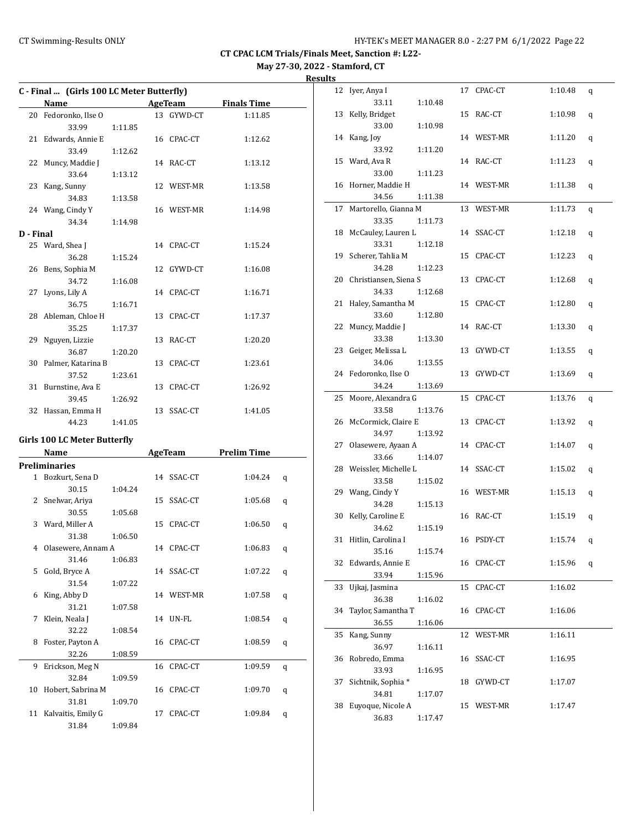**May 27-30, 2022 - Stamford, CT Results**

|           | Name                                |         |    | AgeTeam    | <b>Finals Time</b>  |   |
|-----------|-------------------------------------|---------|----|------------|---------------------|---|
|           | 20 Fedoronko, Ilse O                |         |    | 13 GYWD-CT | 1:11.85             |   |
|           | 33.99                               | 1:11.85 |    |            |                     |   |
|           | 21 Edwards, Annie E                 |         |    | 16 CPAC-CT | 1:12.62             |   |
|           | 33.49                               | 1:12.62 |    |            |                     |   |
|           | 22 Muncy, Maddie J                  |         |    | 14 RAC-CT  | 1:13.12             |   |
|           | 33.64                               |         |    |            |                     |   |
|           |                                     | 1:13.12 |    |            |                     |   |
|           | 23 Kang, Sunny                      |         |    | 12 WEST-MR | 1:13.58             |   |
|           | 34.83                               | 1:13.58 |    |            |                     |   |
|           | 24 Wang, Cindy Y                    |         |    | 16 WEST-MR | 1:14.98             |   |
|           | 34.34                               | 1:14.98 |    |            |                     |   |
| D - Final |                                     |         |    |            |                     |   |
|           | 25 Ward, Shea J                     |         |    | 14 CPAC-CT | 1:15.24             |   |
|           | 36.28                               | 1:15.24 |    |            |                     |   |
|           | 26 Bens, Sophia M                   |         |    | 12 GYWD-CT | 1:16.08             |   |
|           | 34.72                               | 1:16.08 |    |            |                     |   |
| 27        | Lyons, Lily A                       |         |    | 14 CPAC-CT | 1:16.71             |   |
|           | 36.75                               | 1:16.71 |    |            |                     |   |
|           | 28 Ableman, Chloe H                 |         |    | 13 CPAC-CT | 1:17.37             |   |
|           | 35.25                               | 1:17.37 |    |            |                     |   |
|           | 29 Nguyen, Lizzie                   |         |    | 13 RAC-CT  | 1:20.20             |   |
|           | 36.87                               | 1:20.20 |    |            |                     |   |
|           | 30 Palmer, Katarina B               |         |    | 13 CPAC-CT | 1:23.61             |   |
|           | 37.52                               | 1:23.61 |    |            |                     |   |
|           | 31 Burnstine, Ava E                 |         |    | 13 CPAC-CT | 1:26.92             |   |
|           | 39.45                               | 1:26.92 |    |            |                     |   |
|           | 32 Hassan, Emma H                   |         |    | 13 SSAC-CT | 1:41.05             |   |
|           | 44.23                               | 1:41.05 |    |            |                     |   |
|           |                                     |         |    |            |                     |   |
|           | <b>Girls 100 LC Meter Butterfly</b> |         |    |            |                     |   |
|           | Name                                |         |    |            | AgeTeam Prelim Time |   |
|           | <b>Preliminaries</b>                |         |    |            |                     |   |
|           | 1 Bozkurt, Sena D                   |         |    | 14 SSAC-CT | 1:04.24             | q |
|           | 30.15                               | 1:04.24 |    |            |                     |   |
|           | 2 Snelwar, Ariya                    |         |    | 15 SSAC-CT | 1:05.68             | q |
|           | 30.55                               | 1:05.68 |    |            |                     |   |
|           | 3 Ward, Miller A                    |         |    | 15 CPAC-CT | 1:06.50             | q |
|           | 31.38                               | 1:06.50 |    |            |                     |   |
|           | 4 Olasewere, Annam A                |         |    | 14 CPAC-CT | 1:06.83             | q |
|           | 31.46                               | 1:06.83 |    |            |                     |   |
| 5.        | Gold, Bryce A                       |         |    | 14 SSAC-CT | 1:07.22             | q |
|           | 31.54                               | 1:07.22 |    |            |                     |   |
| 6         | King, Abby D                        |         |    | 14 WEST-MR | 1:07.58             |   |
|           |                                     |         |    |            |                     | q |
|           | 31.21                               | 1:07.58 |    |            |                     |   |
| 7         | Klein, Neala J                      |         | 14 | UN-FL      | 1:08.54             | q |
|           | 32.22                               | 1:08.54 |    |            |                     |   |
| 8         | Foster, Payton A                    |         | 16 | CPAC-CT    | 1:08.59             | q |
|           | 32.26                               | 1:08.59 |    |            |                     |   |
| 9         | Erickson, Meg N                     |         | 16 | CPAC-CT    | 1:09.59             | q |
|           | 32.84                               | 1:09.59 |    |            |                     |   |
|           | 10 Hobert, Sabrina M                |         |    | 16 CPAC-CT | 1:09.70             | q |

31.81 1:09.70

31.84 1:09.84

11 Kalvaitis, Emily G 17 CPAC-CT 1:09.84 q

| սււթ |                                       |    |            |         |   |
|------|---------------------------------------|----|------------|---------|---|
|      | 12 Iyer, Anya I                       |    | 17 CPAC-CT | 1:10.48 | q |
|      | 33.11<br>1:10.48                      |    |            |         |   |
| 13   | Kelly, Bridget                        |    | 15 RAC-CT  | 1:10.98 | q |
|      | 33.00<br>1:10.98                      |    |            |         |   |
|      | 14 Kang, Joy                          |    | 14 WEST-MR | 1:11.20 | q |
|      | 33.92<br>1:11.20                      |    |            |         |   |
|      | 15 Ward, Ava R                        |    | 14 RAC-CT  | 1:11.23 | q |
|      | 33.00<br>1:11.23                      |    |            |         |   |
|      | 16 Horner, Maddie H                   |    | 14 WEST-MR | 1:11.38 | q |
|      | 34.56<br>1:11.38                      |    |            |         |   |
| 17   | Martorello, Gianna M                  |    | 13 WEST-MR | 1:11.73 | q |
|      | 33.35<br>1:11.73                      |    |            |         |   |
|      | 18 McCauley, Lauren L                 |    | 14 SSAC-CT | 1:12.18 | q |
|      | 33.31<br>1:12.18                      |    |            |         |   |
|      | 19 Scherer, Tahlia M                  |    | 15 CPAC-CT | 1:12.23 | q |
|      | 34.28<br>1:12.23                      |    |            |         |   |
|      | 20 Christiansen, Siena S              |    | 13 CPAC-CT | 1:12.68 | q |
|      | 34.33<br>1:12.68                      |    |            |         |   |
|      | 21 Haley, Samantha M                  |    | 15 CPAC-CT | 1:12.80 | q |
|      | 33.60<br>1:12.80                      |    |            |         |   |
| 22   | Muncy, Maddie J                       |    | 14 RAC-CT  | 1:13.30 | q |
| 23   | 33.38<br>1:13.30<br>Geiger, Melissa L |    |            |         |   |
|      | 34.06<br>1:13.55                      |    | 13 GYWD-CT | 1:13.55 | q |
|      | 24 Fedoronko, Ilse O                  |    | 13 GYWD-CT | 1:13.69 |   |
|      | 34.24<br>1:13.69                      |    |            |         | q |
|      | 25 Moore, Alexandra G                 |    | 15 CPAC-CT | 1:13.76 | q |
|      | 33.58<br>1:13.76                      |    |            |         |   |
|      | 26 McCormick, Claire E                |    | 13 CPAC-CT | 1:13.92 | q |
|      | 34.97<br>1:13.92                      |    |            |         |   |
|      | 27 Olasewere, Ayaan A                 |    | 14 CPAC-CT | 1:14.07 | q |
|      | 33.66<br>1:14.07                      |    |            |         |   |
|      | 28 Weissler, Michelle L               |    | 14 SSAC-CT | 1:15.02 | q |
|      | 33.58<br>1:15.02                      |    |            |         |   |
|      | 29 Wang, Cindy Y                      |    | 16 WEST-MR | 1:15.13 | q |
|      | 34.28<br>1:15.13                      |    |            |         |   |
|      | 30 Kelly, Caroline E                  |    | 16 RAC-CT  | 1:15.19 | q |
|      | 34.62<br>1:15.19                      |    |            |         |   |
|      | 31 Hitlin, Carolina I                 |    | 16 PSDY-CT | 1:15.74 | q |
|      | 35.16<br>1:15.74                      |    |            |         |   |
|      | 32 Edwards, Annie E                   |    | 16 CPAC-CT | 1:15.96 | q |
|      | 33.94<br>1:15.96                      |    |            |         |   |
| 33   | Ujkaj, Jasmina                        | 15 | CPAC-CT    | 1:16.02 |   |
|      | 36.38<br>1:16.02                      |    |            |         |   |
| 34   | Taylor, Samantha T                    | 16 | CPAC-CT    | 1:16.06 |   |
|      | 36.55<br>1:16.06                      |    |            |         |   |
| 35   | Kang, Sunny                           | 12 | WEST-MR    | 1:16.11 |   |
|      | 36.97<br>1:16.11                      |    |            |         |   |
| 36   | Robredo, Emma                         | 16 | SSAC-CT    | 1:16.95 |   |
|      | 33.93<br>1:16.95                      |    |            |         |   |
| 37   | Sichtnik, Sophia*                     | 18 | GYWD-CT    | 1:17.07 |   |
|      | 34.81<br>1:17.07                      |    |            |         |   |
| 38   | Euyoque, Nicole A                     | 15 | WEST-MR    | 1:17.47 |   |
|      | 36.83<br>1:17.47                      |    |            |         |   |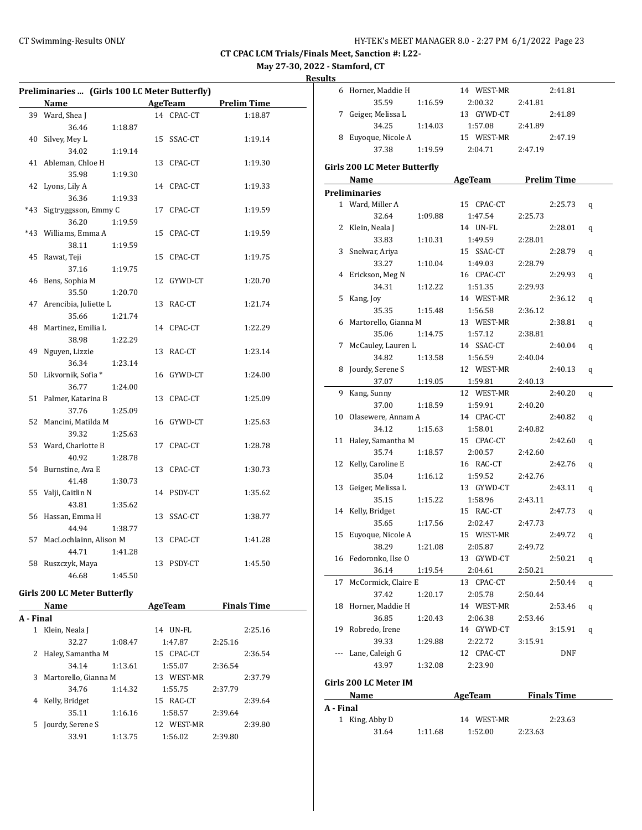**May 27-30, 2022 - Stamford, CT**

**Result** 

| Preliminaries  (Girls 100 LC Meter Butterfly) |                                     |         |                |            |                    |
|-----------------------------------------------|-------------------------------------|---------|----------------|------------|--------------------|
|                                               | Name                                |         |                | AgeTeam    | <b>Prelim Time</b> |
| 39                                            | Ward, Shea J                        |         | 14             | CPAC-CT    | 1:18.87            |
|                                               | 36.46                               | 1:18.87 |                |            |                    |
| 40                                            | Silvey, Mey L                       |         | 15             | SSAC-CT    | 1:19.14            |
|                                               | 34.02                               | 1:19.14 |                |            |                    |
| 41                                            | Ableman, Chloe H                    |         |                | 13 CPAC-CT | 1:19.30            |
|                                               | 35.98                               | 1:19.30 |                |            |                    |
| 42                                            | Lyons, Lily A                       |         |                | 14 CPAC-CT | 1:19.33            |
|                                               | 36.36                               | 1:19.33 |                |            |                    |
| $*43$                                         | Sigtryggsson, Emmy C                |         | 17             | CPAC-CT    | 1:19.59            |
|                                               | 36.20                               | 1:19.59 |                |            |                    |
| $*43$                                         | Williams, Emma A                    |         |                | 15 CPAC-CT | 1:19.59            |
|                                               | 38.11                               | 1:19.59 |                |            |                    |
| 45                                            | Rawat, Teji                         |         | 15             | CPAC-CT    | 1:19.75            |
|                                               | 37.16                               | 1:19.75 |                |            |                    |
| 46                                            | Bens, Sophia M                      |         |                | 12 GYWD-CT | 1:20.70            |
|                                               | 35.50                               | 1:20.70 |                |            |                    |
| 47                                            | Arencibia, Juliette L               |         |                | 13 RAC-CT  | 1:21.74            |
|                                               | 35.66                               | 1:21.74 |                |            |                    |
| 48                                            | Martinez, Emilia L                  |         |                | 14 CPAC-CT | 1:22.29            |
|                                               | 38.98                               | 1:22.29 |                |            |                    |
| 49                                            | Nguyen, Lizzie                      |         |                | 13 RAC-CT  | 1:23.14            |
|                                               | 36.34                               | 1:23.14 |                |            |                    |
| 50                                            | Likvornik, Sofia *                  |         |                | 16 GYWD-CT | 1:24.00            |
|                                               | 36.77                               | 1:24.00 |                |            |                    |
| 51                                            | Palmer, Katarina B                  |         | 13             | CPAC-CT    | 1:25.09            |
|                                               | 37.76                               | 1:25.09 |                |            |                    |
| 52                                            | Mancini, Matilda M                  |         |                | 16 GYWD-CT | 1:25.63            |
|                                               | 39.32                               | 1:25.63 |                |            |                    |
| 53                                            | Ward, Charlotte B                   |         | 17             | CPAC-CT    | 1:28.78            |
|                                               | 40.92                               | 1:28.78 |                |            |                    |
| 54                                            | Burnstine, Ava E                    |         |                | 13 CPAC-CT | 1:30.73            |
|                                               | 41.48                               | 1:30.73 |                |            |                    |
| 55                                            | Valji, Caitlin N                    |         |                | 14 PSDY-CT | 1:35.62            |
|                                               | 43.81                               | 1:35.62 |                |            |                    |
| 56                                            | Hassan, Emma H                      |         | 13             | SSAC-CT    | 1:38.77            |
|                                               | 44.94                               | 1:38.77 |                |            |                    |
| 57                                            | MacLochlainn, Alison M              |         |                | 13 CPAC-CT | 1:41.28            |
|                                               | 44.71                               | 1:41.28 |                |            |                    |
| 58                                            | Ruszczyk, Maya                      |         |                | 13 PSDY-CT | 1:45.50            |
|                                               | 46.68                               | 1:45.50 |                |            |                    |
|                                               | <b>Girls 200 LC Meter Butterfly</b> |         |                |            |                    |
|                                               | Name                                |         | <b>AgeTeam</b> |            | <b>Finals Time</b> |
|                                               |                                     |         |                |            |                    |

|           | name                 |         | nguluan       |         | .       |
|-----------|----------------------|---------|---------------|---------|---------|
| A - Final |                      |         |               |         |         |
| 1         | Klein, Neala J       |         | UN-FL<br>14   |         | 2:25.16 |
|           | 32.27                | 1:08.47 | 1:47.87       | 2:25.16 |         |
| 2         | Haley, Samantha M    |         | 15 CPAC-CT    |         | 2:36.54 |
|           | 34.14                | 1:13.61 | 1:55.07       | 2:36.54 |         |
| 3         | Martorello, Gianna M |         | WEST-MR<br>13 |         | 2:37.79 |
|           | 34.76                | 1:14.32 | 1:55.75       | 2:37.79 |         |
| 4         | Kelly, Bridget       |         | 15 RAC-CT     |         | 2:39.64 |
|           | 35.11                | 1:16.16 | 1:58.57       | 2:39.64 |         |
| 5.        | Jourdy, Serene S     |         | WEST-MR<br>12 |         | 2:39.80 |
|           | 33.91                | 1:13.75 | 1:56.02       | 2:39.80 |         |

| ults  |                                     |         |                     |         |         |   |
|-------|-------------------------------------|---------|---------------------|---------|---------|---|
|       | 6 Horner, Maddie H                  |         | 14 WEST-MR          |         | 2:41.81 |   |
|       | 35.59                               | 1:16.59 | 2:00.32             | 2:41.81 |         |   |
| 7     | Geiger, Melissa L                   |         | 13 GYWD-CT          |         | 2:41.89 |   |
|       | 34.25                               | 1:14.03 | 1:57.08             | 2:41.89 |         |   |
|       | 8 Euyoque, Nicole A                 |         | 15 WEST-MR          |         | 2:47.19 |   |
|       | 37.38                               | 1:19.59 | 2:04.71             | 2:47.19 |         |   |
|       | <b>Girls 200 LC Meter Butterfly</b> |         |                     |         |         |   |
|       | Name                                |         | AgeTeam Prelim Time |         |         |   |
|       | <b>Preliminaries</b>                |         |                     |         |         |   |
|       | 1 Ward, Miller A                    |         | 15 CPAC-CT          |         | 2:25.73 |   |
|       | 32.64                               | 1:09.88 | 1:47.54             | 2:25.73 |         | q |
|       | 2 Klein, Neala J                    |         | 14 UN-FL            |         | 2:28.01 |   |
|       | 33.83                               | 1:10.31 | 1:49.59             | 2:28.01 |         | q |
|       | 3 Snelwar, Ariya                    |         | 15 SSAC-CT          |         | 2:28.79 |   |
|       | 33.27                               | 1:10.04 | 1:49.03             | 2:28.79 |         | q |
|       | 4 Erickson, Meg N                   |         | 16 CPAC-CT          |         | 2:29.93 |   |
|       | 34.31                               | 1:12.22 | 1:51.35             |         |         | q |
|       |                                     |         | 14 WEST-MR          | 2:29.93 |         |   |
| 5     | Kang, Joy<br>35.35                  |         |                     |         | 2:36.12 | q |
|       |                                     | 1:15.48 | 1:56.58             | 2:36.12 |         |   |
|       | 6 Martorello, Gianna M              |         | 13 WEST-MR          |         | 2:38.81 | q |
|       | 35.06                               | 1:14.75 | 1:57.12             | 2:38.81 |         |   |
| 7     | McCauley, Lauren L                  |         | 14 SSAC-CT          |         | 2:40.04 | q |
|       | 34.82                               | 1:13.58 | 1:56.59             | 2:40.04 |         |   |
|       | 8 Jourdy, Serene S                  |         | 12 WEST-MR          |         | 2:40.13 | q |
|       | 37.07                               | 1:19.05 | 1:59.81             | 2:40.13 |         |   |
| 9     | Kang, Sunny                         |         | 12 WEST-MR          |         | 2:40.20 | q |
|       | 37.00                               | 1:18.59 | 1:59.91             | 2:40.20 |         |   |
|       | 10 Olasewere, Annam A               |         | 14 CPAC-CT          |         | 2:40.82 | q |
|       | 34.12                               | 1:15.63 | 1:58.01             | 2:40.82 |         |   |
|       | 11 Haley, Samantha M                |         | 15 CPAC-CT          |         | 2:42.60 | q |
|       | 35.74                               | 1:18.57 | 2:00.57             | 2:42.60 |         |   |
| 12    | Kelly, Caroline E                   |         | 16 RAC-CT           |         | 2:42.76 | q |
|       | 35.04                               | 1:16.12 | 1:59.52             | 2:42.76 |         |   |
| 13    | Geiger, Melissa L                   |         | 13 GYWD-CT          |         | 2:43.11 | q |
|       | 35.15                               | 1:15.22 | 1:58.96             | 2:43.11 |         |   |
|       | 14 Kelly, Bridget                   |         | 15 RAC-CT           |         | 2:47.73 | q |
|       | 35.65                               | 1:17.56 | 2:02.47             | 2:47.73 |         |   |
|       | 15 Euyoque, Nicole A                |         | 15 WEST-MR          |         | 2:49.72 | q |
|       | 38.29 1:21.08                       |         | 2:05.87             | 2:49.72 |         |   |
|       | 16 Fedoronko, Ilse O                |         | 13 GYWD-CT          |         | 2:50.21 | q |
|       | 36.14                               | 1:19.54 | 2:04.61             | 2:50.21 |         |   |
| 17    | McCormick, Claire E                 |         | 13 CPAC-CT          |         | 2:50.44 | q |
|       | 37.42                               | 1:20.17 | 2:05.78             | 2:50.44 |         |   |
| 18    | Horner, Maddie H                    |         | 14 WEST-MR          |         | 2:53.46 | q |
|       | 36.85                               | 1:20.43 | 2:06.38             | 2:53.46 |         |   |
| 19    | Robredo, Irene                      |         | 14 GYWD-CT          |         | 3:15.91 | q |
|       | 39.33                               | 1:29.88 | 2:22.72             | 3:15.91 |         |   |
| $---$ | Lane, Caleigh G                     |         | 12 CPAC-CT          |         | DNF     |   |
|       | 43.97                               | 1:32.08 | 2:23.90             |         |         |   |
|       | Girls 200 LC Meter IM               |         |                     |         |         |   |
|       | Name                                |         | AgeTeam Finals Time |         |         |   |
|       |                                     |         |                     |         |         |   |

| Name           |         | Age ream   | rinais lime |  |
|----------------|---------|------------|-------------|--|
| A - Final      |         |            |             |  |
| 1 King, Abby D |         | 14 WEST-MR | 2:23.63     |  |
| 31.64          | 1:11.68 | 1:52.00    | 2:23.63     |  |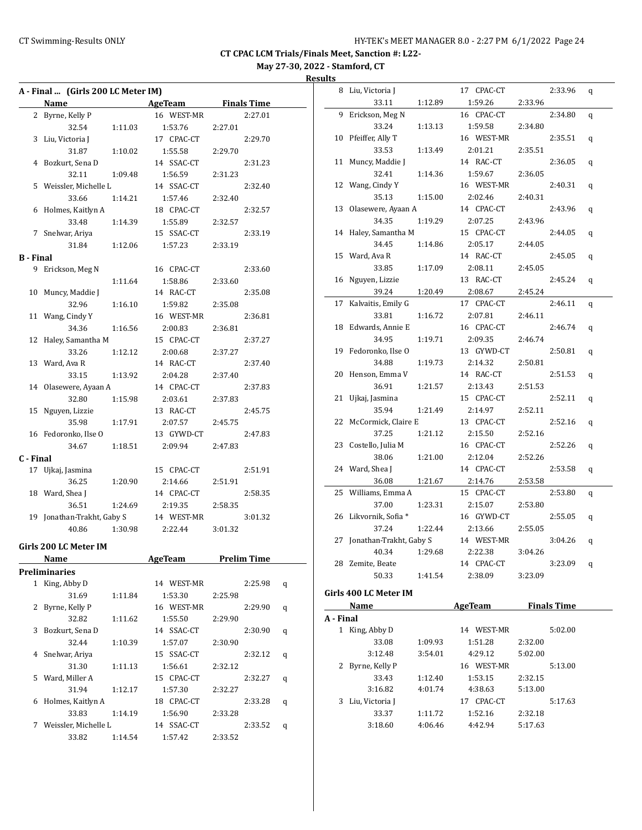**May 27-30, 2022 - Stamford, CT**

## **Results**

| A - Final  (Girls 200 LC Meter IM) |                            |         |                     |         |                    |   |  |
|------------------------------------|----------------------------|---------|---------------------|---------|--------------------|---|--|
|                                    | <b>Name</b>                |         | AgeTeam Finals Time |         |                    |   |  |
|                                    | 2 Byrne, Kelly P           |         | 16 WEST-MR          |         | 2:27.01            |   |  |
|                                    | 32.54                      | 1:11.03 | 1:53.76             | 2:27.01 |                    |   |  |
|                                    | 3 Liu, Victoria J          |         | 17 CPAC-CT          |         | 2:29.70            |   |  |
|                                    | 31.87                      | 1:10.02 | 1:55.58             | 2:29.70 |                    |   |  |
|                                    | 4 Bozkurt, Sena D          |         | 14 SSAC-CT          |         | 2:31.23            |   |  |
|                                    | 32.11                      | 1:09.48 | 1:56.59             | 2:31.23 |                    |   |  |
|                                    | 5 Weissler, Michelle L     |         | 14 SSAC-CT          |         | 2:32.40            |   |  |
|                                    | 33.66                      | 1:14.21 | 1:57.46             | 2:32.40 |                    |   |  |
|                                    | 6 Holmes, Kaitlyn A        |         | 18 CPAC-CT          |         | 2:32.57            |   |  |
|                                    | 33.48                      | 1:14.39 | 1:55.89             | 2:32.57 |                    |   |  |
| 7                                  | Snelwar, Ariya             |         | 15 SSAC-CT          |         | 2:33.19            |   |  |
|                                    | 31.84                      | 1:12.06 | 1:57.23             | 2:33.19 |                    |   |  |
| <b>B</b> - Final                   |                            |         |                     |         |                    |   |  |
| 9                                  | Erickson, Meg N            |         | 16 CPAC-CT          |         | 2:33.60            |   |  |
|                                    |                            | 1:11.64 | 1:58.86             | 2:33.60 |                    |   |  |
| 10                                 | Muncy, Maddie J            |         | 14 RAC-CT           |         | 2:35.08            |   |  |
|                                    | 32.96                      | 1:16.10 | 1:59.82             | 2:35.08 |                    |   |  |
| 11                                 | Wang, Cindy Y              |         | 16 WEST-MR          |         | 2:36.81            |   |  |
|                                    | 34.36                      | 1:16.56 | 2:00.83             | 2:36.81 |                    |   |  |
| 12                                 | Haley, Samantha M          |         | 15 CPAC-CT          |         | 2:37.27            |   |  |
|                                    | 33.26                      | 1:12.12 | 2:00.68             | 2:37.27 |                    |   |  |
|                                    | 13 Ward, Ava R             |         | 14 RAC-CT           |         | 2:37.40            |   |  |
|                                    | 33.15                      | 1:13.92 | 2:04.28             | 2:37.40 |                    |   |  |
|                                    | 14 Olasewere, Ayaan A      |         | 14 CPAC-CT          |         | 2:37.83            |   |  |
|                                    | 32.80                      | 1:15.98 | 2:03.61             | 2:37.83 |                    |   |  |
|                                    | 15 Nguyen, Lizzie          |         | 13 RAC-CT           |         | 2:45.75            |   |  |
|                                    | 35.98                      | 1:17.91 | 2:07.57             | 2:45.75 |                    |   |  |
|                                    | 16 Fedoronko, Ilse O       |         | 13 GYWD-CT          |         | 2:47.83            |   |  |
|                                    | 34.67                      | 1:18.51 | 2:09.94             | 2:47.83 |                    |   |  |
| C - Final                          |                            |         |                     |         |                    |   |  |
|                                    | 17 Ujkaj, Jasmina          |         | 15 CPAC-CT          |         | 2:51.91            |   |  |
|                                    | 36.25                      | 1:20.90 | 2:14.66             | 2:51.91 |                    |   |  |
|                                    | 18 Ward, Shea J            |         | 14 CPAC-CT          |         | 2:58.35            |   |  |
|                                    | 36.51                      | 1:24.69 | 2:19.35             | 2:58.35 |                    |   |  |
|                                    | 19 Jonathan-Trakht, Gaby S |         | 14 WEST-MR          |         | 3:01.32            |   |  |
|                                    | 40.86                      | 1:30.98 | 2:22.44             | 3:01.32 |                    |   |  |
|                                    |                            |         |                     |         |                    |   |  |
|                                    | Girls 200 LC Meter IM      |         |                     |         |                    |   |  |
|                                    | <b>Name</b>                |         | <b>AgeTeam</b>      |         | <b>Prelim Time</b> |   |  |
|                                    | <b>Preliminaries</b>       |         |                     |         |                    |   |  |
| $\mathbf{1}$                       | King, Abby D               |         | 14 WEST-MR          |         | 2:25.98            | q |  |
|                                    | 31.69                      | 1:11.84 | 1:53.30             | 2:25.98 |                    |   |  |
| 2                                  | Byrne, Kelly P             |         | 16 WEST-MR          |         | 2:29.90            | q |  |
|                                    | 32.82                      | 1:11.62 | 1:55.50             | 2:29.90 |                    |   |  |
| 3                                  | Bozkurt, Sena D            |         | 14 SSAC-CT          |         | 2:30.90            | q |  |
|                                    | 32.44                      | 1:10.39 | 1:57.07             | 2:30.90 |                    |   |  |
| 4                                  | Snelwar, Ariya             |         | 15 SSAC-CT          |         | 2:32.12            | q |  |
|                                    | 31.30                      | 1:11.13 | 1:56.61             | 2:32.12 |                    |   |  |
| 5                                  | Ward, Miller A             |         | 15 CPAC-CT          |         | 2:32.27            | q |  |
|                                    | 31.94                      | 1:12.17 | 1:57.30             | 2:32.27 |                    |   |  |
| 6                                  | Holmes, Kaitlyn A          |         | 18 CPAC-CT          |         | 2:33.28            | q |  |
|                                    | 33.83                      | 1:14.19 | 1:56.90             | 2:33.28 |                    |   |  |
| 7                                  | Weissler, Michelle L       |         | 14 SSAC-CT          |         | 2:33.52            | q |  |
|                                    | 33.82                      | 1:14.54 | 1:57.42             | 2:33.52 |                    |   |  |

| 8  | Liu, Victoria J         |         | 17 CPAC-CT |         | 2:33.96 | q |  |
|----|-------------------------|---------|------------|---------|---------|---|--|
|    | 33.11                   | 1:12.89 | 1:59.26    | 2:33.96 |         |   |  |
| 9  | Erickson, Meg N         |         | 16 CPAC-CT |         | 2:34.80 | q |  |
|    | 33.24                   | 1:13.13 | 1:59.58    | 2:34.80 |         |   |  |
| 10 | Pfeiffer, Ally T        |         | 16 WEST-MR |         | 2:35.51 | q |  |
|    | 33.53                   | 1:13.49 | 2:01.21    | 2:35.51 |         |   |  |
| 11 | Muncy, Maddie J         |         | 14 RAC-CT  |         | 2:36.05 | q |  |
|    | 32.41                   | 1:14.36 | 1:59.67    | 2:36.05 |         |   |  |
|    | 12 Wang, Cindy Y        |         | 16 WEST-MR |         | 2:40.31 | q |  |
|    | 35.13                   | 1:15.00 | 2:02.46    | 2:40.31 |         |   |  |
| 13 | Olasewere, Ayaan A      |         | 14 CPAC-CT |         | 2:43.96 | q |  |
|    | 34.35                   | 1:19.29 | 2:07.25    | 2:43.96 |         |   |  |
| 14 | Haley, Samantha M       |         | 15 CPAC-CT |         | 2:44.05 | q |  |
|    | 34.45                   | 1:14.86 | 2:05.17    | 2:44.05 |         |   |  |
|    | 15 Ward, Ava R          |         | 14 RAC-CT  |         | 2:45.05 | q |  |
|    | 33.85                   | 1:17.09 | 2:08.11    | 2:45.05 |         |   |  |
| 16 | Nguyen, Lizzie          |         | 13 RAC-CT  |         | 2:45.24 | q |  |
|    | 39.24                   | 1:20.49 | 2:08.67    | 2:45.24 |         |   |  |
| 17 | Kalvaitis, Emily G      |         | 17 CPAC-CT |         | 2:46.11 | q |  |
|    | 33.81                   | 1:16.72 | 2:07.81    | 2:46.11 |         |   |  |
| 18 | Edwards, Annie E        |         | 16 CPAC-CT |         | 2:46.74 | q |  |
|    | 34.95                   | 1:19.71 | 2:09.35    | 2:46.74 |         |   |  |
| 19 | Fedoronko, Ilse O       |         | 13 GYWD-CT |         | 2:50.81 | q |  |
|    | 34.88                   | 1:19.73 | 2:14.32    | 2:50.81 |         |   |  |
|    | 20 Henson, Emma V       |         | 14 RAC-CT  |         | 2:51.53 | q |  |
|    | 36.91                   | 1:21.57 | 2:13.43    | 2:51.53 |         |   |  |
| 21 | Ujkaj, Jasmina          |         | 15 CPAC-CT |         | 2:52.11 | q |  |
|    | 35.94                   | 1:21.49 | 2:14.97    | 2:52.11 |         |   |  |
| 22 | McCormick, Claire E     |         | 13 CPAC-CT |         | 2:52.16 | q |  |
|    | 37.25                   | 1:21.12 | 2:15.50    | 2:52.16 |         |   |  |
| 23 | Costello, Julia M       |         | 16 CPAC-CT |         | 2:52.26 | q |  |
|    | 38.06                   | 1:21.00 | 2:12.04    | 2:52.26 |         |   |  |
|    | 24 Ward, Shea J         |         | 14 CPAC-CT |         | 2:53.58 | q |  |
|    | 36.08                   | 1:21.67 | 2:14.76    | 2:53.58 |         |   |  |
| 25 | Williams, Emma A        |         | 15 CPAC-CT |         | 2:53.80 | q |  |
|    | 37.00                   | 1:23.31 | 2:15.07    | 2:53.80 |         |   |  |
| 26 | Likvornik, Sofia *      |         | 16 GYWD-CT |         | 2:55.05 | q |  |
|    | 37.24                   | 1:22.44 | 2:13.66    | 2:55.05 |         |   |  |
| 27 | Jonathan-Trakht, Gaby S |         | 14 WEST-MR |         | 3:04.26 | q |  |
|    | 40.34                   | 1:29.68 | 2:22.38    | 3:04.26 |         |   |  |
|    | 28 Zemite, Beate        |         | 14 CPAC-CT |         | 3:23.09 | q |  |
|    | 50.33                   | 1:41.54 | 2:38.09    | 3:23.09 |         |   |  |
|    |                         |         |            |         |         |   |  |

## **Girls 400 LC Meter IM**

|           | Name            |         | AgeTeam       |         | <b>Finals Time</b> |
|-----------|-----------------|---------|---------------|---------|--------------------|
| A - Final |                 |         |               |         |                    |
| 1         | King, Abby D    |         | WEST-MR<br>14 |         | 5:02.00            |
|           | 33.08           | 1:09.93 | 1:51.28       | 2:32.00 |                    |
|           | 3:12.48         | 3:54.01 | 4:29.12       | 5:02.00 |                    |
| 2         | Byrne, Kelly P  |         | 16 WEST-MR    |         | 5:13.00            |
|           | 33.43           | 1:12.40 | 1:53.15       | 2:32.15 |                    |
|           | 3:16.82         | 4:01.74 | 4:38.63       | 5:13.00 |                    |
| 3         | Liu, Victoria I |         | CPAC-CT<br>17 |         | 5:17.63            |
|           | 33.37           | 1:11.72 | 1:52.16       | 2:32.18 |                    |
|           | 3:18.60         | 4:06.46 | 4:42.94       | 5:17.63 |                    |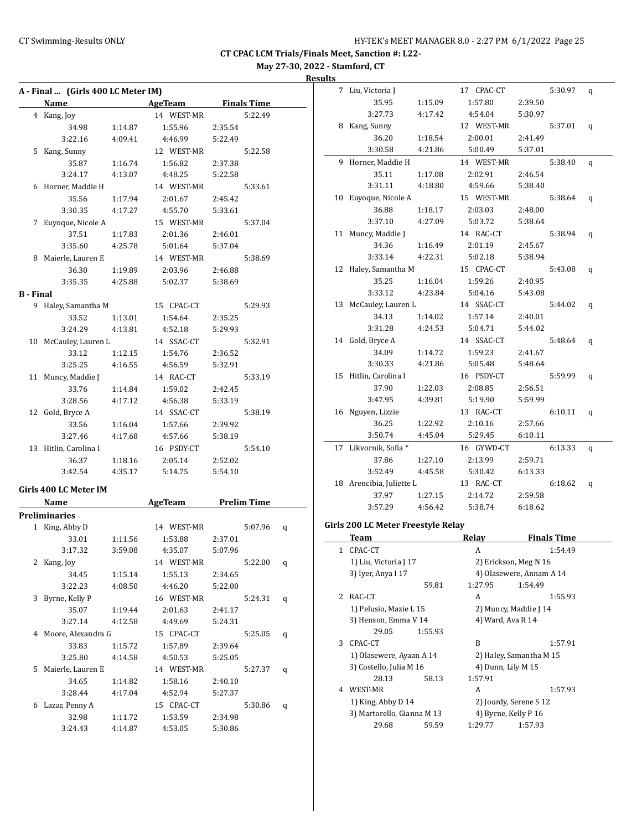**May 27-30, 2022 - Stamford, CT**

**Results**

|           | A - Final  (Girls 400 LC Meter IM) |         |                                      |         |         |   |
|-----------|------------------------------------|---------|--------------------------------------|---------|---------|---|
|           | <b>Name</b>                        |         | <b>Example 2 AgeTeam</b> Finals Time |         |         |   |
|           | 4 Kang, Joy                        |         | 14 WEST-MR                           |         | 5:22.49 |   |
|           | 34.98                              | 1:14.87 | 1:55.96                              | 2:35.54 |         |   |
|           | 3:22.16                            | 4:09.41 | 4:46.99                              | 5:22.49 |         |   |
|           | 5 Kang, Sunny                      |         | 12 WEST-MR                           |         | 5:22.58 |   |
|           | 35.87                              | 1:16.74 | 1:56.82                              | 2:37.38 |         |   |
|           | 3:24.17                            | 4:13.07 | 4:48.25                              | 5:22.58 |         |   |
|           | 6 Horner, Maddie H                 |         | 14 WEST-MR                           |         | 5:33.61 |   |
|           | 35.56                              | 1:17.94 | 2:01.67                              | 2:45.42 |         |   |
|           | 3:30.35                            | 4:17.27 | 4:55.70                              | 5:33.61 |         |   |
|           | 7 Euyoque, Nicole A                |         | 15 WEST-MR                           |         | 5:37.04 |   |
|           | 37.51                              | 1:17.83 | 2:01.36                              | 2:46.01 |         |   |
|           | 3:35.60                            | 4:25.78 | 5:01.64                              | 5:37.04 |         |   |
|           | 8 Maierle, Lauren E                |         | 14 WEST-MR                           |         | 5:38.69 |   |
|           | 36.30                              | 1:19.89 | 2:03.96                              | 2:46.88 |         |   |
|           | 3:35.35                            | 4:25.88 | 5:02.37                              | 5:38.69 |         |   |
| B - Final |                                    |         |                                      |         |         |   |
|           | 9 Haley, Samantha M                |         | 15 CPAC-CT                           |         | 5:29.93 |   |
|           | 33.52                              | 1:13.01 | 1:54.64                              | 2:35.25 |         |   |
|           | 3:24.29                            | 4:13.81 | 4:52.18                              | 5:29.93 |         |   |
|           | 10 McCauley, Lauren L              |         | 14 SSAC-CT                           |         | 5:32.91 |   |
|           | 33.12                              | 1:12.15 | 1:54.76                              | 2:36.52 |         |   |
|           | 3:25.25                            | 4:16.55 |                                      | 5:32.91 |         |   |
|           |                                    |         | 4:56.59                              |         |         |   |
|           | 11 Muncy, Maddie J                 |         | 14 RAC-CT                            |         | 5:33.19 |   |
|           | 33.76                              | 1:14.84 | 1:59.02                              | 2:42.45 |         |   |
|           | 3:28.56                            | 4:17.12 | 4:56.38                              | 5:33.19 |         |   |
|           | 12 Gold, Bryce A                   |         | 14 SSAC-CT                           |         | 5:38.19 |   |
|           | 33.56                              | 1:16.04 | 1:57.66                              | 2:39.92 |         |   |
|           | 3:27.46                            | 4:17.68 | 4:57.66                              | 5:38.19 |         |   |
|           | 13 Hitlin, Carolina I              |         | 16 PSDY-CT                           |         | 5:54.10 |   |
|           | 36.37                              | 1:18.16 | 2:05.14                              | 2:52.02 |         |   |
|           | 3:42.54                            | 4:35.17 | 5:14.75                              | 5:54.10 |         |   |
|           | Girls 400 LC Meter IM              |         |                                      |         |         |   |
|           | Name                               |         | AgeTeam Prelim Time                  |         |         |   |
|           | <b>Preliminaries</b>               |         |                                      |         |         |   |
|           |                                    |         |                                      |         | 5:07.96 |   |
|           | 1 King, Abby D                     |         | 14 WEST-MR                           |         |         | q |
|           | 33.01                              | 1:11.56 | 1:53.88                              | 2:37.01 |         |   |
|           | 3:17.32                            | 3:59.08 | 4:35.07                              | 5:07.96 |         |   |
|           | 2 Kang, Joy                        |         | 14 WEST-MR                           |         | 5:22.00 | q |
|           | 34.45                              | 1:15.14 | 1:55.13                              | 2:34.65 |         |   |
|           | 3:22.23                            | 4:08.50 | 4:46.20                              | 5:22.00 |         |   |
|           | 3 Byrne, Kelly P                   |         | 16 WEST-MR                           |         | 5:24.31 | q |
|           | 35.07                              | 1:19.44 | 2:01.63                              | 2:41.17 |         |   |
|           | 3:27.14                            | 4:12.58 | 4:49.69                              | 5:24.31 |         |   |
| 4         | Moore, Alexandra G                 |         | 15 CPAC-CT                           |         | 5:25.05 | q |
|           | 33.83                              | 1:15.72 | 1:57.89                              | 2:39.64 |         |   |
|           | 3:25.80                            | 4:14.58 | 4:50.53                              | 5:25.05 |         |   |
| 5.        | Maierle, Lauren E                  |         | 14 WEST-MR                           |         | 5:27.37 | q |
|           | 34.65                              | 1:14.82 | 1:58.16                              | 2:40.10 |         |   |
|           | 3:28.44                            | 4:17.04 | 4:52.94                              | 5:27.37 |         |   |
| 6         | Lazar, Penny A                     |         | 15 CPAC-CT                           |         | 5:30.86 | q |
|           | 32.98                              | 1:11.72 | 1:53.59                              | 2:34.98 |         |   |
|           | 3:24.43                            | 4:14.87 | 4:53.05                              | 5:30.86 |         |   |
|           |                                    |         |                                      |         |         |   |

| աւա |    |                               |         |            |         |         |   |
|-----|----|-------------------------------|---------|------------|---------|---------|---|
|     |    | 7 Liu, Victoria J             |         | 17 CPAC-CT |         | 5:30.97 | q |
|     |    | 35.95                         | 1:15.09 | 1:57.80    | 2:39.50 |         |   |
|     |    | 3:27.73                       | 4:17.42 | 4:54.04    | 5:30.97 |         |   |
|     |    | 8 Kang, Sunny                 |         | 12 WEST-MR |         | 5:37.01 | q |
|     |    | 36.20                         | 1:18.54 | 2:00.01    | 2:41.49 |         |   |
|     |    | 3:30.58                       | 4:21.86 | 5:00.49    | 5:37.01 |         |   |
|     | 9  | Horner, Maddie H              |         | 14 WEST-MR |         | 5:38.40 | q |
|     |    | 35.11                         | 1:17.08 | 2:02.91    | 2:46.54 |         |   |
|     |    | 3:31.11                       | 4:18.80 | 4:59.66    | 5:38.40 |         |   |
|     | 10 | Euyoque, Nicole A             |         | 15 WEST-MR |         | 5:38.64 | q |
|     |    | 36.88                         | 1:18.17 | 2:03.03    | 2:48.00 |         |   |
|     |    | 3:37.10                       | 4:27.09 | 5:03.72    | 5:38.64 |         |   |
|     |    | 11 Muncy, Maddie J            |         | 14 RAC-CT  |         | 5:38.94 | q |
|     |    | 34.36                         | 1:16.49 | 2:01.19    | 2:45.67 |         |   |
|     |    | 3:33.14                       | 4:22.31 | 5:02.18    | 5:38.94 |         |   |
|     |    | 12 Haley, Samantha M          |         | 15 CPAC-CT |         | 5:43.08 | q |
|     |    | 35.25                         | 1:16.04 | 1:59.26    | 2:40.95 |         |   |
|     |    | 3:33.12                       | 4:23.84 | 5:04.16    | 5:43.08 |         |   |
|     |    | 13 McCauley, Lauren L         |         | 14 SSAC-CT |         | 5:44.02 | q |
|     |    | 34.13                         | 1:14.02 | 1:57.14    | 2:40.01 |         |   |
|     |    | 3:31.28                       | 4:24.53 | 5:04.71    | 5:44.02 |         |   |
|     |    | 14 Gold, Bryce A              |         | 14 SSAC-CT |         | 5:48.64 | q |
|     |    | 34.09                         | 1:14.72 | 1:59.23    | 2:41.67 |         |   |
|     |    | 3:30.33                       | 4:21.86 | 5:05.48    | 5:48.64 |         |   |
|     |    | 15 Hitlin, Carolina I         |         | 16 PSDY-CT |         | 5:59.99 | q |
|     |    | 37.90                         | 1:22.03 | 2:08.85    | 2:56.51 |         |   |
|     |    | 3:47.95                       | 4:39.81 | 5:19.90    | 5:59.99 |         |   |
|     |    | 16 Nguyen, Lizzie             |         | 13 RAC-CT  |         | 6:10.11 | q |
|     |    | 36.25                         | 1:22.92 | 2:10.16    | 2:57.66 |         |   |
|     |    | 3:50.74                       | 4:45.04 | 5:29.45    | 6:10.11 |         |   |
|     | 17 | Likvornik, Sofia <sup>*</sup> |         | 16 GYWD-CT |         | 6:13.33 | q |
|     |    | 37.86                         | 1:27.10 | 2:13.99    | 2:59.71 |         |   |
|     |    | 3:52.49                       | 4:45.58 | 5:30.42    | 6:13.33 |         |   |
|     |    | 18 Arencibia, Juliette L      |         | 13 RAC-CT  |         | 6:18.62 | q |
|     |    | 37.97                         | 1:27.15 | 2:14.72    | 2:59.58 |         |   |
|     |    | 3:57.29                       | 4:56.42 | 5:38.74    | 6:18.62 |         |   |
|     |    |                               |         |            |         |         |   |

# **Girls 200 LC Meter Freestyle Relay**

| Team                    |                            | Relay   | <b>Finals Time</b>       |
|-------------------------|----------------------------|---------|--------------------------|
| 1 CPAC-CT               |                            | A       | 1:54.49                  |
| 1) Liu, Victoria J 17   |                            |         | 2) Erickson, Meg N 16    |
| 3) Iyer, Anya I 17      |                            |         | 4) Olasewere, Annam A 14 |
|                         | 59.81                      | 1:27.95 | 1:54.49                  |
| 2 RAC-CT                |                            | A       | 1:55.93                  |
| 1) Pelusio, Mazie L 15  |                            |         | 2) Muncy, Maddie J 14    |
| 3) Henson, Emma V 14    |                            |         | 4) Ward, Ava R 14        |
| 29.05                   | 1:55.93                    |         |                          |
| 3 CPAC-CT               |                            | B       | 1:57.91                  |
|                         | 1) Olasewere, Ayaan A 14   |         | 2) Haley, Samantha M 15  |
| 3) Costello, Julia M 16 |                            |         | 4) Dunn, Lily M 15       |
| 28.13                   | 58.13                      | 1:57.91 |                          |
| WEST-MR<br>4            |                            | A       | 1:57.93                  |
| 1) King, Abby D 14      |                            |         | 2) Jourdy, Serene S 12   |
|                         | 3) Martorello, Gianna M 13 |         | 4) Byrne, Kelly P 16     |
| 29.68                   | 59.59                      | 1:29.77 | 1:57.93                  |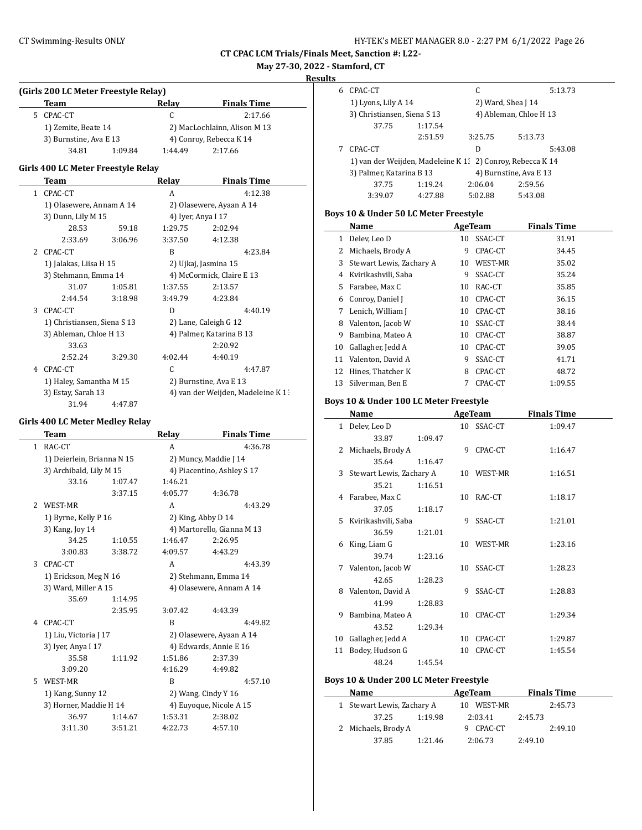**May 27-30, 2022 - Stamford, CT**

**Results**

 $\overline{a}$ 

 $\overline{a}$ 

 $\overline{\phantom{a}}$ 

|                | (Girls 200 LC Meter Freestyle Relay) |         |                                |                              |
|----------------|--------------------------------------|---------|--------------------------------|------------------------------|
|                | Team                                 |         | Relay                          | <b>Finals Time</b>           |
| 5.             | CPAC-CT                              |         | C.                             | 2:17.66                      |
|                | 1) Zemite, Beate 14                  |         |                                | 2) MacLochlainn, Alison M 13 |
|                | 3) Burnstine, Ava E 13               |         |                                | 4) Conroy, Rebecca K 14      |
|                | 34.81                                | 1:09.84 | 1:44.49                        | 2:17.66                      |
|                | Girls 400 LC Meter Freestyle Relay   |         |                                |                              |
|                | Team                                 |         | Relay                          | <b>Finals Time</b>           |
| $\mathbf{1}$   | CPAC-CT                              |         | A                              | 4:12.38                      |
|                | 1) Olasewere, Annam A 14             |         |                                | 2) Olasewere, Ayaan A 14     |
|                | 3) Dunn, Lily M 15                   |         | 4) Iyer, Anya I 17             |                              |
|                | 28.53                                | 59.18   | 1:29.75                        | 2:02.94                      |
|                | 2:33.69                              | 3:06.96 | 3:37.50                        | 4:12.38                      |
| $\overline{2}$ | CPAC-CT                              |         | R                              | 4:23.84                      |
|                | 1) Jalakas, Liisa H 15               |         |                                | 2) Ujkaj, Jasmina 15         |
|                | 3) Stehmann, Emma 14                 |         |                                | 4) McCormick, Claire E 13    |
|                | 31.07                                | 1:05.81 | 1:37.55                        | 2:13.57                      |
|                | 2:44.54                              | 3:18.98 | 3:49.79                        | 4:23.84                      |
| 3              | CPAC-CT                              |         | D                              | 4:40.19                      |
|                | 1) Christiansen, Siena S 13          |         |                                | 2) Lane, Caleigh G 12        |
|                | 3) Ableman, Chloe H 13               |         |                                | 4) Palmer, Katarina B 13     |
|                | 33.63                                |         |                                | 2:20.92                      |
|                | 2.52.24                              | 2.20.20 | $\Delta$ 0.0 $\Delta$ $\Delta$ | 44010                        |

2:52.24 3:29.30 4:02.44 4:40.19 4 CPAC-CT C 4:47.87

# 1) Haley, Samantha M 15 2) Burnstine, Ava E 13 3) Estay, Sarah 13 4) van der Weijden, Madeleine K 13 31.94 4:47.87

## **Girls 400 LC Meter Medley Relay**

 $\overline{\phantom{0}}$ 

| Team               |         | Relay                                                                                                                                                                             | <b>Finals Time</b>                                                 |
|--------------------|---------|-----------------------------------------------------------------------------------------------------------------------------------------------------------------------------------|--------------------------------------------------------------------|
| 1 RAC-CT           |         | A                                                                                                                                                                                 | 4:36.78                                                            |
|                    |         |                                                                                                                                                                                   |                                                                    |
|                    |         |                                                                                                                                                                                   | 4) Piacentino, Ashley S 17                                         |
| 33.16              | 1:07.47 | 1:46.21                                                                                                                                                                           |                                                                    |
|                    | 3:37.15 | 4:05.77                                                                                                                                                                           | 4:36.78                                                            |
| WEST-MR            |         | A                                                                                                                                                                                 | 4:43.29                                                            |
|                    |         |                                                                                                                                                                                   |                                                                    |
| 3) Kang, Joy 14    |         |                                                                                                                                                                                   | 4) Martorello, Gianna M 13                                         |
| 34.25              | 1:10.55 | 1:46.47                                                                                                                                                                           | 2:26.95                                                            |
| 3:00.83            | 3:38.72 | 4:09.57                                                                                                                                                                           | 4:43.29                                                            |
| CPAC-CT            |         | A                                                                                                                                                                                 | 4:43.39                                                            |
|                    |         |                                                                                                                                                                                   | 2) Stehmann, Emma 14                                               |
|                    |         |                                                                                                                                                                                   | 4) Olasewere, Annam A 14                                           |
| 35.69              | 1:14.95 |                                                                                                                                                                                   |                                                                    |
|                    | 2:35.95 | 3:07.42                                                                                                                                                                           | 4:43.39                                                            |
| CPAC-CT            |         | R                                                                                                                                                                                 | 4:49.82                                                            |
|                    |         |                                                                                                                                                                                   | 2) Olasewere, Ayaan A 14                                           |
| 3) Iyer, Anya I 17 |         |                                                                                                                                                                                   | 4) Edwards, Annie E 16                                             |
| 35.58              | 1:11.92 | 1:51.86                                                                                                                                                                           | 2:37.39                                                            |
| 3:09.20            |         | 4:16.29                                                                                                                                                                           | 4:49.82                                                            |
| WEST-MR            |         | B                                                                                                                                                                                 | 4:57.10                                                            |
| 1) Kang, Sunny 12  |         |                                                                                                                                                                                   |                                                                    |
|                    |         |                                                                                                                                                                                   | 4) Euyoque, Nicole A 15                                            |
| 36.97              | 1:14.67 | 1:53.31                                                                                                                                                                           | 2:38.02                                                            |
| 3:11.30            | 3:51.21 | 4:22.73                                                                                                                                                                           | 4:57.10                                                            |
|                    |         | 1) Deierlein, Brianna N 15<br>3) Archibald, Lily M 15<br>1) Byrne, Kelly P 16<br>1) Erickson, Meg N 16<br>3) Ward, Miller A 15<br>1) Liu, Victoria J 17<br>3) Horner, Maddie H 14 | 2) Muncy, Maddie J 14<br>2) King, Abby D 14<br>2) Wang, Cindy Y 16 |

| 6 | CPAC-CT                                                    |         | C                      |                        | 5:13.73 |  |
|---|------------------------------------------------------------|---------|------------------------|------------------------|---------|--|
|   | 1) Lyons, Lily A 14                                        |         |                        | 2) Ward, Shea J 14     |         |  |
|   | 3) Christiansen, Siena S 13                                |         |                        | 4) Ableman, Chloe H 13 |         |  |
|   | 37.75                                                      | 1:17.54 |                        |                        |         |  |
|   |                                                            | 2:51.59 | 3:25.75                | 5:13.73                |         |  |
|   | CPAC-CT                                                    |         | D                      |                        | 5:43.08 |  |
|   | 1) van der Weijden, Madeleine K 1: 2) Conroy, Rebecca K 14 |         |                        |                        |         |  |
|   | 3) Palmer, Katarina B 13                                   |         | 4) Burnstine, Ava E 13 |                        |         |  |
|   | 37.75                                                      | 1:19.24 | 2:06.04                | 2:59.56                |         |  |
|   | 3:39.07                                                    | 4:27.88 | 5:02.88                | 5:43.08                |         |  |
|   |                                                            |         |                        |                        |         |  |

## **Boys 10 & Under 50 LC Meter Freestyle**

|    | Name                     | AgeTeam |         | <b>Finals Time</b> |
|----|--------------------------|---------|---------|--------------------|
| 1  | Delev, Leo D             | 10      | SSAC-CT | 31.91              |
| 2  | Michaels, Brody A        | 9       | CPAC-CT | 34.45              |
| 3  | Stewart Lewis, Zachary A | 10      | WEST-MR | 35.02              |
| 4  | Kvirikashvili, Saba      | 9       | SSAC-CT | 35.24              |
| 5. | Farabee, Max C           | 10      | RAC-CT  | 35.85              |
| 6  | Conroy, Daniel J         | 10      | CPAC-CT | 36.15              |
| 7  | Lenich, William J        | 10      | CPAC-CT | 38.16              |
| 8  | Valenton, Jacob W        | 10      | SSAC-CT | 38.44              |
| 9  | Bambina, Mateo A         | 10      | CPAC-CT | 38.87              |
| 10 | Gallagher, Jedd A        | 10      | CPAC-CT | 39.05              |
| 11 | Valenton, David A        | 9       | SSAC-CT | 41.71              |
| 12 | Hines, Thatcher K        | 8       | CPAC-CT | 48.72              |
| 13 | Silverman, Ben E         |         | CPAC-CT | 1:09.55            |

#### **Boys 10 & Under 100 LC Meter Freestyle**

|    | Name                     |         |    | <b>AgeTeam</b> | <b>Finals Time</b> |
|----|--------------------------|---------|----|----------------|--------------------|
| 1  | Delev, Leo D             |         |    | 10 SSAC-CT     | 1:09.47            |
|    | 33.87                    | 1:09.47 |    |                |                    |
| 2  | Michaels, Brody A        |         | 9  | CPAC-CT        | 1:16.47            |
|    | 35.64                    | 1:16.47 |    |                |                    |
| 3  | Stewart Lewis, Zachary A |         |    | 10 WEST-MR     | 1:16.51            |
|    | 35.21                    | 1:16.51 |    |                |                    |
| 4  | Farabee, Max C           |         |    | 10 RAC-CT      | 1:18.17            |
|    | 37.05                    | 1:18.17 |    |                |                    |
| 5. | Kvirikashvili, Saba      |         | 9  | SSAC-CT        | 1:21.01            |
|    | 36.59                    | 1:21.01 |    |                |                    |
| 6  | King, Liam G             |         |    | 10 WEST-MR     | 1:23.16            |
|    | 39.74                    | 1:23.16 |    |                |                    |
| 7  | Valenton, Jacob W        |         | 10 | SSAC-CT        | 1:28.23            |
|    | 42.65                    | 1:28.23 |    |                |                    |
| 8  | Valenton, David A        |         | 9  | SSAC-CT        | 1:28.83            |
|    | 41.99                    | 1:28.83 |    |                |                    |
| 9  | Bambina, Mateo A         |         | 10 | CPAC-CT        | 1:29.34            |
|    | 43.52                    | 1:29.34 |    |                |                    |
| 10 | Gallagher, Jedd A        |         | 10 | CPAC-CT        | 1:29.87            |
| 11 | Bodey, Hudson G          |         | 10 | CPAC-CT        | 1:45.54            |
|    | 48.24                    | 1:45.54 |    |                |                    |

## **Boys 10 & Under 200 LC Meter Freestyle**

| Name                     |         | AgeTeam       |         | <b>Finals Time</b> |
|--------------------------|---------|---------------|---------|--------------------|
| Stewart Lewis, Zachary A |         | WEST-MR<br>10 |         | 2:45.73            |
| 37.25                    | 1:19.98 | 2:03.41       | 2:45.73 |                    |
| Michaels, Brody A        |         | CPAC-CT       |         | 2:49.10            |
| 37.85                    | 1:21.46 | 2:06.73       | 2:49.10 |                    |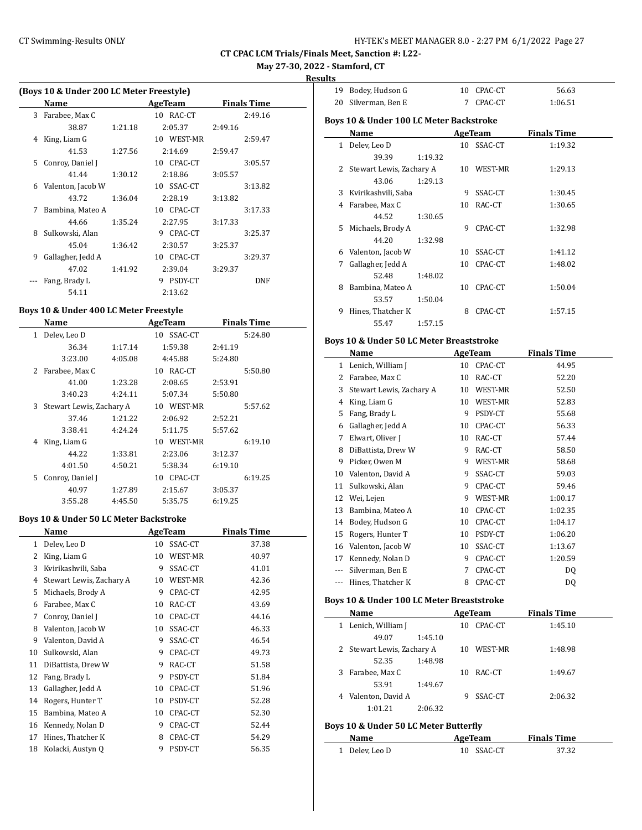# **May 27-30, 2022 - Stamford, CT**

**Results**

|    | (Boys 10 & Under 200 LC Meter Freestyle) |         |               |                    |  |  |  |  |  |
|----|------------------------------------------|---------|---------------|--------------------|--|--|--|--|--|
|    | Name                                     |         | AgeTeam       | <b>Finals Time</b> |  |  |  |  |  |
| 3  | Farabee, Max C                           |         | 10 RAC-CT     | 2:49.16            |  |  |  |  |  |
|    | 38.87                                    | 1:21.18 | 2:05.37       | 2:49.16            |  |  |  |  |  |
| 4  | King, Liam G                             |         | 10 WEST-MR    | 2:59.47            |  |  |  |  |  |
|    | 41.53                                    | 1:27.56 | 2:14.69       | 2:59.47            |  |  |  |  |  |
| 5. | Conroy, Daniel J                         |         | 10 CPAC-CT    | 3:05.57            |  |  |  |  |  |
|    | 41.44                                    | 1:30.12 | 2:18.86       | 3:05.57            |  |  |  |  |  |
| 6  | Valenton, Jacob W                        |         | 10 SSAC-CT    | 3:13.82            |  |  |  |  |  |
|    | 43.72                                    | 1:36.04 | 2:28.19       | 3:13.82            |  |  |  |  |  |
| 7  | Bambina, Mateo A                         |         | 10 CPAC-CT    | 3:17.33            |  |  |  |  |  |
|    | 44.66                                    | 1:35.24 | 2:27.95       | 3:17.33            |  |  |  |  |  |
| 8  | Sulkowski, Alan                          |         | CPAC-CT<br>q  | 3:25.37            |  |  |  |  |  |
|    | 45.04                                    | 1:36.42 | 2:30.57       | 3:25.37            |  |  |  |  |  |
| 9  | Gallagher, Jedd A                        |         | CPAC-CT<br>10 | 3:29.37            |  |  |  |  |  |
|    | 47.02                                    | 1:41.92 | 2:39.04       | 3:29.37            |  |  |  |  |  |
|    | Fang, Brady L                            |         | PSDY-CT<br>9  | DNF                |  |  |  |  |  |
|    | 54.11                                    |         | 2:13.62       |                    |  |  |  |  |  |

## **Boys 10 & Under 400 LC Meter Freestyle**

 $\overline{a}$ 

 $\overline{\phantom{a}}$ 

|              | Name                     |         | AgeTeam       |         | <b>Finals Time</b> |
|--------------|--------------------------|---------|---------------|---------|--------------------|
| $\mathbf{1}$ | Delev, Leo D             |         | 10 SSAC-CT    |         | 5:24.80            |
|              | 36.34                    | 1:17.14 | 1:59.38       | 2:41.19 |                    |
|              | 3:23.00                  | 4:05.08 | 4:45.88       | 5:24.80 |                    |
| 2            | Farabee, Max C           |         | RAC-CT<br>10. |         | 5:50.80            |
|              | 41.00                    | 1:23.28 | 2:08.65       | 2:53.91 |                    |
|              | 3:40.23                  | 4:24.11 | 5:07.34       | 5:50.80 |                    |
| 3            | Stewart Lewis, Zachary A |         | WEST-MR<br>10 |         | 5:57.62            |
|              | 37.46                    | 1:21.22 | 2:06.92       | 2:52.21 |                    |
|              | 3:38.41                  | 4:24.24 | 5:11.75       | 5:57.62 |                    |
| 4            | King, Liam G             |         | 10 WEST-MR    |         | 6:19.10            |
|              | 44.22                    | 1:33.81 | 2:23.06       | 3:12.37 |                    |
|              | 4:01.50                  | 4:50.21 | 5:38.34       | 6:19.10 |                    |
| 5.           | Conroy, Daniel J         |         | 10 CPAC-CT    |         | 6:19.25            |
|              | 40.97                    | 1:27.89 | 2:15.67       | 3:05.37 |                    |
|              | 3:55.28                  | 4:45.50 | 5:35.75       | 6:19.25 |                    |

#### **Boys 10 & Under 50 LC Meter Backstroke**

|    | Name                     | <b>AgeTeam</b> |         | <b>Finals Time</b> |
|----|--------------------------|----------------|---------|--------------------|
| 1  | Delev, Leo D             | 10             | SSAC-CT | 37.38              |
| 2  | King, Liam G             | 10             | WEST-MR | 40.97              |
| 3  | Kvirikashvili, Saba      | 9              | SSAC-CT | 41.01              |
| 4  | Stewart Lewis, Zachary A | 10             | WEST-MR | 42.36              |
| 5  | Michaels, Brody A        | 9              | CPAC-CT | 42.95              |
| 6  | Farabee, Max C           | 10             | RAC-CT  | 43.69              |
| 7  | Conroy, Daniel J         | 10             | CPAC-CT | 44.16              |
| 8  | Valenton, Jacob W        | 10             | SSAC-CT | 46.33              |
| 9  | Valenton, David A        | 9              | SSAC-CT | 46.54              |
| 10 | Sulkowski, Alan          | 9              | CPAC-CT | 49.73              |
| 11 | DiBattista, Drew W       | 9              | RAC-CT  | 51.58              |
| 12 | Fang, Brady L            | 9              | PSDY-CT | 51.84              |
| 13 | Gallagher, Jedd A        | 10             | CPAC-CT | 51.96              |
| 14 | Rogers, Hunter T         | 10             | PSDY-CT | 52.28              |
| 15 | Bambina, Mateo A         | 10             | CPAC-CT | 52.30              |
| 16 | Kennedy, Nolan D         | 9              | CPAC-CT | 52.44              |
| 17 | Hines, Thatcher K        | 8              | CPAC-CT | 54.29              |
| 18 | Kolacki, Austyn Q        | 9              | PSDY-CT | 56.35              |

| 19 | Bodey, Hudson G                         |         | 10 | CPAC-CT    | 56.63              |  |
|----|-----------------------------------------|---------|----|------------|--------------------|--|
| 20 | Silverman, Ben E                        |         | 7  | CPAC-CT    | 1:06.51            |  |
|    | Boys 10 & Under 100 LC Meter Backstroke |         |    |            |                    |  |
|    | Name                                    |         |    | AgeTeam    | <b>Finals Time</b> |  |
| 1  | Delev, Leo D                            |         |    | 10 SSAC-CT | 1:19.32            |  |
|    | 39.39                                   | 1:19.32 |    |            |                    |  |
|    | 2 Stewart Lewis, Zachary A              |         |    | 10 WEST-MR | 1:29.13            |  |
|    | 43.06                                   | 1:29.13 |    |            |                    |  |
| 3  | Kvirikashvili, Saba                     |         | 9  | SSAC-CT    | 1:30.45            |  |
| 4  | Farabee, Max C                          |         | 10 | RAC-CT     | 1:30.65            |  |
|    | 44.52                                   | 1:30.65 |    |            |                    |  |
| 5. | Michaels, Brody A                       |         | 9  | CPAC-CT    | 1:32.98            |  |
|    | 44.20                                   | 1:32.98 |    |            |                    |  |
| 6  | Valenton, Jacob W                       |         | 10 | SSAC-CT    | 1:41.12            |  |
| 7  | Gallagher, Jedd A                       |         | 10 | CPAC-CT    | 1:48.02            |  |
|    | 52.48                                   | 1:48.02 |    |            |                    |  |
| 8  | Bambina, Mateo A                        |         | 10 | CPAC-CT    | 1:50.04            |  |
|    | 53.57                                   | 1:50.04 |    |            |                    |  |
| 9  | Hines, Thatcher K                       |         | 8  | CPAC-CT    | 1:57.15            |  |
|    | 55.47                                   | 1:57.15 |    |            |                    |  |

#### **Boys 10 & Under 50 LC Meter Breaststroke**

|     | Name                     | <b>AgeTeam</b> |         | <b>Finals Time</b> |
|-----|--------------------------|----------------|---------|--------------------|
| 1   | Lenich, William J        | 10             | CPAC-CT | 44.95              |
| 2   | Farabee, Max C           | 10             | RAC-CT  | 52.20              |
| 3   | Stewart Lewis, Zachary A | 10             | WEST-MR | 52.50              |
| 4   | King, Liam G             | 10             | WEST-MR | 52.83              |
| 5   | Fang, Brady L            | 9              | PSDY-CT | 55.68              |
| 6   | Gallagher, Jedd A        | 10             | CPAC-CT | 56.33              |
| 7   | Elwart, Oliver J         | 10             | RAC-CT  | 57.44              |
| 8   | DiBattista, Drew W       | 9              | RAC-CT  | 58.50              |
| 9   | Picker, Owen M           | 9              | WEST-MR | 58.68              |
| 10  | Valenton, David A        | 9              | SSAC-CT | 59.03              |
| 11  | Sulkowski, Alan          | 9              | CPAC-CT | 59.46              |
| 12  | Wei, Lejen               | 9              | WEST-MR | 1:00.17            |
| 13  | Bambina, Mateo A         | 10             | CPAC-CT | 1:02.35            |
| 14  | Bodey, Hudson G          | 10             | CPAC-CT | 1:04.17            |
| 15  | Rogers, Hunter T         | 10             | PSDY-CT | 1:06.20            |
| 16  | Valenton, Jacob W        | 10             | SSAC-CT | 1:13.67            |
| 17  | Kennedy, Nolan D         | 9              | CPAC-CT | 1:20.59            |
| --- | Silverman, Ben E         | 7              | CPAC-CT | DQ                 |
| --- | Hines, Thatcher K        | 8              | CPAC-CT | DQ                 |

#### **Boys 10 & Under 100 LC Meter Breaststroke**

|   | Name                       |         | AgeTeam |         | <b>Finals Time</b> |  |
|---|----------------------------|---------|---------|---------|--------------------|--|
| 1 | Lenich, William J          |         | 10      | CPAC-CT | 1:45.10            |  |
|   | 49.07                      | 1:45.10 |         |         |                    |  |
|   | 2 Stewart Lewis, Zachary A |         | 10      | WEST-MR | 1:48.98            |  |
|   | 52.35                      | 1:48.98 |         |         |                    |  |
| 3 | Farabee, Max C             |         | 10      | RAC-CT  | 1:49.67            |  |
|   | 53.91                      | 1:49.67 |         |         |                    |  |
| 4 | Valenton, David A          |         | 9       | SSAC-CT | 2:06.32            |  |
|   | 1:01.21                    | 2:06.32 |         |         |                    |  |
|   |                            |         |         |         |                    |  |

# **Boys 10 & Under 50 LC Meter Butterfly**

| Name           | AgeTeam    | <b>Finals Time</b> |  |
|----------------|------------|--------------------|--|
| 1 Delev, Leo D | 10 SSAC-CT | 37.32              |  |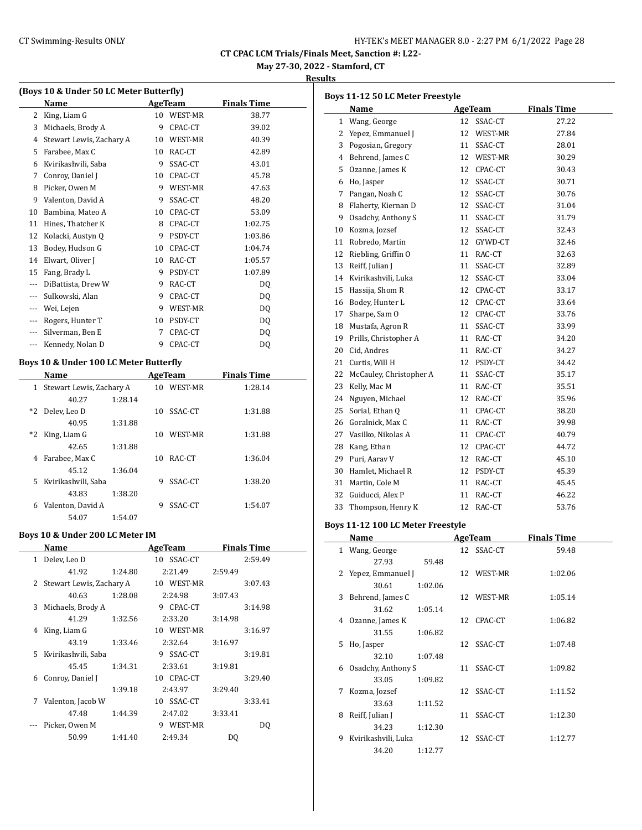**May 27-30, 2022 - Stamford, CT**

## **Results**

|          | Name                     | <b>AgeTeam</b> |         | <b>Finals Time</b> |  |
|----------|--------------------------|----------------|---------|--------------------|--|
| 2        | King, Liam G             | 10             | WEST-MR | 38.77              |  |
| 3        | Michaels, Brody A        | 9              | CPAC-CT | 39.02              |  |
| 4        | Stewart Lewis, Zachary A | 10             | WEST-MR | 40.39              |  |
| 5        | Farabee, Max C           | 10             | RAC-CT  | 42.89              |  |
| 6        | Kvirikashvili, Saba      | 9              | SSAC-CT | 43.01              |  |
| 7        | Conroy, Daniel J         | 10             | CPAC-CT | 45.78              |  |
| 8        | Picker, Owen M           | 9              | WEST-MR | 47.63              |  |
| 9        | Valenton, David A        | 9              | SSAC-CT | 48.20              |  |
| 10       | Bambina, Mateo A         | 10             | CPAC-CT | 53.09              |  |
| 11       | Hines, Thatcher K        | 8              | CPAC-CT | 1:02.75            |  |
| 12       | Kolacki, Austyn Q        | 9              | PSDY-CT | 1:03.86            |  |
| 13       | Bodey, Hudson G          | 10             | CPAC-CT | 1:04.74            |  |
| 14       | Elwart, Oliver J         | 10             | RAC-CT  | 1:05.57            |  |
| 15       | Fang, Brady L            | 9              | PSDY-CT | 1:07.89            |  |
| ---      | DiBattista, Drew W       | 9              | RAC-CT  | DQ                 |  |
| $\cdots$ | Sulkowski, Alan          | 9              | CPAC-CT | DQ                 |  |
| $---$    | Wei, Lejen               | 9              | WEST-MR | DQ                 |  |
|          | Rogers, Hunter T         | 10             | PSDY-CT | DQ                 |  |
|          | Silverman, Ben E         | 7              | CPAC-CT | DQ                 |  |
| $- - -$  | Kennedy, Nolan D         | 9              | CPAC-CT | DQ                 |  |
|          |                          |                |         |                    |  |

## **Boys 10 & Under 100 LC Meter Butterfly**

|      | Name                     |         |     | AgeTeam | <b>Finals Time</b> |
|------|--------------------------|---------|-----|---------|--------------------|
| 1    | Stewart Lewis, Zachary A |         | 10  | WEST-MR | 1:28.14            |
|      | 40.27                    | 1:28.14 |     |         |                    |
| $*2$ | Deley, Leo D             |         | 10  | SSAC-CT | 1:31.88            |
|      | 40.95                    | 1:31.88 |     |         |                    |
| *2   | King, Liam G             |         | 10. | WEST-MR | 1:31.88            |
|      | 42.65                    | 1:31.88 |     |         |                    |
| 4    | Farabee, Max C           |         | 10  | RAC-CT  | 1:36.04            |
|      | 45.12                    | 1:36.04 |     |         |                    |
| 5.   | Kvirikashvili, Saba      |         | 9   | SSAC-CT | 1:38.20            |
|      | 43.83                    | 1:38.20 |     |         |                    |
| 6    | Valenton, David A        |         | 9   | SSAC-CT | 1:54.07            |
|      | 54.07                    | 1:54.07 |     |         |                    |

## **Boys 10 & Under 200 LC Meter IM**

|    | Name                     |         | AgeTeam      | <b>Finals Time</b> |  |  |
|----|--------------------------|---------|--------------|--------------------|--|--|
| 1  | Delev, Leo D             |         | 10 SSAC-CT   | 2:59.49            |  |  |
|    | 41.92                    | 1:24.80 | 2:21.49      | 2:59.49            |  |  |
| 2  | Stewart Lewis, Zachary A |         | 10 WEST-MR   | 3:07.43            |  |  |
|    | 40.63                    | 1:28.08 | 2:24.98      | 3:07.43            |  |  |
| 3  | Michaels, Brody A        |         | CPAC-CT<br>9 | 3:14.98            |  |  |
|    | 41.29                    | 1:32.56 | 2:33.20      | 3:14.98            |  |  |
| 4  | King, Liam G             |         | 10 WEST-MR   | 3:16.97            |  |  |
|    | 43.19                    | 1:33.46 | 2:32.64      | 3:16.97            |  |  |
| 5. | Kvirikashvili, Saba      |         | 9 SSAC-CT    | 3:19.81            |  |  |
|    | 45.45                    | 1:34.31 | 2:33.61      | 3:19.81            |  |  |
| 6  | Conroy, Daniel J         |         | 10 CPAC-CT   | 3:29.40            |  |  |
|    |                          | 1:39.18 | 2:43.97      | 3:29.40            |  |  |
| 7  | Valenton, Jacob W        |         | 10 SSAC-CT   | 3:33.41            |  |  |
|    | 47.48                    | 1:44.39 | 2:47.02      | 3:33.41            |  |  |
|    | Picker, Owen M           |         | WEST-MR<br>9 | DO.                |  |  |
|    | 50.99                    | 1:41.40 | 2:49.34      | DQ                 |  |  |

| Boys 11-12 50 LC Meter Freestyle |                         |    |                |                    |  |  |  |
|----------------------------------|-------------------------|----|----------------|--------------------|--|--|--|
|                                  | Name                    |    | <b>AgeTeam</b> | <b>Finals Time</b> |  |  |  |
| 1                                | Wang, George            | 12 | SSAC-CT        | 27.22              |  |  |  |
| 2                                | Yepez, Emmanuel J       | 12 | <b>WEST-MR</b> | 27.84              |  |  |  |
| 3                                | Pogosian, Gregory       | 11 | SSAC-CT        | 28.01              |  |  |  |
| 4                                | Behrend, James C        | 12 | WEST-MR        | 30.29              |  |  |  |
| 5                                | Ozanne, James K         | 12 | CPAC-CT        | 30.43              |  |  |  |
| 6                                | Ho, Jasper              | 12 | SSAC-CT        | 30.71              |  |  |  |
| 7                                | Pangan, Noah C          | 12 | SSAC-CT        | 30.76              |  |  |  |
| 8                                | Flaherty, Kiernan D     | 12 | SSAC-CT        | 31.04              |  |  |  |
| 9                                | Osadchy, Anthony S      | 11 | SSAC-CT        | 31.79              |  |  |  |
| 10                               | Kozma, Jozsef           | 12 | SSAC-CT        | 32.43              |  |  |  |
| 11                               | Robredo, Martin         | 12 | GYWD-CT        | 32.46              |  |  |  |
| 12                               | Riebling, Griffin O     | 11 | RAC-CT         | 32.63              |  |  |  |
| 13                               | Reiff, Julian J         | 11 | SSAC-CT        | 32.89              |  |  |  |
| 14                               | Kvirikashvili, Luka     | 12 | SSAC-CT        | 33.04              |  |  |  |
| 15                               | Hassija, Shom R         | 12 | CPAC-CT        | 33.17              |  |  |  |
| 16                               | Bodey, Hunter L         | 12 | CPAC-CT        | 33.64              |  |  |  |
| 17                               | Sharpe, Sam O           | 12 | CPAC-CT        | 33.76              |  |  |  |
| 18                               | Mustafa, Agron R        | 11 | SSAC-CT        | 33.99              |  |  |  |
| 19                               | Prills, Christopher A   | 11 | RAC-CT         | 34.20              |  |  |  |
| 20                               | Cid, Andres             | 11 | RAC-CT         | 34.27              |  |  |  |
| 21                               | Curtis, Will H          | 12 | PSDY-CT        | 34.42              |  |  |  |
| 22                               | McCauley, Christopher A | 11 | SSAC-CT        | 35.17              |  |  |  |
| 23                               | Kelly, Mac M            | 11 | RAC-CT         | 35.51              |  |  |  |
| 24                               | Nguyen, Michael         | 12 | RAC-CT         | 35.96              |  |  |  |
| 25                               | Sorial, Ethan Q         | 11 | CPAC-CT        | 38.20              |  |  |  |
| 26                               | Goralnick, Max C        | 11 | RAC-CT         | 39.98              |  |  |  |
| 27                               | Vasilko, Nikolas A      | 11 | CPAC-CT        | 40.79              |  |  |  |
| 28                               | Kang, Ethan             | 12 | CPAC-CT        | 44.72              |  |  |  |
| 29                               | Puri, Aarav V           | 12 | RAC-CT         | 45.10              |  |  |  |
| 30                               | Hamlet, Michael R       | 12 | PSDY-CT        | 45.39              |  |  |  |
| 31                               | Martin, Cole M          | 11 | RAC-CT         | 45.45              |  |  |  |
| 32                               | Guiducci, Alex P        | 11 | RAC-CT         | 46.22              |  |  |  |
| 33                               | Thompson, Henry K       | 12 | RAC-CT         | 53.76              |  |  |  |

## **Boys 11-12 100 LC Meter Freestyle**

|    | Name                |         | <b>AgeTeam</b> | <b>Finals Time</b> |  |
|----|---------------------|---------|----------------|--------------------|--|
|    | 1 Wang, George      |         | 12 SSAC-CT     | 59.48              |  |
|    | 27.93               | 59.48   |                |                    |  |
|    | 2 Yepez, Emmanuel J |         | 12 WEST-MR     | 1:02.06            |  |
|    | 30.61               | 1:02.06 |                |                    |  |
|    | 3 Behrend, James C  |         | 12 WEST-MR     | 1:05.14            |  |
|    | 31.62               | 1:05.14 |                |                    |  |
| 4  | Ozanne, James K     |         | 12 CPAC-CT     | 1:06.82            |  |
|    | 31.55               | 1:06.82 |                |                    |  |
| 5. | Ho, Jasper          |         | 12 SSAC-CT     | 1:07.48            |  |
|    | 32.10               | 1:07.48 |                |                    |  |
| 6  | Osadchy, Anthony S  |         | 11 SSAC-CT     | 1:09.82            |  |
|    | 33.05               | 1:09.82 |                |                    |  |
| 7  | Kozma, Jozsef       |         | 12 SSAC-CT     | 1:11.52            |  |
|    | 33.63               | 1:11.52 |                |                    |  |
| 8  | Reiff, Julian J     |         | 11 SSAC-CT     | 1:12.30            |  |
|    | 34.23               | 1:12.30 |                |                    |  |
| 9  | Kvirikashvili, Luka |         | 12 SSAC-CT     | 1:12.77            |  |
|    | 34.20               | 1:12.77 |                |                    |  |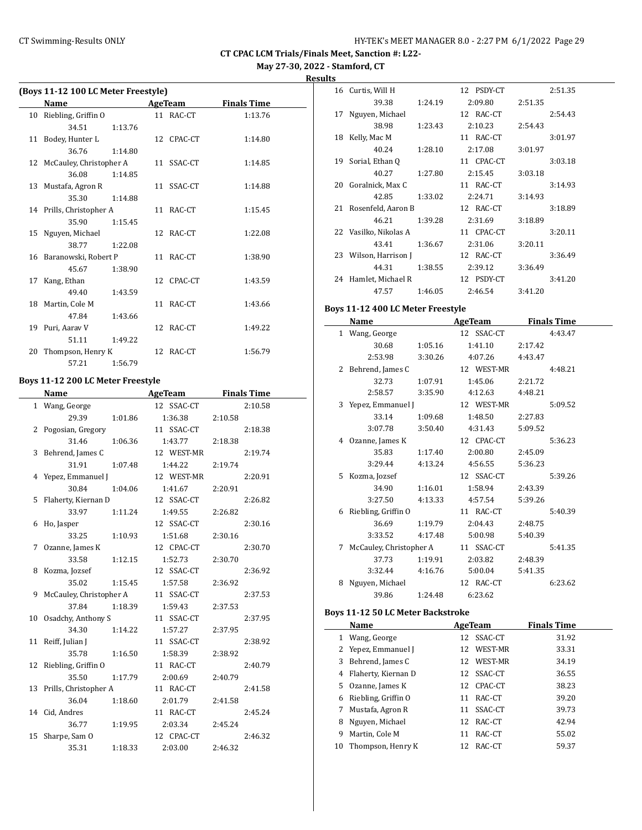**May 27-30, 2022 - Stamford, CT**

**Results**

| (Boys 11-12 100 LC Meter Freestyle) |         |  |            |                    |  |  |
|-------------------------------------|---------|--|------------|--------------------|--|--|
| Name                                |         |  | AgeTeam    | <b>Finals Time</b> |  |  |
| 10 Riebling, Griffin O              |         |  | 11 RAC-CT  | 1:13.76            |  |  |
| 34.51                               | 1:13.76 |  |            |                    |  |  |
| 11 Bodey, Hunter L                  |         |  | 12 CPAC-CT | 1:14.80            |  |  |
| 36.76                               | 1:14.80 |  |            |                    |  |  |
| 12 McCauley, Christopher A          |         |  | 11 SSAC-CT | 1:14.85            |  |  |
| 36.08                               | 1:14.85 |  |            |                    |  |  |
| 13 Mustafa, Agron R                 |         |  | 11 SSAC-CT | 1:14.88            |  |  |
| 35.30                               | 1:14.88 |  |            |                    |  |  |
| 14 Prills, Christopher A            |         |  | 11 RAC-CT  | 1:15.45            |  |  |
| 35.90                               | 1:15.45 |  |            |                    |  |  |
| 15 Nguyen, Michael                  |         |  | 12 RAC-CT  | 1:22.08            |  |  |
| 38.77                               | 1:22.08 |  |            |                    |  |  |
| 16 Baranowski, Robert P             |         |  | 11 RAC-CT  | 1:38.90            |  |  |
| 45.67                               | 1:38.90 |  |            |                    |  |  |
| 17 Kang, Ethan                      |         |  | 12 CPAC-CT | 1:43.59            |  |  |
| 49.40                               | 1:43.59 |  |            |                    |  |  |
| 18 Martin, Cole M                   |         |  | 11 RAC-CT  | 1:43.66            |  |  |
| 47.84                               | 1:43.66 |  |            |                    |  |  |
| 19 Puri, Aarav V                    |         |  | 12 RAC-CT  | 1:49.22            |  |  |
| 51.11                               | 1:49.22 |  |            |                    |  |  |
| 20 Thompson, Henry K                |         |  | 12 RAC-CT  | 1:56.79            |  |  |
| 57.21                               | 1:56.79 |  |            |                    |  |  |

## **Boys 11-12 200 LC Meter Freestyle**

|    | Name                      | <b>AgeTeam</b> | <b>Finals Time</b> |
|----|---------------------------|----------------|--------------------|
|    | 1 Wang, George            | 12 SSAC-CT     | 2:10.58            |
|    | 29.39<br>1:01.86          | 1:36.38        | 2:10.58            |
|    | 2 Pogosian, Gregory       | 11 SSAC-CT     | 2:18.38            |
|    | 31.46<br>1:06.36          | 1:43.77        | 2:18.38            |
|    | 3 Behrend, James C        | 12 WEST-MR     | 2:19.74            |
|    | 31.91<br>1:07.48          | 1:44.22        | 2:19.74            |
|    | 4 Yepez, Emmanuel J       | 12 WEST-MR     | 2:20.91            |
|    | 30.84<br>1:04.06          | 1:41.67        | 2:20.91            |
|    | 5 Flaherty, Kiernan D     | 12 SSAC-CT     | 2:26.82            |
|    | 33.97<br>1:11.24          | 1:49.55        | 2:26.82            |
|    | 6 Ho, Jasper              | 12 SSAC-CT     | 2:30.16            |
|    | 33.25<br>1:10.93          | 1:51.68        | 2:30.16            |
| 7  | Ozanne, James K           | 12 CPAC-CT     | 2:30.70            |
|    | 33.58<br>1:12.15          | 1:52.73        | 2:30.70            |
|    | 8 Kozma, Jozsef           | 12 SSAC-CT     | 2:36.92            |
|    | 35.02<br>1:15.45          | 1:57.58        | 2:36.92            |
|    | 9 McCauley, Christopher A | 11 SSAC-CT     | 2:37.53            |
|    | 37.84<br>1:18.39          | 1:59.43        | 2:37.53            |
|    | 10 Osadchy, Anthony S     | 11 SSAC-CT     | 2:37.95            |
|    | 34.30<br>1:14.22          | 1:57.27        | 2:37.95            |
|    | 11 Reiff, Julian J        | 11 SSAC-CT     | 2:38.92            |
|    | 1:16.50<br>35.78          | 1:58.39        | 2:38.92            |
|    | 12 Riebling, Griffin O    | 11 RAC-CT      | 2:40.79            |
|    | 35.50<br>1:17.79          | 2:00.69        | 2:40.79            |
|    | 13 Prills, Christopher A  | 11 RAC-CT      | 2:41.58            |
|    | 36.04<br>1:18.60          | 2:01.79        | 2:41.58            |
|    | 14 Cid, Andres            | 11 RAC-CT      | 2:45.24            |
|    | 36.77<br>1:19.95          | 2:03.34        | 2:45.24            |
| 15 | Sharpe, Sam O             | 12 CPAC-CT     | 2:46.32            |
|    | 35.31<br>1:18.33          | 2:03.00        | 2:46.32            |

| 16 | Curtis, Will H        |         | 12 PSDY-CT                 |         | 2:51.35 |
|----|-----------------------|---------|----------------------------|---------|---------|
|    | 39.38                 | 1:24.19 | 2:09.80                    | 2:51.35 |         |
| 17 | Nguyen, Michael       |         | 12 RAC-CT                  |         | 2:54.43 |
|    | 38.98                 | 1:23.43 | 2:10.23                    | 2:54.43 |         |
| 18 | Kelly, Mac M          |         | 11 RAC-CT                  |         | 3:01.97 |
|    | 40.24                 | 1:28.10 | 2:17.08                    | 3:01.97 |         |
| 19 | Sorial, Ethan Q       |         | 11 CPAC-CT                 |         | 3:03.18 |
|    | 40.27                 | 1:27.80 | 2:15.45                    | 3:03.18 |         |
| 20 | Goralnick, Max C      |         | 11 RAC-CT                  |         | 3:14.93 |
|    | 42.85                 | 1:33.02 | 2:24.71                    | 3:14.93 |         |
| 21 | Rosenfeld, Aaron B    |         | 12 RAC-CT                  |         | 3:18.89 |
|    | 46.21                 | 1:39.28 | 2:31.69                    | 3:18.89 |         |
|    | 22 Vasilko, Nikolas A |         | 11 CPAC-CT                 |         | 3:20.11 |
|    | 43.41                 | 1:36.67 | 2:31.06                    | 3:20.11 |         |
| 23 | Wilson, Harrison J    |         | 12 RAC-CT                  |         | 3:36.49 |
|    | 44.31                 | 1:38.55 | 2:39.12                    | 3:36.49 |         |
| 24 | Hamlet, Michael R     |         | PSDY-CT<br>12 <sup>1</sup> |         | 3:41.20 |
|    | 47.57                 | 1:46.05 | 2:46.54                    | 3:41.20 |         |

# **Boys 11-12 400 LC Meter Freestyle**

|   | <b>Name</b>             |         | AgeTeam    | <b>Finals Time</b> |  |
|---|-------------------------|---------|------------|--------------------|--|
|   | 1 Wang, George          |         | 12 SSAC-CT | 4:43.47            |  |
|   | 30.68                   | 1:05.16 | 1:41.10    | 2:17.42            |  |
|   | 2:53.98                 | 3:30.26 | 4:07.26    | 4:43.47            |  |
|   | 2 Behrend, James C      |         | 12 WEST-MR | 4:48.21            |  |
|   | 32.73                   | 1:07.91 | 1:45.06    | 2:21.72            |  |
|   | 2:58.57                 | 3:35.90 | 4:12.63    | 4:48.21            |  |
|   | 3 Yepez, Emmanuel J     |         | 12 WEST-MR | 5:09.52            |  |
|   | 33.14                   | 1:09.68 | 1:48.50    | 2:27.83            |  |
|   | 3:07.78                 | 3:50.40 | 4:31.43    | 5:09.52            |  |
|   | 4 Ozanne, James K       |         | 12 CPAC-CT | 5:36.23            |  |
|   | 35.83                   | 1:17.40 | 2:00.80    | 2:45.09            |  |
|   | 3:29.44                 | 4:13.24 | 4:56.55    | 5:36.23            |  |
|   | 5 Kozma, Jozsef         |         | 12 SSAC-CT | 5:39.26            |  |
|   | 34.90                   | 1:16.01 | 1:58.94    | 2:43.39            |  |
|   | 3:27.50                 | 4:13.33 | 4:57.54    | 5:39.26            |  |
| 6 | Riebling, Griffin O     |         | 11 RAC-CT  | 5:40.39            |  |
|   | 36.69                   | 1:19.79 | 2:04.43    | 2:48.75            |  |
|   | 3:33.52                 | 4:17.48 | 5:00.98    | 5:40.39            |  |
| 7 | McCauley, Christopher A |         | 11 SSAC-CT | 5:41.35            |  |
|   | 37.73                   | 1:19.91 | 2:03.82    | 2:48.39            |  |
|   | 3:32.44                 | 4:16.76 | 5:00.04    | 5:41.35            |  |
| 8 | Nguyen, Michael         |         | 12 RAC-CT  | 6:23.62            |  |
|   | 39.86                   | 1:24.48 | 6:23.62    |                    |  |

## **Boys 11-12 50 LC Meter Backstroke**

|    | Name                |    | AgeTeam    | <b>Finals Time</b> |
|----|---------------------|----|------------|--------------------|
| 1  | Wang, George        |    | 12 SSAC-CT | 31.92              |
|    | 2 Yepez, Emmanuel J |    | 12 WEST-MR | 33.31              |
| 3  | Behrend, James C    |    | 12 WEST-MR | 34.19              |
| 4  | Flaherty, Kiernan D |    | 12 SSAC-CT | 36.55              |
| 5. | Ozanne, James K     | 12 | CPAC-CT    | 38.23              |
| 6  | Riebling, Griffin O | 11 | RAC-CT     | 39.20              |
| 7  | Mustafa, Agron R    | 11 | SSAC-CT    | 39.73              |
| 8  | Nguyen, Michael     | 12 | RAC-CT     | 42.94              |
| 9  | Martin, Cole M      | 11 | RAC-CT     | 55.02              |
| 10 | Thompson, Henry K   | 12 | RAC-CT     | 59.37              |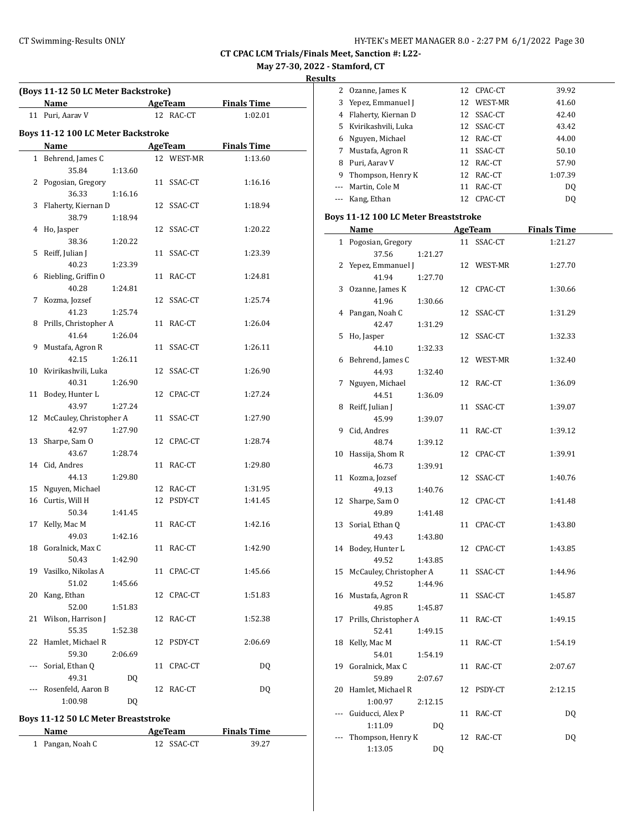**May 27-30, 2022 - Stamford, CT**

**Results**

|                | (Boys 11-12 50 LC Meter Backstroke)<br>Name |         |    | AgeTeam        | <b>Finals Time</b> |
|----------------|---------------------------------------------|---------|----|----------------|--------------------|
|                | 11 Puri, Aarav V                            |         |    | 12 RAC-CT      | 1:02.01            |
|                |                                             |         |    |                |                    |
|                | <b>Boys 11-12 100 LC Meter Backstroke</b>   |         |    |                |                    |
|                | Name                                        |         |    | <b>AgeTeam</b> | <b>Finals Time</b> |
|                | 1 Behrend, James C                          |         |    | 12 WEST-MR     | 1:13.60            |
|                | 35.84                                       | 1:13.60 |    |                |                    |
|                | 2 Pogosian, Gregory                         |         |    | 11 SSAC-CT     | 1:16.16            |
|                | 36.33                                       | 1:16.16 |    |                |                    |
|                | 3 Flaherty, Kiernan D                       |         |    | 12 SSAC-CT     | 1:18.94            |
|                | 38.79                                       | 1:18.94 |    |                |                    |
|                | 4 Ho, Jasper                                |         |    | 12 SSAC-CT     | 1:20.22            |
|                | 38.36                                       | 1:20.22 |    |                |                    |
| 5              | Reiff, Julian J                             |         |    | 11 SSAC-CT     | 1:23.39            |
|                | 40.23                                       | 1:23.39 |    |                |                    |
|                | 6 Riebling, Griffin O                       |         |    | 11 RAC-CT      | 1:24.81            |
|                | 40.28                                       | 1:24.81 |    |                |                    |
|                | 7 Kozma, Jozsef                             |         |    | 12 SSAC-CT     | 1:25.74            |
|                | 41.23                                       | 1:25.74 |    |                |                    |
|                | 8 Prills, Christopher A                     |         |    | 11 RAC-CT      | 1:26.04            |
|                | 41.64                                       | 1:26.04 |    |                |                    |
|                | 9 Mustafa, Agron R                          |         |    | 11 SSAC-CT     | 1:26.11            |
|                | 42.15                                       | 1:26.11 |    |                |                    |
|                | 10 Kvirikashvili, Luka                      |         |    | 12 SSAC-CT     | 1:26.90            |
|                | 40.31                                       | 1:26.90 |    |                |                    |
| 11             | Bodey, Hunter L                             |         |    | 12 CPAC-CT     | 1:27.24            |
|                | 43.97                                       | 1:27.24 |    |                |                    |
| 12             | McCauley, Christopher A                     |         |    | 11 SSAC-CT     | 1:27.90            |
|                | 42.97                                       | 1:27.90 |    |                |                    |
| 13             | Sharpe, Sam O                               |         |    | 12 CPAC-CT     | 1:28.74            |
|                | 43.67                                       | 1:28.74 |    |                |                    |
|                | 14 Cid, Andres                              |         |    | 11 RAC-CT      | 1:29.80            |
|                | 44.13                                       | 1:29.80 |    |                |                    |
|                | 15 Nguyen, Michael                          |         |    | 12 RAC-CT      | 1:31.95            |
|                | 16 Curtis, Will H                           |         |    | 12 PSDY-CT     | 1:41.45            |
|                | 50.34                                       | 1:41.45 |    |                |                    |
| 17             | Kelly, Mac M                                |         |    | 11 RAC-CT      | 1:42.16            |
|                | 49.03                                       | 1:42.16 |    |                |                    |
|                | 18 Goralnick, Max C                         |         |    | 11 RAC-CT      | 1:42.90            |
|                | 50.43                                       | 1:42.90 |    |                |                    |
|                | 19 Vasilko, Nikolas A                       |         |    | 11 CPAC-CT     | 1:45.66            |
|                | 51.02                                       | 1:45.66 |    |                |                    |
|                | 20 Kang, Ethan                              |         |    | 12 CPAC-CT     | 1:51.83            |
|                | 52.00                                       | 1:51.83 |    |                |                    |
|                | 21 Wilson, Harrison J                       |         |    | 12 RAC-CT      | 1:52.38            |
|                | 55.35                                       | 1:52.38 |    |                |                    |
| 22             | Hamlet, Michael R                           |         |    | 12 PSDY-CT     | 2:06.69            |
|                | 59.30                                       | 2:06.69 |    |                |                    |
| ---            | Sorial, Ethan Q                             |         | 11 | CPAC-CT        | DQ                 |
|                | 49.31                                       | DQ      |    |                |                    |
| $\overline{a}$ | Rosenfeld, Aaron B                          |         |    | 12 RAC-CT      | DQ                 |
|                | 1:00.98                                     | DQ      |    |                |                    |
|                |                                             |         |    |                |                    |

**Name AgeTeam Finals Time** 1 Pangan, Noah C 12 SSAC-CT 39.27

|    | 2 Ozanne, James K   | 12  | CPAC-CT    | 39.92   |
|----|---------------------|-----|------------|---------|
| 3  | Yepez, Emmanuel J   |     | 12 WEST-MR | 41.60   |
| 4  | Flaherty, Kiernan D |     | 12 SSAC-CT | 42.40   |
| 5. | Kvirikashvili, Luka |     | 12 SSAC-CT | 43.42   |
| 6  | Nguyen, Michael     |     | 12 RAC-CT  | 44.00   |
| 7  | Mustafa, Agron R    | 11  | SSAC-CT    | 50.10   |
| 8  | Puri, Aarav V       |     | 12 RAC-CT  | 57.90   |
| 9  | Thompson, Henry K   |     | 12 RAC-CT  | 1:07.39 |
|    | Martin, Cole M      | 11  | RAC-CT     | DO.     |
|    | Kang, Ethan         | 12. | CPAC-CT    | DO      |
|    |                     |     |            |         |

## **Boys 11-12 100 LC Meter Breaststroke**

|     | <b>Name</b>             |         |    | <b>AgeTeam</b> | <b>Finals Time</b> |  |
|-----|-------------------------|---------|----|----------------|--------------------|--|
| 1   | Pogosian, Gregory       |         | 11 | SSAC-CT        | 1:21.27            |  |
|     | 37.56                   | 1:21.27 |    |                |                    |  |
| 2   | Yepez, Emmanuel J       |         |    | 12 WEST-MR     | 1:27.70            |  |
|     | 41.94                   | 1:27.70 |    |                |                    |  |
| 3   | Ozanne, James K         |         |    | 12 CPAC-CT     | 1:30.66            |  |
|     | 41.96                   | 1:30.66 |    |                |                    |  |
| 4   | Pangan, Noah C          |         | 12 | SSAC-CT        | 1:31.29            |  |
|     | 42.47                   | 1:31.29 |    |                |                    |  |
| 5   | Ho, Jasper              |         | 12 | SSAC-CT        | 1:32.33            |  |
|     | 44.10                   | 1:32.33 |    |                |                    |  |
| 6   | Behrend, James C        |         |    | 12 WEST-MR     | 1:32.40            |  |
|     | 44.93                   | 1:32.40 |    |                |                    |  |
| 7   | Nguyen, Michael         |         | 12 | RAC-CT         | 1:36.09            |  |
|     | 44.51                   | 1:36.09 |    |                |                    |  |
| 8   | Reiff, Julian J         |         | 11 | SSAC-CT        | 1:39.07            |  |
|     | 45.99                   | 1:39.07 |    |                |                    |  |
| 9   | Cid, Andres             |         | 11 | RAC-CT         | 1:39.12            |  |
|     | 48.74                   | 1:39.12 |    |                |                    |  |
| 10  | Hassija, Shom R         |         | 12 | CPAC-CT        | 1:39.91            |  |
|     | 46.73                   | 1:39.91 |    |                |                    |  |
| 11  | Kozma, Jozsef           |         | 12 | SSAC-CT        | 1:40.76            |  |
|     | 49.13                   | 1:40.76 |    |                |                    |  |
| 12  | Sharpe, Sam O           |         | 12 | CPAC-CT        | 1:41.48            |  |
|     | 49.89                   | 1:41.48 |    |                |                    |  |
| 13  | Sorial, Ethan Q         |         | 11 | CPAC-CT        | 1:43.80            |  |
|     | 49.43                   | 1:43.80 |    |                |                    |  |
| 14  | Bodey, Hunter L         |         | 12 | CPAC-CT        | 1:43.85            |  |
|     | 49.52                   | 1:43.85 |    |                |                    |  |
| 15  | McCauley, Christopher A |         |    | 11 SSAC-CT     | 1:44.96            |  |
|     | 49.52                   | 1:44.96 |    |                |                    |  |
| 16  | Mustafa, Agron R        |         | 11 | SSAC-CT        | 1:45.87            |  |
|     | 49.85                   | 1:45.87 |    |                |                    |  |
| 17  | Prills, Christopher A   |         | 11 | RAC-CT         | 1:49.15            |  |
|     | 52.41                   | 1:49.15 |    |                |                    |  |
| 18  | Kelly, Mac M            |         |    | 11 RAC-CT      | 1:54.19            |  |
|     | 54.01                   | 1:54.19 |    |                |                    |  |
| 19  | Goralnick, Max C        |         | 11 | RAC-CT         | 2:07.67            |  |
|     | 59.89                   | 2:07.67 |    |                |                    |  |
| 20  | Hamlet, Michael R       |         |    | 12 PSDY-CT     | 2:12.15            |  |
|     | 1:00.97                 | 2:12.15 |    |                |                    |  |
| --- | Guiducci, Alex P        |         | 11 | RAC-CT         | DQ                 |  |
|     | 1:11.09                 | DQ      |    |                |                    |  |
| --- | Thompson, Henry K       |         |    | 12 RAC-CT      | DQ                 |  |
|     | 1:13.05                 | DQ      |    |                |                    |  |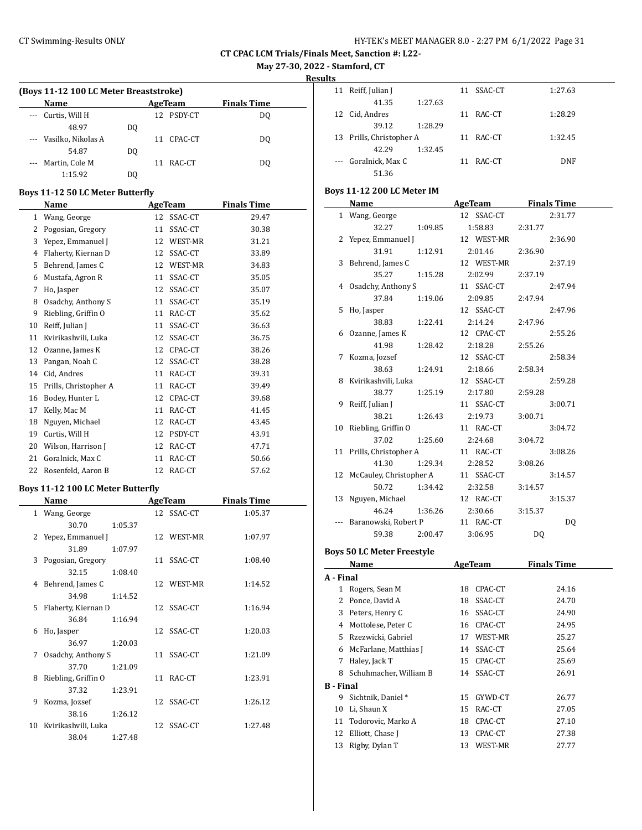**May 27-30, 2022 - Stamford, CT**

**Results**

|  | (Boys 11-12 100 LC Meter Breaststroke) |  |
|--|----------------------------------------|--|
|--|----------------------------------------|--|

| <b>Name</b>                | AgeTeam       | <b>Finals Time</b> |
|----------------------------|---------------|--------------------|
| Curtis, Will H<br>$\cdots$ | 12 PSDY-CT    | DO.                |
| 48.97                      | DO            |                    |
| --- Vasilko, Nikolas A     | CPAC-CT<br>11 | DO.                |
| 54.87                      | DO            |                    |
| --- Martin, Cole M         | RAC-CT<br>11  | DO.                |
| 1:15.92                    | DΟ            |                    |

#### **Boys 11-12 50 LC Meter Butterfly**

|    | Name                  |    | <b>AgeTeam</b> | <b>Finals Time</b> |
|----|-----------------------|----|----------------|--------------------|
| 1  | Wang, George          | 12 | SSAC-CT        | 29.47              |
| 2  | Pogosian, Gregory     | 11 | SSAC-CT        | 30.38              |
| 3  | Yepez, Emmanuel J     | 12 | WEST-MR        | 31.21              |
| 4  | Flaherty, Kiernan D   | 12 | SSAC-CT        | 33.89              |
| 5  | Behrend, James C      | 12 | WEST-MR        | 34.83              |
| 6  | Mustafa, Agron R      | 11 | SSAC-CT        | 35.05              |
| 7  | Ho, Jasper            | 12 | SSAC-CT        | 35.07              |
| 8  | Osadchy, Anthony S    | 11 | SSAC-CT        | 35.19              |
| 9  | Riebling, Griffin O   | 11 | RAC-CT         | 35.62              |
| 10 | Reiff, Julian J       | 11 | SSAC-CT        | 36.63              |
| 11 | Kvirikashvili, Luka   | 12 | SSAC-CT        | 36.75              |
| 12 | Ozanne, James K       | 12 | CPAC-CT        | 38.26              |
| 13 | Pangan, Noah C        | 12 | SSAC-CT        | 38.28              |
| 14 | Cid, Andres           | 11 | RAC-CT         | 39.31              |
| 15 | Prills, Christopher A | 11 | RAC-CT         | 39.49              |
| 16 | Bodey, Hunter L       | 12 | CPAC-CT        | 39.68              |
| 17 | Kelly, Mac M          | 11 | RAC-CT         | 41.45              |
| 18 | Nguyen, Michael       | 12 | RAC-CT         | 43.45              |
| 19 | Curtis, Will H        | 12 | PSDY-CT        | 43.91              |
| 20 | Wilson, Harrison J    | 12 | RAC-CT         | 47.71              |
| 21 | Goralnick, Max C      | 11 | RAC-CT         | 50.66              |
| 22 | Rosenfeld, Aaron B    | 12 | RAC-CT         | 57.62              |

## **Boys 11-12 100 LC Meter Butterfly**

|    | Name                  |         | <b>AgeTeam</b> | <b>Finals Time</b> |
|----|-----------------------|---------|----------------|--------------------|
|    | 1 Wang, George        |         | 12 SSAC-CT     | 1:05.37            |
|    | 30.70                 | 1:05.37 |                |                    |
|    | 2 Yepez, Emmanuel J   |         | 12 WEST-MR     | 1:07.97            |
|    | 31.89                 | 1:07.97 |                |                    |
|    | 3 Pogosian, Gregory   |         | 11 SSAC-CT     | 1:08.40            |
|    | 32.15                 | 1:08.40 |                |                    |
|    | 4 Behrend, James C    |         | 12 WEST-MR     | 1:14.52            |
|    | 34.98                 | 1:14.52 |                |                    |
|    | 5 Flaherty, Kiernan D |         | 12 SSAC-CT     | 1:16.94            |
|    | 36.84                 | 1:16.94 |                |                    |
| 6  | Ho, Jasper            |         | 12 SSAC-CT     | 1:20.03            |
|    | 36.97                 | 1:20.03 |                |                    |
| 7  | Osadchy, Anthony S    |         | 11 SSAC-CT     | 1:21.09            |
|    | 37.70                 | 1:21.09 |                |                    |
| 8  | Riebling, Griffin O   |         | 11 RAC-CT      | 1:23.91            |
|    | 37.32                 | 1:23.91 |                |                    |
| 9  | Kozma, Jozsef         |         | 12 SSAC-CT     | 1:26.12            |
|    | 38.16                 | 1:26.12 |                |                    |
| 10 | Kvirikashvili, Luka   |         | 12 SSAC-CT     | 1:27.48            |
|    | 38.04                 | 1:27.48 |                |                    |

| 11 | Reiff, Julian J          |         |    | 11 SSAC-CT | 1:27.63 |
|----|--------------------------|---------|----|------------|---------|
|    | 41.35                    | 1:27.63 |    |            |         |
|    | 12 Cid, Andres           |         |    | 11 RAC-CT  | 1:28.29 |
|    | 39.12                    | 1:28.29 |    |            |         |
|    | 13 Prills, Christopher A |         |    | 11 RAC-CT  | 1:32.45 |
|    | 42.29                    | 1:32.45 |    |            |         |
|    | Goralnick, Max C         |         | 11 | RAC-CT     | DNF     |
|    | 51.36                    |         |    |            |         |

#### **Boys 11-12 200 LC Meter IM**

|                  | Name                              | AgeTeam        | <b>Finals Time</b> |
|------------------|-----------------------------------|----------------|--------------------|
|                  | 1 Wang, George                    | 12 SSAC-CT     | 2:31.77            |
|                  | 32.27<br>1:09.85                  | 1:58.83        | 2:31.77            |
|                  | 2 Yepez, Emmanuel J               | 12 WEST-MR     | 2:36.90            |
|                  | 31.91<br>1:12.91                  | 2:01.46        | 2:36.90            |
| 3                | Behrend, James C                  | 12 WEST-MR     | 2:37.19            |
|                  | 1:15.28<br>35.27                  | 2:02.99        | 2:37.19            |
| 4                | Osadchy, Anthony S                | 11 SSAC-CT     | 2:47.94            |
|                  | 37.84<br>1:19.06                  | 2:09.85        | 2:47.94            |
| 5                | Ho, Jasper                        | 12 SSAC-CT     | 2:47.96            |
|                  | 38.83<br>1:22.41                  | 2:14.24        | 2:47.96            |
| 6                | Ozanne, James K                   | 12 CPAC-CT     | 2:55.26            |
|                  | 41.98<br>1:28.42                  | 2:18.28        | 2:55.26            |
| 7                | Kozma, Jozsef                     | 12 SSAC-CT     | 2:58.34            |
|                  | 38.63<br>1:24.91                  | 2:18.66        | 2:58.34            |
| 8                | Kvirikashvili, Luka               | 12 SSAC-CT     | 2:59.28            |
|                  | 38.77<br>1:25.19                  | 2:17.80        | 2:59.28            |
| 9                | Reiff, Julian J                   | 11 SSAC-CT     | 3:00.71            |
|                  | 38.21<br>1:26.43                  | 2:19.73        | 3:00.71            |
| 10               | Riebling, Griffin O               | 11 RAC-CT      | 3:04.72            |
|                  | 37.02<br>1:25.60                  | 2:24.68        | 3:04.72            |
| 11               | Prills, Christopher A             | 11 RAC-CT      | 3:08.26            |
|                  | 41.30<br>1:29.34                  | 2:28.52        | 3:08.26            |
|                  | 12 McCauley, Christopher A        | 11 SSAC-CT     | 3:14.57            |
|                  | 50.72<br>1:34.42                  | 2:32.58        | 3:14.57            |
| 13               | Nguyen, Michael                   | 12 RAC-CT      | 3:15.37            |
|                  | 46.24<br>1:36.26                  | 2:30.66        | 3:15.37            |
|                  | Baranowski, Robert P              | 11 RAC-CT      | DQ                 |
|                  | 59.38<br>2:00.47                  | 3:06.95        | DQ                 |
|                  | <b>Boys 50 LC Meter Freestyle</b> |                |                    |
|                  | Name                              | <b>AgeTeam</b> | <b>Finals Time</b> |
| A - Final        |                                   |                |                    |
| 1                | Rogers, Sean M                    | 18 CPAC-CT     | 24.16              |
|                  | 2 Ponce, David A                  | 18<br>SSAC-CT  | 24.70              |
|                  | 3 Peters, Henry C                 | 16<br>SSAC-CT  | 24.90              |
|                  | 4 Mottolese, Peter C              | 16 CPAC-CT     | 24.95              |
| 5                | Rzezwicki, Gabriel                | 17 WEST-MR     | 25.27              |
| 6                | McFarlane, Matthias J             | 14 SSAC-CT     | 25.64              |
| 7                | Haley, Jack T                     | 15 CPAC-CT     | 25.69              |
| 8                | Schuhmacher, William B            | SSAC-CT<br>14  | 26.91              |
| <b>B</b> - Final |                                   |                |                    |
| 9                | Sichtnik, Daniel*                 | 15<br>GYWD-CT  | 26.77              |
| 10               | Li, Shaun X                       | 15<br>RAC-CT   | 27.05              |
| 11               | Todorovic, Marko A                | 18<br>CPAC-CT  | 27.10              |
| 12               | Elliott, Chase J                  | 13<br>CPAC-CT  | 27.38              |
| 13               | Rigby, Dylan T                    | 13<br>WEST-MR  | 27.77              |
|                  |                                   |                |                    |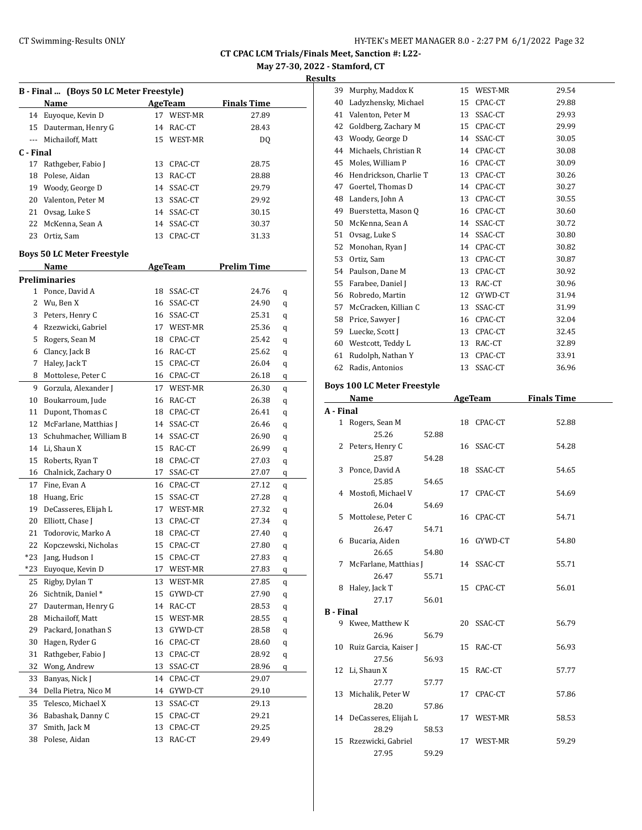**May 27-30, 2022 - Stamford, CT**

**Results**

| B - Final  (Boys 50 LC Meter Freestyle) |                                   |    |            |                    |   |
|-----------------------------------------|-----------------------------------|----|------------|--------------------|---|
|                                         | Name                              |    | AgeTeam    | <b>Finals Time</b> |   |
| 14                                      | Euyoque, Kevin D                  | 17 | WEST-MR    | 27.89              |   |
| 15                                      | Dauterman, Henry G                |    | 14 RAC-CT  | 28.43              |   |
| ---                                     | Michailoff, Matt                  |    | 15 WEST-MR | DQ                 |   |
| C - Final                               |                                   |    |            |                    |   |
| 17                                      | Rathgeber, Fabio J                |    | 13 CPAC-CT | 28.75              |   |
| 18                                      | Polese, Aidan                     |    | 13 RAC-CT  | 28.88              |   |
|                                         | 19 Woody, George D                |    | 14 SSAC-CT | 29.79              |   |
|                                         | 20 Valenton, Peter M              |    | 13 SSAC-CT | 29.92              |   |
|                                         | 21 Ovsag, Luke S                  |    | 14 SSAC-CT | 30.15              |   |
|                                         | 22 McKenna, Sean A                |    | 14 SSAC-CT | 30.37              |   |
| 23                                      | Ortiz, Sam                        | 13 | CPAC-CT    | 31.33              |   |
|                                         |                                   |    |            |                    |   |
|                                         | <b>Boys 50 LC Meter Freestyle</b> |    |            |                    |   |
|                                         | Name                              |    | AgeTeam    | <b>Prelim Time</b> |   |
|                                         | Preliminaries                     |    |            |                    |   |
| 1                                       | Ponce, David A                    | 18 | SSAC-CT    | 24.76              | q |
| 2                                       | Wu, Ben X                         | 16 | SSAC-CT    | 24.90              | q |
| 3                                       | Peters, Henry C                   |    | 16 SSAC-CT | 25.31              | q |
| 4                                       | Rzezwicki, Gabriel                |    | 17 WEST-MR | 25.36              | q |
| 5                                       | Rogers, Sean M                    |    | 18 CPAC-CT | 25.42              | q |
|                                         | 6 Clancy, Jack B                  |    | 16 RAC-CT  | 25.62              | q |
| 7                                       | Haley, Jack T                     |    | 15 CPAC-CT | 26.04              | q |
| 8                                       | Mottolese, Peter C                |    | 16 CPAC-CT | 26.18              | q |
| 9                                       | Gorzula, Alexander J              |    | 17 WEST-MR | 26.30              | q |
| 10                                      | Boukarroum, Jude                  |    | 16 RAC-CT  | 26.38              | q |
| 11                                      | Dupont, Thomas C                  |    | 18 CPAC-CT | 26.41              | q |
| 12                                      | McFarlane, Matthias J             |    | 14 SSAC-CT | 26.46              | q |
| 13                                      | Schuhmacher, William B            |    | 14 SSAC-CT | 26.90              | q |
|                                         | 14 Li, Shaun X                    |    | 15 RAC-CT  | 26.99              | q |
| 15                                      | Roberts, Ryan T                   |    | 18 CPAC-CT | 27.03              | q |
|                                         | 16 Chalnick, Zachary O            |    | 17 SSAC-CT | 27.07              | q |
| 17                                      | Fine, Evan A                      |    | 16 CPAC-CT | 27.12              | q |
| 18                                      | Huang, Eric                       |    | 15 SSAC-CT | 27.28              | q |
| 19                                      | DeCasseres, Elijah L              |    | 17 WEST-MR | 27.32              | q |
| 20                                      | Elliott, Chase J                  |    | 13 CPAC-CT | 27.34              | q |
| 21                                      | Todorovic, Marko A                |    | 18 CPAC-CT | 27.40              | q |
| 22                                      | Kopczewski, Nicholas              |    | 15 CPAC-CT | 27.80              | q |
| *23                                     | Jang, Hudson I                    | 15 | CPAC-CT    | 27.83              | q |
| *23                                     | Euyoque, Kevin D                  | 17 | WEST-MR    | 27.83              | q |
| 25                                      | Rigby, Dylan T                    | 13 | WEST-MR    | 27.85              | q |
| 26                                      | Sichtnik, Daniel*                 | 15 | GYWD-CT    | 27.90              | q |
| 27                                      | Dauterman, Henry G                | 14 | RAC-CT     | 28.53              | q |
| 28                                      | Michailoff, Matt                  | 15 | WEST-MR    | 28.55              | q |
| 29                                      | Packard, Jonathan S               | 13 | GYWD-CT    | 28.58              | q |
| 30                                      | Hagen, Ryder G                    | 16 | CPAC-CT    | 28.60              | q |
| 31                                      | Rathgeber, Fabio J                | 13 | CPAC-CT    | 28.92              | q |
| 32                                      | Wong, Andrew                      | 13 | SSAC-CT    | 28.96              | q |
| 33                                      | Banyas, Nick J                    | 14 | CPAC-CT    | 29.07              |   |
| 34                                      | Della Pietra, Nico M              | 14 | GYWD-CT    | 29.10              |   |
| 35                                      | Telesco, Michael X                | 13 | SSAC-CT    | 29.13              |   |
| 36                                      | Babashak, Danny C                 | 15 | CPAC-CT    | 29.21              |   |
| 37                                      | Smith, Jack M                     | 13 |            |                    |   |
|                                         | Polese, Aidan                     |    | CPAC-CT    | 29.25              |   |
| 38                                      |                                   | 13 | RAC-CT     | 29.49              |   |

| LS. |                        |    |         |       |
|-----|------------------------|----|---------|-------|
| 39  | Murphy, Maddox K       | 15 | WEST-MR | 29.54 |
| 40  | Ladyzhensky, Michael   | 15 | CPAC-CT | 29.88 |
| 41  | Valenton, Peter M      | 13 | SSAC-CT | 29.93 |
| 42  | Goldberg, Zachary M    | 15 | CPAC-CT | 29.99 |
| 43  | Woody, George D        | 14 | SSAC-CT | 30.05 |
| 44  | Michaels, Christian R  | 14 | CPAC-CT | 30.08 |
| 45  | Moles, William P       | 16 | CPAC-CT | 30.09 |
| 46  | Hendrickson, Charlie T | 13 | CPAC-CT | 30.26 |
| 47  | Goertel, Thomas D      | 14 | CPAC-CT | 30.27 |
| 48  | Landers, John A        | 13 | CPAC-CT | 30.55 |
| 49  | Buerstetta, Mason Q    | 16 | CPAC-CT | 30.60 |
| 50  | McKenna, Sean A        | 14 | SSAC-CT | 30.72 |
| 51  | Ovsag, Luke S          | 14 | SSAC-CT | 30.80 |
| 52  | Monohan, Ryan J        | 14 | CPAC-CT | 30.82 |
| 53  | Ortiz, Sam             | 13 | CPAC-CT | 30.87 |
| 54  | Paulson, Dane M        | 13 | CPAC-CT | 30.92 |
| 55  | Farabee, Daniel J      | 13 | RAC-CT  | 30.96 |
| 56  | Robredo, Martin        | 12 | GYWD-CT | 31.94 |
| 57  | McCracken, Killian C   | 13 | SSAC-CT | 31.99 |
| 58  | Price, Sawyer J        | 16 | CPAC-CT | 32.04 |
| 59  | Luecke, Scott J        | 13 | CPAC-CT | 32.45 |
| 60  | Westcott, Teddy L      | 13 | RAC-CT  | 32.89 |
| 61  | Rudolph, Nathan Y      | 13 | CPAC-CT | 33.91 |
| 62  | Radis, Antonios        | 13 | SSAC-CT | 36.96 |
|     |                        |    |         |       |

## **Boys 100 LC Meter Freestyle**

|                  | Name                     |       | <b>AgeTeam</b> | <b>Finals Time</b> |
|------------------|--------------------------|-------|----------------|--------------------|
| A - Final        |                          |       |                |                    |
| $\mathbf{1}$     | Rogers, Sean M           |       | 18 CPAC-CT     | 52.88              |
|                  | 25.26                    | 52.88 |                |                    |
|                  | 2 Peters, Henry C        |       | 16 SSAC-CT     | 54.28              |
|                  | 25.87                    | 54.28 |                |                    |
|                  | 3 Ponce, David A         |       | 18 SSAC-CT     | 54.65              |
|                  | 25.85                    | 54.65 |                |                    |
|                  | 4 Mostofi, Michael V     |       | 17 CPAC-CT     | 54.69              |
|                  | 26.04                    | 54.69 |                |                    |
| 5.               | Mottolese, Peter C       |       | 16 CPAC-CT     | 54.71              |
|                  | 26.47                    | 54.71 |                |                    |
|                  | 6 Bucaria, Aiden         |       | 16 GYWD-CT     | 54.80              |
|                  | 26.65                    | 54.80 |                |                    |
|                  | 7 McFarlane, Matthias J  |       | 14 SSAC-CT     | 55.71              |
|                  | 26.47                    | 55.71 |                |                    |
|                  | 8 Haley, Jack T          |       | 15 CPAC-CT     | 56.01              |
|                  | 27.17                    | 56.01 |                |                    |
| <b>B</b> - Final |                          |       |                |                    |
|                  | 9 Kwee, Matthew K        |       | 20 SSAC-CT     | 56.79              |
|                  | 26.96                    | 56.79 |                |                    |
|                  | 10 Ruiz Garcia, Kaiser J |       | 15 RAC-CT      | 56.93              |
|                  | 27.56                    | 56.93 |                |                    |
|                  | 12 Li, Shaun X           |       | 15 RAC-CT      | 57.77              |
|                  | 27.77                    | 57.77 |                |                    |
|                  | 13 Michalik, Peter W     |       | 17 CPAC-CT     | 57.86              |
|                  | 28.20                    | 57.86 |                |                    |
|                  | 14 DeCasseres, Elijah L  |       | 17 WEST-MR     | 58.53              |
|                  | 28.29                    | 58.53 |                |                    |
| 15               | Rzezwicki, Gabriel       |       | 17 WEST-MR     | 59.29              |
|                  | 27.95                    | 59.29 |                |                    |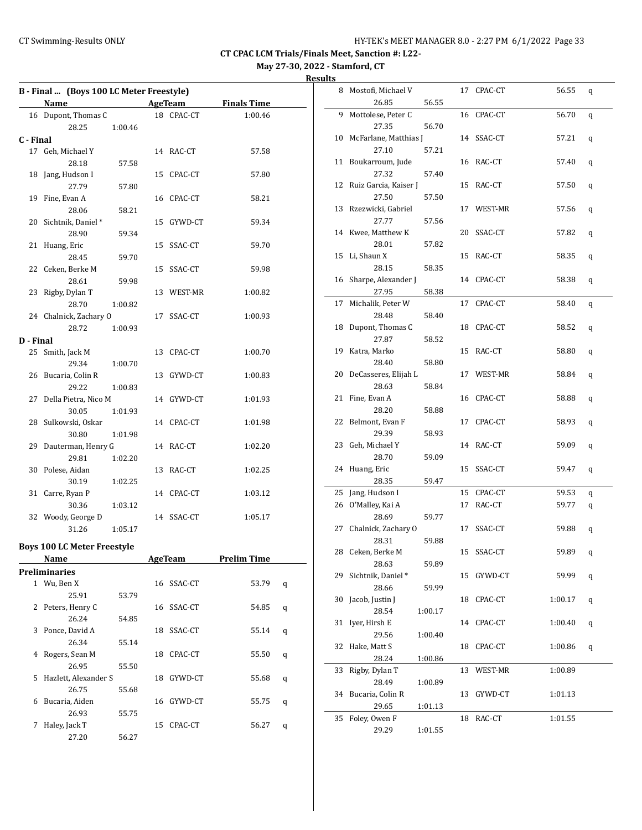# **May 27-30, 2022 - Stamford, CT Results**

|           | B - Final  (Boys 100 LC Meter Freestyle) |         |    |                |                    |   |
|-----------|------------------------------------------|---------|----|----------------|--------------------|---|
|           | Name                                     |         |    | AgeTeam        | <b>Finals Time</b> |   |
|           | 16 Dupont, Thomas C                      |         |    | 18 CPAC-CT     | 1:00.46            |   |
|           | 28.25                                    | 1:00.46 |    |                |                    |   |
| C - Final |                                          |         |    |                |                    |   |
|           | 17 Geh, Michael Y                        |         |    | 14 RAC-CT      | 57.58              |   |
|           | 28.18                                    | 57.58   |    |                |                    |   |
|           | 18 Jang, Hudson I                        |         |    | 15 CPAC-CT     | 57.80              |   |
|           | 27.79                                    | 57.80   |    |                |                    |   |
|           | 19 Fine, Evan A                          |         |    | 16 CPAC-CT     | 58.21              |   |
|           | 28.06                                    | 58.21   |    |                |                    |   |
|           | 20 Sichtnik, Daniel*                     |         |    | 15 GYWD-CT     | 59.34              |   |
|           | 28.90                                    | 59.34   |    |                |                    |   |
|           | 21 Huang, Eric                           |         |    | 15 SSAC-CT     | 59.70              |   |
|           | 28.45                                    | 59.70   |    |                |                    |   |
|           | 22 Ceken, Berke M                        |         |    | 15 SSAC-CT     | 59.98              |   |
|           | 28.61                                    | 59.98   |    |                |                    |   |
|           | 23 Rigby, Dylan T                        |         |    | 13 WEST-MR     | 1:00.82            |   |
|           | 28.70                                    | 1:00.82 |    |                |                    |   |
|           | 24 Chalnick, Zachary O                   |         |    | 17 SSAC-CT     | 1:00.93            |   |
|           | 28.72                                    | 1:00.93 |    |                |                    |   |
| D - Final |                                          |         |    |                |                    |   |
|           | 25 Smith, Jack M                         |         |    | 13 CPAC-CT     | 1:00.70            |   |
|           | 29.34                                    | 1:00.70 |    |                |                    |   |
|           | 26 Bucaria, Colin R                      |         |    | 13 GYWD-CT     | 1:00.83            |   |
|           | 29.22                                    | 1:00.83 |    |                |                    |   |
|           |                                          |         |    |                |                    |   |
|           | 27 Della Pietra, Nico M                  |         |    | 14 GYWD-CT     | 1:01.93            |   |
|           | 30.05                                    | 1:01.93 |    |                |                    |   |
|           | 28 Sulkowski, Oskar                      |         |    | 14 CPAC-CT     | 1:01.98            |   |
|           | 30.80                                    | 1:01.98 |    |                |                    |   |
|           | 29 Dauterman, Henry G                    |         |    | 14 RAC-CT      | 1:02.20            |   |
|           | 29.81                                    | 1:02.20 |    |                |                    |   |
|           | 30 Polese, Aidan                         |         |    | 13 RAC-CT      | 1:02.25            |   |
|           | 30.19                                    | 1:02.25 |    |                |                    |   |
|           | 31 Carre, Ryan P                         |         |    | 14 CPAC-CT     | 1:03.12            |   |
|           | 30.36                                    | 1:03.12 |    |                |                    |   |
|           | 32 Woody, George D                       |         |    | 14 SSAC-CT     | 1:05.17            |   |
|           | 31.26                                    | 1:05.17 |    |                |                    |   |
|           | <b>Boys 100 LC Meter Freestyle</b>       |         |    |                |                    |   |
|           | Name                                     |         |    | <b>AgeTeam</b> | <b>Prelim Time</b> |   |
|           | <b>Preliminaries</b>                     |         |    |                |                    |   |
|           | 1 Wu, Ben X                              |         |    | 16 SSAC-CT     | 53.79              |   |
|           | 25.91                                    | 53.79   |    |                |                    | q |
| 2         |                                          |         |    | SSAC-CT        |                    |   |
|           | Peters, Henry C                          |         | 16 |                | 54.85              | q |
|           | 26.24                                    | 54.85   |    |                |                    |   |
| 3         | Ponce, David A                           |         | 18 | SSAC-CT        | 55.14              | q |
|           | 26.34                                    | 55.14   |    |                |                    |   |
|           | 4 Rogers, Sean M                         |         | 18 | CPAC-CT        | 55.50              | q |
|           | 26.95                                    | 55.50   |    |                |                    |   |
| 5         | Hazlett, Alexander S                     |         | 18 | GYWD-CT        | 55.68              | q |
|           | 26.75                                    | 55.68   |    |                |                    |   |
| 6         | Bucaria, Aiden                           |         | 16 | GYWD-CT        | 55.75              | q |
|           | 26.93                                    | 55.75   |    |                |                    |   |
| 7         | Haley, Jack T                            |         | 15 | CPAC-CT        | 56.27              | q |

27.20 56.27

| 8  | Mostofi, Michael V       |         |    | 17 CPAC-CT | 56.55   | q |
|----|--------------------------|---------|----|------------|---------|---|
|    | 26.85                    | 56.55   |    |            |         |   |
| 9  | Mottolese, Peter C       |         |    | 16 CPAC-CT | 56.70   | q |
|    | 27.35                    | 56.70   |    |            |         |   |
| 10 | McFarlane, Matthias J    |         |    | 14 SSAC-CT | 57.21   | q |
|    | 27.10                    | 57.21   |    |            |         |   |
|    | 11 Boukarroum, Jude      |         |    | 16 RAC-CT  | 57.40   | q |
|    | 27.32                    | 57.40   |    |            |         |   |
|    | 12 Ruiz Garcia, Kaiser J |         |    | 15 RAC-CT  | 57.50   |   |
|    | 27.50                    | 57.50   |    |            |         | q |
|    |                          |         |    |            |         |   |
|    | 13 Rzezwicki, Gabriel    |         |    | 17 WEST-MR | 57.56   | q |
|    | 27.77                    | 57.56   |    |            |         |   |
|    | 14 Kwee, Matthew K       |         |    | 20 SSAC-CT | 57.82   | q |
|    | 28.01                    | 57.82   |    |            |         |   |
| 15 | Li, Shaun X              |         |    | 15 RAC-CT  | 58.35   | q |
|    | 28.15                    | 58.35   |    |            |         |   |
| 16 | Sharpe, Alexander J      |         |    | 14 CPAC-CT | 58.38   | q |
|    | 27.95                    | 58.38   |    |            |         |   |
| 17 | Michalik, Peter W        |         |    | 17 CPAC-CT | 58.40   | q |
|    | 28.48                    | 58.40   |    |            |         |   |
| 18 | Dupont, Thomas C         |         |    | 18 CPAC-CT | 58.52   | q |
|    | 27.87                    | 58.52   |    |            |         |   |
| 19 | Katra, Marko             |         |    | 15 RAC-CT  | 58.80   | q |
|    | 28.40                    | 58.80   |    |            |         |   |
|    | 20 DeCasseres, Elijah L  |         |    | 17 WEST-MR | 58.84   | q |
|    | 28.63                    | 58.84   |    |            |         |   |
| 21 | Fine, Evan A             |         |    | 16 CPAC-CT | 58.88   | q |
|    | 28.20                    | 58.88   |    |            |         |   |
|    | 22 Belmont, Evan F       |         | 17 | CPAC-CT    | 58.93   | q |
|    | 29.39                    | 58.93   |    |            |         |   |
| 23 | Geh, Michael Y           |         |    | 14 RAC-CT  | 59.09   | q |
|    | 28.70                    | 59.09   |    |            |         |   |
| 24 | Huang, Eric              |         | 15 | SSAC-CT    | 59.47   | q |
|    | 28.35                    | 59.47   |    |            |         |   |
| 25 | Jang, Hudson I           |         |    | 15 CPAC-CT | 59.53   | q |
|    | 26 O'Malley, Kai A       |         |    | 17 RAC-CT  | 59.77   |   |
|    | 28.69                    |         |    |            |         | q |
|    | 27 Chalnick, Zachary O   | 59.77   | 17 | SSAC-CT    | 59.88   |   |
|    | 28.31                    |         |    |            |         | q |
|    |                          | 59.88   |    | 15 SSAC-CT |         |   |
|    | 28 Ceken, Berke M        |         |    |            | 59.89   | q |
|    | 28.63                    | 59.89   |    |            |         |   |
| 29 | Sichtnik, Daniel*        |         |    | 15 GYWD-CT | 59.99   | q |
|    | 28.66                    | 59.99   |    |            |         |   |
| 30 | Jacob, Justin J          |         |    | 18 CPAC-CT | 1:00.17 | q |
|    | 28.54                    | 1:00.17 |    |            |         |   |
| 31 | Iyer, Hirsh E            |         |    | 14 CPAC-CT | 1:00.40 | q |
|    | 29.56                    | 1:00.40 |    |            |         |   |
| 32 | Hake, Matt S             |         | 18 | CPAC-CT    | 1:00.86 | q |
|    | 28.24                    | 1:00.86 |    |            |         |   |
| 33 | Rigby, Dylan T           |         | 13 | WEST-MR    | 1:00.89 |   |
|    | 28.49                    | 1:00.89 |    |            |         |   |
| 34 | Bucaria, Colin R         |         | 13 | GYWD-CT    | 1:01.13 |   |
|    | 29.65                    | 1:01.13 |    |            |         |   |
| 35 | Foley, Owen F            |         | 18 | RAC-CT     | 1:01.55 |   |
|    | 29.29                    | 1:01.55 |    |            |         |   |
|    |                          |         |    |            |         |   |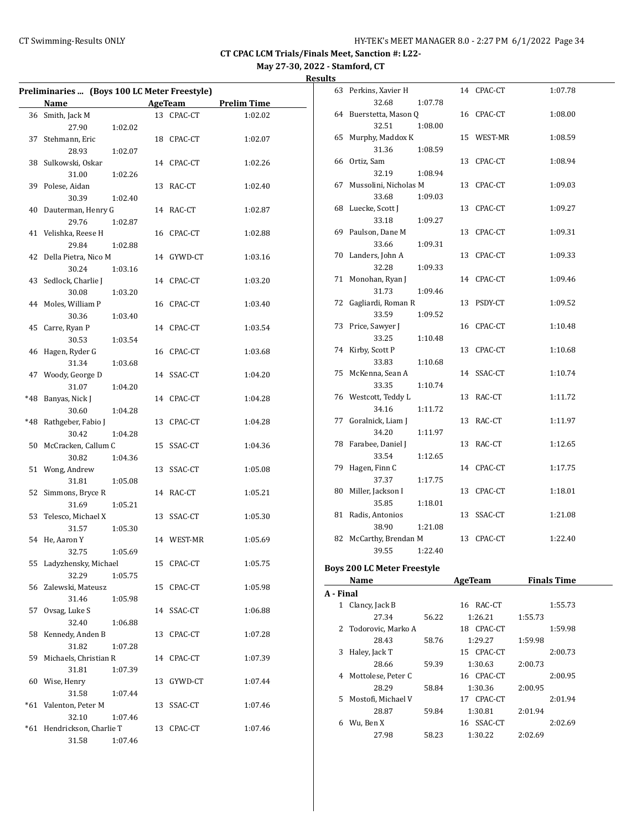÷,

 $\overline{\phantom{0}}$ 

**CT CPAC LCM Trials/Finals Meet, Sanction #: L22-**

**May 27-30, 2022 - Stamford, CT Results**

|       | Name                    |         | <b>AgeTeam</b> | <b>Prelim Time</b> |
|-------|-------------------------|---------|----------------|--------------------|
|       | 36 Smith, Jack M        |         | 13 CPAC-CT     | 1:02.02            |
|       | 27.90                   | 1:02.02 |                |                    |
| 37    | Stehmann, Eric          |         | 18 CPAC-CT     | 1:02.07            |
|       | 28.93                   | 1:02.07 |                |                    |
|       | 38 Sulkowski, Oskar     |         | 14 CPAC-CT     | 1:02.26            |
|       | 31.00                   | 1:02.26 |                |                    |
|       | 39 Polese, Aidan        |         | 13 RAC-CT      | 1:02.40            |
|       | 30.39                   | 1:02.40 |                |                    |
|       | 40 Dauterman, Henry G   |         | 14 RAC-CT      | 1:02.87            |
|       | 29.76                   | 1:02.87 |                |                    |
|       | 41 Velishka, Reese H    |         | 16 CPAC-CT     | 1:02.88            |
|       | 29.84                   | 1:02.88 |                |                    |
|       | 42 Della Pietra, Nico M |         | 14 GYWD-CT     | 1:03.16            |
|       | 30.24                   | 1:03.16 |                |                    |
|       | 43 Sedlock, Charlie J   |         | 14 CPAC-CT     | 1:03.20            |
|       | 30.08                   | 1:03.20 |                |                    |
|       | 44 Moles, William P     |         | 16 CPAC-CT     | 1:03.40            |
|       | 30.36                   | 1:03.40 |                |                    |
| 45    | Carre, Ryan P           |         | 14 CPAC-CT     | 1:03.54            |
|       | 30.53                   | 1:03.54 |                |                    |
| 46    | Hagen, Ryder G          |         | 16 CPAC-CT     | 1:03.68            |
|       | 31.34                   | 1:03.68 |                |                    |
|       | 47 Woody, George D      |         | 14 SSAC-CT     | 1:04.20            |
|       |                         |         |                |                    |
|       | 31.07                   | 1:04.20 |                |                    |
| *48   | Banyas, Nick J          |         | 14 CPAC-CT     | 1:04.28            |
|       | 30.60                   | 1:04.28 |                |                    |
| *48   | Rathgeber, Fabio J      |         | 13 CPAC-CT     | 1:04.28            |
|       | 30.42                   | 1:04.28 |                |                    |
|       | 50 McCracken, Callum C  |         | 15 SSAC-CT     | 1:04.36            |
|       | 30.82                   | 1:04.36 |                |                    |
|       | 51 Wong, Andrew         |         | 13 SSAC-CT     | 1:05.08            |
|       | 31.81                   | 1:05.08 |                |                    |
|       | 52 Simmons, Bryce R     |         | 14 RAC-CT      | 1:05.21            |
|       | 31.69                   | 1:05.21 |                |                    |
|       | 53 Telesco, Michael X   |         | 13 SSAC-CT     | 1:05.30            |
|       | 31.57                   | 1:05.30 |                |                    |
| 54    | He, Aaron Y             |         | 14 WEST-MR     | 1:05.69            |
|       | 32.75                   | 1:05.69 |                |                    |
|       | 55 Ladyzhensky, Michael |         | 15 CPAC-CT     | 1:05.75            |
|       | 32.29                   | 1:05.75 |                |                    |
|       | 56 Zalewski, Mateusz    |         | 15 CPAC-CT     | 1:05.98            |
|       | 31.46                   | 1:05.98 |                |                    |
| 57    | Ovsag, Luke S           |         | 14 SSAC-CT     | 1:06.88            |
|       | 32.40                   | 1:06.88 |                |                    |
|       | 58 Kennedy, Anden B     |         | 13 CPAC-CT     | 1:07.28            |
|       | 31.82                   | 1:07.28 |                |                    |
| 59    | Michaels, Christian R   |         | 14 CPAC-CT     | 1:07.39            |
|       | 31.81                   | 1:07.39 |                |                    |
|       | 60 Wise, Henry          |         | 13 GYWD-CT     | 1:07.44            |
|       | 31.58                   | 1:07.44 |                |                    |
|       | *61 Valenton, Peter M   |         | 13 SSAC-CT     | 1:07.46            |
|       | 32.10                   | 1:07.46 |                |                    |
| $*61$ | Hendrickson, Charlie T  |         | 13 CPAC-CT     | 1:07.46            |
|       | 31.58                   | 1:07.46 |                |                    |
|       |                         |         |                |                    |

| uits      |                                          |            |         |                    |  |
|-----------|------------------------------------------|------------|---------|--------------------|--|
|           | 63 Perkins, Xavier H                     | 14 CPAC-CT |         | 1:07.78            |  |
|           | 32.68<br>1:07.78                         |            |         |                    |  |
|           | 64 Buerstetta, Mason Q                   | 16 CPAC-CT |         | 1:08.00            |  |
|           | 32.51<br>1:08.00                         |            |         |                    |  |
| 65        | Murphy, Maddox K                         | 15 WEST-MR |         | 1:08.59            |  |
|           | 31.36<br>1:08.59                         |            |         |                    |  |
|           | 66 Ortiz, Sam                            | 13 CPAC-CT |         | 1:08.94            |  |
|           | 32.19<br>1:08.94                         |            |         |                    |  |
|           | 67 Mussolini, Nicholas M                 | 13 CPAC-CT |         | 1:09.03            |  |
|           | 33.68<br>1:09.03                         |            |         |                    |  |
|           | 68 Luecke, Scott J                       | 13 CPAC-CT |         | 1:09.27            |  |
|           | 33.18<br>1:09.27                         |            |         |                    |  |
|           | 69 Paulson, Dane M                       | 13 CPAC-CT |         | 1:09.31            |  |
|           | 33.66<br>1:09.31                         |            |         |                    |  |
|           | 70 Landers, John A                       | 13 CPAC-CT |         | 1:09.33            |  |
|           | 32.28<br>1:09.33                         |            |         |                    |  |
|           | 71 Monohan, Ryan J                       | 14 CPAC-CT |         | 1:09.46            |  |
|           | 31.73<br>1:09.46                         |            |         |                    |  |
|           | 72 Gagliardi, Roman R                    | 13 PSDY-CT |         | 1:09.52            |  |
|           | 33.59<br>1:09.52                         |            |         |                    |  |
|           | 73 Price, Sawyer J                       | 16 CPAC-CT |         | 1:10.48            |  |
|           | 33.25<br>1:10.48                         |            |         |                    |  |
|           | 74 Kirby, Scott P                        | 13 CPAC-CT |         | 1:10.68            |  |
|           | 33.83<br>1:10.68                         |            |         |                    |  |
|           | 75 McKenna, Sean A                       | 14 SSAC-CT |         | 1:10.74            |  |
|           | 33.35<br>1:10.74                         |            |         |                    |  |
|           | 76 Westcott, Teddy L                     | 13 RAC-CT  |         | 1:11.72            |  |
|           | 34.16<br>1:11.72<br>77 Goralnick, Liam J | 13 RAC-CT  |         |                    |  |
|           |                                          |            |         | 1:11.97            |  |
|           | 34.20<br>1:11.97<br>78 Farabee, Daniel J | 13 RAC-CT  |         | 1:12.65            |  |
|           | 33.54<br>1:12.65                         |            |         |                    |  |
|           | 79 Hagen, Finn C                         | 14 CPAC-CT |         | 1:17.75            |  |
|           | 37.37<br>1:17.75                         |            |         |                    |  |
|           | 80 Miller, Jackson I                     | 13 CPAC-CT |         | 1:18.01            |  |
|           | 35.85<br>1:18.01                         |            |         |                    |  |
|           | 81 Radis, Antonios                       | 13 SSAC-CT |         | 1:21.08            |  |
|           | 38.90<br>1:21.08                         |            |         |                    |  |
|           | 82 McCarthy, Brendan M                   | 13 CPAC-CT |         | 1:22.40            |  |
|           | 39.55 1:22.40                            |            |         |                    |  |
|           |                                          |            |         |                    |  |
|           | <b>Boys 200 LC Meter Freestyle</b>       |            |         |                    |  |
|           | Name                                     | AgeTeam    |         | <b>Finals Time</b> |  |
| A - Final |                                          |            |         |                    |  |
|           | 1 Clancy, Jack B                         | 16 RAC-CT  |         | 1:55.73            |  |
|           | 27.34<br>56.22                           | 1:26.21    | 1:55.73 |                    |  |
| 2         | Todorovic, Marko A                       | 18 CPAC-CT |         | 1:59.98            |  |
|           | 28.43<br>58.76                           | 1:29.27    | 1:59.98 |                    |  |
|           | 3 Haley, Jack T                          | 15 CPAC-CT |         | 2:00.73            |  |
|           | 28.66<br>59.39                           | 1:30.63    | 2:00.73 |                    |  |
| 4         | Mottolese, Peter C                       | 16 CPAC-CT |         | 2:00.95            |  |
|           | 28.29<br>58.84                           | 1:30.36    | 2:00.95 |                    |  |
| 5         | Mostofi, Michael V                       | 17 CPAC-CT |         | 2:01.94            |  |
|           | 28.87<br>59.84                           | 1:30.81    | 2:01.94 |                    |  |
|           | 6 Wu, Ben X                              | 16 SSAC-CT |         | 2:02.69            |  |
|           | 27.98<br>58.23                           | 1:30.22    | 2:02.69 |                    |  |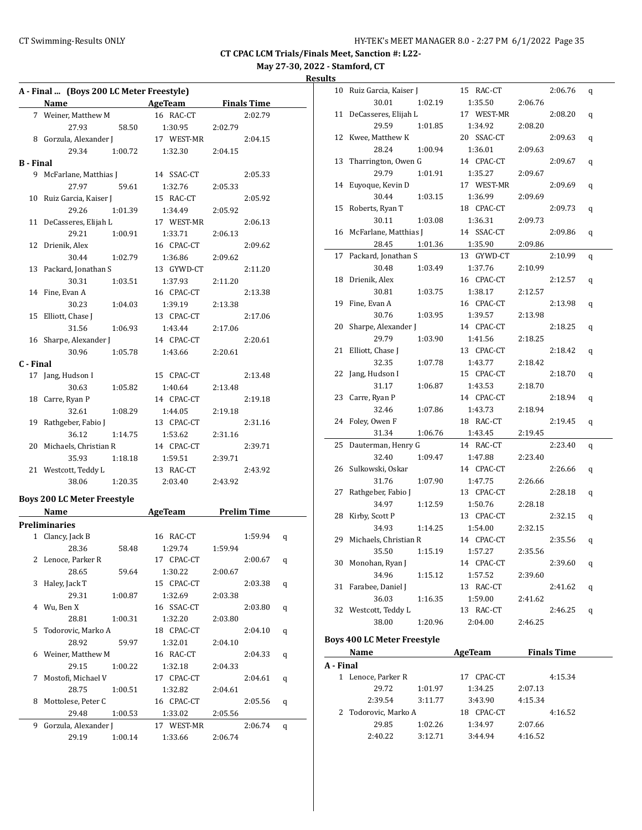**May 27-30, 2022 - Stamford, CT**

| A - Final  (Boys 200 LC Meter Freestyle) |                                    |            |                    |  |  |  |
|------------------------------------------|------------------------------------|------------|--------------------|--|--|--|
|                                          | Name AgeTeam                       |            | <b>Finals Time</b> |  |  |  |
|                                          | 7 Weiner, Matthew M                | 16 RAC-CT  | 2:02.79            |  |  |  |
|                                          | 27.93<br>58.50                     | 1:30.95    | 2:02.79            |  |  |  |
|                                          | 8 Gorzula, Alexander J             | 17 WEST-MR | 2:04.15            |  |  |  |
|                                          | 29.34<br>1:00.72                   | 1:32.30    | 2:04.15            |  |  |  |
| <b>B</b> - Final                         |                                    |            |                    |  |  |  |
| 9                                        | McFarlane, Matthias J              | 14 SSAC-CT | 2:05.33            |  |  |  |
|                                          | 27.97<br>59.61                     | 1:32.76    | 2:05.33            |  |  |  |
| 10                                       | Ruiz Garcia, Kaiser J              | 15 RAC-CT  | 2:05.92            |  |  |  |
|                                          | 29.26<br>1:01.39                   | 1:34.49    | 2:05.92            |  |  |  |
|                                          | 11 DeCasseres, Elijah L            | 17 WEST-MR | 2:06.13            |  |  |  |
|                                          | 29.21<br>1:00.91                   | 1:33.71    | 2:06.13            |  |  |  |
| 12                                       | Drienik, Alex                      | 16 CPAC-CT | 2:09.62            |  |  |  |
|                                          | 30.44<br>1:02.79                   | 1:36.86    | 2:09.62            |  |  |  |
| 13                                       | Packard, Jonathan S                | 13 GYWD-CT | 2:11.20            |  |  |  |
|                                          | 30.31<br>1:03.51                   | 1:37.93    | 2:11.20            |  |  |  |
|                                          | 14 Fine, Evan A                    | 16 CPAC-CT | 2:13.38            |  |  |  |
|                                          | 30.23<br>1:04.03                   | 1:39.19    | 2:13.38            |  |  |  |
| 15                                       | Elliott, Chase J                   | 13 CPAC-CT | 2:17.06            |  |  |  |
|                                          | 31.56<br>1:06.93                   | 1:43.44    | 2:17.06            |  |  |  |
|                                          | 16 Sharpe, Alexander J             | 14 CPAC-CT | 2:20.61            |  |  |  |
|                                          | 30.96<br>1:05.78                   | 1:43.66    | 2:20.61            |  |  |  |
| C - Final                                |                                    |            |                    |  |  |  |
|                                          | 17 Jang, Hudson I                  | 15 CPAC-CT | 2:13.48            |  |  |  |
|                                          | 30.63<br>1:05.82                   | 1:40.64    | 2:13.48            |  |  |  |
|                                          | 18 Carre, Ryan P                   | 14 CPAC-CT | 2:19.18            |  |  |  |
|                                          | 32.61<br>1:08.29                   | 1:44.05    | 2:19.18            |  |  |  |
|                                          |                                    |            |                    |  |  |  |
| 19                                       | Rathgeber, Fabio J<br>36.12        | 13 CPAC-CT | 2:31.16            |  |  |  |
|                                          | 1:14.75                            | 1:53.62    | 2:31.16            |  |  |  |
| 20                                       | Michaels, Christian R              | 14 CPAC-CT | 2:39.71            |  |  |  |
|                                          | 35.93<br>1:18.18                   | 1:59.51    | 2:39.71            |  |  |  |
|                                          | 21 Westcott, Teddy L               | 13 RAC-CT  | 2:43.92            |  |  |  |
|                                          | 38.06<br>1:20.35                   | 2:03.40    | 2:43.92            |  |  |  |
|                                          | <b>Boys 200 LC Meter Freestyle</b> |            |                    |  |  |  |
|                                          | Name                               | AgeTeam    | <b>Prelim Time</b> |  |  |  |
|                                          | <b>Preliminaries</b>               |            |                    |  |  |  |
|                                          | 1 Clancy, Jack B                   | 16 RAC-CT  | 1:59.94<br>q       |  |  |  |
|                                          | 28.36<br>58.48                     | 1:29.74    | 1:59.94            |  |  |  |
| 2                                        | Lenoce, Parker R                   | 17 CPAC-CT | 2:00.67<br>q       |  |  |  |
|                                          | 28.65<br>59.64                     | 1:30.22    | 2:00.67            |  |  |  |
| 3                                        | Haley, Jack T                      | 15 CPAC-CT | 2:03.38<br>q       |  |  |  |
|                                          | 29.31<br>1:00.87                   | 1:32.69    | 2:03.38            |  |  |  |
| 4                                        | Wu, Ben X                          | 16 SSAC-CT | 2:03.80<br>q       |  |  |  |
|                                          | 28.81<br>1:00.31                   | 1:32.20    | 2:03.80            |  |  |  |
| 5                                        | Todorovic, Marko A                 | 18 CPAC-CT | 2:04.10<br>q       |  |  |  |
|                                          | 28.92<br>59.97                     | 1:32.01    | 2:04.10            |  |  |  |
| 6                                        | Weiner, Matthew M                  | 16 RAC-CT  | 2:04.33<br>q       |  |  |  |
|                                          | 29.15<br>1:00.22                   | 1:32.18    | 2:04.33            |  |  |  |
| 7                                        | Mostofi, Michael V                 | 17 CPAC-CT | 2:04.61            |  |  |  |
|                                          | 28.75<br>1:00.51                   | 1:32.82    | q<br>2:04.61       |  |  |  |
| 8                                        | Mottolese, Peter C                 | 16 CPAC-CT | 2:05.56            |  |  |  |
|                                          | 29.48<br>1:00.53                   | 1:33.02    | q<br>2:05.56       |  |  |  |
| 9                                        | Gorzula, Alexander J               | 17 WEST-MR | 2:06.74            |  |  |  |
|                                          | 29.19<br>1:00.14                   | 1:33.66    | q<br>2:06.74       |  |  |  |
|                                          |                                    |            |                    |  |  |  |

| 10        | Ruiz Garcia, Kaiser J              |         | 15 RAC-CT  |         | 2:06.76            | q |
|-----------|------------------------------------|---------|------------|---------|--------------------|---|
|           | 30.01                              | 1:02.19 | 1:35.50    | 2:06.76 |                    |   |
| 11        | DeCasseres, Elijah L               |         | 17 WEST-MR |         | 2:08.20            | q |
|           | 29.59                              | 1:01.85 | 1:34.92    | 2:08.20 |                    |   |
| 12        | Kwee, Matthew K                    |         | 20 SSAC-CT |         | 2:09.63            | q |
|           | 28.24                              | 1:00.94 | 1:36.01    | 2:09.63 |                    |   |
|           | 13 Tharrington, Owen G             |         | 14 CPAC-CT |         | 2:09.67            | q |
|           | 29.79                              | 1:01.91 | 1:35.27    | 2:09.67 |                    |   |
| 14        | Euyoque, Kevin D                   |         | 17 WEST-MR |         | 2:09.69            | q |
|           | 30.44                              | 1:03.15 | 1:36.99    | 2:09.69 |                    |   |
|           | 15 Roberts, Ryan T                 |         | 18 CPAC-CT |         | 2:09.73            | q |
|           | 30.11                              | 1:03.08 | 1:36.31    | 2:09.73 |                    |   |
|           | 16 McFarlane, Matthias J           |         | 14 SSAC-CT |         | 2:09.86            | q |
|           | 28.45                              | 1:01.36 | 1:35.90    | 2:09.86 |                    |   |
|           | 17 Packard, Jonathan S             |         | 13 GYWD-CT |         | 2:10.99            | q |
|           | 30.48                              | 1:03.49 | 1:37.76    | 2:10.99 |                    |   |
| 18        | Drienik, Alex                      |         | 16 CPAC-CT |         | 2:12.57            | q |
|           | 30.81                              | 1:03.75 | 1:38.17    | 2:12.57 |                    |   |
| 19        | Fine, Evan A                       |         | 16 CPAC-CT |         | 2:13.98            | q |
|           | 30.76                              | 1:03.95 | 1:39.57    | 2:13.98 |                    |   |
| 20        | Sharpe, Alexander J                |         | 14 CPAC-CT |         | 2:18.25            | q |
|           | 29.79                              | 1:03.90 | 1:41.56    | 2:18.25 |                    |   |
| 21        | Elliott, Chase J                   |         | 13 CPAC-CT |         | 2:18.42            | q |
|           | 32.35                              | 1:07.78 | 1:43.77    | 2:18.42 |                    |   |
| 22        | Jang, Hudson I                     |         | 15 CPAC-CT |         | 2:18.70            | q |
|           | 31.17                              | 1:06.87 | 1:43.53    | 2:18.70 |                    |   |
|           | 23 Carre, Ryan P                   |         | 14 CPAC-CT |         | 2:18.94            | q |
|           | 32.46                              | 1:07.86 | 1:43.73    | 2:18.94 |                    |   |
|           | 24 Foley, Owen F                   |         |            |         | 2:19.45            | q |
|           |                                    |         |            |         |                    |   |
|           |                                    |         | 18 RAC-CT  |         |                    |   |
|           | 31.34                              | 1:06.76 | 1:43.45    | 2:19.45 |                    |   |
| 25        | Dauterman, Henry G                 |         | 14 RAC-CT  |         | 2:23.40            | q |
|           | 32.40                              | 1:09.47 | 1:47.88    | 2:23.40 |                    |   |
| 26        | Sulkowski, Oskar                   |         | 14 CPAC-CT |         | 2:26.66            | q |
|           | 31.76                              | 1:07.90 | 1:47.75    | 2:26.66 |                    |   |
| 27        | Rathgeber, Fabio J                 |         | 13 CPAC-CT |         | 2:28.18            | q |
|           | 34.97                              | 1:12.59 | 1:50.76    | 2:28.18 |                    |   |
| 28        | Kirby, Scott P                     |         | 13 CPAC-CT |         | 2:32.15            | q |
|           | 34.93                              | 1:14.25 | 1:54.00    | 2:32.15 |                    |   |
| 29        | Michaels, Christian R              |         | 14 CPAC-CT |         | 2:35.56            | q |
|           | 35.50                              | 1:15.19 | 1:57.27    | 2:35.56 |                    |   |
|           | 30 Monohan, Ryan J                 |         | 14 CPAC-CT |         | 2:39.60            | q |
|           | 34.96                              | 1:15.12 | 1:57.52    | 2:39.60 |                    |   |
| 31        | Farabee, Daniel J                  |         | 13 RAC-CT  |         | 2:41.62            | q |
|           | 36.03                              | 1:16.35 | 1:59.00    | 2:41.62 |                    |   |
|           | 32 Westcott, Teddy L               |         | 13 RAC-CT  |         | 2:46.25            | q |
|           | 38.00                              | 1:20.96 | 2:04.00    | 2:46.25 |                    |   |
|           | <b>Boys 400 LC Meter Freestyle</b> |         |            |         |                    |   |
|           | Name                               |         | AgeTeam    |         | <b>Finals Time</b> |   |
| A - Final |                                    |         |            |         |                    |   |
|           | 1 Lenoce, Parker R                 |         | 17 CPAC-CT |         | 4:15.34            |   |
|           | 29.72                              | 1:01.97 | 1:34.25    | 2:07.13 |                    |   |
|           | 2:39.54                            | 3:11.77 | 3:43.90    | 4:15.34 |                    |   |
| 2         | Todorovic, Marko A                 |         | 18 CPAC-CT |         | 4:16.52            |   |
|           | 29.85                              | 1:02.26 | 1:34.97    | 2:07.66 |                    |   |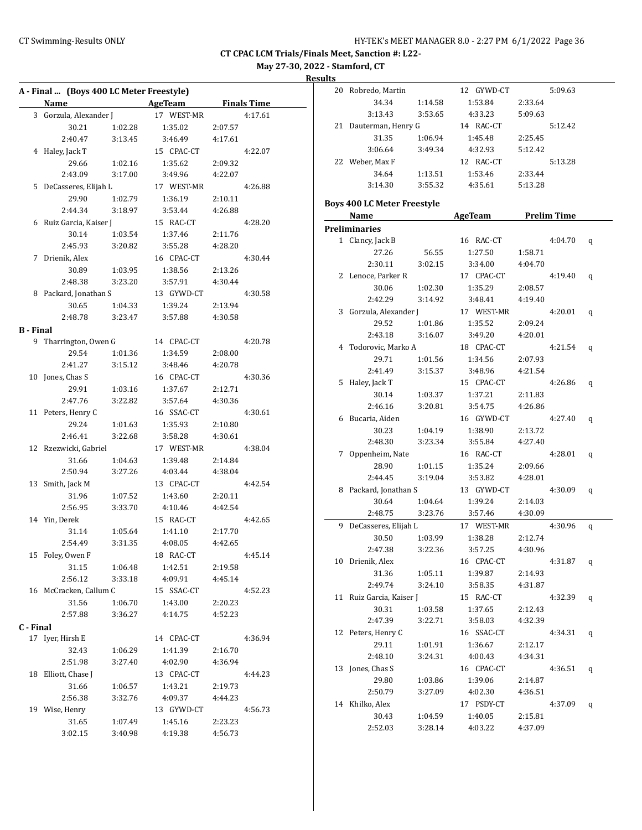**May 27-30, 2022 - Stamford, CT**

| A - Final  (Boys 400 LC Meter Freestyle) |                           |                    |                    |                    |                    |
|------------------------------------------|---------------------------|--------------------|--------------------|--------------------|--------------------|
|                                          | <b>Name</b>               |                    | AgeTeam            |                    | <b>Finals Time</b> |
| 3                                        | Gorzula, Alexander J      |                    | 17 WEST-MR         |                    | 4:17.61            |
|                                          | 30.21                     | 1:02.28            | 1:35.02            | 2:07.57            |                    |
|                                          | 2:40.47                   | 3:13.45            | 3:46.49            | 4:17.61            |                    |
|                                          | 4 Haley, Jack T           |                    | 15 CPAC-CT         |                    | 4:22.07            |
|                                          | 29.66                     | 1:02.16            | 1:35.62            | 2:09.32            |                    |
|                                          | 2:43.09                   | 3:17.00            | 3:49.96            | 4:22.07            |                    |
|                                          | 5 DeCasseres, Elijah L    |                    | 17 WEST-MR         |                    | 4:26.88            |
|                                          | 29.90                     | 1:02.79            | 1:36.19            | 2:10.11            |                    |
|                                          | 2:44.34                   | 3:18.97            | 3:53.44            | 4:26.88            |                    |
|                                          | 6 Ruiz Garcia, Kaiser J   |                    | 15 RAC-CT          |                    | 4:28.20            |
|                                          | 30.14                     | 1:03.54            | 1:37.46            | 2:11.76            |                    |
|                                          | 2:45.93                   | 3:20.82            | 3:55.28            | 4:28.20            |                    |
|                                          | 7 Drienik, Alex           |                    | 16 CPAC-CT         |                    | 4:30.44            |
|                                          | 30.89                     | 1:03.95            | 1:38.56            | 2:13.26            |                    |
|                                          | 2:48.38                   | 3:23.20            | 3:57.91            | 4:30.44            |                    |
|                                          | 8 Packard, Jonathan S     |                    | 13 GYWD-CT         |                    | 4:30.58            |
|                                          | 30.65                     | 1:04.33            | 1:39.24            | 2:13.94            |                    |
|                                          | 2:48.78                   | 3:23.47            | 3:57.88            | 4:30.58            |                    |
| <b>B</b> - Final                         |                           |                    |                    |                    |                    |
|                                          | 9 Tharrington, Owen G     |                    | 14 CPAC-CT         |                    | 4:20.78            |
|                                          | 29.54                     | 1:01.36            | 1:34.59            | 2:08.00            |                    |
|                                          | 2:41.27                   | 3:15.12            | 3:48.46            | 4:20.78            |                    |
|                                          | 10 Jones, Chas S<br>29.91 |                    | 16 CPAC-CT         |                    | 4:30.36            |
|                                          | 2:47.76                   | 1:03.16<br>3:22.82 | 1:37.67<br>3:57.64 | 2:12.71<br>4:30.36 |                    |
|                                          | 11 Peters, Henry C        |                    | 16 SSAC-CT         |                    | 4:30.61            |
|                                          | 29.24                     | 1:01.63            | 1:35.93            | 2:10.80            |                    |
|                                          | 2:46.41                   | 3:22.68            | 3:58.28            | 4:30.61            |                    |
|                                          | 12 Rzezwicki, Gabriel     |                    | 17 WEST-MR         |                    | 4:38.04            |
|                                          | 31.66                     | 1:04.63            | 1:39.48            | 2:14.84            |                    |
|                                          | 2:50.94                   | 3:27.26            | 4:03.44            | 4:38.04            |                    |
|                                          | 13 Smith, Jack M          |                    | 13 CPAC-CT         |                    | 4:42.54            |
|                                          | 31.96                     | 1:07.52            | 1:43.60            | 2:20.11            |                    |
|                                          | 2:56.95                   | 3:33.70            | 4:10.46            | 4:42.54            |                    |
|                                          | 14 Yin, Derek             |                    | 15 RAC-CT          |                    | 4:42.65            |
|                                          | 31.14                     | 1:05.64            | 1:41.10            | 2:17.70            |                    |
|                                          | 2:54.49                   | 3:31.35            | 4:08.05            | 4:42.65            |                    |
|                                          | 15 Foley, Owen F          |                    | 18 RAC-CT          |                    | 4:45.14            |
|                                          | 31.15                     | 1:06.48            | 1:42.51            | 2:19.58            |                    |
|                                          | 2:56.12                   | 3:33.18            | 4:09.91            | 4:45.14            |                    |
|                                          | 16 McCracken, Callum C    |                    | 15 SSAC-CT         |                    | 4:52.23            |
|                                          | 31.56                     | 1:06.70            | 1:43.00            | 2:20.23            |                    |
|                                          | 2:57.88                   | 3:36.27            | 4:14.75            | 4:52.23            |                    |
| C - Final                                |                           |                    |                    |                    |                    |
|                                          | 17 Iyer, Hirsh E          |                    | 14 CPAC-CT         |                    | 4:36.94            |
|                                          | 32.43                     | 1:06.29            | 1:41.39            | 2:16.70            |                    |
|                                          | 2:51.98                   | 3:27.40            | 4:02.90            | 4:36.94            |                    |
|                                          | 18 Elliott, Chase J       |                    | 13 CPAC-CT         |                    | 4:44.23            |
|                                          | 31.66                     | 1:06.57            | 1:43.21            | 2:19.73            |                    |
|                                          | 2:56.38                   | 3:32.76            | 4:09.37            | 4:44.23            |                    |
|                                          | 19 Wise, Henry            |                    | 13 GYWD-CT         |                    | 4:56.73            |
|                                          | 31.65                     | 1:07.49            | 1:45.16            | 2:23.23            |                    |
|                                          | 3:02.15                   | 3:40.98            | 4:19.38            | 4:56.73            |                    |

|   | 20 Robredo, Martin                 |         | 12 GYWD-CT |         | 5:09.63            |   |
|---|------------------------------------|---------|------------|---------|--------------------|---|
|   | 34.34                              | 1:14.58 | 1:53.84    | 2:33.64 |                    |   |
|   | 3:13.43                            | 3:53.65 | 4:33.23    | 5:09.63 |                    |   |
|   | 21 Dauterman, Henry G              |         | 14 RAC-CT  |         | 5:12.42            |   |
|   | 31.35                              | 1:06.94 | 1:45.48    | 2:25.45 |                    |   |
|   | 3:06.64                            | 3:49.34 | 4:32.93    | 5:12.42 |                    |   |
|   | 22 Weber, Max F                    |         | 12 RAC-CT  |         | 5:13.28            |   |
|   | 34.64                              | 1:13.51 | 1:53.46    | 2:33.44 |                    |   |
|   | 3:14.30                            | 3:55.32 | 4:35.61    | 5:13.28 |                    |   |
|   |                                    |         |            |         |                    |   |
|   | <b>Boys 400 LC Meter Freestyle</b> |         |            |         |                    |   |
|   | Name                               |         | AgeTeam    |         | <b>Prelim Time</b> |   |
|   | <b>Preliminaries</b>               |         |            |         |                    |   |
|   | 1 Clancy, Jack B                   |         | 16 RAC-CT  |         | 4:04.70            | q |
|   | 27.26                              | 56.55   | 1:27.50    | 1:58.71 |                    |   |
|   | 2:30.11                            | 3:02.15 | 3:34.00    | 4:04.70 |                    |   |
|   | 2 Lenoce, Parker R                 |         | 17 CPAC-CT |         | 4:19.40            | q |
|   | 30.06                              | 1:02.30 | 1:35.29    | 2:08.57 |                    |   |
|   | 2:42.29                            | 3:14.92 | 3:48.41    | 4:19.40 |                    |   |
|   | 3 Gorzula, Alexander J             |         | 17 WEST-MR |         | 4:20.01            | q |
|   | 29.52                              | 1:01.86 | 1:35.52    | 2:09.24 |                    |   |
|   | 2:43.18                            | 3:16.07 | 3:49.20    | 4:20.01 |                    |   |
|   | 4 Todorovic, Marko A               |         | 18 CPAC-CT |         | 4:21.54            | q |
|   | 29.71                              | 1:01.56 | 1:34.56    | 2:07.93 |                    |   |
|   | 2:41.49                            | 3:15.37 | 3:48.96    | 4:21.54 |                    |   |
| 5 | Haley, Jack T                      |         | 15 CPAC-CT |         | 4:26.86            | q |
|   | 30.14                              | 1:03.37 | 1:37.21    | 2:11.83 |                    |   |
|   | 2:46.16                            | 3:20.81 | 3:54.75    | 4:26.86 |                    |   |
|   | 6 Bucaria, Aiden                   |         | 16 GYWD-CT |         | 4:27.40            | q |
|   | 30.23                              | 1:04.19 | 1:38.90    | 2:13.72 |                    |   |
|   | 2:48.30                            | 3:23.34 | 3:55.84    | 4:27.40 |                    |   |
| 7 | Oppenheim, Nate                    |         | 16 RAC-CT  |         | 4:28.01            | q |
|   | 28.90                              | 1:01.15 | 1:35.24    | 2:09.66 |                    |   |
|   | 2:44.45                            | 3:19.04 | 3:53.82    | 4:28.01 |                    |   |
| 8 | Packard, Jonathan S                |         | 13 GYWD-CT |         | 4:30.09            | q |
|   | 30.64                              | 1:04.64 | 1:39.24    | 2:14.03 |                    |   |
|   | 2:48.75                            | 3:23.76 | 3:57.46    | 4:30.09 |                    |   |
| 9 | DeCasseres, Elijah L               |         | 17 WEST-MR |         | 4:30.96            | q |
|   | 30.50                              | 1:03.99 | 1:38.28    | 2:12.74 |                    |   |
|   | 2:47.38                            | 3:22.36 | 3:57.25    | 4:30.96 |                    |   |
|   | 10 Drienik, Alex                   |         | 16 CPAC-CT |         | 4:31.87            | q |
|   | 31.36                              | 1:05.11 | 1:39.87    | 2:14.93 |                    |   |
|   | 2:49.74                            | 3:24.10 | 3:58.35    | 4:31.87 |                    |   |
|   | 11 Ruiz Garcia, Kaiser J           |         | 15 RAC-CT  |         | 4:32.39            | q |
|   | 30.31                              | 1:03.58 | 1:37.65    | 2:12.43 |                    |   |
|   | 2:47.39                            | 3:22.71 | 3:58.03    | 4:32.39 |                    |   |
|   | 12 Peters, Henry C                 |         | 16 SSAC-CT |         | 4:34.31            | q |
|   | 29.11                              | 1:01.91 | 1:36.67    | 2:12.17 |                    |   |
|   | 2:48.10                            | 3:24.31 | 4:00.43    | 4:34.31 |                    |   |
|   | 13 Jones, Chas S                   |         | 16 CPAC-CT |         | 4:36.51            | q |
|   | 29.80                              | 1:03.86 | 1:39.06    | 2:14.87 |                    |   |
|   | 2:50.79                            | 3:27.09 | 4:02.30    | 4:36.51 |                    |   |
|   | 14 Khilko, Alex                    |         | 17 PSDY-CT |         | 4:37.09            | q |
|   | 30.43                              | 1:04.59 | 1:40.05    | 2:15.81 |                    |   |
|   | 2:52.03                            | 3:28.14 | 4:03.22    | 4:37.09 |                    |   |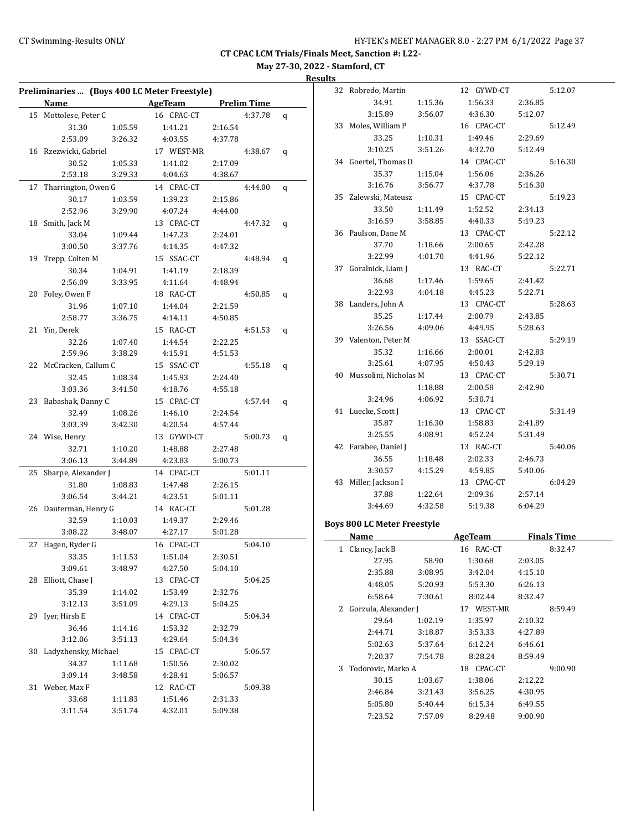**May 27-30, 2022 - Stamford, CT**

**Results**

| Preliminaries  (Boys 400 LC Meter Freestyle) |                        |         |            |         |                    |   |
|----------------------------------------------|------------------------|---------|------------|---------|--------------------|---|
|                                              | Name                   |         | AgeTeam    |         | <b>Prelim Time</b> |   |
| 15                                           | Mottolese, Peter C     |         | 16 CPAC-CT |         | 4:37.78            | q |
|                                              | 31.30                  | 1:05.59 | 1:41.21    | 2:16.54 |                    |   |
|                                              | 2:53.09                | 3:26.32 | 4:03.55    | 4:37.78 |                    |   |
|                                              | 16 Rzezwicki, Gabriel  |         | 17 WEST-MR |         | 4:38.67            | q |
|                                              | 30.52                  | 1:05.33 | 1:41.02    | 2:17.09 |                    |   |
|                                              | 2:53.18                | 3:29.33 | 4:04.63    | 4:38.67 |                    |   |
| 17                                           | Tharrington, Owen G    |         | 14 CPAC-CT |         | 4:44.00            | q |
|                                              | 30.17                  | 1:03.59 | 1:39.23    | 2:15.86 |                    |   |
|                                              | 2:52.96                | 3:29.90 | 4:07.24    | 4:44.00 |                    |   |
| 18                                           | Smith, Jack M          |         | 13 CPAC-CT |         | 4:47.32            | q |
|                                              | 33.04                  | 1:09.44 | 1:47.23    | 2:24.01 |                    |   |
|                                              | 3:00.50                | 3:37.76 | 4:14.35    | 4:47.32 |                    |   |
| 19                                           | Trepp, Colten M        |         | 15 SSAC-CT |         | 4:48.94            | q |
|                                              | 30.34                  | 1:04.91 | 1:41.19    | 2:18.39 |                    |   |
|                                              | 2:56.09                | 3:33.95 | 4:11.64    | 4:48.94 |                    |   |
| 20                                           | Foley, Owen F          |         | 18 RAC-CT  |         | 4:50.85            | q |
|                                              | 31.96                  | 1:07.10 | 1:44.04    | 2:21.59 |                    |   |
|                                              | 2:58.77                | 3:36.75 | 4:14.11    | 4:50.85 |                    |   |
|                                              | 21 Yin, Derek          |         | 15 RAC-CT  |         | 4:51.53            | q |
|                                              | 32.26                  | 1:07.40 | 1:44.54    | 2:22.25 |                    |   |
|                                              | 2:59.96                | 3:38.29 | 4:15.91    | 4:51.53 |                    |   |
|                                              | 22 McCracken, Callum C |         | 15 SSAC-CT |         | 4:55.18            | q |
|                                              | 32.45                  | 1:08.34 | 1:45.93    | 2:24.40 |                    |   |
|                                              | 3:03.36                | 3:41.50 | 4:18.76    | 4:55.18 |                    |   |
| 23                                           | Babashak, Danny C      |         | 15 CPAC-CT |         | 4:57.44            | q |
|                                              | 32.49                  | 1:08.26 | 1:46.10    | 2:24.54 |                    |   |
|                                              | 3:03.39                | 3:42.30 | 4:20.54    | 4:57.44 |                    |   |
|                                              | 24 Wise, Henry         |         | 13 GYWD-CT |         | 5:00.73            | q |
|                                              | 32.71                  | 1:10.20 | 1:48.88    | 2:27.48 |                    |   |
|                                              | 3:06.13                | 3:44.89 | 4:23.83    | 5:00.73 |                    |   |
| 25                                           | Sharpe, Alexander J    |         | 14 CPAC-CT |         | 5:01.11            |   |
|                                              | 31.80                  | 1:08.83 | 1:47.48    | 2:26.15 |                    |   |
|                                              | 3:06.54                | 3:44.21 | 4:23.51    | 5:01.11 |                    |   |
|                                              | 26 Dauterman, Henry G  |         | 14 RAC-CT  |         | 5:01.28            |   |
|                                              | 32.59                  | 1:10.03 | 1:49.37    | 2:29.46 |                    |   |
|                                              | 3:08.22                | 3:48.07 | 4:27.17    | 5:01.28 |                    |   |
| 27                                           | Hagen, Ryder G         |         | 16 CPAC-CT |         | 5:04.10            |   |
|                                              | 33.35                  | 1:11.53 | 1:51.04    | 2:30.51 |                    |   |
|                                              | 3:09.61                | 3:48.97 | 4:27.50    | 5:04.10 |                    |   |
| 28                                           | Elliott, Chase J       |         | 13 CPAC-CT |         | 5:04.25            |   |
|                                              | 35.39                  | 1:14.02 | 1:53.49    | 2:32.76 |                    |   |
|                                              | 3:12.13                | 3:51.09 | 4:29.13    | 5:04.25 |                    |   |
|                                              | 29 Iyer, Hirsh E       |         | 14 CPAC-CT |         | 5:04.34            |   |
|                                              | 36.46                  | 1:14.16 | 1:53.32    | 2:32.79 |                    |   |
|                                              | 3:12.06                | 3:51.13 | 4:29.64    | 5:04.34 |                    |   |
| 30                                           | Ladyzhensky, Michael   |         | 15 CPAC-CT |         | 5:06.57            |   |
|                                              | 34.37                  | 1:11.68 | 1:50.56    | 2:30.02 |                    |   |
|                                              | 3:09.14                | 3:48.58 | 4:28.41    | 5:06.57 |                    |   |
|                                              | 31 Weber, Max F        |         | 12 RAC-CT  |         | 5:09.38            |   |
|                                              | 33.68                  | 1:11.83 | 1:51.46    | 2:31.33 |                    |   |
|                                              | 3:11.54                | 3:51.74 | 4:32.01    | 5:09.38 |                    |   |
|                                              |                        |         |            |         |                    |   |

| 32 | Robredo, Martin                    |         | 12 GYWD-CT     |         | 5:12.07            |
|----|------------------------------------|---------|----------------|---------|--------------------|
|    | 34.91                              | 1:15.36 | 1:56.33        | 2:36.85 |                    |
|    | 3:15.89                            | 3:56.07 | 4:36.30        | 5:12.07 |                    |
| 33 | Moles, William P                   |         | 16 CPAC-CT     |         | 5:12.49            |
|    | 33.25                              | 1:10.31 | 1:49.46        | 2:29.69 |                    |
|    | 3:10.25                            | 3:51.26 | 4:32.70        | 5:12.49 |                    |
|    | 34 Goertel, Thomas D               |         | 14 CPAC-CT     |         | 5:16.30            |
|    | 35.37                              | 1:15.04 | 1:56.06        | 2:36.26 |                    |
|    | 3:16.76                            | 3:56.77 | 4:37.78        | 5:16.30 |                    |
| 35 | Zalewski, Mateusz                  |         | 15 CPAC-CT     |         | 5:19.23            |
|    | 33.50                              | 1:11.49 | 1:52.52        | 2:34.13 |                    |
|    | 3:16.59                            | 3:58.85 | 4:40.33        | 5:19.23 |                    |
| 36 | Paulson, Dane M                    |         | 13 CPAC-CT     |         | 5:22.12            |
|    | 37.70                              | 1:18.66 | 2:00.65        | 2:42.28 |                    |
|    | 3:22.99                            | 4:01.70 | 4:41.96        | 5:22.12 |                    |
|    | 37 Goralnick, Liam J               |         | 13 RAC-CT      |         | 5:22.71            |
|    | 36.68                              | 1:17.46 | 1:59.65        | 2:41.42 |                    |
|    | 3:22.93                            | 4:04.18 | 4:45.23        | 5:22.71 |                    |
| 38 | Landers, John A                    |         | 13 CPAC-CT     |         | 5:28.63            |
|    | 35.25                              | 1:17.44 | 2:00.79        | 2:43.85 |                    |
|    | 3:26.56                            | 4:09.06 | 4:49.95        | 5:28.63 |                    |
|    | 39 Valenton, Peter M               |         | 13 SSAC-CT     |         | 5:29.19            |
|    | 35.32                              | 1:16.66 | 2:00.01        | 2:42.83 |                    |
|    | 3:25.61                            | 4:07.95 | 4:50.43        | 5:29.19 |                    |
| 40 | Mussolini, Nicholas M              |         | 13 CPAC-CT     |         | 5:30.71            |
|    |                                    | 1:18.88 | 2:00.58        | 2:42.90 |                    |
|    | 3:24.96                            | 4:06.92 | 5:30.71        |         |                    |
| 41 | Luecke, Scott J                    |         | 13 CPAC-CT     |         | 5:31.49            |
|    | 35.87                              | 1:16.30 | 1:58.83        | 2:41.89 |                    |
|    | 3:25.55                            | 4:08.91 | 4:52.24        | 5:31.49 |                    |
| 42 | Farabee, Daniel J                  |         | 13 RAC-CT      |         | 5:40.06            |
|    | 36.55                              | 1:18.48 | 2:02.33        | 2:46.73 |                    |
|    | 3:30.57                            | 4:15.29 | 4:59.85        | 5:40.06 |                    |
| 43 | Miller, Jackson I                  |         | 13 CPAC-CT     |         | 6:04.29            |
|    | 37.88                              | 1:22.64 | 2:09.36        | 2:57.14 |                    |
|    | 3:44.69                            | 4:32.58 | 5:19.38        | 6:04.29 |                    |
|    | <b>Boys 800 LC Meter Freestyle</b> |         |                |         |                    |
|    | Name                               |         | <b>AgeTeam</b> |         | <b>Finals Time</b> |
|    | 1 Clancy, Jack B                   |         | 16 RAC-CT      |         | 8:32.47            |
|    | 27.95                              | 58.90   | 1:30.68        | 2:03.05 |                    |
|    | 2:35.88                            | 3:08.95 | 3:42.04        | 4:15.10 |                    |

4:48.05 5:20.93 5:53.30 6:26.13 6:58.64 7:30.61 8:02.44 8:32.47 2 Gorzula, Alexander J 17 WEST-MR 8:59.49 29.64 1:02.19 1:35.97 2:10.32 2:44.71 3:18.87 3:53.33 4:27.89 5:02.63 5:37.64 6:12.24 6:46.61 7:20.37 7:54.78 8:28.24 8:59.49 3 Todorovic, Marko A 18 CPAC-CT 9:00.90 30.15 1:03.67 1:38.06 2:12.22 2:46.84 3:21.43 3:56.25 4:30.95 5:05.80 5:40.44 6:15.34 6:49.55 7:23.52 7:57.09 8:29.48 9:00.90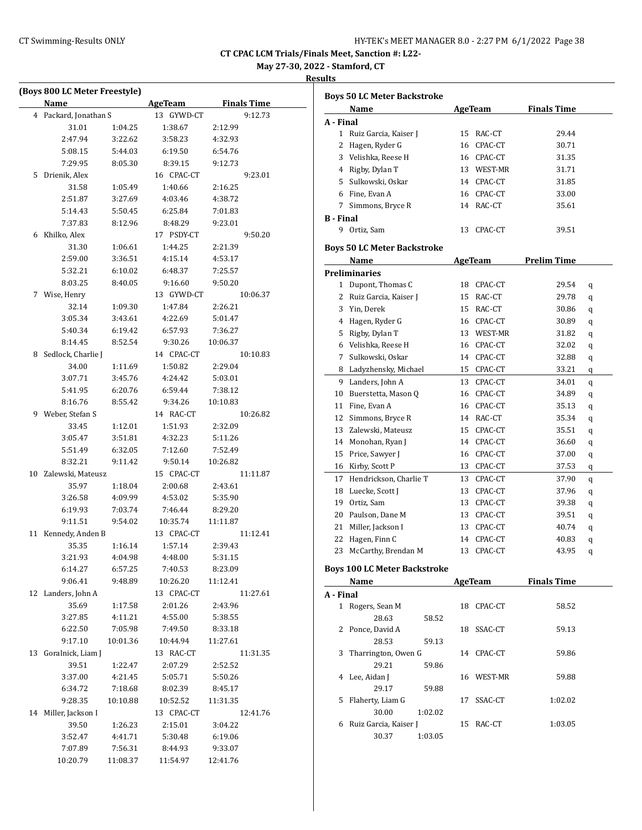**May 27-30, 2022 - Stamford, CT**

|                | (Boys 800 LC Meter Freestyle)<br>Name |                    | <b>AgeTeam</b>     |                    | <b>Finals Time</b> |
|----------------|---------------------------------------|--------------------|--------------------|--------------------|--------------------|
| $\overline{4}$ | Packard, Jonathan S                   |                    | 13 GYWD-CT         |                    | 9:12.73            |
|                | 31.01                                 | 1:04.25            | 1:38.67            | 2:12.99            |                    |
|                | 2:47.94                               | 3:22.62            | 3:58.23            | 4:32.93            |                    |
|                | 5:08.15                               | 5:44.03            | 6:19.50            | 6:54.76            |                    |
|                | 7:29.95                               | 8:05.30            | 8:39.15            | 9:12.73            |                    |
| 5              | Drienik, Alex                         |                    | 16 CPAC-CT         |                    | 9:23.01            |
|                | 31.58                                 | 1:05.49            | 1:40.66            | 2:16.25            |                    |
|                | 2:51.87                               | 3:27.69            | 4:03.46            | 4:38.72            |                    |
|                | 5:14.43                               | 5:50.45            | 6:25.84            | 7:01.83            |                    |
|                | 7:37.83                               | 8:12.96            | 8:48.29            | 9:23.01            |                    |
| 6              | Khilko, Alex                          |                    | 17 PSDY-CT         |                    | 9:50.20            |
|                | 31.30                                 | 1:06.61            | 1:44.25            | 2:21.39            |                    |
|                | 2:59.00                               | 3:36.51            | 4:15.14            | 4:53.17            |                    |
|                | 5:32.21                               | 6:10.02            | 6:48.37            | 7:25.57            |                    |
|                | 8:03.25                               | 8:40.05            | 9:16.60            | 9:50.20            |                    |
| 7              | Wise, Henry                           |                    | 13 GYWD-CT         |                    | 10:06.37           |
|                | 32.14                                 | 1:09.30            | 1:47.84            | 2:26.21            |                    |
|                | 3:05.34                               | 3:43.61            | 4:22.69            | 5:01.47            |                    |
|                | 5:40.34                               | 6:19.42            | 6:57.93            | 7:36.27            |                    |
|                | 8:14.45                               | 8:52.54            | 9:30.26            | 10:06.37           |                    |
| 8              | Sedlock, Charlie J                    |                    | 14 CPAC-CT         |                    | 10:10.83           |
|                | 34.00                                 | 1:11.69            | 1:50.82            | 2:29.04            |                    |
|                | 3:07.71                               | 3:45.76            | 4:24.42            | 5:03.01            |                    |
|                | 5:41.95                               | 6:20.76            | 6:59.44            | 7:38.12            |                    |
|                | 8:16.76                               | 8:55.42            | 9:34.26            | 10:10.83           |                    |
| 9              | Weber, Stefan S                       |                    | 14 RAC-CT          |                    | 10:26.82           |
|                | 33.45                                 | 1:12.01            | 1:51.93            | 2:32.09            |                    |
|                | 3:05.47                               | 3:51.81            | 4:32.23            | 5:11.26            |                    |
|                | 5:51.49                               | 6:32.05            | 7:12.60            | 7:52.49            |                    |
|                | 8:32.21                               | 9:11.42            | 9:50.14            | 10:26.82           |                    |
| 10             | Zalewski, Mateusz                     |                    | 15 CPAC-CT         |                    | 11:11.87           |
|                | 35.97                                 | 1:18.04            | 2:00.68            | 2:43.61            |                    |
|                | 3:26.58                               | 4:09.99            | 4:53.02            | 5:35.90            |                    |
|                | 6:19.93                               | 7:03.74            | 7:46.44            | 8:29.20            |                    |
|                | 9:11.51                               | 9:54.02            | 10:35.74           | 11:11.87           |                    |
| 11             | Kennedy, Anden B                      |                    | 13 CPAC-CT         |                    | 11:12.41           |
|                | 35.35                                 | 1:16.14            | 1:57.14            | 2:39.43            |                    |
|                | 3:21.93                               | 4:04.98            | 4:48.00            | 5:31.15            |                    |
|                | 6:14.27                               | 6:57.25            | 7:40.53            | 8:23.09            |                    |
| 12             | 9:06.41                               | 9:48.89            | 10:26.20           | 11:12.41           |                    |
|                | Landers, John A<br>35.69              |                    | 13 CPAC-CT         |                    | 11:27.61           |
|                | 3:27.85                               | 1:17.58<br>4:11.21 | 2:01.26<br>4:55.00 | 2:43.96<br>5:38.55 |                    |
|                | 6:22.50                               | 7:05.98            | 7:49.50            | 8:33.18            |                    |
|                | 9:17.10                               | 10:01.36           | 10:44.94           | 11:27.61           |                    |
| 13             | Goralnick, Liam J                     |                    | 13 RAC-CT          |                    | 11:31.35           |
|                | 39.51                                 | 1:22.47            | 2:07.29            | 2:52.52            |                    |
|                | 3:37.00                               | 4:21.45            | 5:05.71            | 5:50.26            |                    |
|                | 6:34.72                               | 7:18.68            | 8:02.39            | 8:45.17            |                    |
|                | 9:28.35                               | 10:10.88           | 10:52.52           | 11:31.35           |                    |
| 14             | Miller, Jackson I                     |                    | 13 CPAC-CT         |                    | 12:41.76           |
|                | 39.50                                 | 1:26.23            | 2:15.01            | 3:04.22            |                    |
|                | 3:52.47                               | 4:41.71            | 5:30.48            | 6:19.06            |                    |
|                | 7:07.89                               | 7:56.31            | 8:44.93            | 9:33.07            |                    |
|                | 10:20.79                              | 11:08.37           | 11:54.97           | 12:41.76           |                    |

|                  | <b>Boys 50 LC Meter Backstroke</b>  |    |                |                     |   |
|------------------|-------------------------------------|----|----------------|---------------------|---|
|                  | Name                                |    | AgeTeam        | <b>Finals Time</b>  |   |
| A - Final        |                                     |    |                |                     |   |
|                  | 1 Ruiz Garcia, Kaiser J             | 15 | RAC-CT         | 29.44               |   |
|                  | 2 Hagen, Ryder G                    | 16 | CPAC-CT        | 30.71               |   |
|                  | 3 Velishka, Reese H                 |    | 16 CPAC-CT     | 31.35               |   |
|                  | 4 Rigby, Dylan T                    |    | 13 WEST-MR     | 31.71               |   |
|                  | 5 Sulkowski, Oskar                  | 14 | CPAC-CT        | 31.85               |   |
|                  | 6 Fine, Evan A                      | 16 | CPAC-CT        | 33.00               |   |
|                  | 7 Simmons, Bryce R                  | 14 | RAC-CT         | 35.61               |   |
| <b>B</b> - Final |                                     |    |                |                     |   |
|                  | 9 Ortiz, Sam                        | 13 | CPAC-CT        | 39.51               |   |
|                  | <b>Boys 50 LC Meter Backstroke</b>  |    |                |                     |   |
|                  | Name                                |    | <b>AgeTeam</b> | <b>Prelim Time</b>  |   |
|                  | <b>Preliminaries</b>                |    |                |                     |   |
|                  | 1 Dupont, Thomas C                  |    | 18 CPAC-CT     | 29.54               | q |
|                  | 2 Ruiz Garcia, Kaiser J             | 15 | RAC-CT         | 29.78               | q |
|                  | 3 Yin, Derek                        | 15 | RAC-CT         | 30.86               | q |
|                  | 4 Hagen, Ryder G                    | 16 | CPAC-CT        | 30.89               | q |
|                  | 5 Rigby, Dylan T                    |    | 13 WEST-MR     | 31.82               | q |
|                  | 6 Velishka, Reese H                 | 16 | CPAC-CT        | 32.02               | q |
|                  | 7 Sulkowski, Oskar                  | 14 | CPAC-CT        | 32.88               |   |
|                  | 8 Ladyzhensky, Michael              | 15 | CPAC-CT        | 33.21               | q |
|                  |                                     |    |                |                     | q |
|                  | 9 Landers, John A                   | 13 | CPAC-CT        | 34.01               | q |
|                  | 10 Buerstetta, Mason Q              | 16 | CPAC-CT        | 34.89               | q |
|                  | 11 Fine, Evan A                     | 16 | CPAC-CT        | 35.13               | q |
|                  | 12 Simmons, Bryce R                 |    | 14 RAC-CT      | 35.34               | q |
|                  | 13 Zalewski, Mateusz                | 15 | CPAC-CT        | 35.51               | q |
|                  | 14 Monohan, Ryan J                  | 14 | CPAC-CT        | 36.60               | q |
| 15               | Price, Sawyer J                     | 16 | CPAC-CT        | 37.00               | q |
|                  | 16 Kirby, Scott P                   | 13 | CPAC-CT        | 37.53               | q |
| 17               | Hendrickson, Charlie T              | 13 | CPAC-CT        | 37.90               | q |
|                  | 18 Luecke, Scott J                  | 13 | CPAC-CT        | 37.96               | q |
| 19               | Ortiz, Sam                          | 13 | CPAC-CT        | 39.38               | q |
| 20               | Paulson, Dane M                     | 13 | CPAC-CT        | 39.51               | q |
| 21               | Miller, Jackson I                   | 13 | CPAC-CT        | 40.74               | q |
| 22               | Hagen, Finn C                       | 14 | CPAC-CT        | 40.83               | q |
| 23               | McCarthy, Brendan M                 | 13 | CPAC-CT        | 43.95               | q |
|                  | <b>Boys 100 LC Meter Backstroke</b> |    |                |                     |   |
|                  | Name                                |    |                | AgeTeam Finals Time |   |
| A - Final        |                                     |    |                |                     |   |
|                  | 1 Rogers, Sean M                    |    | 18 CPAC-CT     | 58.52               |   |
|                  | 28.63<br>58.52                      |    |                |                     |   |
|                  | 2 Ponce, David A                    |    | 18 SSAC-CT     | 59.13               |   |
|                  | 28.53<br>59.13                      |    |                |                     |   |
|                  | 3 Tharrington, Owen G               |    | 14 CPAC-CT     | 59.86               |   |
|                  | 29.21                               |    |                |                     |   |
|                  | 59.86                               |    |                |                     |   |
|                  | 4 Lee, Aidan J                      |    | 16 WEST-MR     | 59.88               |   |
|                  | 29.17<br>59.88                      |    |                |                     |   |
|                  | 5 Flaherty, Liam G                  | 17 | SSAC-CT        | 1:02.02             |   |
|                  | 30.00<br>1:02.02                    |    |                |                     |   |
|                  | 6 Ruiz Garcia, Kaiser J             |    | 15 RAC-CT      | 1:03.05             |   |
|                  | 30.37<br>1:03.05                    |    |                |                     |   |
|                  |                                     |    |                |                     |   |
|                  |                                     |    |                |                     |   |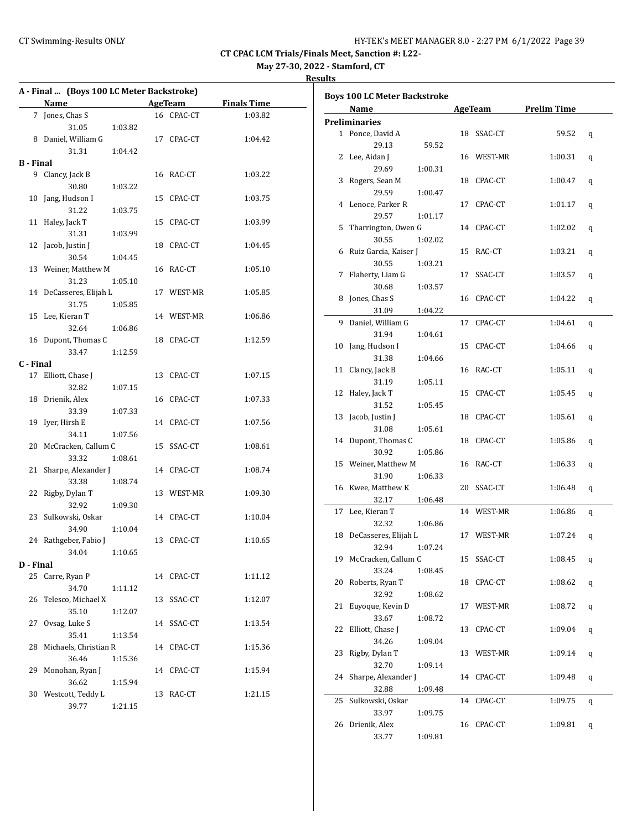**May 27-30, 2022 - Stamford, CT**

| A - Final  (Boys 100 LC Meter Backstroke) |                       |         |    |            |                    |
|-------------------------------------------|-----------------------|---------|----|------------|--------------------|
|                                           | Name                  |         |    | AgeTeam    | <b>Finals Time</b> |
|                                           | 7 Jones, Chas S       |         |    | 16 CPAC-CT | 1:03.82            |
|                                           | 31.05                 | 1:03.82 |    |            |                    |
|                                           | 8 Daniel, William G   |         | 17 | CPAC-CT    | 1:04.42            |
|                                           | 31.31                 | 1:04.42 |    |            |                    |
| <b>B</b> - Final                          |                       |         |    |            |                    |
|                                           | 9 Clancy, Jack B      |         |    | 16 RAC-CT  | 1:03.22            |
|                                           | 30.80                 | 1:03.22 |    |            |                    |
| 10                                        | Jang, Hudson I        |         | 15 | CPAC-CT    | 1:03.75            |
|                                           | 31.22                 | 1:03.75 |    |            |                    |
| 11                                        | Haley, Jack T         |         | 15 | CPAC-CT    | 1:03.99            |
|                                           | 31.31                 | 1:03.99 |    |            |                    |
| 12                                        | Jacob, Justin J       |         | 18 | CPAC-CT    | 1:04.45            |
|                                           | 30.54                 | 1:04.45 |    |            |                    |
| 13                                        | Weiner, Matthew M     |         |    | 16 RAC-CT  | 1:05.10            |
|                                           | 31.23                 | 1:05.10 |    |            |                    |
| 14                                        | DeCasseres, Elijah L  |         |    | 17 WEST-MR | 1:05.85            |
|                                           | 31.75                 | 1:05.85 |    |            |                    |
|                                           | 15 Lee, Kieran T      |         |    | 14 WEST-MR | 1:06.86            |
|                                           | 32.64                 | 1:06.86 |    |            |                    |
|                                           | 16 Dupont, Thomas C   |         |    | 18 CPAC-CT | 1:12.59            |
|                                           | 33.47                 | 1:12.59 |    |            |                    |
| C - Final                                 |                       |         |    |            |                    |
| 17                                        | Elliott, Chase J      |         |    | 13 CPAC-CT | 1:07.15            |
|                                           | 32.82                 | 1:07.15 |    |            |                    |
| 18                                        | Drienik, Alex         |         | 16 | CPAC-CT    | 1:07.33            |
|                                           | 33.39                 | 1:07.33 |    |            |                    |
| 19                                        | Iyer, Hirsh E         |         | 14 | CPAC-CT    | 1:07.56            |
|                                           | 34.11                 | 1:07.56 |    |            |                    |
| 20                                        | McCracken, Callum C   |         | 15 | SSAC-CT    | 1:08.61            |
|                                           | 33.32                 | 1:08.61 |    |            |                    |
| 21                                        | Sharpe, Alexander J   |         |    | 14 CPAC-CT | 1:08.74            |
|                                           | 33.38                 | 1:08.74 |    |            |                    |
| 22                                        | Rigby, Dylan T        |         |    | 13 WEST-MR | 1:09.30            |
|                                           | 32.92                 | 1:09.30 |    |            |                    |
| 23                                        | Sulkowski, Oskar      |         | 14 | CPAC-CT    | 1:10.04            |
|                                           | 34.90                 | 1:10.04 |    |            |                    |
| 24                                        | Rathgeber, Fabio J    |         | 13 | CPAC-CT    | 1:10.65            |
|                                           | 34.04                 | 1:10.65 |    |            |                    |
| D - Final                                 |                       |         |    |            |                    |
|                                           | 25 Carre, Ryan P      |         |    | 14 CPAC-CT | 1:11.12            |
|                                           | 34.70                 | 1:11.12 |    |            |                    |
| 26                                        | Telesco, Michael X    |         | 13 | SSAC-CT    | 1:12.07            |
|                                           | 35.10                 | 1:12.07 |    |            |                    |
| 27                                        | Ovsag, Luke S         |         | 14 | SSAC-CT    | 1:13.54            |
|                                           | 35.41                 | 1:13.54 |    |            |                    |
| 28                                        | Michaels, Christian R |         | 14 | CPAC-CT    | 1:15.36            |
|                                           | 36.46                 | 1:15.36 |    |            |                    |
| 29                                        | Monohan, Ryan J       |         | 14 | CPAC-CT    | 1:15.94            |
|                                           | 36.62                 | 1:15.94 |    |            |                    |
|                                           | 30 Westcott, Teddy L  |         | 13 | RAC-CT     | 1:21.15            |
|                                           | 39.77                 | 1:21.15 |    |            |                    |

|    | <b>Boys 100 LC Meter Backstroke</b> |         |    |            |                    |   |
|----|-------------------------------------|---------|----|------------|--------------------|---|
|    | Name                                |         |    | AgeTeam    | <b>Prelim Time</b> |   |
|    | Preliminaries                       |         |    |            |                    |   |
|    | 1 Ponce, David A                    |         |    | 18 SSAC-CT | 59.52              | q |
|    | 29.13                               | 59.52   |    |            |                    |   |
| 2  | Lee, Aidan J                        |         |    | 16 WEST-MR | 1:00.31            | q |
|    | 29.69                               | 1:00.31 |    |            |                    |   |
| 3  | Rogers, Sean M                      |         |    | 18 CPAC-CT | 1:00.47            | q |
|    | 29.59                               | 1:00.47 |    |            |                    |   |
| 4  | Lenoce, Parker R                    |         | 17 | CPAC-CT    | 1:01.17            | q |
|    | 29.57                               | 1:01.17 |    |            |                    |   |
| 5  | Tharrington, Owen G                 |         |    | 14 CPAC-CT | 1:02.02            | q |
|    | 30.55                               | 1:02.02 |    |            |                    |   |
| 6  | Ruiz Garcia, Kaiser J               |         | 15 | RAC-CT     | 1:03.21            | q |
|    | 30.55                               | 1:03.21 |    |            |                    |   |
| 7  | Flaherty, Liam G                    |         | 17 | SSAC-CT    | 1:03.57            | q |
|    | 30.68                               | 1:03.57 |    |            |                    |   |
| 8  | Jones, Chas S                       |         | 16 | CPAC-CT    | 1:04.22            | q |
|    | 31.09                               | 1:04.22 |    |            |                    |   |
| 9  | Daniel, William G                   |         | 17 | CPAC-CT    | 1:04.61            | q |
|    | 31.94                               | 1:04.61 |    |            |                    |   |
| 10 | Jang, Hudson I                      |         |    | 15 CPAC-CT | 1:04.66            | q |
|    | 31.38                               | 1:04.66 |    |            |                    |   |
| 11 | Clancy, Jack B                      |         |    | 16 RAC-CT  | 1:05.11            | q |
|    | 31.19                               | 1:05.11 |    |            |                    |   |
| 12 | Haley, Jack T                       |         | 15 | CPAC-CT    | 1:05.45            | q |
|    | 31.52                               | 1:05.45 |    |            |                    |   |
| 13 | Jacob, Justin J                     |         | 18 | CPAC-CT    | 1:05.61            | q |
|    | 31.08                               | 1:05.61 |    |            |                    |   |
| 14 | Dupont, Thomas C                    |         | 18 | CPAC-CT    | 1:05.86            | q |
|    | 30.92                               | 1:05.86 |    |            |                    |   |
| 15 | Weiner, Matthew M                   |         |    | 16 RAC-CT  | 1:06.33            | q |
|    | 31.90                               | 1:06.33 |    |            |                    |   |
| 16 | Kwee, Matthew K                     |         | 20 | SSAC-CT    | 1:06.48            | q |
|    | 32.17                               | 1:06.48 |    |            |                    |   |
| 17 | Lee, Kieran T                       |         |    | 14 WEST-MR | 1:06.86            | q |
|    | 32.32                               | 1:06.86 |    |            |                    |   |
|    | 18 DeCasseres, Elijah L             |         |    | 17 WEST-MR | 1:07.24            | q |
|    | 32.94                               | 1:07.24 |    |            |                    |   |
|    | 19 McCracken, Callum C              |         |    | 15 SSAC-CT | 1:08.45            | q |
|    | 33.24                               | 1:08.45 |    |            |                    |   |
| 20 | Roberts, Ryan T                     |         |    | 18 CPAC-CT | 1:08.62            | q |
|    | 32.92                               | 1:08.62 |    |            |                    |   |
| 21 | Euyoque, Kevin D                    |         |    | 17 WEST-MR | 1:08.72            | q |
|    | 33.67                               | 1:08.72 |    |            |                    |   |
| 22 | Elliott, Chase J                    |         | 13 | CPAC-CT    | 1:09.04            | q |
|    | 34.26                               | 1:09.04 |    |            |                    |   |
| 23 | Rigby, Dylan T                      |         |    | 13 WEST-MR | 1:09.14            | q |
|    | 32.70                               | 1:09.14 |    |            |                    |   |
| 24 | Sharpe, Alexander J                 |         |    | 14 CPAC-CT | 1:09.48            | q |
|    | 32.88                               | 1:09.48 |    |            |                    |   |
| 25 | Sulkowski, Oskar                    |         | 14 | CPAC-CT    | 1:09.75            | q |
|    | 33.97                               | 1:09.75 |    |            |                    |   |
| 26 | Drienik, Alex                       |         | 16 | CPAC-CT    | 1:09.81            | q |
|    | 33.77                               | 1:09.81 |    |            |                    |   |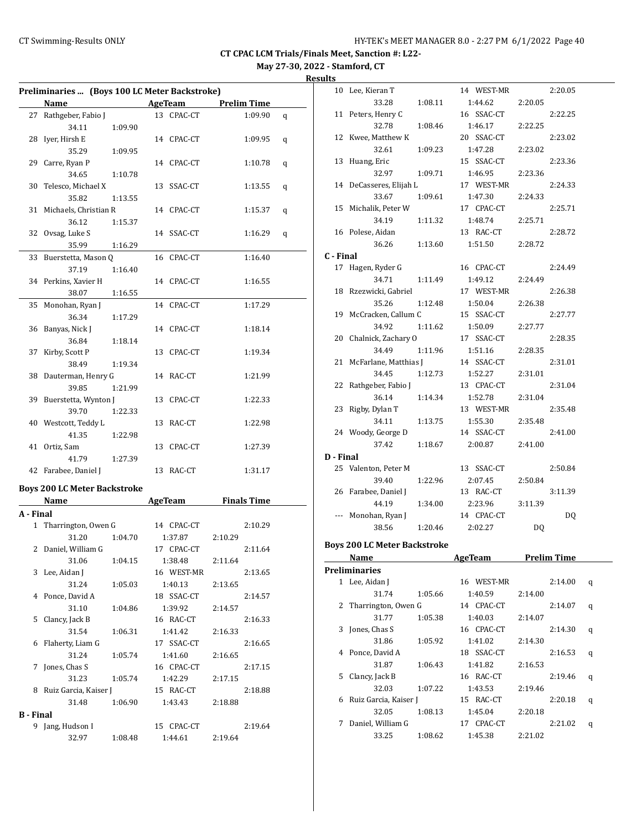**May 27-30, 2022 - Stamford, CT**

**Results**

|                  | Preliminaries  (Boys 100 LC Meter Backstroke) |         |                |         |                    |   |
|------------------|-----------------------------------------------|---------|----------------|---------|--------------------|---|
|                  | Name                                          |         | <u>AgeTeam</u> |         | <b>Prelim Time</b> |   |
|                  | 27 Rathgeber, Fabio J                         |         | 13 CPAC-CT     |         | 1:09.90            | q |
|                  | 34.11                                         | 1:09.90 |                |         |                    |   |
|                  | 28 Iver, Hirsh E                              |         | 14 CPAC-CT     |         | 1:09.95            | q |
|                  | 35.29                                         | 1:09.95 |                |         |                    |   |
|                  | 29 Carre, Ryan P                              |         | 14 CPAC-CT     |         | 1:10.78            | q |
|                  | 34.65                                         | 1:10.78 |                |         |                    |   |
| 30               | Telesco, Michael X                            |         | 13 SSAC-CT     |         | 1:13.55            | q |
|                  | 35.82                                         | 1:13.55 |                |         |                    |   |
|                  | 31 Michaels, Christian R                      |         | 14 CPAC-CT     |         | 1:15.37            | q |
|                  | 36.12                                         | 1:15.37 |                |         |                    |   |
|                  | 32 Ovsag, Luke S                              |         | 14 SSAC-CT     |         | 1:16.29            | q |
|                  | 35.99                                         | 1:16.29 |                |         |                    |   |
| 33               | Buerstetta, Mason Q                           |         | 16 CPAC-CT     |         | 1:16.40            |   |
|                  | 37.19                                         | 1:16.40 |                |         |                    |   |
|                  | 34 Perkins, Xavier H                          |         | 14 CPAC-CT     |         | 1:16.55            |   |
|                  | 38.07                                         | 1:16.55 |                |         |                    |   |
|                  | 35 Monohan, Ryan J                            |         | 14 CPAC-CT     |         | 1:17.29            |   |
|                  | 36.34                                         | 1:17.29 |                |         |                    |   |
|                  | 36 Banyas, Nick J                             |         | 14 CPAC-CT     |         | 1:18.14            |   |
|                  | 36.84                                         | 1:18.14 |                |         |                    |   |
| 37               | Kirby, Scott P                                |         | 13 CPAC-CT     |         | 1:19.34            |   |
|                  | 38.49                                         | 1:19.34 |                |         |                    |   |
|                  | 38 Dauterman, Henry G                         |         | 14 RAC-CT      |         | 1:21.99            |   |
|                  | 39.85                                         | 1:21.99 |                |         |                    |   |
|                  | 39 Buerstetta, Wynton J                       |         | 13 CPAC-CT     |         | 1:22.33            |   |
|                  | 39.70                                         | 1:22.33 |                |         |                    |   |
|                  | 40 Westcott, Teddy L                          |         | 13 RAC-CT      |         | 1:22.98            |   |
|                  | 41.35                                         | 1:22.98 |                |         |                    |   |
|                  | 41 Ortiz, Sam                                 |         | 13 CPAC-CT     |         | 1:27.39            |   |
|                  | 41.79                                         | 1:27.39 |                |         |                    |   |
|                  | 42 Farabee, Daniel J                          |         | 13 RAC-CT      |         | 1:31.17            |   |
|                  | <b>Boys 200 LC Meter Backstroke</b>           |         |                |         |                    |   |
|                  | Name                                          |         | AgeTeam        |         | <b>Finals Time</b> |   |
| A - Final        |                                               |         |                |         |                    |   |
|                  | 1 Tharrington, Owen G                         |         | 14 CPAC-CT     |         | 2:10.29            |   |
|                  | 31.20                                         | 1:04.70 | 1:37.87        | 2:10.29 |                    |   |
|                  | 2 Daniel, William G                           |         | 17 CPAC-CT     |         | 2:11.64            |   |
|                  | 31.06                                         | 1:04.15 | 1:38.48        | 2:11.64 |                    |   |
|                  | 3 Lee, Aidan J                                |         | 16 WEST-MR     |         | 2:13.65            |   |
|                  | 31.24                                         | 1:05.03 | 1:40.13        | 2:13.65 |                    |   |
|                  | 4 Ponce, David A                              |         | 18 SSAC-CT     |         | 2:14.57            |   |
|                  | 31.10                                         | 1:04.86 | 1:39.92        | 2:14.57 |                    |   |
|                  | 5 Clancy, Jack B                              |         | 16 RAC-CT      |         | 2:16.33            |   |
|                  | 31.54                                         | 1:06.31 | 1:41.42        | 2:16.33 |                    |   |
|                  | 6 Flaherty, Liam G                            |         | 17 SSAC-CT     |         | 2:16.65            |   |
|                  | 31.24                                         | 1:05.74 | 1:41.60        | 2:16.65 |                    |   |
|                  | 7 Jones, Chas S                               |         | 16 CPAC-CT     |         | 2:17.15            |   |
|                  | 31.23                                         | 1:05.74 | 1:42.29        | 2:17.15 |                    |   |
|                  | 8 Ruiz Garcia, Kaiser J                       |         | 15 RAC-CT      |         | 2:18.88            |   |
|                  | 31.48                                         | 1:06.90 | 1:43.43        | 2:18.88 |                    |   |
| <b>B</b> - Final |                                               |         |                |         |                    |   |
|                  | 9 Jang, Hudson I                              |         | 15 CPAC-CT     |         | 2:19.64            |   |
|                  | 32.97                                         | 1:08.48 | 1:44.61        | 2:19.64 |                    |   |
|                  |                                               |         |                |         |                    |   |

|           | 10 Lee, Kieran T                    |         | 14 WEST-MR            |         | 2:20.05            |   |
|-----------|-------------------------------------|---------|-----------------------|---------|--------------------|---|
|           | 33.28                               | 1:08.11 | 1:44.62               | 2:20.05 |                    |   |
|           | 11 Peters, Henry C                  |         | 16 SSAC-CT            |         | 2:22.25            |   |
|           | 32.78                               | 1:08.46 | 1:46.17               | 2:22.25 |                    |   |
|           | 12 Kwee, Matthew K                  |         | 20 SSAC-CT            |         | 2:23.02            |   |
|           | 32.61                               | 1:09.23 | 1:47.28               | 2:23.02 |                    |   |
|           | 13 Huang, Eric                      |         | 15 SSAC-CT            |         | 2:23.36            |   |
|           | 32.97                               | 1:09.71 | 1:46.95               | 2:23.36 |                    |   |
|           | 14 DeCasseres, Elijah L             |         | 17 WEST-MR            |         | 2:24.33            |   |
|           | 33.67                               | 1:09.61 | 1:47.30               | 2:24.33 |                    |   |
|           | 15 Michalik, Peter W                |         | 17 CPAC-CT            |         | 2:25.71            |   |
|           | 34.19                               | 1:11.32 | 1:48.74               | 2:25.71 |                    |   |
|           | 16 Polese, Aidan                    |         | 13 RAC-CT             |         | 2:28.72            |   |
|           | 36.26 1:13.60                       |         | 1:51.50               | 2:28.72 |                    |   |
| C - Final |                                     |         |                       |         |                    |   |
|           | 17 Hagen, Ryder G                   |         | 16 CPAC-CT            |         | 2:24.49            |   |
|           | 34.71                               | 1:11.49 | 1:49.12               | 2:24.49 |                    |   |
|           | 18 Rzezwicki, Gabriel               |         | 17 WEST-MR            |         | 2:26.38            |   |
|           | 35.26                               | 1:12.48 | 1:50.04               | 2:26.38 |                    |   |
|           | 19 McCracken, Callum C              |         | 15 SSAC-CT            |         | 2:27.77            |   |
|           | 34.92                               | 1:11.62 | 1:50.09               | 2:27.77 |                    |   |
|           | 20 Chalnick, Zachary O              |         | 17 SSAC-CT            |         | 2:28.35            |   |
|           | 34.49                               | 1:11.96 | 1:51.16               | 2:28.35 |                    |   |
|           | 21 McFarlane, Matthias J            |         | 14 SSAC-CT            |         | 2:31.01            |   |
|           | 34.45                               | 1:12.73 | 1:52.27               | 2:31.01 |                    |   |
|           | 22 Rathgeber, Fabio J               |         | 13 CPAC-CT            |         | 2:31.04            |   |
|           | 36.14                               | 1:14.34 | 1:52.78               | 2:31.04 |                    |   |
|           | 23 Rigby, Dylan T                   |         | 13 WEST-MR            |         | 2:35.48            |   |
|           | 34.11                               | 1:13.75 | 1:55.30               | 2:35.48 |                    |   |
|           |                                     |         |                       |         |                    |   |
|           |                                     |         |                       |         |                    |   |
|           | 24 Woody, George D                  |         | 14 SSAC-CT            |         | 2:41.00            |   |
|           | 37.42                               | 1:18.67 | 2:00.87               | 2:41.00 |                    |   |
| D - Final |                                     |         |                       |         |                    |   |
|           | 25 Valenton, Peter M                |         | 13 SSAC-CT            |         | 2:50.84            |   |
|           | 39.40                               | 1:22.96 | 2:07.45               | 2:50.84 |                    |   |
|           | 26 Farabee, Daniel J                |         | 13 RAC-CT             |         | 3:11.39            |   |
|           | 44.19                               | 1:34.00 | 2:23.96               | 3:11.39 |                    |   |
|           | --- Monohan, Ryan J                 |         | 14 CPAC-CT            |         | DQ                 |   |
|           | 38.56                               | 1:20.46 | 2:02.27               | DQ      |                    |   |
|           | <b>Boys 200 LC Meter Backstroke</b> |         |                       |         |                    |   |
|           | <u>Name</u>                         |         | <b>AgeTeam</b>        |         | <b>Prelim Time</b> |   |
|           | <b>Preliminaries</b>                |         |                       |         |                    |   |
|           | 1 Lee, Aidan J                      |         | 16 WEST-MR            |         | 2:14.00            | q |
|           | 31.74                               | 1:05.66 | 1:40.59               | 2:14.00 |                    |   |
| 2         |                                     |         | 14 CPAC-CT            |         | 2:14.07            |   |
|           | Tharrington, Owen G<br>31.77        | 1:05.38 |                       | 2:14.07 |                    | q |
| 3         | Jones, Chas S                       |         | 1:40.03<br>16 CPAC-CT |         | 2:14.30            |   |
|           | 31.86                               | 1:05.92 | 1:41.02               | 2:14.30 |                    | q |
| 4         | Ponce, David A                      |         | 18 SSAC-CT            |         | 2:16.53            |   |
|           | 31.87                               |         | 1:41.82               |         |                    | q |
| 5         | Clancy, Jack B                      | 1:06.43 | 16 RAC-CT             | 2:16.53 | 2:19.46            |   |
|           | 32.03                               | 1:07.22 |                       |         |                    | q |
| 6         |                                     |         | 1:43.53               | 2:19.46 |                    |   |
|           | Ruiz Garcia, Kaiser J               |         | 15 RAC-CT             |         | 2:20.18            | q |
|           | 32.05                               | 1:08.13 | 1:45.04               | 2:20.18 |                    |   |
| 7         | Daniel, William G<br>33.25          | 1:08.62 | 17 CPAC-CT<br>1:45.38 | 2:21.02 | 2:21.02            | q |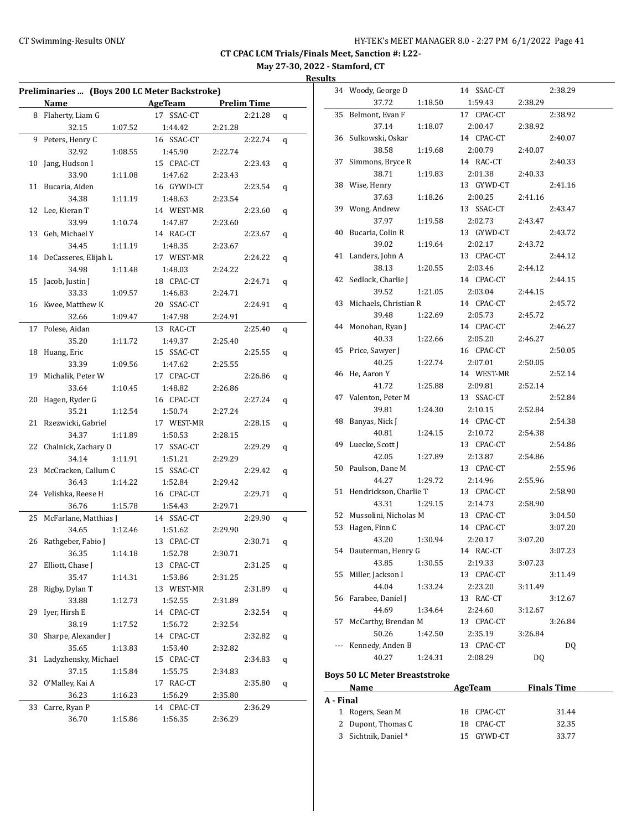# **May 27-30, 2022 - Stamford, CT**

| Results |  |
|---------|--|
|         |  |

| AgeTeam<br><b>Prelim Time</b><br>the contract of the contract of the<br>8 Flaherty, Liam G<br>17 SSAC-CT<br>2:21.28<br>q<br>32.15<br>1:07.52<br>1:44.42<br>2:21.28<br>Peters, Henry C<br>16 SSAC-CT<br>9<br>2:22.74<br>q<br>32.92<br>1:45.90<br>1:08.55<br>2:22.74<br>Jang, Hudson I<br>15 CPAC-CT<br>2:23.43<br>10<br>q<br>33.90<br>1:11.08<br>1:47.62<br>2:23.43<br>11<br>Bucaria, Aiden<br>16 GYWD-CT<br>2:23.54<br>q<br>34.38<br>1:11.19<br>1:48.63<br>2:23.54<br>12 Lee, Kieran T<br>14 WEST-MR<br>2:23.60<br>q<br>33.99<br>1:10.74<br>1:47.87<br>2:23.60<br>13<br>Geh, Michael Y<br>14 RAC-CT<br>2:23.67<br>q<br>34.45<br>1:11.19<br>1:48.35<br>2:23.67<br>DeCasseres, Elijah L<br>17 WEST-MR<br>2:24.22<br>14<br>q<br>34.98<br>1:48.03<br>1:11.48<br>2:24.22<br>Jacob, Justin J<br>18 CPAC-CT<br>15<br>2:24.71<br>q<br>33.33<br>1:09.57<br>1:46.83<br>2:24.71<br>Kwee, Matthew K<br>20 SSAC-CT<br>16<br>2:24.91<br>q<br>32.66<br>1:09.47<br>2:24.91<br>1:47.98<br>Polese, Aidan<br>13 RAC-CT<br>2:25.40<br>17<br>q<br>35.20<br>1:49.37<br>2:25.40<br>1:11.72<br>Huang, Eric<br>18<br>15 SSAC-CT<br>2:25.55<br>q<br>33.39<br>1:47.62<br>1:09.56<br>2:25.55<br>17 CPAC-CT<br>Michalik, Peter W<br>2:26.86<br>19<br>q<br>33.64<br>1:10.45<br>1:48.82<br>2:26.86<br>Hagen, Ryder G<br>16 CPAC-CT<br>20<br>2:27.24<br>q<br>35.21<br>1:50.74<br>1:12.54<br>2:27.24<br>21<br>Rzezwicki, Gabriel<br>17 WEST-MR<br>2:28.15<br>q<br>34.37<br>1:11.89<br>1:50.53<br>2:28.15<br>Chalnick, Zachary O<br>17 SSAC-CT<br>22<br>2:29.29<br>q<br>34.14<br>1:11.91<br>1:51.21<br>2:29.29<br>15 SSAC-CT<br>McCracken, Callum C<br>23<br>2:29.42<br>q<br>36.43<br>1:52.84<br>1:14.22<br>2:29.42<br>16 CPAC-CT<br>24<br>Velishka, Reese H<br>2:29.71<br>q<br>36.76<br>1:15.78<br>1:54.43<br>2:29.71<br>McFarlane, Matthias J<br>14 SSAC-CT<br>25<br>2:29.90<br>q<br>34.65<br>1:51.62<br>1:12.46<br>2:29.90<br>13 CPAC-CT<br>26 Rathgeber, Fabio J<br>2:30.71<br>q<br>36.35 1:14.18<br>1:52.78<br>2:30.71<br>Elliott, Chase J<br>27<br>13 CPAC-CT<br>2:31.25<br>q<br>35.47<br>1:53.86<br>1:14.31<br>2:31.25<br>Rigby, Dylan T<br>28<br>13 WEST-MR<br>2:31.89<br>q<br>33.88<br>1:52.55<br>1:12.73<br>2:31.89<br>Iyer, Hirsh E<br>14 CPAC-CT<br>29<br>2:32.54<br>q<br>38.19<br>1:56.72<br>1:17.52<br>2:32.54<br>Sharpe, Alexander J<br>14 CPAC-CT<br>30<br>2:32.82<br>q<br>35.65<br>1:53.40<br>1:13.83<br>2:32.82<br>Ladyzhensky, Michael<br>15 CPAC-CT<br>31<br>2:34.83<br>q<br>37.15<br>1:55.75<br>1:15.84<br>2:34.83<br>17 RAC-CT<br>O'Malley, Kai A<br>32<br>2:35.80<br>q<br>36.23<br>1:16.23<br>1:56.29<br>2:35.80<br>Carre, Ryan P<br>14 CPAC-CT<br>2:36.29<br>33 | Preliminaries  (Boys 200 LC Meter Backstroke) |         |         |         |  |
|-------------------------------------------------------------------------------------------------------------------------------------------------------------------------------------------------------------------------------------------------------------------------------------------------------------------------------------------------------------------------------------------------------------------------------------------------------------------------------------------------------------------------------------------------------------------------------------------------------------------------------------------------------------------------------------------------------------------------------------------------------------------------------------------------------------------------------------------------------------------------------------------------------------------------------------------------------------------------------------------------------------------------------------------------------------------------------------------------------------------------------------------------------------------------------------------------------------------------------------------------------------------------------------------------------------------------------------------------------------------------------------------------------------------------------------------------------------------------------------------------------------------------------------------------------------------------------------------------------------------------------------------------------------------------------------------------------------------------------------------------------------------------------------------------------------------------------------------------------------------------------------------------------------------------------------------------------------------------------------------------------------------------------------------------------------------------------------------------------------------------------------------------------------------------------------------------------------------------------------------------------------------------------------------------------------------------------------------------------------------------------------------------------------------------------------------------------------------------------------------------------------------------------------------------------------------------------------------------------------------------------------------------------|-----------------------------------------------|---------|---------|---------|--|
|                                                                                                                                                                                                                                                                                                                                                                                                                                                                                                                                                                                                                                                                                                                                                                                                                                                                                                                                                                                                                                                                                                                                                                                                                                                                                                                                                                                                                                                                                                                                                                                                                                                                                                                                                                                                                                                                                                                                                                                                                                                                                                                                                                                                                                                                                                                                                                                                                                                                                                                                                                                                                                                       | <b>Name</b>                                   |         |         |         |  |
|                                                                                                                                                                                                                                                                                                                                                                                                                                                                                                                                                                                                                                                                                                                                                                                                                                                                                                                                                                                                                                                                                                                                                                                                                                                                                                                                                                                                                                                                                                                                                                                                                                                                                                                                                                                                                                                                                                                                                                                                                                                                                                                                                                                                                                                                                                                                                                                                                                                                                                                                                                                                                                                       |                                               |         |         |         |  |
|                                                                                                                                                                                                                                                                                                                                                                                                                                                                                                                                                                                                                                                                                                                                                                                                                                                                                                                                                                                                                                                                                                                                                                                                                                                                                                                                                                                                                                                                                                                                                                                                                                                                                                                                                                                                                                                                                                                                                                                                                                                                                                                                                                                                                                                                                                                                                                                                                                                                                                                                                                                                                                                       |                                               |         |         |         |  |
|                                                                                                                                                                                                                                                                                                                                                                                                                                                                                                                                                                                                                                                                                                                                                                                                                                                                                                                                                                                                                                                                                                                                                                                                                                                                                                                                                                                                                                                                                                                                                                                                                                                                                                                                                                                                                                                                                                                                                                                                                                                                                                                                                                                                                                                                                                                                                                                                                                                                                                                                                                                                                                                       |                                               |         |         |         |  |
|                                                                                                                                                                                                                                                                                                                                                                                                                                                                                                                                                                                                                                                                                                                                                                                                                                                                                                                                                                                                                                                                                                                                                                                                                                                                                                                                                                                                                                                                                                                                                                                                                                                                                                                                                                                                                                                                                                                                                                                                                                                                                                                                                                                                                                                                                                                                                                                                                                                                                                                                                                                                                                                       |                                               |         |         |         |  |
|                                                                                                                                                                                                                                                                                                                                                                                                                                                                                                                                                                                                                                                                                                                                                                                                                                                                                                                                                                                                                                                                                                                                                                                                                                                                                                                                                                                                                                                                                                                                                                                                                                                                                                                                                                                                                                                                                                                                                                                                                                                                                                                                                                                                                                                                                                                                                                                                                                                                                                                                                                                                                                                       |                                               |         |         |         |  |
|                                                                                                                                                                                                                                                                                                                                                                                                                                                                                                                                                                                                                                                                                                                                                                                                                                                                                                                                                                                                                                                                                                                                                                                                                                                                                                                                                                                                                                                                                                                                                                                                                                                                                                                                                                                                                                                                                                                                                                                                                                                                                                                                                                                                                                                                                                                                                                                                                                                                                                                                                                                                                                                       |                                               |         |         |         |  |
|                                                                                                                                                                                                                                                                                                                                                                                                                                                                                                                                                                                                                                                                                                                                                                                                                                                                                                                                                                                                                                                                                                                                                                                                                                                                                                                                                                                                                                                                                                                                                                                                                                                                                                                                                                                                                                                                                                                                                                                                                                                                                                                                                                                                                                                                                                                                                                                                                                                                                                                                                                                                                                                       |                                               |         |         |         |  |
|                                                                                                                                                                                                                                                                                                                                                                                                                                                                                                                                                                                                                                                                                                                                                                                                                                                                                                                                                                                                                                                                                                                                                                                                                                                                                                                                                                                                                                                                                                                                                                                                                                                                                                                                                                                                                                                                                                                                                                                                                                                                                                                                                                                                                                                                                                                                                                                                                                                                                                                                                                                                                                                       |                                               |         |         |         |  |
|                                                                                                                                                                                                                                                                                                                                                                                                                                                                                                                                                                                                                                                                                                                                                                                                                                                                                                                                                                                                                                                                                                                                                                                                                                                                                                                                                                                                                                                                                                                                                                                                                                                                                                                                                                                                                                                                                                                                                                                                                                                                                                                                                                                                                                                                                                                                                                                                                                                                                                                                                                                                                                                       |                                               |         |         |         |  |
|                                                                                                                                                                                                                                                                                                                                                                                                                                                                                                                                                                                                                                                                                                                                                                                                                                                                                                                                                                                                                                                                                                                                                                                                                                                                                                                                                                                                                                                                                                                                                                                                                                                                                                                                                                                                                                                                                                                                                                                                                                                                                                                                                                                                                                                                                                                                                                                                                                                                                                                                                                                                                                                       |                                               |         |         |         |  |
|                                                                                                                                                                                                                                                                                                                                                                                                                                                                                                                                                                                                                                                                                                                                                                                                                                                                                                                                                                                                                                                                                                                                                                                                                                                                                                                                                                                                                                                                                                                                                                                                                                                                                                                                                                                                                                                                                                                                                                                                                                                                                                                                                                                                                                                                                                                                                                                                                                                                                                                                                                                                                                                       |                                               |         |         |         |  |
|                                                                                                                                                                                                                                                                                                                                                                                                                                                                                                                                                                                                                                                                                                                                                                                                                                                                                                                                                                                                                                                                                                                                                                                                                                                                                                                                                                                                                                                                                                                                                                                                                                                                                                                                                                                                                                                                                                                                                                                                                                                                                                                                                                                                                                                                                                                                                                                                                                                                                                                                                                                                                                                       |                                               |         |         |         |  |
|                                                                                                                                                                                                                                                                                                                                                                                                                                                                                                                                                                                                                                                                                                                                                                                                                                                                                                                                                                                                                                                                                                                                                                                                                                                                                                                                                                                                                                                                                                                                                                                                                                                                                                                                                                                                                                                                                                                                                                                                                                                                                                                                                                                                                                                                                                                                                                                                                                                                                                                                                                                                                                                       |                                               |         |         |         |  |
|                                                                                                                                                                                                                                                                                                                                                                                                                                                                                                                                                                                                                                                                                                                                                                                                                                                                                                                                                                                                                                                                                                                                                                                                                                                                                                                                                                                                                                                                                                                                                                                                                                                                                                                                                                                                                                                                                                                                                                                                                                                                                                                                                                                                                                                                                                                                                                                                                                                                                                                                                                                                                                                       |                                               |         |         |         |  |
|                                                                                                                                                                                                                                                                                                                                                                                                                                                                                                                                                                                                                                                                                                                                                                                                                                                                                                                                                                                                                                                                                                                                                                                                                                                                                                                                                                                                                                                                                                                                                                                                                                                                                                                                                                                                                                                                                                                                                                                                                                                                                                                                                                                                                                                                                                                                                                                                                                                                                                                                                                                                                                                       |                                               |         |         |         |  |
|                                                                                                                                                                                                                                                                                                                                                                                                                                                                                                                                                                                                                                                                                                                                                                                                                                                                                                                                                                                                                                                                                                                                                                                                                                                                                                                                                                                                                                                                                                                                                                                                                                                                                                                                                                                                                                                                                                                                                                                                                                                                                                                                                                                                                                                                                                                                                                                                                                                                                                                                                                                                                                                       |                                               |         |         |         |  |
|                                                                                                                                                                                                                                                                                                                                                                                                                                                                                                                                                                                                                                                                                                                                                                                                                                                                                                                                                                                                                                                                                                                                                                                                                                                                                                                                                                                                                                                                                                                                                                                                                                                                                                                                                                                                                                                                                                                                                                                                                                                                                                                                                                                                                                                                                                                                                                                                                                                                                                                                                                                                                                                       |                                               |         |         |         |  |
|                                                                                                                                                                                                                                                                                                                                                                                                                                                                                                                                                                                                                                                                                                                                                                                                                                                                                                                                                                                                                                                                                                                                                                                                                                                                                                                                                                                                                                                                                                                                                                                                                                                                                                                                                                                                                                                                                                                                                                                                                                                                                                                                                                                                                                                                                                                                                                                                                                                                                                                                                                                                                                                       |                                               |         |         |         |  |
|                                                                                                                                                                                                                                                                                                                                                                                                                                                                                                                                                                                                                                                                                                                                                                                                                                                                                                                                                                                                                                                                                                                                                                                                                                                                                                                                                                                                                                                                                                                                                                                                                                                                                                                                                                                                                                                                                                                                                                                                                                                                                                                                                                                                                                                                                                                                                                                                                                                                                                                                                                                                                                                       |                                               |         |         |         |  |
|                                                                                                                                                                                                                                                                                                                                                                                                                                                                                                                                                                                                                                                                                                                                                                                                                                                                                                                                                                                                                                                                                                                                                                                                                                                                                                                                                                                                                                                                                                                                                                                                                                                                                                                                                                                                                                                                                                                                                                                                                                                                                                                                                                                                                                                                                                                                                                                                                                                                                                                                                                                                                                                       |                                               |         |         |         |  |
|                                                                                                                                                                                                                                                                                                                                                                                                                                                                                                                                                                                                                                                                                                                                                                                                                                                                                                                                                                                                                                                                                                                                                                                                                                                                                                                                                                                                                                                                                                                                                                                                                                                                                                                                                                                                                                                                                                                                                                                                                                                                                                                                                                                                                                                                                                                                                                                                                                                                                                                                                                                                                                                       |                                               |         |         |         |  |
|                                                                                                                                                                                                                                                                                                                                                                                                                                                                                                                                                                                                                                                                                                                                                                                                                                                                                                                                                                                                                                                                                                                                                                                                                                                                                                                                                                                                                                                                                                                                                                                                                                                                                                                                                                                                                                                                                                                                                                                                                                                                                                                                                                                                                                                                                                                                                                                                                                                                                                                                                                                                                                                       |                                               |         |         |         |  |
|                                                                                                                                                                                                                                                                                                                                                                                                                                                                                                                                                                                                                                                                                                                                                                                                                                                                                                                                                                                                                                                                                                                                                                                                                                                                                                                                                                                                                                                                                                                                                                                                                                                                                                                                                                                                                                                                                                                                                                                                                                                                                                                                                                                                                                                                                                                                                                                                                                                                                                                                                                                                                                                       |                                               |         |         |         |  |
|                                                                                                                                                                                                                                                                                                                                                                                                                                                                                                                                                                                                                                                                                                                                                                                                                                                                                                                                                                                                                                                                                                                                                                                                                                                                                                                                                                                                                                                                                                                                                                                                                                                                                                                                                                                                                                                                                                                                                                                                                                                                                                                                                                                                                                                                                                                                                                                                                                                                                                                                                                                                                                                       |                                               |         |         |         |  |
|                                                                                                                                                                                                                                                                                                                                                                                                                                                                                                                                                                                                                                                                                                                                                                                                                                                                                                                                                                                                                                                                                                                                                                                                                                                                                                                                                                                                                                                                                                                                                                                                                                                                                                                                                                                                                                                                                                                                                                                                                                                                                                                                                                                                                                                                                                                                                                                                                                                                                                                                                                                                                                                       |                                               |         |         |         |  |
|                                                                                                                                                                                                                                                                                                                                                                                                                                                                                                                                                                                                                                                                                                                                                                                                                                                                                                                                                                                                                                                                                                                                                                                                                                                                                                                                                                                                                                                                                                                                                                                                                                                                                                                                                                                                                                                                                                                                                                                                                                                                                                                                                                                                                                                                                                                                                                                                                                                                                                                                                                                                                                                       |                                               |         |         |         |  |
|                                                                                                                                                                                                                                                                                                                                                                                                                                                                                                                                                                                                                                                                                                                                                                                                                                                                                                                                                                                                                                                                                                                                                                                                                                                                                                                                                                                                                                                                                                                                                                                                                                                                                                                                                                                                                                                                                                                                                                                                                                                                                                                                                                                                                                                                                                                                                                                                                                                                                                                                                                                                                                                       |                                               |         |         |         |  |
|                                                                                                                                                                                                                                                                                                                                                                                                                                                                                                                                                                                                                                                                                                                                                                                                                                                                                                                                                                                                                                                                                                                                                                                                                                                                                                                                                                                                                                                                                                                                                                                                                                                                                                                                                                                                                                                                                                                                                                                                                                                                                                                                                                                                                                                                                                                                                                                                                                                                                                                                                                                                                                                       |                                               |         |         |         |  |
|                                                                                                                                                                                                                                                                                                                                                                                                                                                                                                                                                                                                                                                                                                                                                                                                                                                                                                                                                                                                                                                                                                                                                                                                                                                                                                                                                                                                                                                                                                                                                                                                                                                                                                                                                                                                                                                                                                                                                                                                                                                                                                                                                                                                                                                                                                                                                                                                                                                                                                                                                                                                                                                       |                                               |         |         |         |  |
|                                                                                                                                                                                                                                                                                                                                                                                                                                                                                                                                                                                                                                                                                                                                                                                                                                                                                                                                                                                                                                                                                                                                                                                                                                                                                                                                                                                                                                                                                                                                                                                                                                                                                                                                                                                                                                                                                                                                                                                                                                                                                                                                                                                                                                                                                                                                                                                                                                                                                                                                                                                                                                                       |                                               |         |         |         |  |
|                                                                                                                                                                                                                                                                                                                                                                                                                                                                                                                                                                                                                                                                                                                                                                                                                                                                                                                                                                                                                                                                                                                                                                                                                                                                                                                                                                                                                                                                                                                                                                                                                                                                                                                                                                                                                                                                                                                                                                                                                                                                                                                                                                                                                                                                                                                                                                                                                                                                                                                                                                                                                                                       |                                               |         |         |         |  |
|                                                                                                                                                                                                                                                                                                                                                                                                                                                                                                                                                                                                                                                                                                                                                                                                                                                                                                                                                                                                                                                                                                                                                                                                                                                                                                                                                                                                                                                                                                                                                                                                                                                                                                                                                                                                                                                                                                                                                                                                                                                                                                                                                                                                                                                                                                                                                                                                                                                                                                                                                                                                                                                       |                                               |         |         |         |  |
|                                                                                                                                                                                                                                                                                                                                                                                                                                                                                                                                                                                                                                                                                                                                                                                                                                                                                                                                                                                                                                                                                                                                                                                                                                                                                                                                                                                                                                                                                                                                                                                                                                                                                                                                                                                                                                                                                                                                                                                                                                                                                                                                                                                                                                                                                                                                                                                                                                                                                                                                                                                                                                                       |                                               |         |         |         |  |
|                                                                                                                                                                                                                                                                                                                                                                                                                                                                                                                                                                                                                                                                                                                                                                                                                                                                                                                                                                                                                                                                                                                                                                                                                                                                                                                                                                                                                                                                                                                                                                                                                                                                                                                                                                                                                                                                                                                                                                                                                                                                                                                                                                                                                                                                                                                                                                                                                                                                                                                                                                                                                                                       |                                               |         |         |         |  |
|                                                                                                                                                                                                                                                                                                                                                                                                                                                                                                                                                                                                                                                                                                                                                                                                                                                                                                                                                                                                                                                                                                                                                                                                                                                                                                                                                                                                                                                                                                                                                                                                                                                                                                                                                                                                                                                                                                                                                                                                                                                                                                                                                                                                                                                                                                                                                                                                                                                                                                                                                                                                                                                       |                                               |         |         |         |  |
|                                                                                                                                                                                                                                                                                                                                                                                                                                                                                                                                                                                                                                                                                                                                                                                                                                                                                                                                                                                                                                                                                                                                                                                                                                                                                                                                                                                                                                                                                                                                                                                                                                                                                                                                                                                                                                                                                                                                                                                                                                                                                                                                                                                                                                                                                                                                                                                                                                                                                                                                                                                                                                                       |                                               |         |         |         |  |
|                                                                                                                                                                                                                                                                                                                                                                                                                                                                                                                                                                                                                                                                                                                                                                                                                                                                                                                                                                                                                                                                                                                                                                                                                                                                                                                                                                                                                                                                                                                                                                                                                                                                                                                                                                                                                                                                                                                                                                                                                                                                                                                                                                                                                                                                                                                                                                                                                                                                                                                                                                                                                                                       |                                               |         |         |         |  |
|                                                                                                                                                                                                                                                                                                                                                                                                                                                                                                                                                                                                                                                                                                                                                                                                                                                                                                                                                                                                                                                                                                                                                                                                                                                                                                                                                                                                                                                                                                                                                                                                                                                                                                                                                                                                                                                                                                                                                                                                                                                                                                                                                                                                                                                                                                                                                                                                                                                                                                                                                                                                                                                       |                                               |         |         |         |  |
|                                                                                                                                                                                                                                                                                                                                                                                                                                                                                                                                                                                                                                                                                                                                                                                                                                                                                                                                                                                                                                                                                                                                                                                                                                                                                                                                                                                                                                                                                                                                                                                                                                                                                                                                                                                                                                                                                                                                                                                                                                                                                                                                                                                                                                                                                                                                                                                                                                                                                                                                                                                                                                                       |                                               |         |         |         |  |
|                                                                                                                                                                                                                                                                                                                                                                                                                                                                                                                                                                                                                                                                                                                                                                                                                                                                                                                                                                                                                                                                                                                                                                                                                                                                                                                                                                                                                                                                                                                                                                                                                                                                                                                                                                                                                                                                                                                                                                                                                                                                                                                                                                                                                                                                                                                                                                                                                                                                                                                                                                                                                                                       |                                               |         |         |         |  |
|                                                                                                                                                                                                                                                                                                                                                                                                                                                                                                                                                                                                                                                                                                                                                                                                                                                                                                                                                                                                                                                                                                                                                                                                                                                                                                                                                                                                                                                                                                                                                                                                                                                                                                                                                                                                                                                                                                                                                                                                                                                                                                                                                                                                                                                                                                                                                                                                                                                                                                                                                                                                                                                       |                                               |         |         |         |  |
|                                                                                                                                                                                                                                                                                                                                                                                                                                                                                                                                                                                                                                                                                                                                                                                                                                                                                                                                                                                                                                                                                                                                                                                                                                                                                                                                                                                                                                                                                                                                                                                                                                                                                                                                                                                                                                                                                                                                                                                                                                                                                                                                                                                                                                                                                                                                                                                                                                                                                                                                                                                                                                                       |                                               |         |         |         |  |
|                                                                                                                                                                                                                                                                                                                                                                                                                                                                                                                                                                                                                                                                                                                                                                                                                                                                                                                                                                                                                                                                                                                                                                                                                                                                                                                                                                                                                                                                                                                                                                                                                                                                                                                                                                                                                                                                                                                                                                                                                                                                                                                                                                                                                                                                                                                                                                                                                                                                                                                                                                                                                                                       |                                               |         |         |         |  |
|                                                                                                                                                                                                                                                                                                                                                                                                                                                                                                                                                                                                                                                                                                                                                                                                                                                                                                                                                                                                                                                                                                                                                                                                                                                                                                                                                                                                                                                                                                                                                                                                                                                                                                                                                                                                                                                                                                                                                                                                                                                                                                                                                                                                                                                                                                                                                                                                                                                                                                                                                                                                                                                       |                                               |         |         |         |  |
|                                                                                                                                                                                                                                                                                                                                                                                                                                                                                                                                                                                                                                                                                                                                                                                                                                                                                                                                                                                                                                                                                                                                                                                                                                                                                                                                                                                                                                                                                                                                                                                                                                                                                                                                                                                                                                                                                                                                                                                                                                                                                                                                                                                                                                                                                                                                                                                                                                                                                                                                                                                                                                                       |                                               |         |         |         |  |
|                                                                                                                                                                                                                                                                                                                                                                                                                                                                                                                                                                                                                                                                                                                                                                                                                                                                                                                                                                                                                                                                                                                                                                                                                                                                                                                                                                                                                                                                                                                                                                                                                                                                                                                                                                                                                                                                                                                                                                                                                                                                                                                                                                                                                                                                                                                                                                                                                                                                                                                                                                                                                                                       |                                               |         |         |         |  |
|                                                                                                                                                                                                                                                                                                                                                                                                                                                                                                                                                                                                                                                                                                                                                                                                                                                                                                                                                                                                                                                                                                                                                                                                                                                                                                                                                                                                                                                                                                                                                                                                                                                                                                                                                                                                                                                                                                                                                                                                                                                                                                                                                                                                                                                                                                                                                                                                                                                                                                                                                                                                                                                       |                                               |         |         |         |  |
|                                                                                                                                                                                                                                                                                                                                                                                                                                                                                                                                                                                                                                                                                                                                                                                                                                                                                                                                                                                                                                                                                                                                                                                                                                                                                                                                                                                                                                                                                                                                                                                                                                                                                                                                                                                                                                                                                                                                                                                                                                                                                                                                                                                                                                                                                                                                                                                                                                                                                                                                                                                                                                                       |                                               |         |         |         |  |
|                                                                                                                                                                                                                                                                                                                                                                                                                                                                                                                                                                                                                                                                                                                                                                                                                                                                                                                                                                                                                                                                                                                                                                                                                                                                                                                                                                                                                                                                                                                                                                                                                                                                                                                                                                                                                                                                                                                                                                                                                                                                                                                                                                                                                                                                                                                                                                                                                                                                                                                                                                                                                                                       |                                               |         |         |         |  |
|                                                                                                                                                                                                                                                                                                                                                                                                                                                                                                                                                                                                                                                                                                                                                                                                                                                                                                                                                                                                                                                                                                                                                                                                                                                                                                                                                                                                                                                                                                                                                                                                                                                                                                                                                                                                                                                                                                                                                                                                                                                                                                                                                                                                                                                                                                                                                                                                                                                                                                                                                                                                                                                       |                                               |         |         |         |  |
|                                                                                                                                                                                                                                                                                                                                                                                                                                                                                                                                                                                                                                                                                                                                                                                                                                                                                                                                                                                                                                                                                                                                                                                                                                                                                                                                                                                                                                                                                                                                                                                                                                                                                                                                                                                                                                                                                                                                                                                                                                                                                                                                                                                                                                                                                                                                                                                                                                                                                                                                                                                                                                                       |                                               |         |         |         |  |
|                                                                                                                                                                                                                                                                                                                                                                                                                                                                                                                                                                                                                                                                                                                                                                                                                                                                                                                                                                                                                                                                                                                                                                                                                                                                                                                                                                                                                                                                                                                                                                                                                                                                                                                                                                                                                                                                                                                                                                                                                                                                                                                                                                                                                                                                                                                                                                                                                                                                                                                                                                                                                                                       | 36.70                                         | 1:15.86 | 1:56.35 | 2:36.29 |  |

| ults      |                                      |               |                    |  |
|-----------|--------------------------------------|---------------|--------------------|--|
|           | 34 Woody, George D                   | 14 SSAC-CT    | 2:38.29            |  |
|           | 37.72<br>1:18.50                     | 1:59.43       | 2:38.29            |  |
| 35        | Belmont, Evan F                      | 17 CPAC-CT    | 2:38.92            |  |
|           | 37.14<br>1:18.07                     | 2:00.47       | 2:38.92            |  |
|           | 36 Sulkowski, Oskar                  | 14 CPAC-CT    | 2:40.07            |  |
|           | 38.58<br>1:19.68                     | 2:00.79       | 2:40.07            |  |
| 37        | Simmons, Bryce R                     | 14 RAC-CT     | 2:40.33            |  |
|           | 38.71<br>1:19.83                     | 2:01.38       | 2:40.33            |  |
|           | 38 Wise, Henry                       | 13 GYWD-CT    | 2:41.16            |  |
|           | 37.63<br>1:18.26                     | 2:00.25       | 2:41.16            |  |
|           | 39 Wong, Andrew                      | 13 SSAC-CT    | 2:43.47            |  |
|           | 37.97<br>1:19.58                     | 2:02.73       | 2:43.47            |  |
|           | 40 Bucaria, Colin R                  | 13 GYWD-CT    | 2:43.72            |  |
|           | 39.02<br>1:19.64                     | 2:02.17       | 2:43.72            |  |
|           | 41 Landers, John A                   | 13 CPAC-CT    | 2:44.12            |  |
|           | 38.13<br>1:20.55                     | 2:03.46       | 2:44.12            |  |
|           | 42 Sedlock, Charlie J                | 14 CPAC-CT    | 2:44.15            |  |
|           | 39.52<br>1:21.05                     | 2:03.04       | 2:44.15            |  |
|           | 43 Michaels, Christian R             | 14 CPAC-CT    | 2:45.72            |  |
|           | 39.48<br>1:22.69                     | 2:05.73       | 2:45.72            |  |
|           | 44 Monohan, Ryan J                   | 14 CPAC-CT    | 2:46.27            |  |
|           | 40.33<br>1:22.66                     | 2:05.20       | 2:46.27            |  |
| 45        | Price, Sawyer J                      | 16 CPAC-CT    | 2:50.05            |  |
|           | 40.25<br>1:22.74                     | 2:07.01       | 2:50.05            |  |
|           | 46 He, Aaron Y                       | 14 WEST-MR    | 2:52.14            |  |
|           | 41.72<br>1:25.88                     | 2:09.81       | 2:52.14            |  |
|           | 47 Valenton, Peter M                 | 13 SSAC-CT    | 2:52.84            |  |
|           | 39.81<br>1:24.30                     | 2:10.15       | 2:52.84            |  |
|           | 48 Banyas, Nick J                    | 14 CPAC-CT    | 2:54.38            |  |
|           | 40.81<br>1:24.15                     | 2:10.72       | 2:54.38            |  |
|           | 49 Luecke, Scott J                   | 13 CPAC-CT    | 2:54.86            |  |
|           | 42.05<br>1:27.89                     | 2:13.87       | 2:54.86            |  |
|           | 50 Paulson, Dane M                   | 13 CPAC-CT    | 2:55.96            |  |
|           | 44.27<br>1:29.72                     | 2:14.96       | 2:55.96            |  |
|           | 51 Hendrickson, Charlie T            | 13 CPAC-CT    | 2:58.90            |  |
|           | 43.31<br>1:29.15                     | 2:14.73       | 2:58.90            |  |
|           | 52 Mussolini, Nicholas M             | 13 CPAC-CT    | 3:04.50            |  |
|           | 53 Hagen, Finn C                     | 14 CPAC-CT    | 3:07.20            |  |
|           | 43.20<br>1:30.94                     | 2:20.17       | 3:07.20            |  |
|           | 54 Dauterman, Henry G                | 14 RAC-CT     | 3:07.23            |  |
|           | 43.85<br>1:30.55                     | 2:19.33       | 3:07.23            |  |
| 55        | Miller, Jackson I                    | 13 CPAC-CT    | 3:11.49            |  |
|           | 44.04<br>1:33.24                     | 2:23.20       | 3:11.49            |  |
|           | 56 Farabee, Daniel J                 | 13 RAC-CT     | 3:12.67            |  |
|           | 44.69<br>1:34.64                     | 2:24.60       | 3:12.67            |  |
| 57        | McCarthy, Brendan M                  | 13 CPAC-CT    | 3:26.84            |  |
|           | 50.26<br>1:42.50                     | 2:35.19       | 3:26.84            |  |
|           | --- Kennedy, Anden B                 | 13 CPAC-CT    | DQ                 |  |
|           | 40.27<br>1:24.31                     | 2:08.29       | DQ                 |  |
|           | <b>Boys 50 LC Meter Breaststroke</b> |               |                    |  |
|           | Name                                 | AgeTeam       | <b>Finals Time</b> |  |
| A - Final |                                      |               |                    |  |
|           | 1 Rogers, Sean M                     | CPAC-CT<br>18 | 31.44              |  |
|           |                                      |               |                    |  |

2 Dupont, Thomas C 18 CPAC-CT 32.35 3 Sichtnik, Daniel \* 15 GYWD-CT 33.77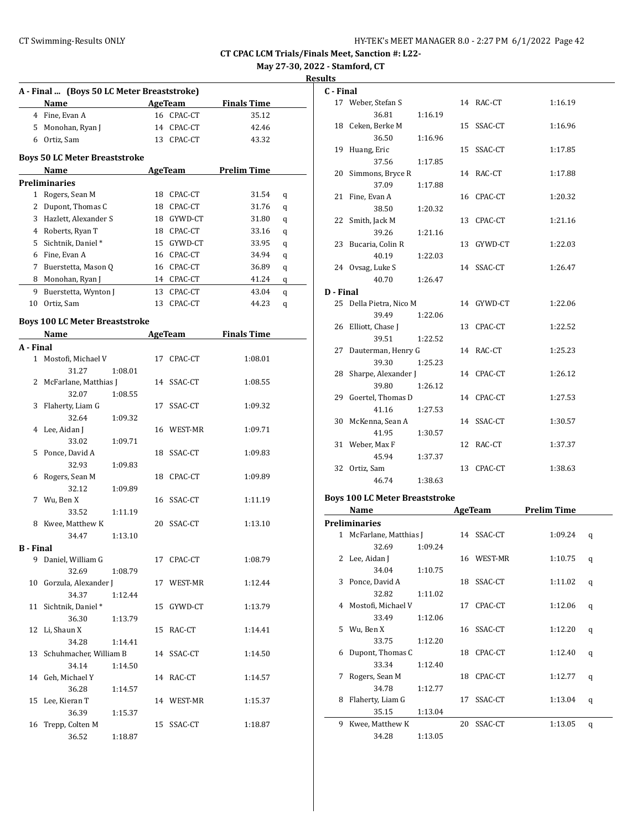**May 27-30, 2022 - Stamford, CT**

|    | A - Final  (Boys 50 LC Meter Breaststroke) |         |    |                |                    |   |
|----|--------------------------------------------|---------|----|----------------|--------------------|---|
|    | Name                                       |         |    | <b>AgeTeam</b> | <b>Finals Time</b> |   |
|    | 4 Fine, Evan A                             |         |    | 16 CPAC-CT     | 35.12              |   |
|    | 5 Monohan, Ryan J                          |         |    | 14 CPAC-CT     | 42.46              |   |
|    | 6 Ortiz, Sam                               |         |    | 13 CPAC-CT     | 43.32              |   |
|    |                                            |         |    |                |                    |   |
|    | <b>Boys 50 LC Meter Breaststroke</b>       |         |    |                |                    |   |
|    | Name                                       |         |    | AgeTeam        | <b>Prelim Time</b> |   |
|    | <b>Preliminaries</b>                       |         |    |                |                    |   |
|    | 1 Rogers, Sean M                           |         |    | 18 CPAC-CT     | 31.54              | q |
|    | 2 Dupont, Thomas C                         |         |    | 18 CPAC-CT     | 31.76              | q |
|    | 3 Hazlett, Alexander S                     |         |    | 18 GYWD-CT     | 31.80              | q |
|    | 4 Roberts, Ryan T                          |         |    | 18 CPAC-CT     | 33.16              | q |
|    | 5 Sichtnik, Daniel*                        |         |    | 15 GYWD-CT     | 33.95              | q |
|    | 6 Fine, Evan A                             |         |    | 16 CPAC-CT     | 34.94              | q |
|    | 7 Buerstetta, Mason Q                      |         |    | 16 CPAC-CT     | 36.89              | q |
|    | 8 Monohan, Ryan J                          |         |    | 14 CPAC-CT     | 41.24              | q |
|    | 9 Buerstetta, Wynton J                     |         |    | 13 CPAC-CT     | 43.04              | q |
|    | 10 Ortiz, Sam                              |         |    | 13 CPAC-CT     | 44.23              | q |
|    | <b>Boys 100 LC Meter Breaststroke</b>      |         |    |                |                    |   |
|    | Name                                       |         |    | AgeTeam        | <b>Finals Time</b> |   |
|    | A - Final                                  |         |    |                |                    |   |
|    | 1 Mostofi, Michael V                       |         | 17 | CPAC-CT        | 1:08.01            |   |
|    | 31.27                                      | 1:08.01 |    |                |                    |   |
|    | 2 McFarlane, Matthias J                    |         |    | 14 SSAC-CT     | 1:08.55            |   |
|    | 32.07                                      | 1:08.55 |    |                |                    |   |
|    | Flaherty, Liam G<br>3                      |         | 17 | SSAC-CT        | 1:09.32            |   |
|    | 32.64                                      | 1:09.32 |    |                |                    |   |
|    | 4 Lee, Aidan J                             |         |    | 16 WEST-MR     | 1:09.71            |   |
|    | 33.02                                      | 1:09.71 |    |                |                    |   |
|    | 5<br>Ponce, David A                        |         |    | 18 SSAC-CT     | 1:09.83            |   |
|    | 32.93                                      | 1:09.83 |    |                |                    |   |
|    | Rogers, Sean M<br>6                        |         |    | 18 CPAC-CT     | 1:09.89            |   |
|    | 32.12                                      | 1:09.89 |    |                |                    |   |
|    | Wu. Ben X<br>7                             |         |    | 16 SSAC-CT     | 1:11.19            |   |
|    | 33.52                                      | 1:11.19 |    |                |                    |   |
|    | 8 Kwee, Matthew K                          |         |    | 20 SSAC-CT     | 1:13.10            |   |
|    | 34.47                                      |         |    |                |                    |   |
|    | <b>B</b> - Final                           | 1:13.10 |    |                |                    |   |
|    | 9 Daniel, William G                        |         |    |                | 1:08.79            |   |
|    | 32.69                                      | 1:08.79 |    | 17 CPAC-CT     |                    |   |
|    | Gorzula, Alexander J                       |         |    |                |                    |   |
| 10 | 34.37                                      |         |    | 17 WEST-MR     | 1:12.44            |   |
|    | Sichtnik, Daniel*                          | 1:12.44 |    |                |                    |   |
| 11 |                                            |         |    | 15 GYWD-CT     | 1:13.79            |   |
|    | 36.30                                      | 1:13.79 |    |                |                    |   |
|    | 12 Li, Shaun X                             |         |    | 15 RAC-CT      | 1:14.41            |   |
|    | 34.28                                      | 1:14.41 |    |                |                    |   |
| 13 | Schuhmacher, William B                     |         |    | 14 SSAC-CT     | 1:14.50            |   |
|    | 34.14                                      | 1:14.50 |    |                |                    |   |
| 14 | Geh, Michael Y                             |         |    | 14 RAC-CT      | 1:14.57            |   |
|    | 36.28                                      | 1:14.57 |    |                |                    |   |
| 15 | Lee, Kieran T                              |         |    | 14 WEST-MR     | 1:15.37            |   |
|    | 36.39                                      | 1:15.37 |    |                |                    |   |
| 16 | Trepp, Colten M                            |         | 15 | SSAC-CT        | 1:18.87            |   |
|    | 36.52                                      | 1:18.87 |    |                |                    |   |

|           | C - Final                             |         |    |            |         |   |
|-----------|---------------------------------------|---------|----|------------|---------|---|
|           | 17 Weber, Stefan S                    |         |    | 14 RAC-CT  | 1:16.19 |   |
|           | 36.81                                 | 1:16.19 |    |            |         |   |
|           | 18 Ceken, Berke M                     |         |    | 15 SSAC-CT | 1:16.96 |   |
|           | 36.50                                 | 1:16.96 |    |            |         |   |
|           | 19 Huang, Eric                        |         |    | 15 SSAC-CT | 1:17.85 |   |
|           | 37.56                                 | 1:17.85 |    |            |         |   |
|           | 20 Simmons, Bryce R                   |         |    | 14 RAC-CT  | 1:17.88 |   |
|           | 37.09                                 | 1:17.88 |    |            |         |   |
|           | 21 Fine, Evan A                       |         |    | 16 CPAC-CT | 1:20.32 |   |
|           |                                       |         |    |            |         |   |
|           | 38.50                                 | 1:20.32 |    |            |         |   |
|           | 22 Smith, Jack M                      |         |    | 13 CPAC-CT | 1:21.16 |   |
|           | 39.26                                 | 1:21.16 |    |            |         |   |
|           | 23 Bucaria, Colin R                   |         |    | 13 GYWD-CT | 1:22.03 |   |
|           | 40.19                                 | 1:22.03 |    |            |         |   |
|           | 24 Ovsag, Luke S                      |         |    | 14 SSAC-CT | 1:26.47 |   |
|           | 40.70                                 | 1:26.47 |    |            |         |   |
| D - Final |                                       |         |    |            |         |   |
|           | 25 Della Pietra, Nico M               |         |    | 14 GYWD-CT | 1:22.06 |   |
|           | 39.49                                 | 1:22.06 |    |            |         |   |
|           | 26 Elliott, Chase J                   |         |    | 13 CPAC-CT | 1:22.52 |   |
|           | 39.51                                 | 1:22.52 |    |            |         |   |
|           | 27 Dauterman, Henry G                 |         |    | 14 RAC-CT  | 1:25.23 |   |
|           | 39.30                                 | 1:25.23 |    |            |         |   |
|           | 28 Sharpe, Alexander J                |         |    | 14 CPAC-CT | 1:26.12 |   |
|           | 39.80                                 | 1:26.12 |    |            |         |   |
|           | 29 Goertel, Thomas D                  |         |    | 14 CPAC-CT | 1:27.53 |   |
|           | 41.16                                 | 1:27.53 |    |            |         |   |
|           | 30 McKenna, Sean A                    |         |    | 14 SSAC-CT | 1:30.57 |   |
|           |                                       |         |    |            |         |   |
|           | 41.95                                 | 1:30.57 |    |            |         |   |
|           |                                       |         |    | 12 RAC-CT  |         |   |
|           | 31 Weber, Max F<br>45.94              | 1:37.37 |    |            | 1:37.37 |   |
|           | 32 Ortiz, Sam                         |         |    | 13 CPAC-CT | 1:38.63 |   |
|           | 46.74                                 | 1:38.63 |    |            |         |   |
|           |                                       |         |    |            |         |   |
|           | <b>Boys 100 LC Meter Breaststroke</b> |         |    |            |         |   |
|           | Name AgeTeam Prelim Time              |         |    |            |         |   |
|           | <b>Preliminaries</b>                  |         |    |            |         |   |
|           | 1 McFarlane, Matthias J               |         |    | 14 SSAC-CT | 1:09.24 | q |
|           | 32.69                                 | 1:09.24 |    |            |         |   |
| 2         | Lee, Aidan J                          |         |    | 16 WEST-MR | 1:10.75 | q |
|           | 34.04                                 | 1:10.75 |    |            |         |   |
| 3         | Ponce, David A                        |         | 18 | SSAC-CT    | 1:11.02 | q |
|           | 32.82                                 | 1:11.02 |    |            |         |   |
| 4         | Mostofi, Michael V                    |         | 17 | CPAC-CT    | 1:12.06 | q |
|           | 33.49                                 | 1:12.06 |    |            |         |   |
| 5         | Wu, Ben X                             |         |    | 16 SSAC-CT | 1:12.20 | q |
|           | 33.75                                 | 1:12.20 |    |            |         |   |
| 6         | Dupont, Thomas C                      |         | 18 | CPAC-CT    | 1:12.40 | q |
|           | 33.34                                 | 1:12.40 |    |            |         |   |
| 7         |                                       |         | 18 |            | 1:12.77 |   |
|           | Rogers, Sean M<br>34.78               | 1:12.77 |    | CPAC-CT    |         | q |
| 8         |                                       |         | 17 |            |         |   |
|           | Flaherty, Liam G                      |         |    | SSAC-CT    | 1:13.04 | q |
| 9         | 35.15                                 | 1:13.04 |    |            |         |   |
|           | Kwee, Matthew K<br>34.28              | 1:13.05 | 20 | SSAC-CT    | 1:13.05 | q |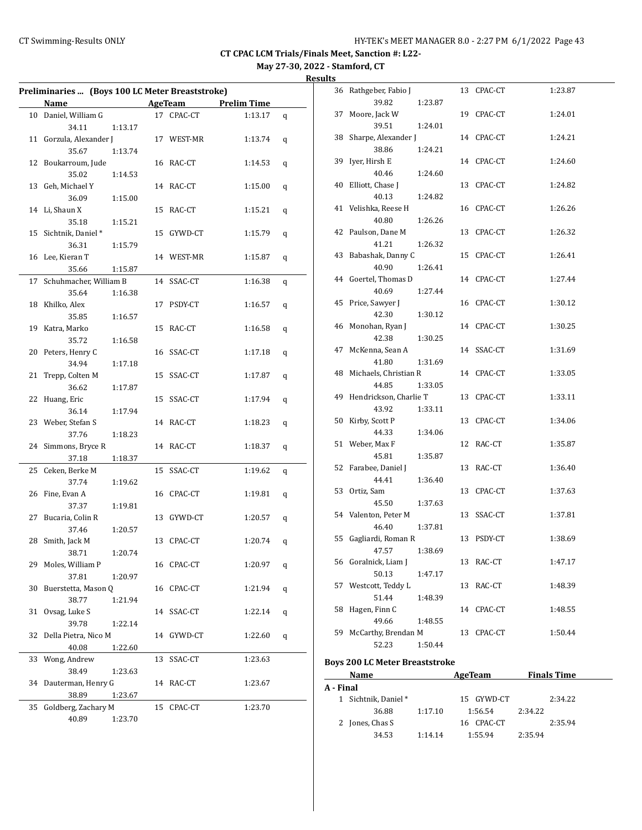**May 27-30, 2022 - Stamford, CT**

| Results |  |
|---------|--|
|         |  |

| Preliminaries  (Boys 100 LC Meter Breaststroke) |                    |   |
|-------------------------------------------------|--------------------|---|
| AgeTeam<br>Name                                 | <b>Prelim Time</b> |   |
| 10 Daniel, William G<br>17 CPAC-CT              | 1:13.17            | q |
| 34.11<br>1:13.17                                |                    |   |
| 11 Gorzula, Alexander J<br>17 WEST-MR           | 1:13.74            | q |
| 35.67<br>1:13.74                                |                    |   |
| Boukarroum, Jude<br>12<br>16 RAC-CT             | 1:14.53            | q |
| 35.02<br>1:14.53                                |                    |   |
| 13 Geh, Michael Y<br>14 RAC-CT                  | 1:15.00            | q |
| 36.09<br>1:15.00                                |                    |   |
| 14 Li, Shaun X<br>15 RAC-CT                     | 1:15.21            | q |
| 35.18<br>1:15.21                                |                    |   |
| Sichtnik, Daniel*<br>15<br>15 GYWD-CT           | 1:15.79            | q |
| 36.31<br>1:15.79                                |                    |   |
| 16 Lee, Kieran T<br>14 WEST-MR                  | 1:15.87            | q |
| 35.66<br>1:15.87                                |                    |   |
| Schuhmacher, William B<br>14 SSAC-CT<br>17      | 1:16.38            | q |
| 35.64<br>1:16.38                                |                    |   |
| Khilko, Alex<br>17 PSDY-CT<br>18                | 1:16.57            | q |
| 35.85<br>1:16.57                                |                    |   |
| Katra, Marko<br>15 RAC-CT<br>19                 | 1:16.58            | q |
| 35.72<br>1:16.58                                |                    |   |
| 20<br>Peters, Henry C<br>16 SSAC-CT             | 1:17.18            | q |
| 34.94<br>1:17.18                                |                    |   |
| Trepp, Colten M<br>21<br>15 SSAC-CT             | 1:17.87            | q |
| 36.62<br>1:17.87                                |                    |   |
| 22<br>Huang, Eric<br>15 SSAC-CT                 | 1:17.94            | q |
| 36.14<br>1:17.94                                |                    |   |
| 23 Weber, Stefan S<br>14 RAC-CT                 | 1:18.23            | q |
| 37.76<br>1:18.23                                |                    |   |
| 24 Simmons, Bryce R<br>14 RAC-CT                | 1:18.37            | q |
| 37.18<br>1:18.37                                |                    |   |
| 25<br>Ceken, Berke M<br>15 SSAC-CT              | 1:19.62            | q |
| 37.74<br>1:19.62                                |                    |   |
| 16 CPAC-CT<br>26<br>Fine, Evan A                | 1:19.81            | q |
| 37.37<br>1:19.81                                |                    |   |
| Bucaria, Colin R<br>27<br>13 GYWD-CT            | 1:20.57            | q |
| 37.46<br>1:20.57                                |                    |   |
| Smith, Jack M<br>28<br>13 CPAC-CT               | 1:20.74            | q |
| 38.71<br>1:20.74                                |                    |   |
| 29 Moles, William P<br>16 CPAC-CT               | 1:20.97            | q |
| 37.81<br>1:20.97                                |                    |   |
| Buerstetta, Mason Q<br>16 CPAC-CT<br>30         | 1:21.94            | q |
| 38.77<br>1:21.94                                |                    |   |
| Ovsag, Luke S<br>14 SSAC-CT<br>31               | 1:22.14            | q |
| 39.78<br>1:22.14                                |                    |   |
| Della Pietra, Nico M<br>32<br>14 GYWD-CT        | 1:22.60            | q |
| 40.08<br>1:22.60                                |                    |   |
| Wong, Andrew<br>33<br>13 SSAC-CT                | 1:23.63            |   |
| 38.49<br>1:23.63                                |                    |   |
| Dauterman, Henry G<br>14 RAC-CT<br>34           | 1:23.67            |   |
| 38.89<br>1:23.67                                |                    |   |
| Goldberg, Zachary M<br>CPAC-CT<br>35<br>15      | 1:23.70            |   |
| 40.89<br>1:23.70                                |                    |   |

|    | 36 Rathgeber, Fabio J    |         |    | 13 CPAC-CT | 1:23.87 |
|----|--------------------------|---------|----|------------|---------|
|    | 39.82                    | 1:23.87 |    |            |         |
| 37 | Moore, Jack W            |         |    | 19 CPAC-CT | 1:24.01 |
|    | 39.51                    | 1:24.01 |    |            |         |
| 38 | Sharpe, Alexander J      |         |    | 14 CPAC-CT | 1:24.21 |
|    | 38.86                    | 1:24.21 |    |            |         |
| 39 | Iyer, Hirsh E            |         |    | 14 CPAC-CT | 1:24.60 |
|    | 40.46                    | 1:24.60 |    |            |         |
| 40 | Elliott, Chase J         |         | 13 | CPAC-CT    | 1:24.82 |
|    | 40.13                    | 1:24.82 |    |            |         |
|    | 41 Velishka, Reese H     |         |    | 16 CPAC-CT | 1:26.26 |
|    | 40.80                    | 1:26.26 |    |            |         |
| 42 | Paulson, Dane M          |         | 13 | CPAC-CT    | 1:26.32 |
|    | 41.21                    | 1:26.32 |    |            |         |
| 43 | Babashak, Danny C        |         | 15 | CPAC-CT    | 1:26.41 |
|    | 40.90                    | 1:26.41 |    |            |         |
|    | 44 Goertel, Thomas D     |         |    | 14 CPAC-CT | 1:27.44 |
|    | 40.69                    | 1:27.44 |    |            |         |
| 45 | Price, Sawyer J          |         |    | 16 CPAC-CT | 1:30.12 |
|    | 42.30                    | 1:30.12 |    |            |         |
| 46 | Monohan, Ryan J          |         |    | 14 CPAC-CT | 1:30.25 |
|    | 42.38                    | 1:30.25 |    |            |         |
| 47 | McKenna, Sean A          |         |    | 14 SSAC-CT | 1:31.69 |
|    | 41.80                    | 1:31.69 |    |            |         |
|    | 48 Michaels, Christian R |         |    | 14 CPAC-CT | 1:33.05 |
|    | 44.85                    | 1:33.05 |    |            |         |
| 49 | Hendrickson, Charlie T   |         |    | 13 CPAC-CT | 1:33.11 |
|    | 43.92                    | 1:33.11 |    |            |         |
| 50 | Kirby, Scott P           |         | 13 | CPAC-CT    | 1:34.06 |
|    | 44.33                    | 1:34.06 |    |            |         |
|    | 51 Weber, Max F          |         | 12 | RAC-CT     | 1:35.87 |
|    | 45.81                    | 1:35.87 |    |            |         |
| 52 | Farabee, Daniel J        |         | 13 | RAC-CT     | 1:36.40 |
|    | 44.41                    | 1:36.40 |    |            |         |
|    | 53 Ortiz, Sam            |         | 13 | CPAC-CT    | 1:37.63 |
|    | 45.50                    | 1:37.63 |    |            |         |
|    | 54 Valenton, Peter M     |         | 13 | SSAC-CT    | 1:37.81 |
|    | 46.40                    | 1:37.81 |    |            |         |
| 55 | Gagliardi, Roman R       |         | 13 | PSDY-CT    | 1:38.69 |
|    | 47.57                    | 1:38.69 |    |            |         |
|    | 56 Goralnick, Liam J     |         | 13 | RAC-CT     | 1:47.17 |
|    | 50.13                    | 1:47.17 |    |            |         |
| 57 | Westcott, Teddy L        |         | 13 | RAC-CT     | 1:48.39 |
|    | 51.44                    | 1:48.39 |    |            |         |
| 58 | Hagen, Finn C            |         | 14 | CPAC-CT    | 1:48.55 |
|    | 49.66                    | 1:48.55 |    |            |         |
| 59 | McCarthy, Brendan M      |         | 13 | CPAC-CT    | 1:50.44 |
|    | 52.23                    | 1:50.44 |    |            |         |

## **Boys 200 LC Meter Breaststroke**

|           | <b>Name</b>          |         | AgeTeam    |         | <b>Finals Time</b> |  |
|-----------|----------------------|---------|------------|---------|--------------------|--|
| A - Final |                      |         |            |         |                    |  |
|           | 1 Sichtnik, Daniel * |         | 15 GYWD-CT |         | 2:34.22            |  |
|           | 36.88                | 1:17.10 | 1:56.54    | 2:34.22 |                    |  |
|           | 2 Jones, Chas S      |         | 16 CPAC-CT |         | 2:35.94            |  |
|           | 34.53                | 1:14.14 | 1:55.94    | 2:35.94 |                    |  |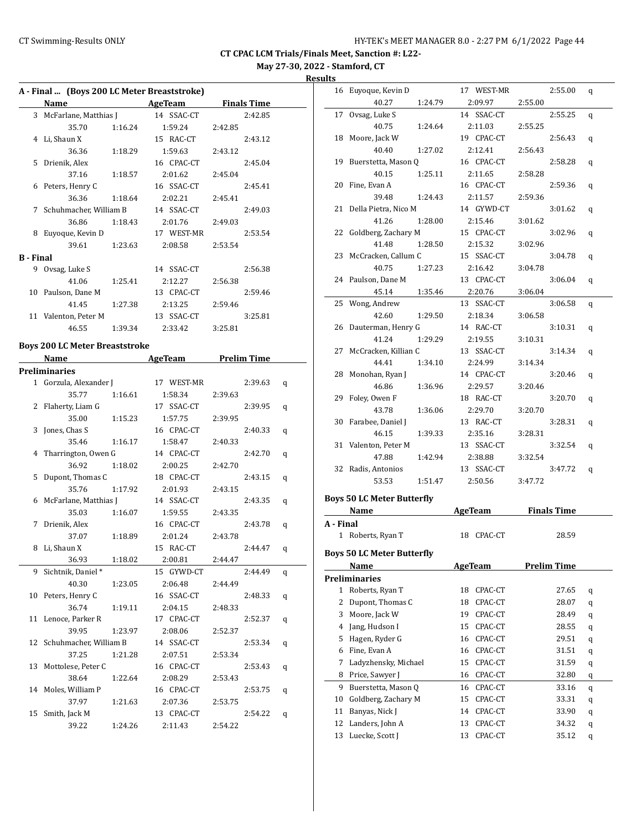**May 27-30, 2022 - Stamford, CT**

|                  | A - Final  (Boys 200 LC Meter Breaststroke) |         |                                       |         |                    |   |
|------------------|---------------------------------------------|---------|---------------------------------------|---------|--------------------|---|
|                  | Name                                        |         | AgeTeam                               |         | <b>Finals Time</b> |   |
|                  | 3 McFarlane, Matthias J                     |         | 14 SSAC-CT                            |         | 2:42.85            |   |
|                  | 35.70                                       | 1:16.24 | 1:59.24                               | 2:42.85 |                    |   |
|                  | 4 Li, Shaun X                               |         | 15 RAC-CT                             |         | 2:43.12            |   |
|                  | 36.36                                       | 1:18.29 | 1:59.63                               | 2:43.12 |                    |   |
| 5                | Drienik, Alex                               |         | 16 CPAC-CT                            |         | 2:45.04            |   |
|                  | 37.16                                       |         | 2:01.62                               |         |                    |   |
|                  | 6 Peters, Henry C                           | 1:18.57 | 16 SSAC-CT                            | 2:45.04 | 2:45.41            |   |
|                  |                                             |         |                                       |         |                    |   |
|                  | 36.36<br>7 Schuhmacher, William B           | 1:18.64 | 2:02.21                               | 2:45.41 |                    |   |
|                  |                                             |         | 14 SSAC-CT                            |         | 2:49.03            |   |
|                  | 36.86                                       | 1:18.43 | 2:01.76                               | 2:49.03 |                    |   |
|                  | 8 Euyoque, Kevin D                          |         | 17 WEST-MR                            |         | 2:53.54            |   |
|                  | 39.61                                       | 1:23.63 | 2:08.58                               | 2:53.54 |                    |   |
| <b>B</b> - Final |                                             |         |                                       |         |                    |   |
|                  | 9 Ovsag, Luke S                             |         | 14 SSAC-CT                            |         | 2:56.38            |   |
|                  | 41.06                                       | 1:25.41 | 2:12.27                               | 2:56.38 |                    |   |
|                  | 10 Paulson, Dane M                          |         | 13 CPAC-CT                            |         | 2:59.46            |   |
|                  | 41.45                                       | 1:27.38 | 2:13.25                               | 2:59.46 |                    |   |
|                  | 11 Valenton, Peter M                        |         | 13 SSAC-CT                            |         | 3:25.81            |   |
|                  | 46.55                                       | 1:39.34 | 2:33.42                               | 3:25.81 |                    |   |
|                  | <b>Boys 200 LC Meter Breaststroke</b>       |         |                                       |         |                    |   |
|                  | Name                                        |         | <b>Example 21 AgeTeam</b> Prelim Time |         |                    |   |
|                  | <b>Preliminaries</b>                        |         |                                       |         |                    |   |
|                  | 1 Gorzula, Alexander J                      |         | 17 WEST-MR                            |         | 2:39.63            |   |
|                  |                                             |         |                                       |         |                    | q |
|                  | 35.77<br>2 Flaherty, Liam G                 | 1:16.61 | 1:58.34<br>17 SSAC-CT                 | 2:39.63 | 2:39.95            |   |
|                  |                                             |         |                                       |         |                    | q |
|                  | 35.00                                       | 1:15.23 | 1:57.75                               | 2:39.95 |                    |   |
| 3                | Jones, Chas S                               |         | 16 CPAC-CT                            |         | 2:40.33            | q |
|                  | 35.46                                       | 1:16.17 | 1:58.47                               | 2:40.33 |                    |   |
|                  | 4 Tharrington, Owen G                       |         | 14 CPAC-CT                            |         | 2:42.70            | q |
|                  | 36.92                                       | 1:18.02 | 2:00.25                               | 2:42.70 |                    |   |
| 5                | Dupont, Thomas C                            |         | 18 CPAC-CT                            |         | 2:43.15            | q |
|                  | 35.76                                       | 1:17.92 | 2:01.93                               | 2:43.15 |                    |   |
|                  | 6 McFarlane, Matthias J                     |         | 14 SSAC-CT                            |         | 2:43.35            | q |
|                  | 35.03                                       | 1:16.07 | 1:59.55                               | 2:43.35 |                    |   |
| 7                | Drienik, Alex                               |         | 16 CPAC-CT                            |         | 2:43.78            | q |
|                  | 37.07                                       | 1:18.89 | 2:01.24                               | 2:43.78 |                    |   |
|                  | 8 Li, Shaun X                               |         | 15 RAC-CT                             |         | 2:44.47            | q |
|                  | 36.93                                       | 1:18.02 | 2:00.81                               | 2:44.47 |                    |   |
| 9                | Sichtnik, Daniel*                           |         | 15 GYWD-CT                            |         | 2:44.49            | q |
|                  | 40.30                                       | 1:23.05 | 2:06.48                               | 2:44.49 |                    |   |
|                  | 10 Peters, Henry C                          |         | 16 SSAC-CT                            |         | 2:48.33            | q |
|                  | 36.74                                       | 1:19.11 | 2:04.15                               | 2:48.33 |                    |   |
| 11               | Lenoce, Parker R                            |         | 17 CPAC-CT                            |         | 2:52.37            | q |
|                  | 39.95                                       | 1:23.97 | 2:08.06                               | 2:52.37 |                    |   |
|                  | 12 Schuhmacher, William B                   |         | 14 SSAC-CT                            |         | 2:53.34            | q |
|                  | 37.25                                       | 1:21.28 | 2:07.51                               | 2:53.34 |                    |   |
| 13               | Mottolese, Peter C                          |         | 16 CPAC-CT                            |         | 2:53.43            | q |
|                  | 38.64                                       | 1:22.64 | 2:08.29                               | 2:53.43 |                    |   |
|                  | 14 Moles, William P                         |         | 16 CPAC-CT                            |         | 2:53.75            | q |
|                  | 37.97                                       | 1:21.63 | 2:07.36                               | 2:53.75 |                    |   |
| 15               | Smith, Jack M                               |         | 13 CPAC-CT                            |         | 2:54.22            | q |
|                  | 39.22                                       | 1:24.26 | 2:11.43                               | 2:54.22 |                    |   |
|                  |                                             |         |                                       |         |                    |   |

|           | 16 Euyoque, Kevin D               | 17 WEST-MR    | 2:55.00             | q |
|-----------|-----------------------------------|---------------|---------------------|---|
|           | 40.27<br>1:24.79                  | 2:09.97       | 2:55.00             |   |
| 17        | Ovsag, Luke S                     | 14 SSAC-CT    | 2:55.25             | q |
|           | 40.75<br>1:24.64                  | 2:11.03       | 2:55.25             |   |
|           | 18 Moore, Jack W                  | 19 CPAC-CT    | 2:56.43             | q |
|           | 40.40<br>1:27.02                  | 2:12.41       | 2:56.43             |   |
|           | 19 Buerstetta, Mason Q            | 16 CPAC-CT    | 2:58.28             | q |
|           | 40.15<br>1:25.11                  | 2:11.65       | 2:58.28             |   |
|           | 20 Fine, Evan A                   | 16 CPAC-CT    | 2:59.36             | q |
|           | 39.48<br>1:24.43                  | 2:11.57       | 2:59.36             |   |
|           | 21 Della Pietra, Nico M           | 14 GYWD-CT    | 3:01.62             | q |
|           | 41.26<br>1:28.00                  | 2:15.46       | 3:01.62             |   |
|           | 22 Goldberg, Zachary M            | 15 CPAC-CT    | 3:02.96             | q |
|           | 41.48<br>1:28.50                  | 2:15.32       | 3:02.96             |   |
| 23        | McCracken, Callum C               | 15 SSAC-CT    | 3:04.78             | q |
|           | 40.75<br>1:27.23                  | 2:16.42       | 3:04.78             |   |
|           | 24 Paulson, Dane M                | 13 CPAC-CT    | 3:06.04             | q |
|           | 45.14<br>1:35.46                  | 2:20.76       | 3:06.04             |   |
|           | 25 Wong, Andrew                   | 13 SSAC-CT    | 3:06.58             | q |
|           | 42.60<br>1:29.50                  | 2:18.34       | 3:06.58             |   |
|           | 26 Dauterman, Henry G             | 14 RAC-CT     | 3:10.31             | q |
|           | 41.24<br>1:29.29                  | 2:19.55       | 3:10.31             |   |
|           | 27 McCracken, Killian C           | 13 SSAC-CT    | 3:14.34             | q |
|           | 44.41<br>1:34.10                  | 2:24.99       | 3:14.34             |   |
|           | 28 Monohan, Ryan J                | 14 CPAC-CT    | 3:20.46             | q |
|           | 46.86<br>1:36.96                  | 2:29.57       | 3:20.46             |   |
|           | 29 Foley, Owen F                  | 18 RAC-CT     | 3:20.70             | q |
|           | 43.78<br>1:36.06                  | 2:29.70       | 3:20.70             |   |
| 30        | Farabee, Daniel J                 | 13 RAC-CT     | 3:28.31             | q |
|           | 46.15<br>1:39.33                  | 2:35.16       | 3:28.31             |   |
|           | 31 Valenton, Peter M              | 13 SSAC-CT    | 3:32.54             | q |
|           |                                   |               |                     |   |
|           | 47.88<br>1:42.94                  | 2:38.88       | 3:32.54             |   |
|           | 32 Radis, Antonios                | 13 SSAC-CT    | 3:47.72             | q |
|           | 53.53<br>1:51.47                  | 2:50.56       | 3:47.72             |   |
|           |                                   |               |                     |   |
|           | <b>Boys 50 LC Meter Butterfly</b> |               |                     |   |
|           | Name                              |               | AgeTeam Finals Time |   |
| A - Final |                                   |               |                     |   |
|           | 1 Roberts, Ryan T                 | 18 CPAC-CT    | 28.59               |   |
|           | <b>Boys 50 LC Meter Butterfly</b> |               |                     |   |
|           | <b>Name</b>                       | AgeTeam       | <b>Prelim Time</b>  |   |
|           | <b>Preliminaries</b>              |               |                     |   |
|           | 1 Roberts, Ryan T                 | CPAC-CT<br>18 | 27.65               | q |
| 2         | Dupont, Thomas C                  | 18<br>CPAC-CT | 28.07               | q |
| 3         | Moore, Jack W                     | CPAC-CT<br>19 | 28.49               | q |
|           | 4 Jang, Hudson I                  | 15<br>CPAC-CT | 28.55               | q |
| 5         | Hagen, Ryder G                    | CPAC-CT<br>16 | 29.51               | q |
| 6         | Fine, Evan A                      | CPAC-CT<br>16 | 31.51               | q |
| 7         | Ladyzhensky, Michael              | 15<br>CPAC-CT | 31.59               | q |
| 8         | Price, Sawyer J                   | 16<br>CPAC-CT | 32.80               | q |
| 9         | Buerstetta, Mason Q               | CPAC-CT<br>16 | 33.16               | q |
| 10        | Goldberg, Zachary M               | 15<br>CPAC-CT | 33.31               | q |
| 11        | Banyas, Nick J                    | 14<br>CPAC-CT | 33.90               | q |
| 12        | Landers, John A                   | 13<br>CPAC-CT | 34.32               | q |
| 13        | Luecke, Scott J                   | CPAC-CT<br>13 | 35.12               | q |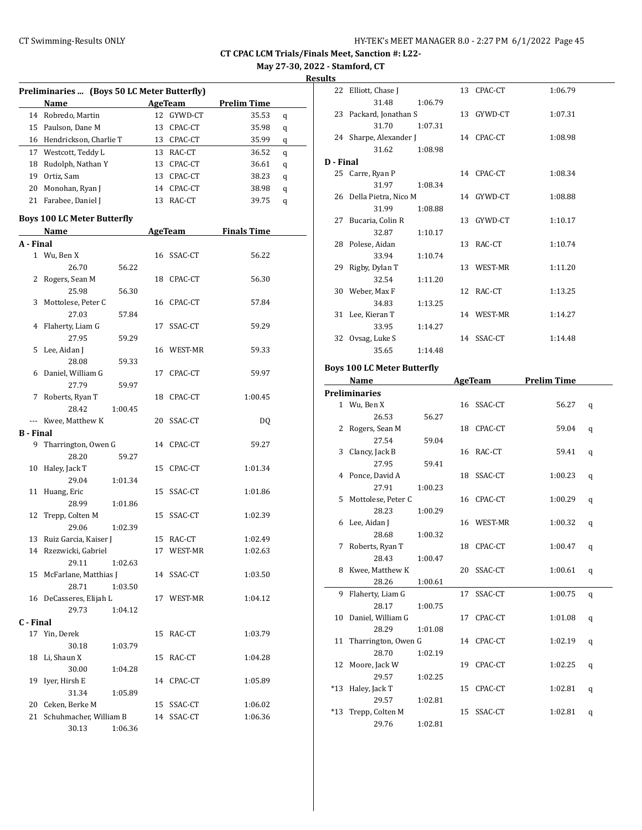**May 27-30, 2022 - Stamford, CT**

**Results**<br> **Property**<br> **Property**<br> **Property** 

|                  | Preliminaries  (Boys 50 LC Meter Butterfly) |    |            |                    |   |
|------------------|---------------------------------------------|----|------------|--------------------|---|
|                  | Name                                        |    | AgeTeam    | <b>Prelim Time</b> |   |
|                  | 14 Robredo, Martin                          | 12 | GYWD-CT    | 35.53              | q |
|                  | 15 Paulson, Dane M                          | 13 | CPAC-CT    | 35.98              | q |
|                  | 16 Hendrickson, Charlie T                   |    | 13 CPAC-CT | 35.99              | q |
|                  | 17 Westcott, Teddy L                        |    | 13 RAC-CT  | 36.52              | q |
|                  | 18 Rudolph, Nathan Y                        |    | 13 CPAC-CT | 36.61              | q |
|                  | 19 Ortiz, Sam                               |    | 13 CPAC-CT | 38.23              | q |
| 20               | Monohan, Ryan J                             |    | 14 CPAC-CT | 38.98              |   |
|                  | 21 Farabee, Daniel J                        |    | 13 RAC-CT  | 39.75              | q |
|                  |                                             |    |            |                    | q |
|                  | <b>Boys 100 LC Meter Butterfly</b>          |    |            |                    |   |
|                  | Name                                        |    | AgeTeam    | <b>Finals Time</b> |   |
| A - Final        |                                             |    |            |                    |   |
| $\mathbf{1}$     | Wu, Ben X                                   |    | 16 SSAC-CT | 56.22              |   |
|                  | 26.70<br>56.22                              |    |            |                    |   |
| 2                | Rogers, Sean M                              |    | 18 CPAC-CT | 56.30              |   |
|                  | 25.98<br>56.30                              |    |            |                    |   |
| 3                | Mottolese, Peter C                          |    | 16 CPAC-CT | 57.84              |   |
|                  | 27.03<br>57.84                              |    |            |                    |   |
| 4                | Flaherty, Liam G                            | 17 | SSAC-CT    | 59.29              |   |
|                  | 27.95<br>59.29                              |    |            |                    |   |
| 5                | Lee, Aidan J                                |    | 16 WEST-MR | 59.33              |   |
|                  | 28.08<br>59.33                              |    |            |                    |   |
| 6                | Daniel, William G                           | 17 | CPAC-CT    | 59.97              |   |
|                  | 27.79<br>59.97                              |    |            |                    |   |
| 7                | Roberts, Ryan T                             | 18 | CPAC-CT    | 1:00.45            |   |
|                  | 28.42<br>1:00.45                            |    |            |                    |   |
|                  | Kwee, Matthew K                             | 20 | SSAC-CT    | DQ                 |   |
| <b>B</b> - Final |                                             |    |            |                    |   |
| 9                | Tharrington, Owen G                         |    | 14 CPAC-CT | 59.27              |   |
|                  | 28.20<br>59.27                              |    |            |                    |   |
| 10               | Haley, Jack T                               | 15 | CPAC-CT    | 1:01.34            |   |
|                  | 29.04<br>1:01.34                            |    |            |                    |   |
| 11               | Huang, Eric                                 | 15 | SSAC-CT    | 1:01.86            |   |
|                  | 28.99<br>1:01.86                            |    |            |                    |   |
| 12               | Trepp, Colten M                             | 15 | SSAC-CT    | 1:02.39            |   |
|                  | 29.06<br>1:02.39                            |    |            |                    |   |
|                  | 13 Ruiz Garcia, Kaiser J                    |    | 15 RAC-CT  | 1:02.49            |   |
|                  | 14 Rzezwicki, Gabriel                       |    | 17 WEST-MR | 1:02.63            |   |
|                  | 29.11<br>1:02.63                            |    |            |                    |   |
| 15               | McFarlane, Matthias J                       |    | 14 SSAC-CT | 1:03.50            |   |
|                  | 28.71<br>1:03.50                            |    |            |                    |   |
|                  | 16 DeCasseres, Elijah L                     |    | 17 WEST-MR | 1:04.12            |   |
|                  | 29.73<br>1:04.12                            |    |            |                    |   |
| C - Final        |                                             |    |            |                    |   |
|                  | 17 Yin, Derek                               | 15 | RAC-CT     | 1:03.79            |   |
|                  | 30.18<br>1:03.79                            |    |            |                    |   |
| 18               | Li, Shaun X                                 | 15 | RAC-CT     | 1:04.28            |   |
|                  | 30.00<br>1:04.28                            |    |            |                    |   |
| 19               | Iyer, Hirsh E                               |    | 14 CPAC-CT | 1:05.89            |   |
|                  | 31.34<br>1:05.89                            |    |            |                    |   |
|                  | 20 Ceken, Berke M                           |    | 15 SSAC-CT | 1:06.02            |   |
| 21               | Schuhmacher, William B                      |    | 14 SSAC-CT | 1:06.36            |   |
|                  | 30.13<br>1:06.36                            |    |            |                    |   |

|           | 22 Elliott, Chase J                |         |    | 13 CPAC-CT | 1:06.79             |   |
|-----------|------------------------------------|---------|----|------------|---------------------|---|
|           | 31.48                              | 1:06.79 |    |            |                     |   |
|           | 23 Packard, Jonathan S             |         |    | 13 GYWD-CT | 1:07.31             |   |
|           | 31.70                              | 1:07.31 |    |            |                     |   |
|           | 24 Sharpe, Alexander J             |         |    | 14 CPAC-CT | 1:08.98             |   |
|           | 31.62                              | 1:08.98 |    |            |                     |   |
| D - Final |                                    |         |    |            |                     |   |
|           | 25 Carre, Ryan P                   |         |    | 14 CPAC-CT | 1:08.34             |   |
|           | 31.97                              | 1:08.34 |    |            |                     |   |
|           | 26 Della Pietra, Nico M            |         |    | 14 GYWD-CT | 1:08.88             |   |
|           | 31.99                              | 1:08.88 |    |            |                     |   |
|           | 27 Bucaria, Colin R                |         |    | 13 GYWD-CT | 1:10.17             |   |
|           | 32.87                              | 1:10.17 |    |            |                     |   |
|           | 28 Polese, Aidan                   |         |    | 13 RAC-CT  | 1:10.74             |   |
|           | 33.94                              | 1:10.74 |    |            |                     |   |
|           | 29 Rigby, Dylan T                  |         |    | 13 WEST-MR | 1:11.20             |   |
|           | 32.54                              | 1:11.20 |    |            |                     |   |
|           | 30 Weber, Max F                    |         |    | 12 RAC-CT  | 1:13.25             |   |
|           | 34.83                              | 1:13.25 |    |            |                     |   |
|           | 31 Lee, Kieran T                   |         |    | 14 WEST-MR | 1:14.27             |   |
|           | 33.95                              | 1:14.27 |    |            |                     |   |
|           | 32 Ovsag, Luke S                   |         |    | 14 SSAC-CT | 1:14.48             |   |
|           | 35.65                              | 1:14.48 |    |            |                     |   |
|           | <b>Boys 100 LC Meter Butterfly</b> |         |    |            |                     |   |
|           | Name                               |         |    |            | AgeTeam Prelim Time |   |
|           | <b>Preliminaries</b>               |         |    |            |                     |   |
|           | 1 Wu, Ben X                        |         |    | 16 SSAC-CT | 56.27               | q |
|           |                                    |         |    |            |                     |   |
|           |                                    |         |    |            |                     |   |
|           | 26.53                              | 56.27   |    |            |                     |   |
|           | 2 Rogers, Sean M                   |         |    | 18 CPAC-CT | 59.04               | q |
|           | 27.54                              | 59.04   |    |            |                     |   |
|           | 3 Clancy, Jack B                   |         |    | 16 RAC-CT  | 59.41               | q |
|           | 27.95                              | 59.41   |    |            |                     |   |
|           | 4 Ponce, David A                   |         |    | 18 SSAC-CT | 1:00.23             | q |
|           | 27.91                              | 1:00.23 |    |            |                     |   |
|           | 5 Mottolese, Peter C               |         |    | 16 CPAC-CT | 1:00.29             | q |
|           | 28.23                              | 1:00.29 |    |            |                     |   |
|           | 6 Lee, Aidan J                     |         |    | 16 WEST-MR | 1:00.32             | q |
|           | 28.68                              | 1:00.32 |    |            |                     |   |
| 7         | Roberts, Ryan T                    |         |    | 18 CPAC-CT | 1:00.47             | q |
|           | 28.43                              | 1:00.47 |    |            |                     |   |
|           | 8 Kwee, Matthew K                  |         |    | 20 SSAC-CT | 1:00.61             | q |
|           | 28.26                              | 1:00.61 |    |            |                     |   |
| 9.        | Flaherty, Liam G                   |         | 17 | SSAC-CT    | 1:00.75             | q |
|           | 28.17                              | 1:00.75 |    |            |                     |   |
| 10        | Daniel, William G                  |         | 17 | CPAC-CT    | 1:01.08             | q |
|           | 28.29                              | 1:01.08 |    |            |                     |   |
| 11        | Tharrington, Owen G<br>28.70       |         |    | 14 CPAC-CT | 1:02.19             | q |
|           |                                    | 1:02.19 |    |            |                     |   |
| 12        | Moore, Jack W                      |         | 19 | CPAC-CT    | 1:02.25             | q |
| *13       | 29.57                              | 1:02.25 | 15 |            |                     |   |
|           | Haley, Jack T<br>29.57             |         |    | CPAC-CT    | 1:02.81             | q |
| *13       |                                    | 1:02.81 | 15 |            |                     |   |
|           | Trepp, Colten M<br>29.76           | 1:02.81 |    | SSAC-CT    | 1:02.81             | q |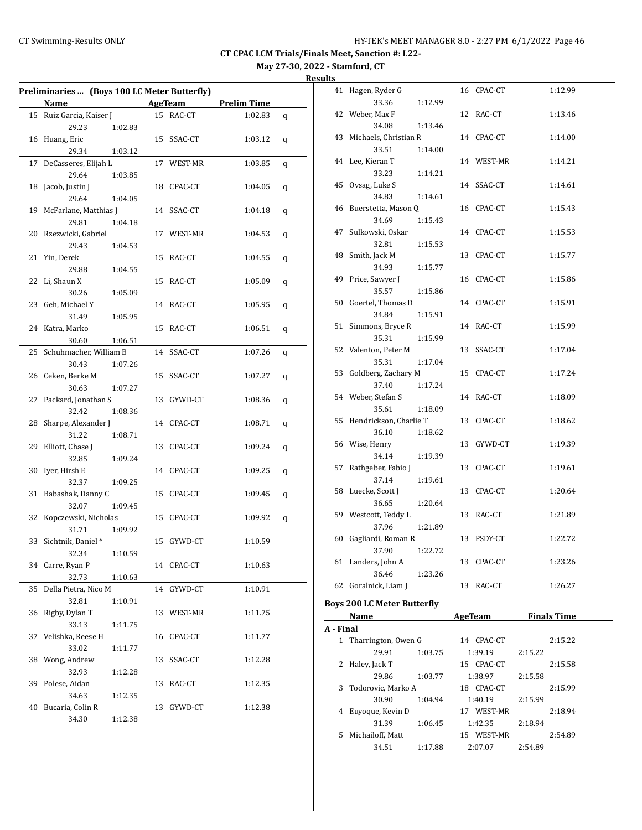**May 27-30, 2022 - Stamford, CT**

| Results |  |
|---------|--|
|         |  |

| Preliminaries  (Boys 100 LC Meter Butterfly) |                          |         |    |            |                    |   |
|----------------------------------------------|--------------------------|---------|----|------------|--------------------|---|
|                                              | Name                     |         |    | AgeTeam    | <b>Prelim Time</b> |   |
|                                              | 15 Ruiz Garcia, Kaiser J |         |    | 15 RAC-CT  | 1:02.83            | q |
|                                              | 29.23                    | 1:02.83 |    |            |                    |   |
| 16                                           | Huang, Eric              |         |    | 15 SSAC-CT | 1:03.12            | q |
|                                              | 29.34                    | 1:03.12 |    |            |                    |   |
| 17                                           | DeCasseres, Elijah L     |         |    | 17 WEST-MR | 1:03.85            | q |
|                                              | 29.64                    | 1:03.85 |    |            |                    |   |
| 18                                           | Jacob, Justin J          |         |    | 18 CPAC-CT | 1:04.05            | q |
|                                              | 29.64                    | 1:04.05 |    |            |                    |   |
|                                              | 19 McFarlane, Matthias J |         |    | 14 SSAC-CT | 1:04.18            | q |
|                                              | 29.81                    | 1:04.18 |    |            |                    |   |
|                                              | 20 Rzezwicki, Gabriel    |         |    | 17 WEST-MR | 1:04.53            | q |
|                                              | 29.43                    | 1:04.53 |    |            |                    |   |
|                                              | 21 Yin, Derek            |         |    | 15 RAC-CT  | 1:04.55            | q |
|                                              | 29.88                    | 1:04.55 |    |            |                    |   |
|                                              | 22 Li, Shaun X           |         |    | 15 RAC-CT  | 1:05.09            | q |
|                                              | 30.26                    | 1:05.09 |    |            |                    |   |
| 23                                           | Geh, Michael Y           |         |    | 14 RAC-CT  | 1:05.95            | q |
|                                              | 31.49                    | 1:05.95 |    |            |                    |   |
| 24                                           | Katra, Marko             |         |    | 15 RAC-CT  | 1:06.51            | q |
|                                              | 30.60                    | 1:06.51 |    |            |                    |   |
| 25                                           | Schuhmacher, William B   |         |    | 14 SSAC-CT | 1:07.26            | q |
|                                              | 30.43                    | 1:07.26 |    |            |                    |   |
|                                              | 26 Ceken, Berke M        |         |    | 15 SSAC-CT | 1:07.27            | q |
|                                              | 30.63                    | 1:07.27 |    |            |                    |   |
|                                              | 27 Packard, Jonathan S   |         |    | 13 GYWD-CT | 1:08.36            | q |
|                                              | 32.42                    | 1:08.36 |    |            |                    |   |
| 28                                           | Sharpe, Alexander J      |         |    | 14 CPAC-CT | 1:08.71            | q |
|                                              | 31.22                    | 1:08.71 |    |            |                    |   |
| 29                                           | Elliott, Chase J         |         |    | 13 CPAC-CT | 1:09.24            | q |
|                                              | 32.85                    | 1:09.24 |    |            |                    |   |
| 30                                           | Iyer, Hirsh E            |         |    | 14 CPAC-CT | 1:09.25            | q |
|                                              | 32.37                    | 1:09.25 |    |            |                    |   |
| 31                                           | Babashak, Danny C        |         |    | 15 CPAC-CT | 1:09.45            | q |
|                                              | 32.07                    | 1:09.45 |    |            |                    |   |
| 32                                           | Kopczewski, Nicholas     |         |    | 15 CPAC-CT | 1:09.92            | q |
|                                              | 31.71                    | 1:09.92 |    |            |                    |   |
| 33                                           | Sichtnik, Daniel*        |         |    | 15 GYWD-CT | 1:10.59            |   |
|                                              | 32.34                    | 1:10.59 |    |            |                    |   |
|                                              | 34 Carre, Ryan P         |         |    | 14 CPAC-CT | 1:10.63            |   |
|                                              | 32.73                    | 1:10.63 |    |            |                    |   |
| 35                                           | Della Pietra, Nico M     |         |    | 14 GYWD-CT | 1:10.91            |   |
|                                              | 32.81                    | 1:10.91 |    |            |                    |   |
| 36                                           | Rigby, Dylan T           |         |    | 13 WEST-MR | 1:11.75            |   |
|                                              | 33.13                    | 1:11.75 |    |            |                    |   |
| 37                                           | Velishka, Reese H        |         |    | 16 CPAC-CT | 1:11.77            |   |
|                                              | 33.02                    | 1:11.77 |    |            |                    |   |
|                                              | 38 Wong, Andrew          |         | 13 | SSAC-CT    | 1:12.28            |   |
|                                              | 32.93                    | 1:12.28 |    |            |                    |   |
| 39                                           | Polese, Aidan            |         | 13 | RAC-CT     | 1:12.35            |   |
|                                              | 34.63                    | 1:12.35 |    |            |                    |   |
| 40                                           | Bucaria, Colin R         |         | 13 | GYWD-CT    | 1:12.38            |   |
|                                              | 34.30                    | 1:12.38 |    |            |                    |   |

|           | 41 Hagen, Ryder G                  | 16 CPAC-CT | 1:12.99            |
|-----------|------------------------------------|------------|--------------------|
|           | 33.36<br>1:12.99                   |            |                    |
|           | 42 Weber, Max F                    | 12 RAC-CT  | 1:13.46            |
|           | 34.08<br>1:13.46                   |            |                    |
|           | 43 Michaels, Christian R           | 14 CPAC-CT | 1:14.00            |
|           | 33.51<br>1:14.00                   |            |                    |
|           | 44 Lee, Kieran T                   | 14 WEST-MR | 1:14.21            |
|           | 33.23<br>1:14.21                   |            |                    |
|           | 45 Ovsag, Luke S                   | 14 SSAC-CT | 1:14.61            |
|           | 34.83<br>1:14.61                   |            |                    |
|           | 46 Buerstetta, Mason Q             | 16 CPAC-CT | 1:15.43            |
|           | 34.69<br>1:15.43                   |            |                    |
|           | 47 Sulkowski, Oskar                | 14 CPAC-CT | 1:15.53            |
|           | 32.81<br>1:15.53                   |            |                    |
|           | 48 Smith, Jack M                   | 13 CPAC-CT | 1:15.77            |
|           | 34.93<br>1:15.77                   |            |                    |
|           | 49 Price, Sawyer J                 | 16 CPAC-CT | 1:15.86            |
|           | 35.57<br>1:15.86                   |            |                    |
|           | 50 Goertel, Thomas D               | 14 CPAC-CT | 1:15.91            |
|           | 34.84<br>1:15.91                   |            |                    |
|           |                                    | 14 RAC-CT  |                    |
|           | 51 Simmons, Bryce R                |            | 1:15.99            |
|           | 1:15.99<br>35.31                   |            |                    |
|           | 52 Valenton, Peter M               | 13 SSAC-CT | 1:17.04            |
|           | 35.31<br>1:17.04                   |            |                    |
|           | 53 Goldberg, Zachary M             | 15 CPAC-CT | 1:17.24            |
|           | 37.40<br>1:17.24                   |            |                    |
|           | 54 Weber, Stefan S                 | 14 RAC-CT  | 1:18.09            |
|           | 35.61<br>1:18.09                   |            |                    |
|           | 55 Hendrickson, Charlie T          | 13 CPAC-CT | 1:18.62            |
|           | 36.10<br>1:18.62<br>56 Wise, Henry |            |                    |
|           |                                    | 13 GYWD-CT | 1:19.39            |
|           | 34.14<br>1:19.39                   |            |                    |
|           | 57 Rathgeber, Fabio J              | 13 CPAC-CT | 1:19.61            |
|           | 37.14<br>1:19.61                   |            |                    |
|           | 58 Luecke, Scott J                 | 13 CPAC-CT | 1:20.64            |
|           | 36.65<br>1:20.64                   |            |                    |
|           | 59 Westcott, Teddy L               | 13 RAC-CT  | 1:21.89            |
|           | 37.96<br>1:21.89                   |            |                    |
|           | 60 Gagliardi, Roman R              | 13 PSDY-CT | 1:22.72            |
|           | 37.90<br>1:22.72                   |            |                    |
|           | 61 Landers, John A                 | 13 CPAC-CT | 1:23.26            |
|           | 36.46<br>1:23.26                   |            |                    |
|           | 62 Goralnick, Liam J               | 13 RAC-CT  | 1:26.27            |
|           |                                    |            |                    |
|           | <b>Boys 200 LC Meter Butterfly</b> |            |                    |
|           | Name                               |            |                    |
| A - Final |                                    | AgeTeam    | <b>Finals Time</b> |
|           | 1 Tharrington, Owen G              | 14 CPAC-CT | 2:15.22            |
|           | 29.91<br>1:03.75                   | 1:39.19    | 2:15.22            |
| 2         | Haley, Jack T                      | 15 CPAC-CT | 2:15.58            |
|           | 29.86<br>1:03.77                   | 1:38.97    | 2:15.58            |
|           | 3 Todorovic, Marko A               | 18 CPAC-CT | 2:15.99            |
|           | 30.90<br>1:04.94                   | 1:40.19    | 2:15.99            |
| 4         | Euyoque, Kevin D                   | 17 WEST-MR | 2:18.94            |
|           | 31.39<br>1:06.45                   | 1:42.35    | 2:18.94            |
|           | 5 Michailoff, Matt                 | 15 WEST-MR | 2:54.89            |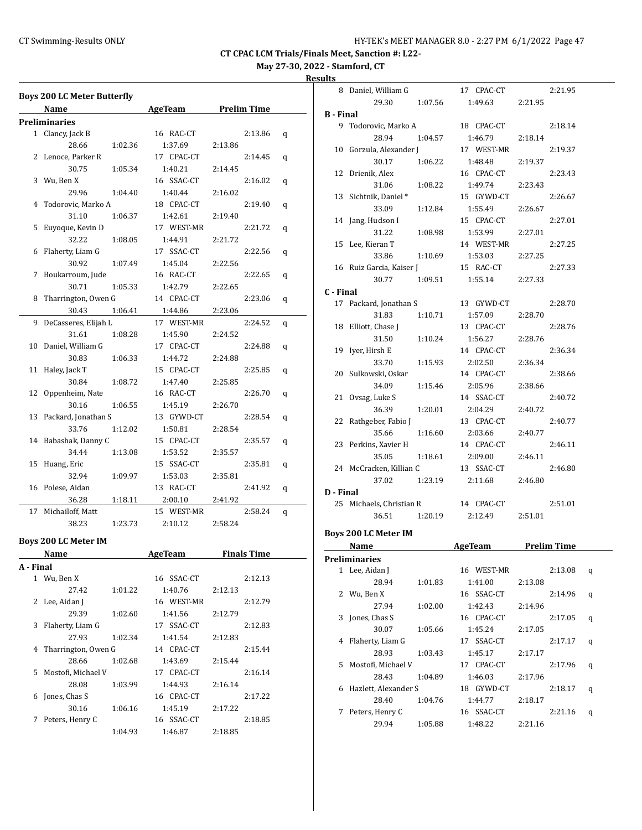**May 27-30, 2022 - Stamford, CT**

**Results** 8 Daniel, William G 17 CPAC-CT 2:21.95

|           | Boys 200 LC Meter Butterfly |         |            |                    |   |
|-----------|-----------------------------|---------|------------|--------------------|---|
|           | Name                        |         | AgeTeam    | <b>Prelim Time</b> |   |
|           | Preliminaries               |         |            |                    |   |
|           | 1 Clancy, Jack B            |         | 16 RAC-CT  | 2:13.86            | q |
|           | 28.66                       | 1:02.36 | 1:37.69    | 2:13.86            |   |
| 2         | Lenoce, Parker R            |         | 17 CPAC-CT | 2:14.45            | q |
|           | 30.75                       | 1:05.34 | 1:40.21    | 2:14.45            |   |
| 3         | Wu, Ben X                   |         | 16 SSAC-CT | 2:16.02            | q |
|           | 29.96                       | 1:04.40 | 1:40.44    | 2:16.02            |   |
| 4         | Todorovic, Marko A          |         | 18 CPAC-CT | 2:19.40            | q |
|           | 31.10                       | 1:06.37 | 1:42.61    | 2:19.40            |   |
| 5         | Euyoque, Kevin D            |         | 17 WEST-MR | 2:21.72            | q |
|           | 32.22                       | 1:08.05 | 1:44.91    | 2:21.72            |   |
| 6         | Flaherty, Liam G            |         | 17 SSAC-CT | 2:22.56            | q |
|           | 30.92                       | 1:07.49 | 1:45.04    | 2:22.56            |   |
| 7         | Boukarroum, Jude            |         | 16 RAC-CT  | 2:22.65            | q |
|           | 30.71                       | 1:05.33 | 1:42.79    | 2:22.65            |   |
| 8         | Tharrington, Owen G         |         | 14 CPAC-CT | 2:23.06            | q |
|           | 30.43                       | 1:06.41 | 1:44.86    | 2:23.06            |   |
| 9         | DeCasseres, Elijah L        |         | 17 WEST-MR | 2:24.52            | q |
|           | 31.61                       | 1:08.28 | 1:45.90    | 2:24.52            |   |
| 10        | Daniel, William G           |         | 17 CPAC-CT | 2:24.88            | q |
|           | 30.83                       | 1:06.33 | 1:44.72    | 2:24.88            |   |
| 11        | Haley, Jack T               |         | 15 CPAC-CT | 2:25.85            | q |
|           | 30.84                       | 1:08.72 | 1:47.40    | 2:25.85            |   |
| 12        | Oppenheim, Nate             |         | 16 RAC-CT  | 2:26.70            | q |
|           | 30.16                       | 1:06.55 | 1:45.19    | 2:26.70            |   |
| 13        | Packard, Jonathan S         |         | 13 GYWD-CT | 2:28.54            | q |
|           | 33.76                       | 1:12.02 | 1:50.81    | 2:28.54            |   |
|           | 14 Babashak, Danny C        |         | 15 CPAC-CT | 2:35.57            | q |
|           | 34.44                       | 1:13.08 | 1:53.52    | 2:35.57            |   |
| 15        | Huang, Eric                 |         | 15 SSAC-CT | 2:35.81            | q |
|           | 32.94                       | 1:09.97 | 1:53.03    | 2:35.81            |   |
| 16        | Polese, Aidan               |         | 13 RAC-CT  | 2:41.92            | q |
|           | 36.28                       | 1:18.11 | 2:00.10    | 2:41.92            |   |
| 17        | Michailoff, Matt            |         | 15 WEST-MR | 2:58.24            | q |
|           | 38.23                       | 1:23.73 | 2:10.12    | 2:58.24            |   |
|           |                             |         |            |                    |   |
|           | <b>Boys 200 LC Meter IM</b> |         |            |                    |   |
|           | Name                        |         | AgeTeam    | <b>Finals Time</b> |   |
| A - Final |                             |         |            |                    |   |
|           | 1 Wu, Ben X                 |         | 16 SSAC-CT | 2:12.13            |   |
|           | 27.42                       | 1:01.22 | 1:40.76    | 2:12.13            |   |
| 2         | Lee, Aidan J                |         | 16 WEST-MR | 2:12.79            |   |
|           | 29.39                       | 1:02.60 | 1:41.56    | 2:12.79            |   |
| 3         | Flaherty, Liam G            |         | 17 SSAC-CT | 2:12.83            |   |
|           | 27.93                       | 1:02.34 | 1:41.54    | 2:12.83            |   |
| 4         | Tharrington, Owen G         |         | 14 CPAC-CT | 2:15.44            |   |
|           | 28.66                       | 1:02.68 | 1:43.69    | 2:15.44            |   |
| 5         | Mostofi, Michael V          |         | 17 CPAC-CT | 2:16.14            |   |
|           | 28.08                       | 1:03.99 | 1:44.93    | 2:16.14            |   |
| 6         | Jones, Chas S               |         | 16 CPAC-CT | 2:17.22            |   |
|           | 30.16                       | 1:06.16 | 1:45.19    | 2:17.22            |   |
| 7         | Peters, Henry C             |         | 16 SSAC-CT | 2:18.85            |   |
|           |                             | 1:04.93 | 1:46.87    | 2:18.85            |   |

|                  | 29.30                               | 1:07.56 | 1:49.63             | 2:21.95 |         |   |
|------------------|-------------------------------------|---------|---------------------|---------|---------|---|
| <b>B</b> - Final |                                     |         |                     |         |         |   |
| 9                | Todorovic, Marko A                  |         | 18 CPAC-CT          |         | 2:18.14 |   |
|                  | 28.94                               | 1:04.57 | 1:46.79             | 2:18.14 |         |   |
|                  | 10 Gorzula, Alexander J             |         | 17 WEST-MR          |         | 2:19.37 |   |
|                  | 30.17                               | 1:06.22 | 1:48.48             | 2:19.37 |         |   |
|                  | 12 Drienik, Alex                    |         | 16 CPAC-CT          |         | 2:23.43 |   |
|                  | 31.06                               | 1:08.22 | 1:49.74             | 2:23.43 |         |   |
|                  | 13 Sichtnik, Daniel*                |         | 15 GYWD-CT          |         | 2:26.67 |   |
|                  | 33.09                               | 1:12.84 | 1:55.49             | 2:26.67 |         |   |
|                  | 14 Jang, Hudson I                   |         | 15 CPAC-CT          |         | 2:27.01 |   |
|                  | 31.22                               | 1:08.98 | 1:53.99             | 2:27.01 |         |   |
|                  | 15 Lee, Kieran T                    |         | 14 WEST-MR          |         | 2:27.25 |   |
|                  | 33.86                               | 1:10.69 | 1:53.03             | 2:27.25 |         |   |
|                  | 16 Ruiz Garcia, Kaiser J            |         | 15 RAC-CT           |         | 2:27.33 |   |
|                  | 30.77                               | 1:09.51 | 1:55.14             | 2:27.33 |         |   |
|                  |                                     |         |                     |         |         |   |
| C - Final        |                                     |         |                     |         |         |   |
|                  | 17 Packard, Jonathan S              |         | 13 GYWD-CT          |         | 2:28.70 |   |
|                  | 31.83                               | 1:10.71 | 1:57.09             | 2:28.70 |         |   |
|                  | 18 Elliott, Chase J                 |         | 13 CPAC-CT          |         | 2:28.76 |   |
|                  | 31.50                               | 1:10.24 | 1:56.27             | 2:28.76 |         |   |
|                  | 19 Iyer, Hirsh E                    |         | 14 CPAC-CT          |         | 2:36.34 |   |
|                  | 33.70                               | 1:15.93 | 2:02.50             | 2:36.34 |         |   |
|                  | 20 Sulkowski, Oskar                 |         | 14 CPAC-CT          |         | 2:38.66 |   |
|                  | 34.09                               | 1:15.46 | 2:05.96             | 2:38.66 |         |   |
|                  | 21 Ovsag, Luke S                    |         | 14 SSAC-CT          |         | 2:40.72 |   |
|                  | 36.39                               | 1:20.01 | 2:04.29             | 2:40.72 |         |   |
|                  | 22 Rathgeber, Fabio J               |         | 13 CPAC-CT          |         | 2:40.77 |   |
|                  | 35.66                               | 1:16.60 | 2:03.66             | 2:40.77 |         |   |
|                  | 23 Perkins, Xavier H                |         | 14 CPAC-CT          |         | 2:46.11 |   |
|                  | 35.05                               | 1:18.61 | 2:09.00             | 2:46.11 |         |   |
|                  | 24 McCracken, Killian C             |         | 13 SSAC-CT          |         | 2:46.80 |   |
|                  | 37.02                               | 1:23.19 | 2:11.68             | 2:46.80 |         |   |
| D - Final        |                                     |         |                     |         |         |   |
|                  | 25 Michaels, Christian R 14 CPAC-CT |         |                     |         | 2:51.01 |   |
|                  | 36.51                               |         | 1:20.19 2:12.49     | 2:51.01 |         |   |
|                  | <b>Boys 200 LC Meter IM</b>         |         |                     |         |         |   |
|                  | Name                                |         | AgeTeam Prelim Time |         |         |   |
|                  |                                     |         |                     |         |         |   |
|                  | <b>Preliminaries</b>                |         |                     |         |         |   |
|                  | 1 Lee, Aidan J                      |         | 16 WEST-MR          |         | 2:13.08 | q |
|                  | 28.94                               | 1:01.83 | 1:41.00             | 2:13.08 |         |   |
| 2                | Wu, Ben X                           |         | 16 SSAC-CT          |         | 2:14.96 | q |
|                  | 27.94                               | 1:02.00 | 1:42.43             | 2:14.96 |         |   |
| 3                | Jones, Chas S                       |         | 16 CPAC-CT          |         | 2:17.05 | q |
|                  | 30.07                               | 1:05.66 | 1:45.24             | 2:17.05 |         |   |
| 4                | Flaherty, Liam G                    |         | 17 SSAC-CT          |         | 2:17.17 | q |
|                  | 28.93                               | 1:03.43 | 1:45.17             | 2:17.17 |         |   |
| 5                | Mostofi, Michael V                  |         | 17 CPAC-CT          |         | 2:17.96 | q |
|                  | 28.43                               | 1:04.89 | 1:46.03             | 2:17.96 |         |   |
| 6                | Hazlett, Alexander S                |         | 18 GYWD-CT          |         | 2:18.17 | q |
|                  | 28.40                               | 1:04.76 | 1:44.77             | 2:18.17 |         |   |
| 7                | Peters, Henry C                     |         | 16 SSAC-CT          |         | 2:21.16 | q |
|                  |                                     |         |                     |         |         |   |
|                  | 29.94                               | 1:05.88 | 1:48.22             | 2:21.16 |         |   |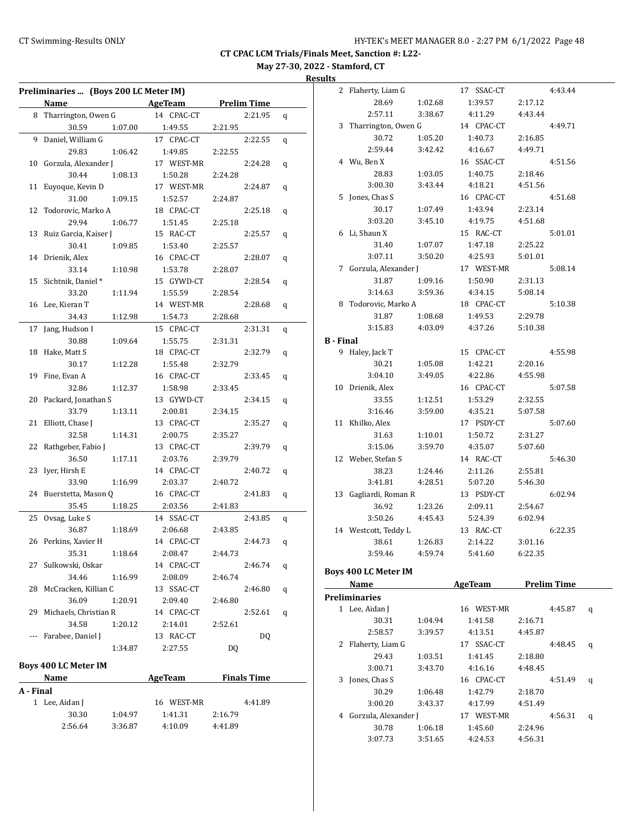**May 27-30, 2022 - Stamford, CT**

| Preliminaries  (Boys 200 LC Meter IM) |                             |         |                                      |         |                    |   |
|---------------------------------------|-----------------------------|---------|--------------------------------------|---------|--------------------|---|
|                                       | <b>Name</b>                 |         | <b>Example 2 AgeTeam</b>             |         | <b>Prelim Time</b> |   |
|                                       | 8 Tharrington, Owen G       |         | 14 CPAC-CT                           |         | 2:21.95            | q |
|                                       | 30.59                       | 1:07.00 | 1:49.55                              | 2:21.95 |                    |   |
| 9                                     | Daniel, William G           |         | 17 CPAC-CT                           |         | 2:22.55            | q |
|                                       | 29.83                       | 1:06.42 | 1:49.85                              | 2:22.55 |                    |   |
|                                       | 10 Gorzula, Alexander J     |         | 17 WEST-MR                           |         | 2:24.28            | q |
|                                       | 30.44                       | 1:08.13 | 1:50.28                              | 2:24.28 |                    |   |
| 11                                    | Euyoque, Kevin D            |         | 17 WEST-MR                           |         | 2:24.87            | q |
|                                       | 31.00                       | 1:09.15 | 1:52.57                              | 2:24.87 |                    |   |
| 12                                    | Todorovic, Marko A          |         | 18 CPAC-CT                           |         | 2:25.18            | q |
|                                       | 29.94                       | 1:06.77 | 1:51.45                              | 2:25.18 |                    |   |
| 13                                    | Ruiz Garcia, Kaiser J       |         | 15 RAC-CT                            |         | 2:25.57            | q |
|                                       | 30.41                       | 1:09.85 | 1:53.40                              | 2:25.57 |                    |   |
| 14                                    | Drienik, Alex               |         | 16 CPAC-CT                           |         | 2:28.07            | q |
|                                       | 33.14                       | 1:10.98 | 1:53.78                              | 2:28.07 |                    |   |
| 15                                    | Sichtnik, Daniel*           |         | 15 GYWD-CT                           |         | 2:28.54            | q |
|                                       | 33.20                       | 1:11.94 | 1:55.59                              | 2:28.54 |                    |   |
| 16                                    | Lee, Kieran T               |         | 14 WEST-MR                           |         | 2:28.68            | q |
|                                       | 34.43                       | 1:12.98 | 1:54.73                              | 2:28.68 |                    |   |
| 17                                    | Jang, Hudson I              |         | 15 CPAC-CT                           |         | 2:31.31            | q |
|                                       | 30.88                       | 1:09.64 | 1:55.75                              | 2:31.31 |                    |   |
| 18                                    | Hake, Matt S                |         | 18 CPAC-CT                           |         | 2:32.79            | q |
|                                       | 30.17                       | 1:12.28 | 1:55.48                              | 2:32.79 |                    |   |
| 19                                    | Fine, Evan A                |         | 16 CPAC-CT                           |         | 2:33.45            | q |
|                                       | 32.86                       | 1:12.37 | 1:58.98                              | 2:33.45 |                    |   |
| 20                                    | Packard, Jonathan S         |         | 13 GYWD-CT                           |         | 2:34.15            | q |
|                                       | 33.79                       | 1:13.11 | 2:00.81                              | 2:34.15 |                    |   |
| 21                                    | Elliott, Chase J            |         | 13 CPAC-CT                           |         | 2:35.27            | q |
|                                       | 32.58                       | 1:14.31 | 2:00.75                              | 2:35.27 |                    |   |
| 22                                    | Rathgeber, Fabio J          |         | 13 CPAC-CT                           |         | 2:39.79            | q |
|                                       | 36.50                       | 1:17.11 | 2:03.76                              | 2:39.79 |                    |   |
| 23                                    | Iyer, Hirsh E               |         | 14 CPAC-CT                           |         | 2:40.72            | q |
|                                       | 33.90                       | 1:16.99 | 2:03.37                              | 2:40.72 |                    |   |
| 24                                    | Buerstetta, Mason Q         |         | 16 CPAC-CT                           |         | 2:41.83            | q |
|                                       | 35.45                       | 1:18.25 | 2:03.56                              | 2:41.83 |                    |   |
|                                       | 25 Ovsag, Luke S            |         | 14 SSAC-CT                           |         | 2:43.85            | q |
|                                       | 36.87                       | 1:18.69 | 2:06.68                              | 2:43.85 |                    |   |
| 26                                    | Perkins, Xavier H           |         | 14 CPAC-CT                           |         | 2:44.73            | q |
|                                       | 35.31                       | 1:18.64 | 2:08.47                              | 2:44.73 |                    |   |
|                                       | 27 Sulkowski, Oskar         |         | 14 CPAC-CT                           |         | 2:46.74            |   |
|                                       | 34.46                       | 1:16.99 | 2:08.09                              | 2:46.74 |                    | q |
| 28                                    | McCracken, Killian C        |         | 13 SSAC-CT                           |         | 2:46.80            |   |
|                                       | 36.09                       | 1:20.91 | 2:09.40                              | 2:46.80 |                    | q |
|                                       | 29 Michaels, Christian R    |         | 14 CPAC-CT                           |         | 2:52.61            |   |
|                                       | 34.58                       | 1:20.12 | 2:14.01                              | 2:52.61 |                    | q |
|                                       | --- Farabee, Daniel J       |         | 13 RAC-CT                            |         | DQ                 |   |
|                                       |                             |         |                                      |         |                    |   |
|                                       |                             | 1:34.87 | 2:27.55                              | DQ      |                    |   |
|                                       | <b>Boys 400 LC Meter IM</b> |         |                                      |         |                    |   |
|                                       | Name                        |         | <b>Example 2 AgeTeam</b> Finals Time |         |                    |   |
| A - Final                             |                             |         |                                      |         |                    |   |
|                                       | 1 Lee, Aidan J              |         | 16 WEST-MR                           |         | 4:41.89            |   |
|                                       | 30.30                       | 1:04.97 | 1:41.31                              | 2:16.79 |                    |   |
|                                       | 2:56.64                     | 3:36.87 | 4:10.09                              | 4:41.89 |                    |   |
|                                       |                             |         |                                      |         |                    |   |
|                                       |                             |         |                                      |         |                    |   |

|                  | 2 Flaherty, Liam G          |                    | 17 SSAC-CT                            |                    | 4:43.44 |   |
|------------------|-----------------------------|--------------------|---------------------------------------|--------------------|---------|---|
|                  | 28.69                       | 1:02.68            | 1:39.57                               | 2:17.12            |         |   |
|                  | 2:57.11                     | 3:38.67            | 4:11.29                               | 4:43.44            |         |   |
|                  | 3 Tharrington, Owen G       |                    | 14 CPAC-CT                            |                    | 4:49.71 |   |
|                  |                             |                    |                                       |                    |         |   |
|                  | 30.72                       | 1:05.20            | 1:40.73                               | 2:16.85            |         |   |
|                  | 2:59.44                     | 3:42.42            | 4:16.67                               | 4:49.71            |         |   |
|                  | 4 Wu, Ben X                 |                    | 16 SSAC-CT                            |                    | 4:51.56 |   |
|                  | 28.83                       | 1:03.05            | 1:40.75                               | 2:18.46            |         |   |
|                  | 3:00.30                     | 3:43.44            | 4:18.21                               | 4:51.56            |         |   |
|                  | 5 Jones, Chas S             |                    | 16 CPAC-CT                            |                    | 4:51.68 |   |
|                  | 30.17                       | 1:07.49            | 1:43.94                               | 2:23.14            |         |   |
|                  | 3:03.20                     | 3:45.10            | 4:19.75                               | 4:51.68            |         |   |
|                  | 6 Li, Shaun X               |                    | 15 RAC-CT                             |                    | 5:01.01 |   |
|                  | 31.40                       | 1:07.07            | 1:47.18                               | 2:25.22            |         |   |
|                  | 3:07.11                     | 3:50.20            | 4:25.93                               | 5:01.01            |         |   |
|                  | 7 Gorzula, Alexander J      |                    | 17 WEST-MR                            |                    | 5:08.14 |   |
|                  | 31.87                       | 1:09.16            | 1:50.90                               | 2:31.13            |         |   |
|                  | 3:14.63                     | 3:59.36            | 4:34.15                               | 5:08.14            |         |   |
|                  | 8 Todorovic, Marko A        |                    | 18 CPAC-CT                            |                    | 5:10.38 |   |
|                  | 31.87                       | 1:08.68            | 1:49.53                               | 2:29.78            |         |   |
|                  | 3:15.83                     | 4:03.09            | 4:37.26                               | 5:10.38            |         |   |
|                  |                             |                    |                                       |                    |         |   |
| <b>B</b> - Final |                             |                    |                                       |                    |         |   |
|                  | 9 Haley, Jack T             |                    | 15 CPAC-CT                            |                    | 4:55.98 |   |
|                  | 30.21                       | 1:05.08            | 1:42.21                               | 2:20.16            |         |   |
|                  | 3:04.10                     | 3:49.05            | 4:22.86                               | 4:55.98            |         |   |
|                  | 10 Drienik, Alex            |                    | 16 CPAC-CT                            |                    | 5:07.58 |   |
|                  | 33.55                       | 1:12.51            | 1:53.29                               | 2:32.55            |         |   |
|                  | 3:16.46                     | 3:59.00            | 4:35.21                               | 5:07.58            |         |   |
|                  | 11 Khilko, Alex             |                    | 17 PSDY-CT                            |                    | 5:07.60 |   |
|                  | 31.63                       | 1:10.01            | 1:50.72                               | 2:31.27            |         |   |
|                  | 3:15.06                     | 3:59.70            | 4:35.07                               | 5:07.60            |         |   |
|                  | 12 Weber, Stefan S          |                    | 14 RAC-CT                             |                    | 5:46.30 |   |
|                  | 38.23                       | 1:24.46            | 2:11.26                               | 2:55.81            |         |   |
|                  | 3:41.81                     | 4:28.51            | 5:07.20                               | 5:46.30            |         |   |
|                  | 13 Gagliardi, Roman R       |                    | 13 PSDY-CT                            |                    | 6:02.94 |   |
|                  | 36.92                       | 1:23.26            | 2:09.11                               | 2:54.67            |         |   |
|                  | 3:50.26                     | 4:45.43            | 5:24.39                               | 6:02.94            |         |   |
|                  | 14 Westcott, Teddy L        |                    | 13 RAC-CT                             |                    | 6:22.35 |   |
|                  | 38.61                       | 1:26.83            | 2:14.22                               | 3:01.16            |         |   |
|                  | 3:59.46                     | 4:59.74            | 5:41.60                               | 6:22.35            |         |   |
|                  |                             |                    |                                       |                    |         |   |
|                  | <b>Boys 400 LC Meter IM</b> |                    |                                       |                    |         |   |
|                  | Name                        |                    | <b>Example 21 AgeTeam</b> Prelim Time |                    |         |   |
|                  | <b>Preliminaries</b>        |                    |                                       |                    |         |   |
|                  | 1 Lee, Aidan J              |                    | 16 WEST-MR                            |                    | 4:45.87 | q |
|                  | 30.31                       | 1:04.94            | 1:41.58                               | 2:16.71            |         |   |
|                  | 2:58.57                     | 3:39.57            | 4:13.51                               | 4:45.87            |         |   |
|                  | 2 Flaherty, Liam G          |                    | 17 SSAC-CT                            |                    | 4:48.45 |   |
|                  | 29.43                       |                    | 1:41.45                               |                    |         | q |
|                  |                             | 1:03.51<br>3:43.70 |                                       | 2:18.80<br>4:48.45 |         |   |
|                  | 3:00.71                     |                    | 4:16.16                               |                    |         |   |
|                  | 3 Jones, Chas S             |                    | 16 CPAC-CT                            |                    | 4:51.49 | q |
|                  | 30.29                       | 1:06.48            | 1:42.79                               | 2:18.70            |         |   |
|                  | 3:00.20                     | 3:43.37            | 4:17.99                               | 4:51.49            |         |   |
|                  | 4 Gorzula, Alexander J      |                    | 17 WEST-MR                            |                    | 4:56.31 | q |
|                  | 30.78                       | 1:06.18            | 1:45.60                               | 2:24.96            |         |   |
|                  | 3:07.73                     | 3:51.65            | 4:24.53                               | 4:56.31            |         |   |
|                  |                             |                    |                                       |                    |         |   |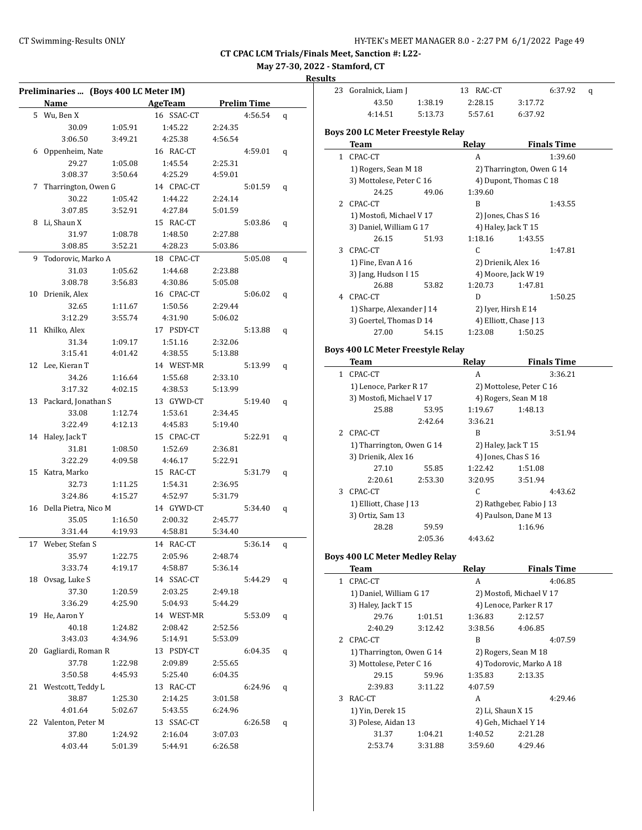# **May 27-30, 2022 - Stamford, CT**

| Results |
|---------|
|---------|

|    | Preliminaries  (Boys 400 LC Meter IM) |         |            |         |                    |   |  |
|----|---------------------------------------|---------|------------|---------|--------------------|---|--|
|    | Name                                  |         | AgeTeam    |         | <b>Prelim Time</b> |   |  |
|    | 5 Wu, Ben X                           |         | 16 SSAC-CT |         | 4:56.54            | q |  |
|    | 30.09                                 | 1:05.91 | 1:45.22    | 2:24.35 |                    |   |  |
|    | 3:06.50                               | 3:49.21 | 4:25.38    | 4:56.54 |                    |   |  |
|    | 6 Oppenheim, Nate                     |         | 16 RAC-CT  |         | 4:59.01            | q |  |
|    | 29.27                                 | 1:05.08 | 1:45.54    | 2:25.31 |                    |   |  |
|    | 3:08.37                               | 3:50.64 | 4:25.29    | 4:59.01 |                    |   |  |
|    | 7 Tharrington, Owen G                 |         | 14 CPAC-CT |         | 5:01.59            | q |  |
|    | 30.22                                 | 1:05.42 | 1:44.22    | 2:24.14 |                    |   |  |
|    | 3:07.85                               | 3:52.91 | 4:27.84    | 5:01.59 |                    |   |  |
| 8  | Li, Shaun X                           |         | 15 RAC-CT  |         | 5:03.86            | q |  |
|    | 31.97                                 | 1:08.78 | 1:48.50    | 2:27.88 |                    |   |  |
|    | 3:08.85                               | 3:52.21 | 4:28.23    | 5:03.86 |                    |   |  |
| 9  | Todorovic, Marko A                    |         | 18 CPAC-CT |         | 5:05.08            | q |  |
|    | 31.03                                 | 1:05.62 | 1:44.68    | 2:23.88 |                    |   |  |
|    | 3:08.78                               | 3:56.83 | 4:30.86    | 5:05.08 |                    |   |  |
|    | 10 Drienik, Alex                      |         | 16 CPAC-CT |         | 5:06.02            | q |  |
|    | 32.65                                 | 1:11.67 | 1:50.56    | 2:29.44 |                    |   |  |
|    | 3:12.29                               | 3:55.74 | 4:31.90    | 5:06.02 |                    |   |  |
|    | 11 Khilko, Alex                       |         | 17 PSDY-CT |         | 5:13.88            | q |  |
|    | 31.34                                 | 1:09.17 | 1:51.16    | 2:32.06 |                    |   |  |
|    | 3:15.41                               | 4:01.42 | 4:38.55    | 5:13.88 |                    |   |  |
|    | 12 Lee, Kieran T                      |         | 14 WEST-MR |         | 5:13.99            | q |  |
|    | 34.26                                 | 1:16.64 | 1:55.68    | 2:33.10 |                    |   |  |
|    | 3:17.32                               | 4:02.15 | 4:38.53    | 5:13.99 |                    |   |  |
|    | 13 Packard, Jonathan S                |         | 13 GYWD-CT |         | 5:19.40            | q |  |
|    | 33.08                                 | 1:12.74 | 1:53.61    | 2:34.45 |                    |   |  |
|    | 3:22.49                               | 4:12.13 | 4:45.83    | 5:19.40 |                    |   |  |
|    | 14 Haley, Jack T                      |         | 15 CPAC-CT |         | 5:22.91            | q |  |
|    | 31.81                                 | 1:08.50 | 1:52.69    | 2:36.81 |                    |   |  |
|    | 3:22.29                               | 4:09.58 | 4:46.17    | 5:22.91 |                    |   |  |
| 15 | Katra, Marko                          |         | 15 RAC-CT  |         | 5:31.79            | q |  |
|    | 32.73                                 | 1:11.25 | 1:54.31    | 2:36.95 |                    |   |  |
|    | 3:24.86                               | 4:15.27 | 4:52.97    | 5:31.79 |                    |   |  |
|    | 16 Della Pietra, Nico M               |         | 14 GYWD-CT |         | 5:34.40            | q |  |
|    | 35.05                                 | 1:16.50 | 2:00.32    | 2:45.77 |                    |   |  |
|    | 3:31.44                               | 4:19.93 | 4:58.81    | 5:34.40 |                    |   |  |
|    | 17 Weber, Stefan S                    |         | 14 RAC-CT  |         | 5:36.14            | q |  |
|    | 35.97                                 | 1:22.75 | 2:05.96    | 2:48.74 |                    |   |  |
|    | 3:33.74                               | 4:19.17 | 4:58.87    | 5:36.14 |                    |   |  |
|    | 18 Ovsag, Luke S                      |         | 14 SSAC-CT |         | 5:44.29            | q |  |
|    | 37.30                                 | 1:20.59 | 2:03.25    | 2:49.18 |                    |   |  |
|    | 3:36.29                               | 4:25.90 | 5:04.93    | 5:44.29 |                    |   |  |
|    | 19 He, Aaron Y                        |         | 14 WEST-MR |         | 5:53.09            | q |  |
|    | 40.18                                 | 1:24.82 | 2:08.42    | 2:52.56 |                    |   |  |
|    | 3:43.03                               | 4:34.96 | 5:14.91    | 5:53.09 |                    |   |  |
|    | 20 Gagliardi, Roman R                 |         | 13 PSDY-CT |         | 6:04.35            | q |  |
|    | 37.78                                 | 1:22.98 | 2:09.89    | 2:55.65 |                    |   |  |
|    | 3:50.58                               | 4:45.93 | 5:25.40    | 6:04.35 |                    |   |  |
|    | 21 Westcott, Teddy L                  |         | 13 RAC-CT  |         | 6:24.96            | q |  |
|    | 38.87                                 | 1:25.30 | 2:14.25    | 3:01.58 |                    |   |  |
|    | 4:01.64                               | 5:02.67 | 5:43.55    | 6:24.96 |                    |   |  |
| 22 | Valenton, Peter M                     |         | 13 SSAC-CT |         | 6:26.58            | q |  |
|    | 37.80                                 | 1:24.92 | 2:16.04    | 3:07.03 |                    |   |  |
|    | 4:03.44                               | 5:01.39 | 5:44.91    | 6:26.58 |                    |   |  |

| นเเร |                                          |         |                        |                           |                    |   |
|------|------------------------------------------|---------|------------------------|---------------------------|--------------------|---|
|      | 23 Goralnick, Liam J                     |         | 13 RAC-CT              |                           | 6:37.92            | q |
|      | 43.50                                    | 1:38.19 | 2:28.15                | 3:17.72                   |                    |   |
|      | 4:14.51                                  | 5:13.73 | 5:57.61                | 6:37.92                   |                    |   |
|      |                                          |         |                        |                           |                    |   |
|      | <b>Boys 200 LC Meter Freestyle Relay</b> |         |                        |                           |                    |   |
|      | Team                                     |         | Relay                  |                           | <b>Finals Time</b> |   |
|      | 1 CPAC-CT                                |         | A                      |                           | 1:39.60            |   |
|      | 1) Rogers, Sean M 18                     |         |                        | 2) Tharrington, Owen G 14 |                    |   |
|      | 3) Mottolese, Peter C 16                 |         |                        | 4) Dupont, Thomas C 18    |                    |   |
|      | 24.25                                    | 49.06   | 1:39.60                |                           |                    |   |
|      | 2 CPAC-CT                                |         | B                      |                           | 1:43.55            |   |
|      | 1) Mostofi, Michael V 17                 |         | 2) Jones, Chas S 16    |                           |                    |   |
|      | 3) Daniel, William G 17                  |         | 4) Haley, Jack T 15    |                           |                    |   |
|      | 26.15                                    | 51.93   | 1:18.16                | 1:43.55                   |                    |   |
|      | 3 CPAC-CT                                |         | C.                     |                           | 1:47.81            |   |
|      | 1) Fine, Evan A 16                       |         | 2) Drienik, Alex 16    |                           |                    |   |
|      | 3) Jang, Hudson I 15                     |         | 4) Moore, Jack W 19    |                           |                    |   |
|      | 26.88                                    | 53.82   | 1:20.73                | 1:47.81                   |                    |   |
|      | 4 CPAC-CT                                |         | D                      |                           | 1:50.25            |   |
|      | 1) Sharpe, Alexander J 14                |         | 2) Iyer, Hirsh E 14    |                           |                    |   |
|      | 3) Goertel, Thomas D 14                  |         | 4) Elliott, Chase J 13 |                           |                    |   |
|      | 27.00                                    | 54.15   | 1:23.08                | 1:50.25                   |                    |   |
|      | <b>Boys 400 LC Meter Freestyle Relay</b> |         |                        |                           |                    |   |
|      | Team                                     |         | Relay                  |                           | <b>Finals Time</b> |   |
|      | 1 CPAC-CT                                |         | A                      |                           | 3:36.21            |   |
|      | 1) Lenoce, Parker R 17                   |         |                        | 2) Mottolese, Peter C 16  |                    |   |
|      | 3) Mostofi, Michael V 17                 |         |                        | 4) Rogers, Sean M 18      |                    |   |
|      | 25.88                                    | 53.95   | 1:19.67                | 1:48.13                   |                    |   |
|      |                                          | 2:42.64 | 3:36.21                |                           |                    |   |
|      | 2 CPAC-CT                                |         | B                      |                           | 3:51.94            |   |
|      | 1) Tharrington, Owen G 14                |         | 2) Haley, Jack T 15    |                           |                    |   |
|      | 3) Drienik, Alex 16                      |         | 4) Jones, Chas S 16    |                           |                    |   |
|      | 27.10                                    | 55.85   | 1:22.42                | 1:51.08                   |                    |   |
|      | 2:20.61                                  | 2:53.30 | 3:20.95                | 3:51.94                   |                    |   |
|      | 3 CPAC-CT                                |         | C                      |                           | 4:43.62            |   |
|      | 1) Elliott, Chase J 13                   |         |                        | 2) Rathgeber, Fabio J 13  |                    |   |
|      | 3) Ortiz, Sam 13                         |         |                        | 4) Paulson, Dane M 13     |                    |   |
|      | 28.28                                    | 59.59   |                        | 1:16.96                   |                    |   |
|      |                                          | 2:05.36 | 4:43.62                |                           |                    |   |
|      | <b>Boys 400 LC Meter Medley Relay</b>    |         |                        |                           |                    |   |
|      | <b>Team</b>                              |         | Relay                  |                           | <b>Finals Time</b> |   |
|      | 1 CPAC-CT                                |         | A                      |                           | 4:06.85            |   |
|      | 1) Daniel, William G 17                  |         |                        | 2) Mostofi, Michael V 17  |                    |   |
|      | 3) Haley, Jack T 15                      |         |                        | 4) Lenoce, Parker R 17    |                    |   |
|      | 29.76                                    | 1:01.51 | 1:36.83                | 2:12.57                   |                    |   |
|      | 2:40.29                                  | 3:12.42 | 3:38.56                | 4:06.85                   |                    |   |
|      | 2 CPAC-CT                                |         | B                      |                           | 4:07.59            |   |
|      | 1) Tharrington, Owen G 14                |         |                        | 2) Rogers, Sean M 18      |                    |   |
|      | 3) Mottolese, Peter C 16                 |         |                        | 4) Todorovic, Marko A 18  |                    |   |
|      | 29.15                                    | 59.96   | 1:35.83                | 2:13.35                   |                    |   |
|      | 2:39.83                                  | 3:11.22 | 4:07.59                |                           |                    |   |
| 3    | RAC-CT                                   |         | A                      |                           | 4:29.46            |   |
|      | 1) Yin, Derek 15                         |         | 2) Li, Shaun X 15      |                           |                    |   |
|      | 3) Polese, Aidan 13                      |         |                        | 4) Geh, Michael Y 14      |                    |   |
|      | 31.37                                    | 1:04.21 | 1:40.52                | 2:21.28                   |                    |   |
|      |                                          | 3:31.88 |                        | 4:29.46                   |                    |   |
|      | 2:53.74                                  |         | 3:59.60                |                           |                    |   |